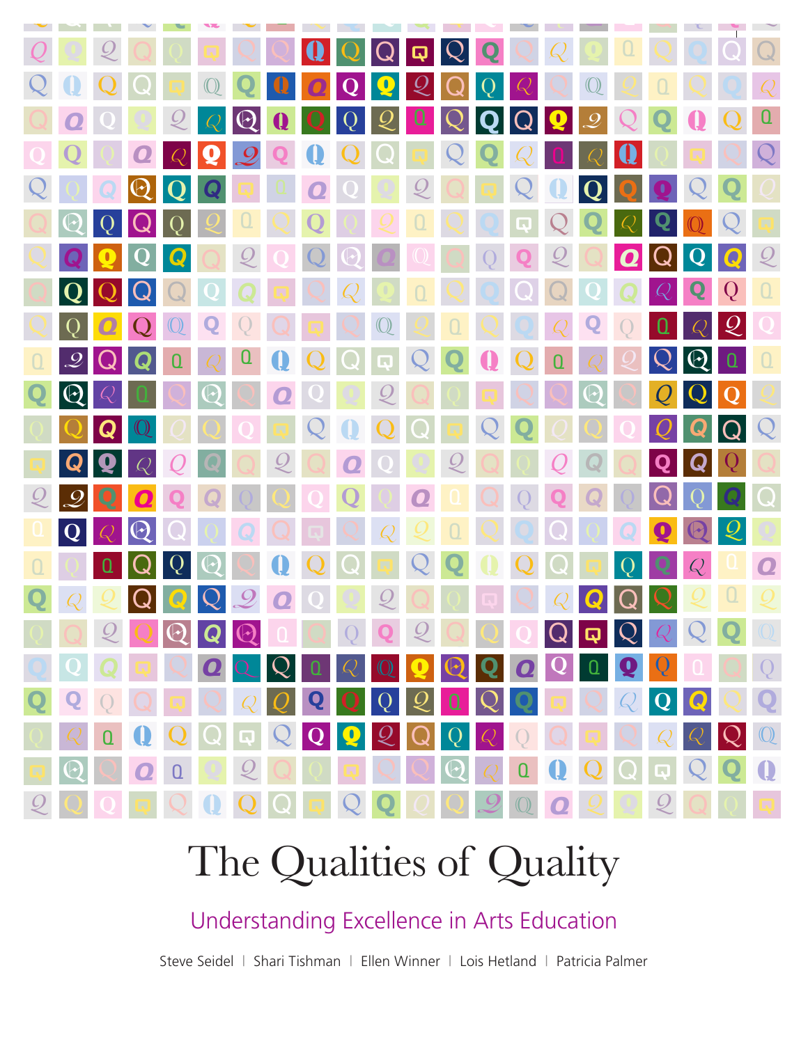

# The Qualities of Quality

Understanding Excellence in Arts Education

Steve Seidel | Shari Tishman | Ellen Winner | Lois Hetland | Patricia Palmer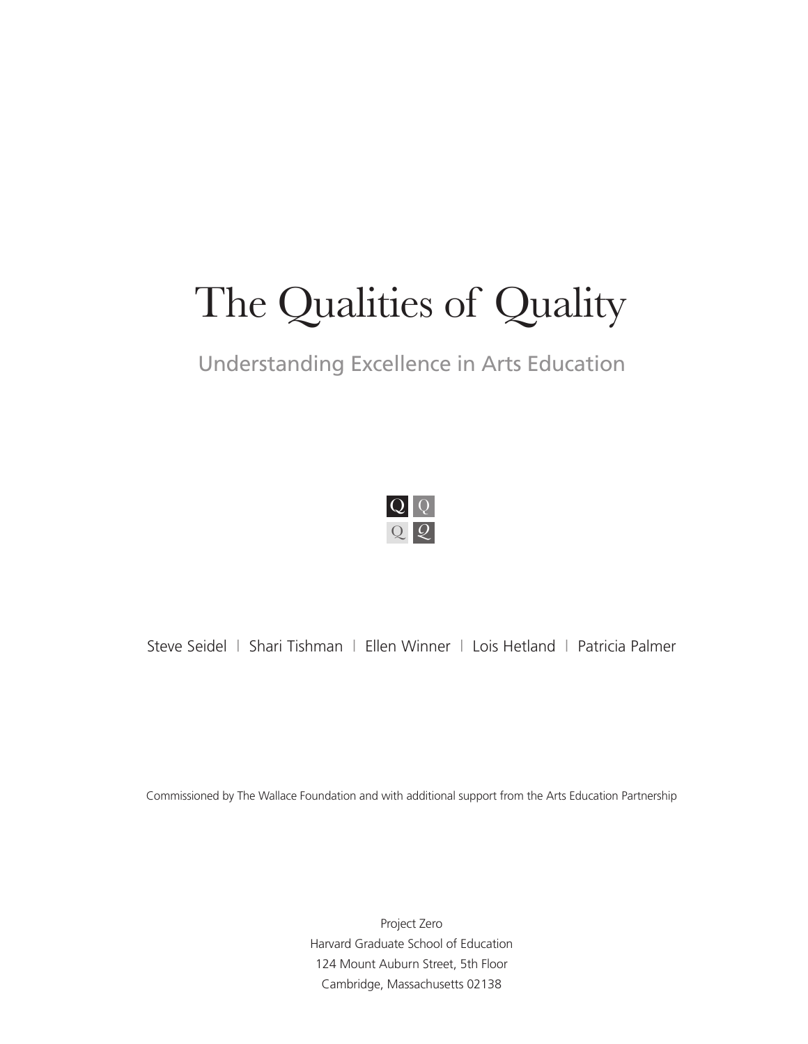# The Qualities of Quality

# Understanding Excellence in Arts Education



Steve Seidel | Shari Tishman | Ellen Winner | Lois Hetland | Patricia Palmer

Commissioned by The Wallace Foundation and with additional support from the Arts Education Partnership

Project Zero Harvard Graduate School of Education 124 Mount Auburn Street, 5th Floor Cambridge, Massachusetts 02138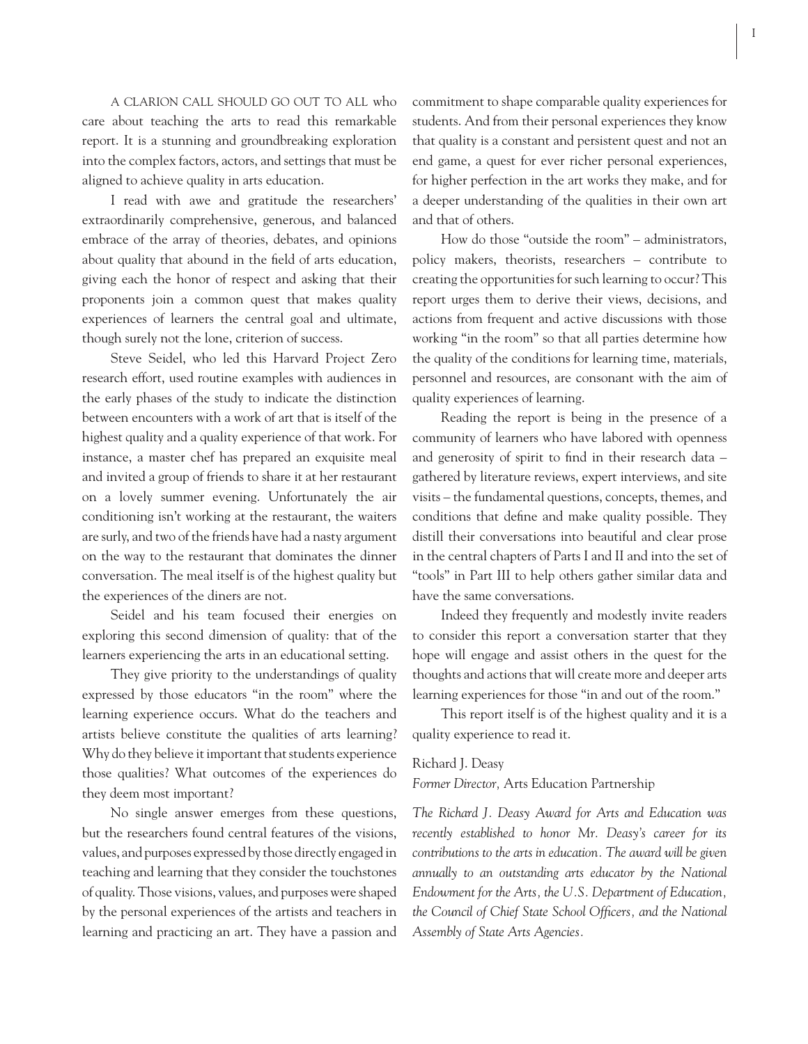A CLARION CALL SHOULD GO OUT TO ALL who care about teaching the arts to read this remarkable report. It is a stunning and groundbreaking exploration into the complex factors, actors, and settings that must be aligned to achieve quality in arts education.

I read with awe and gratitude the researchers' extraordinarily comprehensive, generous, and balanced embrace of the array of theories, debates, and opinions about quality that abound in the field of arts education, giving each the honor of respect and asking that their proponents join a common quest that makes quality experiences of learners the central goal and ultimate, though surely not the lone, criterion of success.

Steve Seidel, who led this Harvard Project Zero research effort, used routine examples with audiences in the early phases of the study to indicate the distinction between encounters with a work of art that is itself of the highest quality and a quality experience of that work. For instance, a master chef has prepared an exquisite meal and invited a group of friends to share it at her restaurant on a lovely summer evening. Unfortunately the air conditioning isn't working at the restaurant, the waiters are surly, and two of the friends have had a nasty argument on the way to the restaurant that dominates the dinner conversation. The meal itself is of the highest quality but the experiences of the diners are not.

Seidel and his team focused their energies on exploring this second dimension of quality: that of the learners experiencing the arts in an educational setting.

They give priority to the understandings of quality expressed by those educators "in the room" where the learning experience occurs. What do the teachers and artists believe constitute the qualities of arts learning? Why do they believe it important that students experience those qualities? What outcomes of the experiences do they deem most important?

No single answer emerges from these questions, but the researchers found central features of the visions, values, and purposes expressed by those directly engaged in teaching and learning that they consider the touchstones of quality. Those visions, values, and purposes were shaped by the personal experiences of the artists and teachers in learning and practicing an art. They have a passion and

commitment to shape comparable quality experiences for students. And from their personal experiences they know that quality is a constant and persistent quest and not an end game, a quest for ever richer personal experiences, for higher perfection in the art works they make, and for a deeper understanding of the qualities in their own art and that of others.

How do those "outside the room" – administrators, policy makers, theorists, researchers – contribute to creating the opportunities for such learning to occur? This report urges them to derive their views, decisions, and actions from frequent and active discussions with those working "in the room" so that all parties determine how the quality of the conditions for learning time, materials, personnel and resources, are consonant with the aim of quality experiences of learning.

Reading the report is being in the presence of a community of learners who have labored with openness and generosity of spirit to find in their research data gathered by literature reviews, expert interviews, and site visits – the fundamental questions, concepts, themes, and conditions that define and make quality possible. They distill their conversations into beautiful and clear prose in the central chapters of Parts I and II and into the set of "tools" in Part III to help others gather similar data and have the same conversations.

Indeed they frequently and modestly invite readers to consider this report a conversation starter that they hope will engage and assist others in the quest for the thoughts and actions that will create more and deeper arts learning experiences for those "in and out of the room."

This report itself is of the highest quality and it is a quality experience to read it.

#### Richard J. Deasy

*Former Director,* Arts Education Partnership

*The Richard J. Deasy Award for Arts and Education was recently established to honor Mr. Deasy's career for its contributions to the arts in education. The award will be given annually to an outstanding arts educator by the National Endowment for the Arts, the U.S. Department of Education,*  the Council of Chief State School Officers, and the National *Assembly of State Arts Agencies.*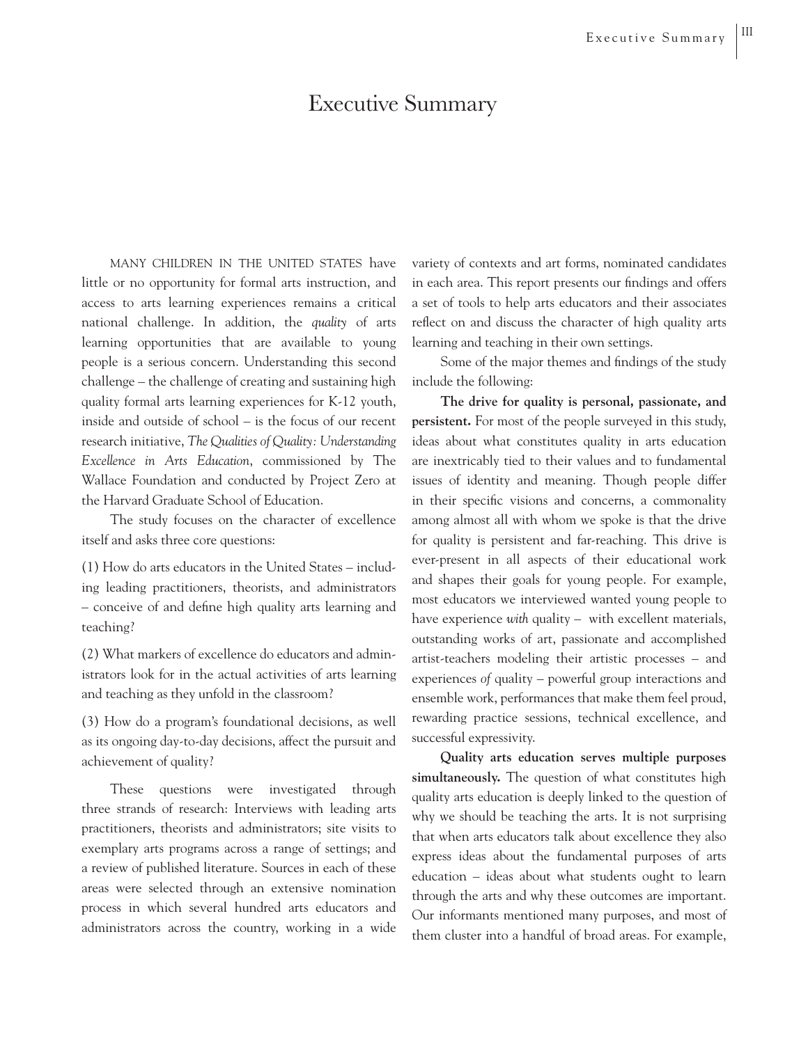# Executive Summary

MANY CHILDREN IN THE UNITED STATES have little or no opportunity for formal arts instruction, and access to arts learning experiences remains a critical national challenge. In addition, the *quality* of arts learning opportunities that are available to young people is a serious concern. Understanding this second challenge – the challenge of creating and sustaining high quality formal arts learning experiences for K-12 youth, inside and outside of school – is the focus of our recent research initiative, *The Qualities of Quality: Understanding Excellence in Arts Education*, commissioned by The Wallace Foundation and conducted by Project Zero at the Harvard Graduate School of Education.

The study focuses on the character of excellence itself and asks three core questions:

(1) How do arts educators in the United States – including leading practitioners, theorists, and administrators – conceive of and define high quality arts learning and teaching?

(2) What markers of excellence do educators and administrators look for in the actual activities of arts learning and teaching as they unfold in the classroom?

(3) How do a program's foundational decisions, as well as its ongoing day-to-day decisions, affect the pursuit and achievement of quality?

These questions were investigated through three strands of research: Interviews with leading arts practitioners, theorists and administrators; site visits to exemplary arts programs across a range of settings; and a review of published literature. Sources in each of these areas were selected through an extensive nomination process in which several hundred arts educators and administrators across the country, working in a wide variety of contexts and art forms, nominated candidates in each area. This report presents our findings and offers a set of tools to help arts educators and their associates reflect on and discuss the character of high quality arts learning and teaching in their own settings.

Some of the major themes and findings of the study include the following:

**The drive for quality is personal, passionate, and persistent.** For most of the people surveyed in this study, ideas about what constitutes quality in arts education are inextricably tied to their values and to fundamental issues of identity and meaning. Though people differ in their specific visions and concerns, a commonality among almost all with whom we spoke is that the drive for quality is persistent and far-reaching. This drive is ever-present in all aspects of their educational work and shapes their goals for young people. For example, most educators we interviewed wanted young people to have experience *with* quality – with excellent materials, outstanding works of art, passionate and accomplished artist-teachers modeling their artistic processes – and experiences *of* quality – powerful group interactions and ensemble work, performances that make them feel proud, rewarding practice sessions, technical excellence, and successful expressivity.

**Quality arts education serves multiple purposes simultaneously.** The question of what constitutes high quality arts education is deeply linked to the question of why we should be teaching the arts. It is not surprising that when arts educators talk about excellence they also express ideas about the fundamental purposes of arts education – ideas about what students ought to learn through the arts and why these outcomes are important. Our informants mentioned many purposes, and most of them cluster into a handful of broad areas. For example,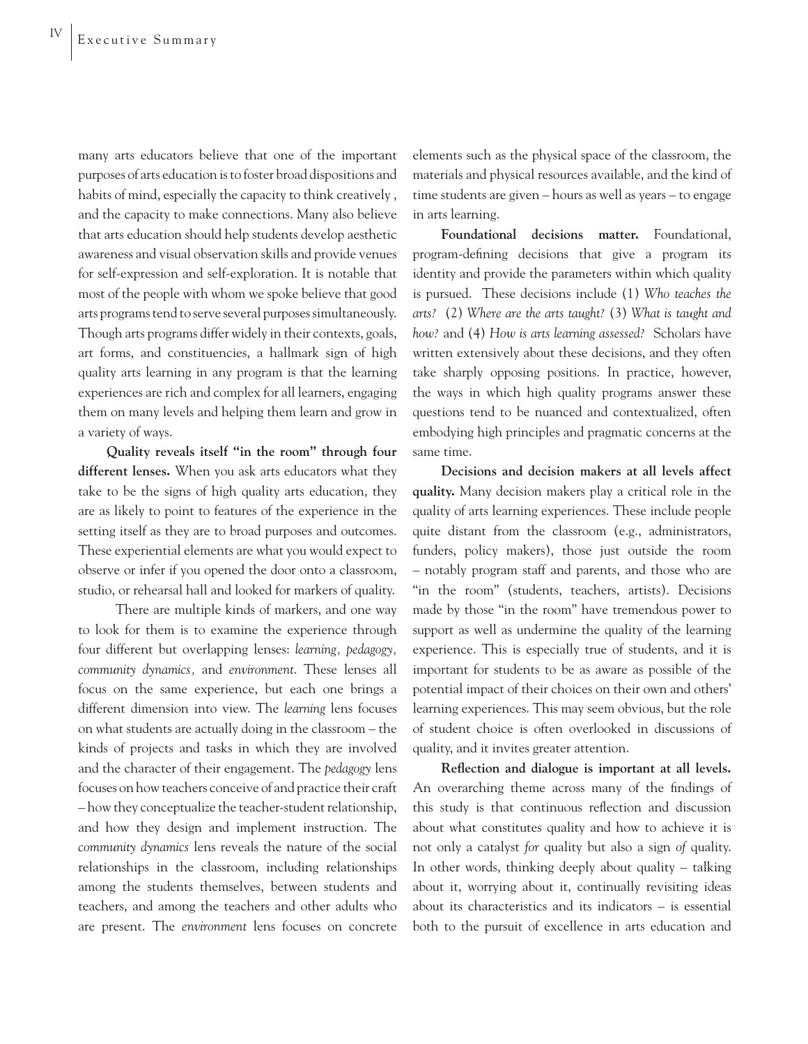many arts educators believe that one of the important purposes of arts education is to foster broad dispositions and habits of mind, especially the capacity to think creatively , and the capacity to make connections. Many also believe that arts education should help students develop aesthetic awareness and visual observation skills and provide venues for self-expression and self-exploration. It is notable that most of the people with whom we spoke believe that good arts programs tend to serve several purposes simultaneously. Though arts programs differ widely in their contexts, goals, art forms, and constituencies, a hallmark sign of high quality arts learning in any program is that the learning experiences are rich and complex for all learners, engaging them on many levels and helping them learn and grow in a variety of ways.

**Quality reveals itself "in the room" through four different lenses.** When you ask arts educators what they take to be the signs of high quality arts education, they are as likely to point to features of the experience in the setting itself as they are to broad purposes and outcomes. These experiential elements are what you would expect to observe or infer if you opened the door onto a classroom, studio, or rehearsal hall and looked for markers of quality.

 There are multiple kinds of markers, and one way to look for them is to examine the experience through four different but overlapping lenses: *learning, pedagogy, community dynamics,* and *environment*. These lenses all focus on the same experience, but each one brings a different dimension into view. The *learning* lens focuses on what students are actually doing in the classroom – the kinds of projects and tasks in which they are involved and the character of their engagement. The *pedagogy* lens focuses on how teachers conceive of and practice their craft – how they conceptualize the teacher-student relationship, and how they design and implement instruction. The *community dynamics* lens reveals the nature of the social relationships in the classroom, including relationships among the students themselves, between students and teachers, and among the teachers and other adults who are present. The *environment* lens focuses on concrete

elements such as the physical space of the classroom, the materials and physical resources available, and the kind of time students are given – hours as well as years – to engage in arts learning.

**Foundational decisions matter.** Foundational, program-defining decisions that give a program its identity and provide the parameters within which quality is pursued. These decisions include (1) *Who teaches the arts?* (2) *Where are the arts taught?* (3) *What is taught and how?* and (4) *How is arts learning assessed?* Scholars have written extensively about these decisions, and they often take sharply opposing positions. In practice, however, the ways in which high quality programs answer these questions tend to be nuanced and contextualized, often embodying high principles and pragmatic concerns at the same time.

**Decisions and decision makers at all levels affect quality.** Many decision makers play a critical role in the quality of arts learning experiences. These include people quite distant from the classroom (e.g., administrators, funders, policy makers), those just outside the room – notably program staff and parents, and those who are "in the room" (students, teachers, artists). Decisions made by those "in the room" have tremendous power to support as well as undermine the quality of the learning experience. This is especially true of students, and it is important for students to be as aware as possible of the potential impact of their choices on their own and others' learning experiences. This may seem obvious, but the role of student choice is often overlooked in discussions of quality, and it invites greater attention.

Reflection and dialogue is important at all levels. An overarching theme across many of the findings of this study is that continuous reflection and discussion about what constitutes quality and how to achieve it is not only a catalyst *for* quality but also a sign *of* quality. In other words, thinking deeply about quality – talking about it, worrying about it, continually revisiting ideas about its characteristics and its indicators – is essential both to the pursuit of excellence in arts education and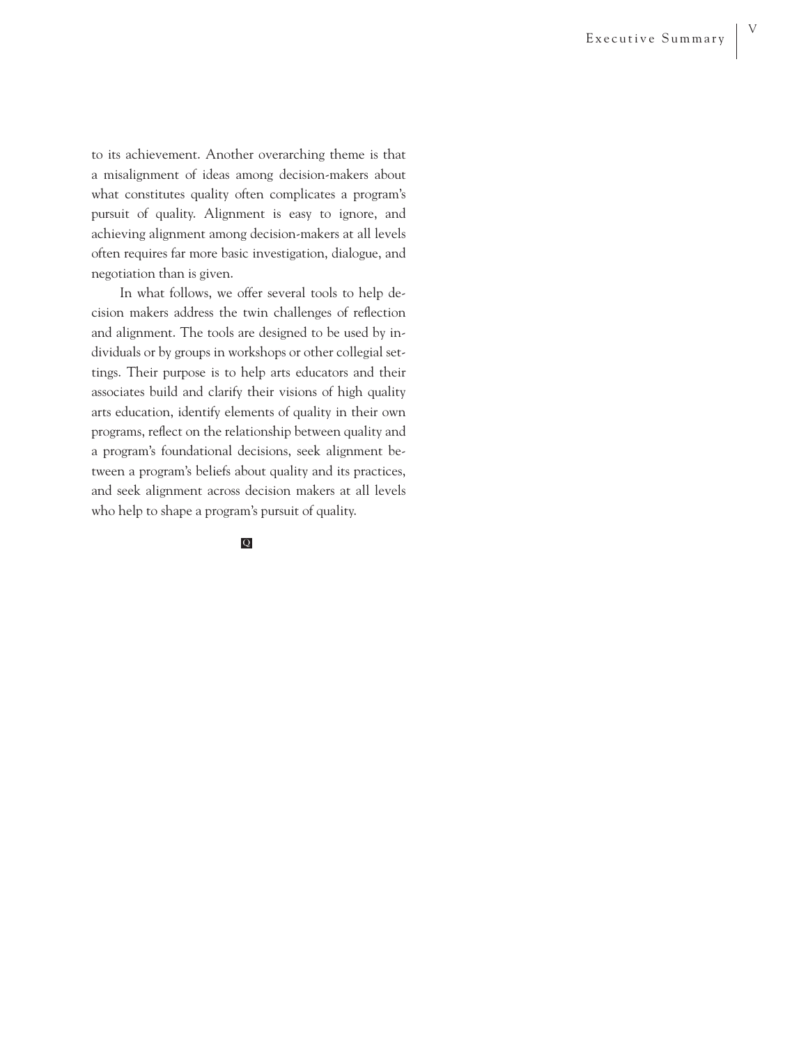to its achievement. Another overarching theme is that a misalignment of ideas among decision-makers about what constitutes quality often complicates a program's pursuit of quality. Alignment is easy to ignore, and achieving alignment among decision-makers at all levels often requires far more basic investigation, dialogue, and negotiation than is given.

In what follows, we offer several tools to help decision makers address the twin challenges of reflection and alignment. The tools are designed to be used by individuals or by groups in workshops or other collegial settings. Their purpose is to help arts educators and their associates build and clarify their visions of high quality arts education, identify elements of quality in their own programs, reflect on the relationship between quality and a program's foundational decisions, seek alignment between a program's beliefs about quality and its practices, and seek alignment across decision makers at all levels who help to shape a program's pursuit of quality.

### Q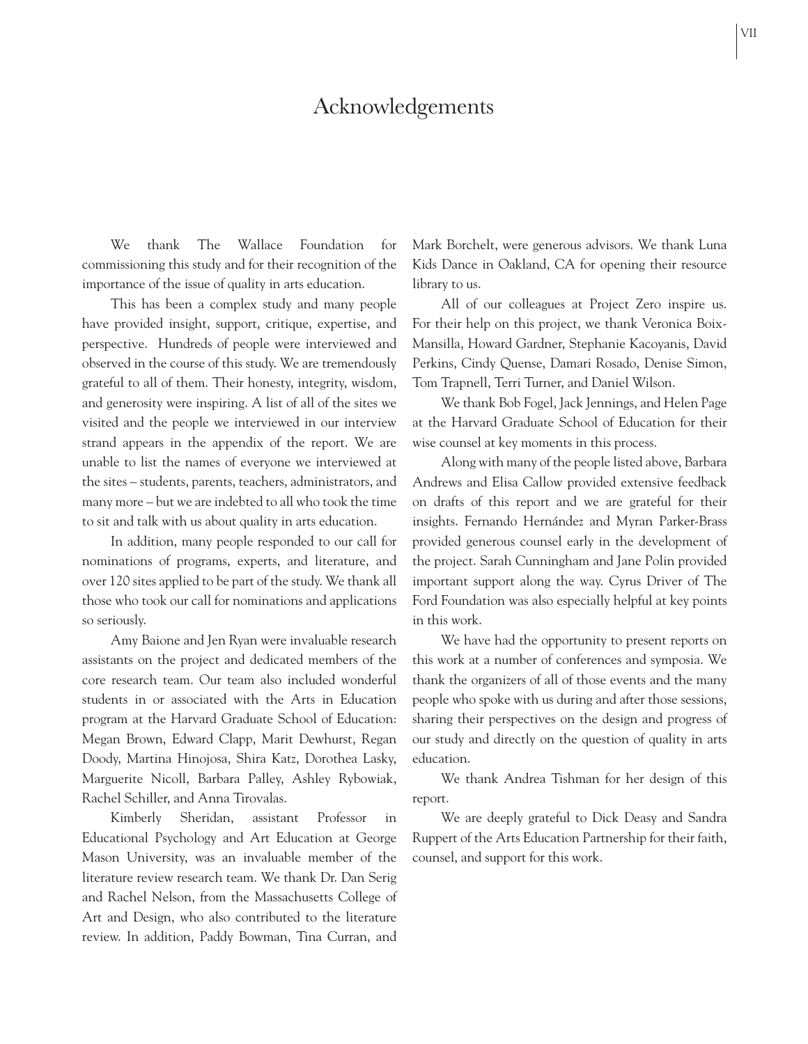# Acknowledgements

We thank The Wallace Foundation for commissioning this study and for their recognition of the importance of the issue of quality in arts education.

This has been a complex study and many people have provided insight, support, critique, expertise, and perspective. Hundreds of people were interviewed and observed in the course of this study. We are tremendously grateful to all of them. Their honesty, integrity, wisdom, and generosity were inspiring. A list of all of the sites we visited and the people we interviewed in our interview strand appears in the appendix of the report. We are unable to list the names of everyone we interviewed at the sites – students, parents, teachers, administrators, and many more – but we are indebted to all who took the time to sit and talk with us about quality in arts education.

In addition, many people responded to our call for nominations of programs, experts, and literature, and over 120 sites applied to be part of the study. We thank all those who took our call for nominations and applications so seriously.

Amy Baione and Jen Ryan were invaluable research assistants on the project and dedicated members of the core research team. Our team also included wonderful students in or associated with the Arts in Education program at the Harvard Graduate School of Education: Megan Brown, Edward Clapp, Marit Dewhurst, Regan Doody, Martina Hinojosa, Shira Katz, Dorothea Lasky, Marguerite Nicoll, Barbara Palley, Ashley Rybowiak, Rachel Schiller, and Anna Tirovalas.

Kimberly Sheridan, assistant Professor in Educational Psychology and Art Education at George Mason University, was an invaluable member of the literature review research team. We thank Dr. Dan Serig and Rachel Nelson, from the Massachusetts College of Art and Design, who also contributed to the literature review. In addition, Paddy Bowman, Tina Curran, and

Mark Borchelt, were generous advisors. We thank Luna Kids Dance in Oakland, CA for opening their resource library to us.

All of our colleagues at Project Zero inspire us. For their help on this project, we thank Veronica Boix-Mansilla, Howard Gardner, Stephanie Kacoyanis, David Perkins, Cindy Quense, Damari Rosado, Denise Simon, Tom Trapnell, Terri Turner, and Daniel Wilson.

We thank Bob Fogel, Jack Jennings, and Helen Page at the Harvard Graduate School of Education for their wise counsel at key moments in this process.

Along with many of the people listed above, Barbara Andrews and Elisa Callow provided extensive feedback on drafts of this report and we are grateful for their insights. Fernando Hernández and Myran Parker-Brass provided generous counsel early in the development of the project. Sarah Cunningham and Jane Polin provided important support along the way. Cyrus Driver of The Ford Foundation was also especially helpful at key points in this work.

We have had the opportunity to present reports on this work at a number of conferences and symposia. We thank the organizers of all of those events and the many people who spoke with us during and after those sessions, sharing their perspectives on the design and progress of our study and directly on the question of quality in arts education.

We thank Andrea Tishman for her design of this report.

We are deeply grateful to Dick Deasy and Sandra Ruppert of the Arts Education Partnership for their faith, counsel, and support for this work.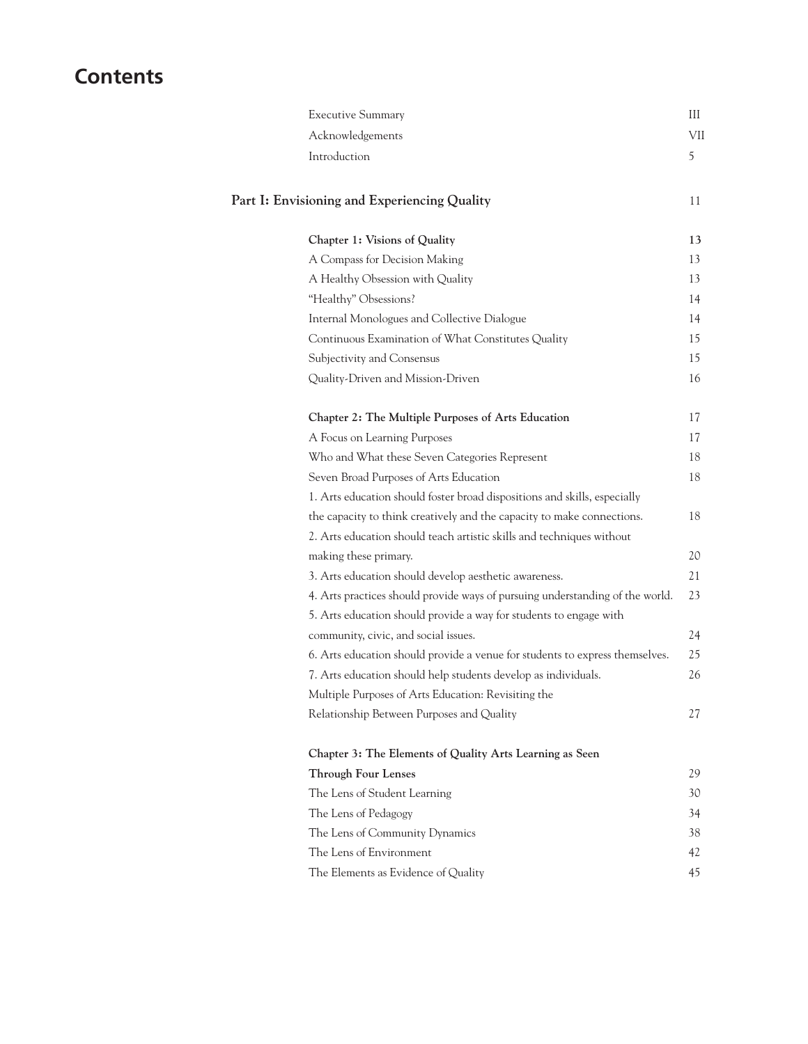# **Contents**

| <b>Executive Summary</b>                                                      | Ш   |
|-------------------------------------------------------------------------------|-----|
| Acknowledgements                                                              | VII |
| Introduction                                                                  | 5   |
| Part I: Envisioning and Experiencing Quality                                  | 11  |
| Chapter 1: Visions of Quality                                                 | 13  |
| A Compass for Decision Making                                                 | 13  |
| A Healthy Obsession with Quality                                              | 13  |
| "Healthy" Obsessions?                                                         | 14  |
| Internal Monologues and Collective Dialogue                                   | 14  |
| Continuous Examination of What Constitutes Quality                            | 15  |
| Subjectivity and Consensus                                                    | 15  |
| Quality-Driven and Mission-Driven                                             | 16  |
| Chapter 2: The Multiple Purposes of Arts Education                            | 17  |
| A Focus on Learning Purposes                                                  | 17  |
| Who and What these Seven Categories Represent                                 | 18  |
| Seven Broad Purposes of Arts Education                                        | 18  |
| 1. Arts education should foster broad dispositions and skills, especially     |     |
| the capacity to think creatively and the capacity to make connections.        | 18  |
| 2. Arts education should teach artistic skills and techniques without         |     |
| making these primary.                                                         | 20  |
| 3. Arts education should develop aesthetic awareness.                         | 21  |
| 4. Arts practices should provide ways of pursuing understanding of the world. | 23  |
| 5. Arts education should provide a way for students to engage with            |     |
| community, civic, and social issues.                                          | 24  |
| 6. Arts education should provide a venue for students to express themselves.  | 25  |
| 7. Arts education should help students develop as individuals.                | 26  |
| Multiple Purposes of Arts Education: Revisiting the                           |     |
| Relationship Between Purposes and Quality                                     | 27  |
| Chapter 3: The Elements of Quality Arts Learning as Seen                      |     |
| <b>Through Four Lenses</b>                                                    | 29  |
| The Lens of Student Learning                                                  | 30  |
| The Lens of Pedagogy                                                          | 34  |

The Lens of Community Dynamics 38 The Lens of Environment 42 The Elements as Evidence of Quality 45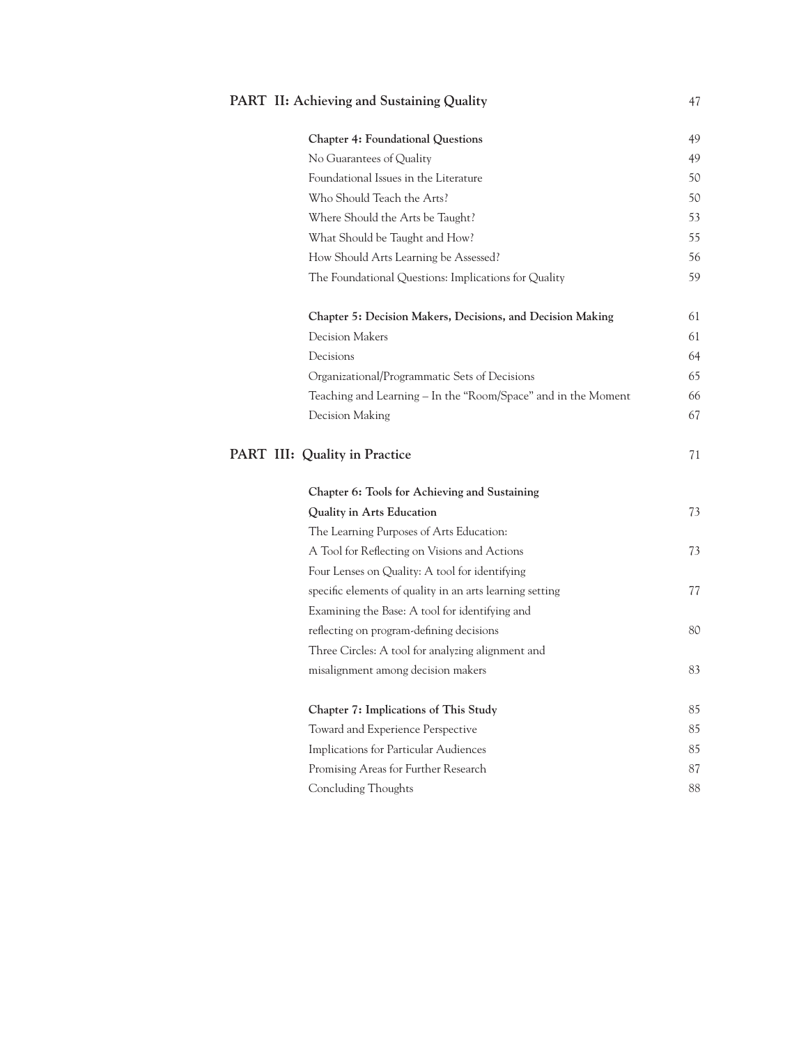## **PART II: Achieving and Sustaining Quality** 47

| Chapter 4: Foundational Questions                             | 49 |
|---------------------------------------------------------------|----|
| No Guarantees of Quality                                      | 49 |
| Foundational Issues in the Literature                         | 50 |
| Who Should Teach the Arts?                                    | 50 |
| Where Should the Arts be Taught?                              | 53 |
| What Should be Taught and How?                                | 55 |
| How Should Arts Learning be Assessed?                         | 56 |
| The Foundational Questions: Implications for Quality          | 59 |
| Chapter 5: Decision Makers, Decisions, and Decision Making    | 61 |
| <b>Decision Makers</b>                                        | 61 |
| Decisions                                                     | 64 |
| Organizational/Programmatic Sets of Decisions                 | 65 |
| Teaching and Learning - In the "Room/Space" and in the Moment | 66 |
| Decision Making                                               | 67 |
| PART III: Quality in Practice                                 | 71 |
| Chapter 6: Tools for Achieving and Sustaining                 |    |
| Quality in Arts Education                                     | 73 |
| The Learning Purposes of Arts Education:                      |    |
| A Tool for Reflecting on Visions and Actions                  | 73 |
| Four Lenses on Quality: A tool for identifying                |    |
| specific elements of quality in an arts learning setting      | 77 |
| Examining the Base: A tool for identifying and                |    |
| reflecting on program-defining decisions                      | 80 |
| Three Circles: A tool for analyzing alignment and             |    |
| misalignment among decision makers                            | 83 |
| Chapter 7: Implications of This Study                         | 85 |
| Toward and Experience Perspective                             | 85 |
| Implications for Particular Audiences                         | 85 |
| Promising Areas for Further Research                          | 87 |
|                                                               |    |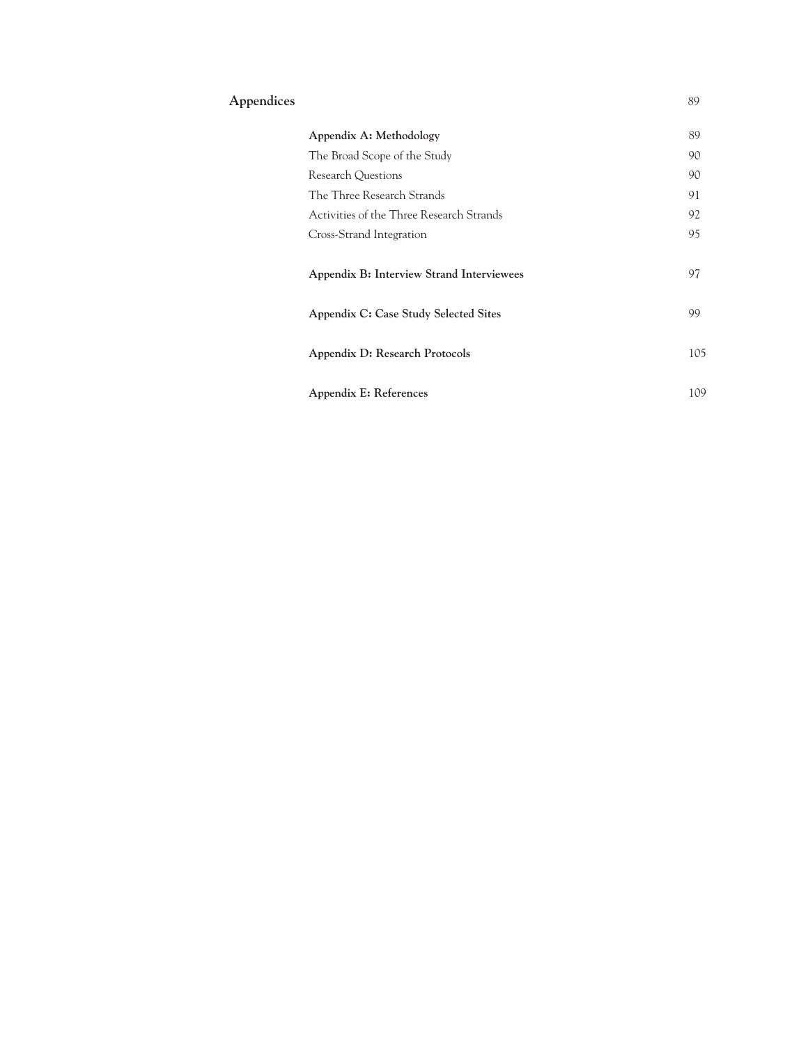## **Appendices** 89

| Appendix A: Methodology                   |     |  |
|-------------------------------------------|-----|--|
| The Broad Scope of the Study              | 90  |  |
| Research Questions                        | 90  |  |
| The Three Research Strands                | 91  |  |
| Activities of the Three Research Strands  | 92  |  |
| Cross-Strand Integration                  | 95  |  |
| Appendix B: Interview Strand Interviewees | 97  |  |
| Appendix C: Case Study Selected Sites     | 99  |  |
| Appendix D: Research Protocols            | 105 |  |
| Appendix E: References                    | 109 |  |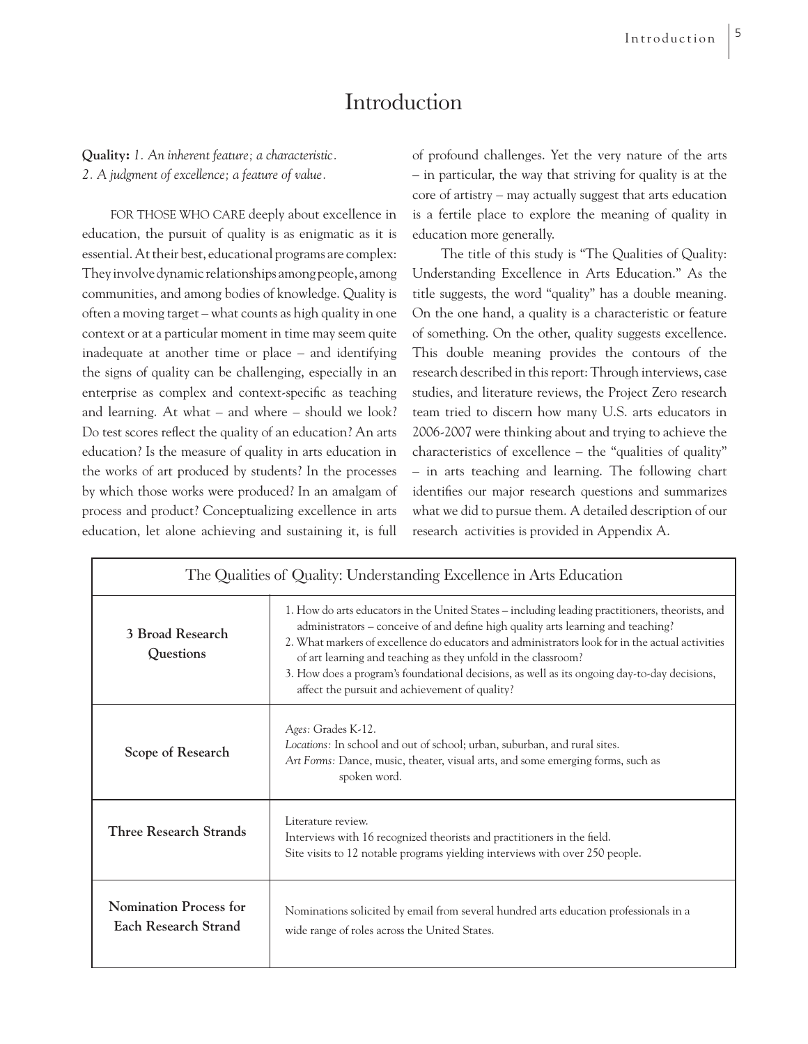# Introduction

**Quality:** *1. An inherent feature; a characteristic. 2. A judgment of excellence; a feature of value.* 

FOR THOSE WHO CARE deeply about excellence in education, the pursuit of quality is as enigmatic as it is essential. At their best, educational programs are complex: They involve dynamic relationships among people, among communities, and among bodies of knowledge. Quality is often a moving target – what counts as high quality in one context or at a particular moment in time may seem quite inadequate at another time or place – and identifying the signs of quality can be challenging, especially in an enterprise as complex and context-specific as teaching and learning. At what – and where – should we look? Do test scores reflect the quality of an education? An arts education? Is the measure of quality in arts education in the works of art produced by students? In the processes by which those works were produced? In an amalgam of process and product? Conceptualizing excellence in arts education, let alone achieving and sustaining it, is full of profound challenges. Yet the very nature of the arts – in particular, the way that striving for quality is at the core of artistry – may actually suggest that arts education is a fertile place to explore the meaning of quality in education more generally.

The title of this study is "The Qualities of Quality: Understanding Excellence in Arts Education." As the title suggests, the word "quality" has a double meaning. On the one hand, a quality is a characteristic or feature of something. On the other, quality suggests excellence. This double meaning provides the contours of the research described in this report: Through interviews, case studies, and literature reviews, the Project Zero research team tried to discern how many U.S. arts educators in 2006-2007 were thinking about and trying to achieve the characteristics of excellence – the "qualities of quality" – in arts teaching and learning. The following chart identifies our major research questions and summarizes what we did to pursue them. A detailed description of our research activities is provided in Appendix A.

| The Qualities of Quality: Understanding Excellence in Arts Education |                                                                                                                                                                                                                                                                                                                                                                                                                                                                                                           |  |  |  |
|----------------------------------------------------------------------|-----------------------------------------------------------------------------------------------------------------------------------------------------------------------------------------------------------------------------------------------------------------------------------------------------------------------------------------------------------------------------------------------------------------------------------------------------------------------------------------------------------|--|--|--|
| 3 Broad Research<br>Questions                                        | 1. How do arts educators in the United States – including leading practitioners, theorists, and<br>administrators – conceive of and define high quality arts learning and teaching?<br>2. What markers of excellence do educators and administrators look for in the actual activities<br>of art learning and teaching as they unfold in the classroom?<br>3. How does a program's foundational decisions, as well as its ongoing day-to-day decisions,<br>affect the pursuit and achievement of quality? |  |  |  |
| Scope of Research                                                    | Ages: Grades K-12.<br>Locations: In school and out of school; urban, suburban, and rural sites.<br>Art Forms: Dance, music, theater, visual arts, and some emerging forms, such as<br>spoken word.                                                                                                                                                                                                                                                                                                        |  |  |  |
| <b>Three Research Strands</b>                                        | Literature review.<br>Interviews with 16 recognized theorists and practitioners in the field.<br>Site visits to 12 notable programs yielding interviews with over 250 people.                                                                                                                                                                                                                                                                                                                             |  |  |  |
| <b>Nomination Process for</b><br>Each Research Strand                | Nominations solicited by email from several hundred arts education professionals in a<br>wide range of roles across the United States.                                                                                                                                                                                                                                                                                                                                                                    |  |  |  |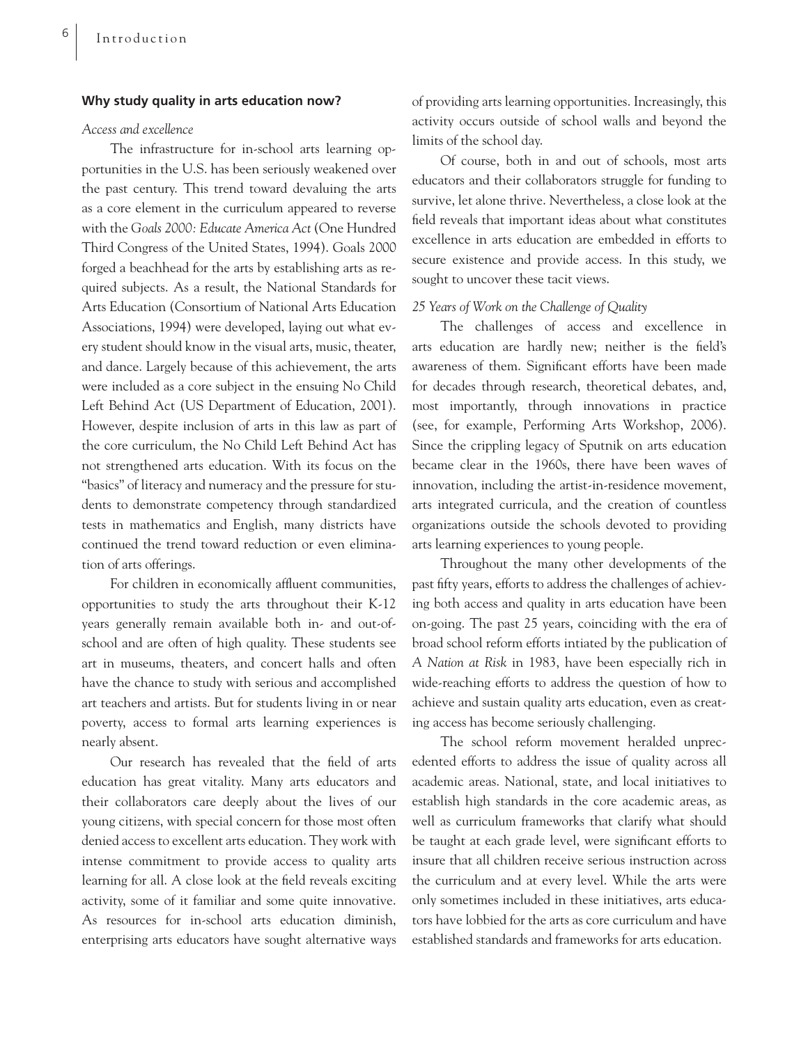#### **Why study quality in arts education now?**

### *Access and excellence*

The infrastructure for in-school arts learning opportunities in the U.S. has been seriously weakened over the past century. This trend toward devaluing the arts as a core element in the curriculum appeared to reverse with the *Goals 2000: Educate America Act* (One Hundred Third Congress of the United States, 1994). Goals 2000 forged a beachhead for the arts by establishing arts as required subjects. As a result, the National Standards for Arts Education (Consortium of National Arts Education Associations, 1994) were developed, laying out what every student should know in the visual arts, music, theater, and dance. Largely because of this achievement, the arts were included as a core subject in the ensuing No Child Left Behind Act (US Department of Education, 2001). However, despite inclusion of arts in this law as part of the core curriculum, the No Child Left Behind Act has not strengthened arts education. With its focus on the "basics" of literacy and numeracy and the pressure for students to demonstrate competency through standardized tests in mathematics and English, many districts have continued the trend toward reduction or even elimination of arts offerings.

For children in economically affluent communities, opportunities to study the arts throughout their K-12 years generally remain available both in- and out-ofschool and are often of high quality. These students see art in museums, theaters, and concert halls and often have the chance to study with serious and accomplished art teachers and artists. But for students living in or near poverty, access to formal arts learning experiences is nearly absent.

Our research has revealed that the field of arts education has great vitality. Many arts educators and their collaborators care deeply about the lives of our young citizens, with special concern for those most often denied access to excellent arts education. They work with intense commitment to provide access to quality arts learning for all. A close look at the field reveals exciting activity, some of it familiar and some quite innovative. As resources for in-school arts education diminish, enterprising arts educators have sought alternative ways of providing arts learning opportunities. Increasingly, this activity occurs outside of school walls and beyond the limits of the school day.

Of course, both in and out of schools, most arts educators and their collaborators struggle for funding to survive, let alone thrive. Nevertheless, a close look at the field reveals that important ideas about what constitutes excellence in arts education are embedded in efforts to secure existence and provide access. In this study, we sought to uncover these tacit views.

#### *25 Years of Work on the Challenge of Quality*

The challenges of access and excellence in arts education are hardly new; neither is the field's awareness of them. Significant efforts have been made for decades through research, theoretical debates, and, most importantly, through innovations in practice (see, for example, Performing Arts Workshop, 2006). Since the crippling legacy of Sputnik on arts education became clear in the 1960s, there have been waves of innovation, including the artist-in-residence movement, arts integrated curricula, and the creation of countless organizations outside the schools devoted to providing arts learning experiences to young people.

Throughout the many other developments of the past fifty years, efforts to address the challenges of achieving both access and quality in arts education have been on-going. The past 25 years, coinciding with the era of broad school reform efforts intiated by the publication of *A Nation at Risk* in 1983, have been especially rich in wide-reaching efforts to address the question of how to achieve and sustain quality arts education, even as creating access has become seriously challenging.

The school reform movement heralded unprecedented efforts to address the issue of quality across all academic areas. National, state, and local initiatives to establish high standards in the core academic areas, as well as curriculum frameworks that clarify what should be taught at each grade level, were significant efforts to insure that all children receive serious instruction across the curriculum and at every level. While the arts were only sometimes included in these initiatives, arts educators have lobbied for the arts as core curriculum and have established standards and frameworks for arts education.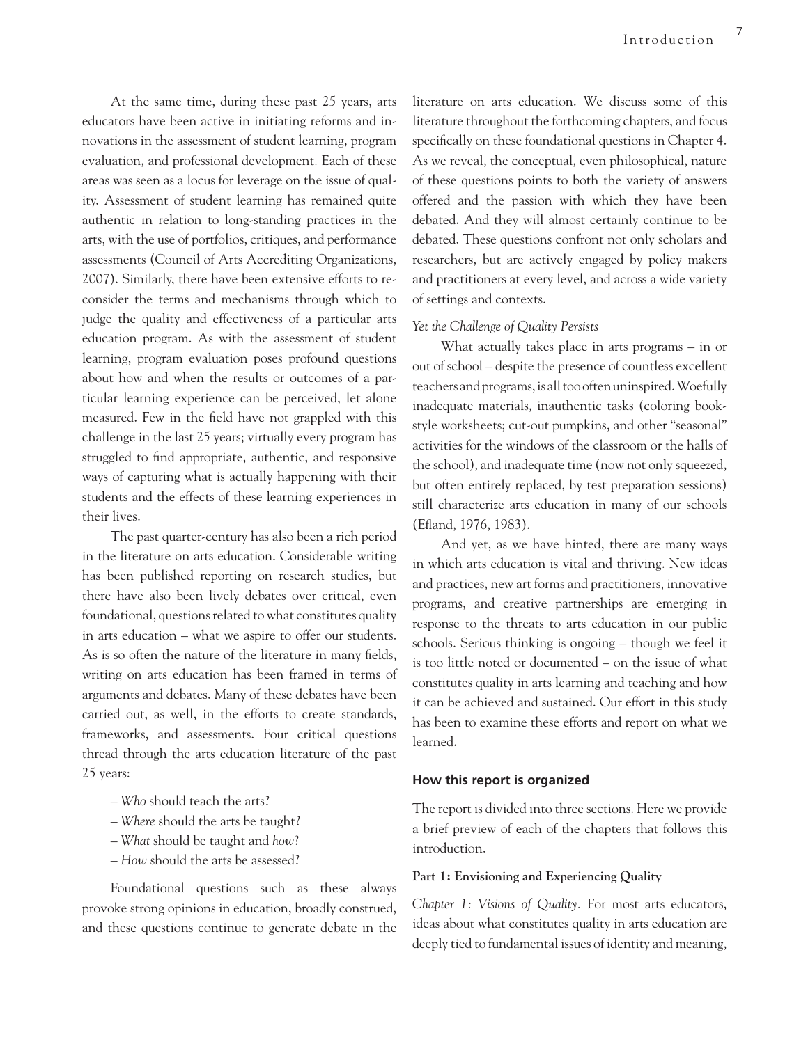At the same time, during these past 25 years, arts educators have been active in initiating reforms and innovations in the assessment of student learning, program evaluation, and professional development. Each of these areas was seen as a locus for leverage on the issue of quality. Assessment of student learning has remained quite authentic in relation to long-standing practices in the arts, with the use of portfolios, critiques, and performance assessments (Council of Arts Accrediting Organizations, 2007). Similarly, there have been extensive efforts to reconsider the terms and mechanisms through which to judge the quality and effectiveness of a particular arts education program. As with the assessment of student learning, program evaluation poses profound questions about how and when the results or outcomes of a particular learning experience can be perceived, let alone measured. Few in the field have not grappled with this challenge in the last 25 years; virtually every program has struggled to find appropriate, authentic, and responsive ways of capturing what is actually happening with their students and the effects of these learning experiences in their lives.

The past quarter-century has also been a rich period in the literature on arts education. Considerable writing has been published reporting on research studies, but there have also been lively debates over critical, even foundational, questions related to what constitutes quality in arts education – what we aspire to offer our students. As is so often the nature of the literature in many fields, writing on arts education has been framed in terms of arguments and debates. Many of these debates have been carried out, as well, in the efforts to create standards, frameworks, and assessments. Four critical questions thread through the arts education literature of the past 25 years:

- *Who* should teach the arts?
- *Where* should the arts be taught?
- *What* should be taught and *how*?
- *How* should the arts be assessed?

Foundational questions such as these always provoke strong opinions in education, broadly construed, and these questions continue to generate debate in the literature on arts education. We discuss some of this literature throughout the forthcoming chapters, and focus specifically on these foundational questions in Chapter 4. As we reveal, the conceptual, even philosophical, nature of these questions points to both the variety of answers offered and the passion with which they have been debated. And they will almost certainly continue to be debated. These questions confront not only scholars and researchers, but are actively engaged by policy makers and practitioners at every level, and across a wide variety of settings and contexts.

### *Yet the Challenge of Quality Persists*

What actually takes place in arts programs – in or out of school – despite the presence of countless excellent teachers and programs, is all too often uninspired. Woefully inadequate materials, inauthentic tasks (coloring bookstyle worksheets; cut-out pumpkins, and other "seasonal" activities for the windows of the classroom or the halls of the school), and inadequate time (now not only squeezed, but often entirely replaced, by test preparation sessions) still characterize arts education in many of our schools (Efland, 1976, 1983).

And yet, as we have hinted, there are many ways in which arts education is vital and thriving. New ideas and practices, new art forms and practitioners, innovative programs, and creative partnerships are emerging in response to the threats to arts education in our public schools. Serious thinking is ongoing – though we feel it is too little noted or documented – on the issue of what constitutes quality in arts learning and teaching and how it can be achieved and sustained. Our effort in this study has been to examine these efforts and report on what we learned.

### **How this report is organized**

The report is divided into three sections. Here we provide a brief preview of each of the chapters that follows this introduction.

### **Part 1: Envisioning and Experiencing Quality**

*Chapter 1: Visions of Quality.* For most arts educators, ideas about what constitutes quality in arts education are deeply tied to fundamental issues of identity and meaning,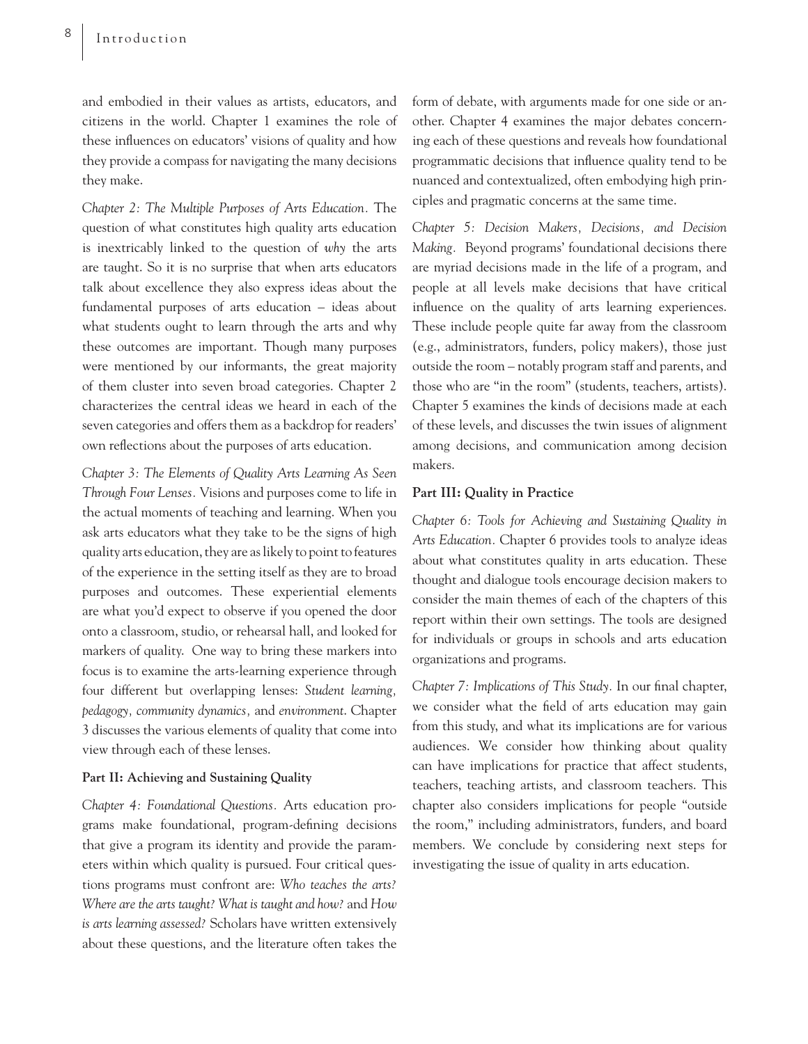and embodied in their values as artists, educators, and citizens in the world. Chapter 1 examines the role of these influences on educators' visions of quality and how they provide a compass for navigating the many decisions they make.

*Chapter 2: The Multiple Purposes of Arts Education.* The question of what constitutes high quality arts education is inextricably linked to the question of *why* the arts are taught. So it is no surprise that when arts educators talk about excellence they also express ideas about the fundamental purposes of arts education – ideas about what students ought to learn through the arts and why these outcomes are important. Though many purposes were mentioned by our informants, the great majority of them cluster into seven broad categories. Chapter 2 characterizes the central ideas we heard in each of the seven categories and offers them as a backdrop for readers' own reflections about the purposes of arts education.

*Chapter 3: The Elements of Quality Arts Learning As Seen Through Four Lenses.* Visions and purposes come to life in the actual moments of teaching and learning. When you ask arts educators what they take to be the signs of high quality arts education, they are as likely to point to features of the experience in the setting itself as they are to broad purposes and outcomes. These experiential elements are what you'd expect to observe if you opened the door onto a classroom, studio, or rehearsal hall, and looked for markers of quality. One way to bring these markers into focus is to examine the arts-learning experience through four different but overlapping lenses: *Student learning, pedagogy, community dynamics,* and *environment*. Chapter 3 discusses the various elements of quality that come into view through each of these lenses.

### **Part II: Achieving and Sustaining Quality**

*Chapter 4: Foundational Questions.* Arts education programs make foundational, program-defining decisions that give a program its identity and provide the parameters within which quality is pursued. Four critical questions programs must confront are: *Who teaches the arts? Where are the arts taught? What is taught and how?* and *How is arts learning assessed?* Scholars have written extensively about these questions, and the literature often takes the

form of debate, with arguments made for one side or another. Chapter 4 examines the major debates concerning each of these questions and reveals how foundational programmatic decisions that influence quality tend to be nuanced and contextualized, often embodying high principles and pragmatic concerns at the same time.

*Chapter 5: Decision Makers, Decisions, and Decision Making.* Beyond programs' foundational decisions there are myriad decisions made in the life of a program, and people at all levels make decisions that have critical influence on the quality of arts learning experiences. These include people quite far away from the classroom (e.g., administrators, funders, policy makers), those just outside the room – notably program staff and parents, and those who are "in the room" (students, teachers, artists). Chapter 5 examines the kinds of decisions made at each of these levels, and discusses the twin issues of alignment among decisions, and communication among decision makers.

### **Part III: Quality in Practice**

*Chapter 6: Tools for Achieving and Sustaining Quality in Arts Education.* Chapter 6 provides tools to analyze ideas about what constitutes quality in arts education. These thought and dialogue tools encourage decision makers to consider the main themes of each of the chapters of this report within their own settings. The tools are designed for individuals or groups in schools and arts education organizations and programs.

*Chapter 7: Implications of This Study. In our final chapter,* we consider what the field of arts education may gain from this study, and what its implications are for various audiences. We consider how thinking about quality can have implications for practice that affect students, teachers, teaching artists, and classroom teachers. This chapter also considers implications for people "outside the room," including administrators, funders, and board members. We conclude by considering next steps for investigating the issue of quality in arts education.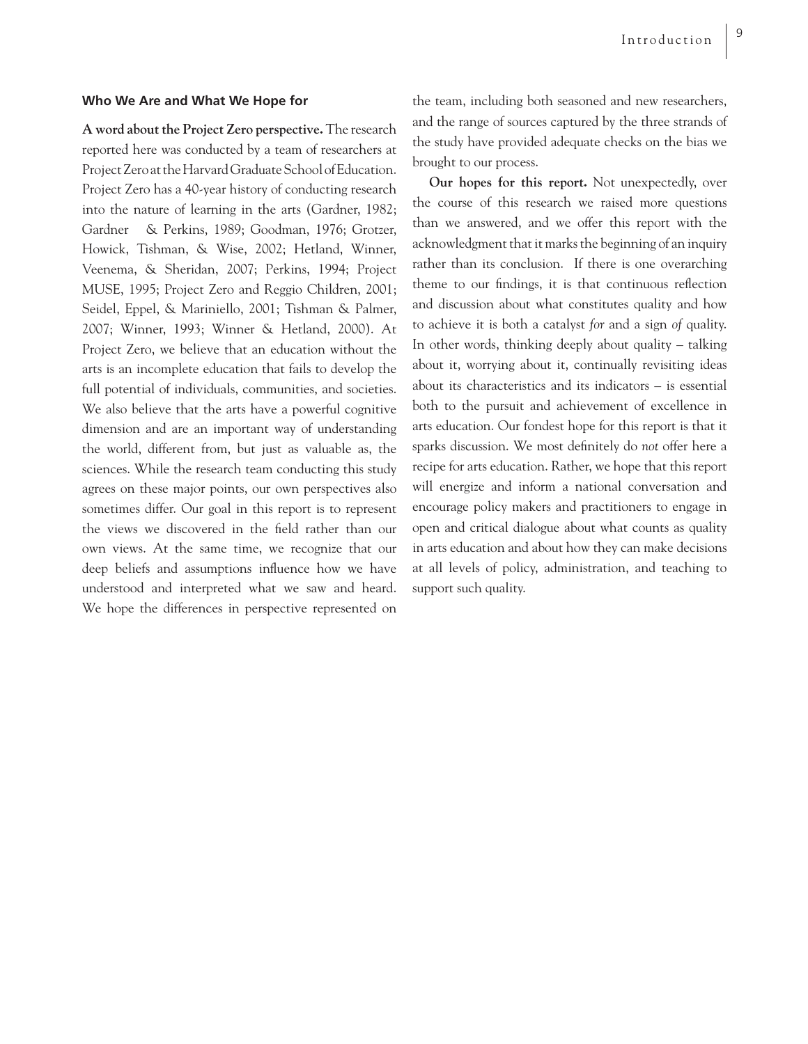### **Who We Are and What We Hope for**

**A word about the Project Zero perspective.** The research reported here was conducted by a team of researchers at Project Zero at the Harvard Graduate School of Education. Project Zero has a 40-year history of conducting research into the nature of learning in the arts (Gardner, 1982; Gardner & Perkins, 1989; Goodman, 1976; Grotzer, Howick, Tishman, & Wise, 2002; Hetland, Winner, Veenema, & Sheridan, 2007; Perkins, 1994; Project MUSE, 1995; Project Zero and Reggio Children, 2001; Seidel, Eppel, & Mariniello, 2001; Tishman & Palmer, 2007; Winner, 1993; Winner & Hetland, 2000). At Project Zero, we believe that an education without the arts is an incomplete education that fails to develop the full potential of individuals, communities, and societies. We also believe that the arts have a powerful cognitive dimension and are an important way of understanding the world, different from, but just as valuable as, the sciences. While the research team conducting this study agrees on these major points, our own perspectives also sometimes differ. Our goal in this report is to represent the views we discovered in the field rather than our own views. At the same time, we recognize that our deep beliefs and assumptions influence how we have understood and interpreted what we saw and heard. We hope the differences in perspective represented on

the team, including both seasoned and new researchers, and the range of sources captured by the three strands of the study have provided adequate checks on the bias we brought to our process.

 **Our hopes for this report.** Not unexpectedly, over the course of this research we raised more questions than we answered, and we offer this report with the acknowledgment that it marks the beginning of an inquiry rather than its conclusion. If there is one overarching theme to our findings, it is that continuous reflection and discussion about what constitutes quality and how to achieve it is both a catalyst *for* and a sign *of* quality. In other words, thinking deeply about quality – talking about it, worrying about it, continually revisiting ideas about its characteristics and its indicators – is essential both to the pursuit and achievement of excellence in arts education. Our fondest hope for this report is that it sparks discussion. We most definitely do *not* offer here a recipe for arts education. Rather, we hope that this report will energize and inform a national conversation and encourage policy makers and practitioners to engage in open and critical dialogue about what counts as quality in arts education and about how they can make decisions at all levels of policy, administration, and teaching to support such quality.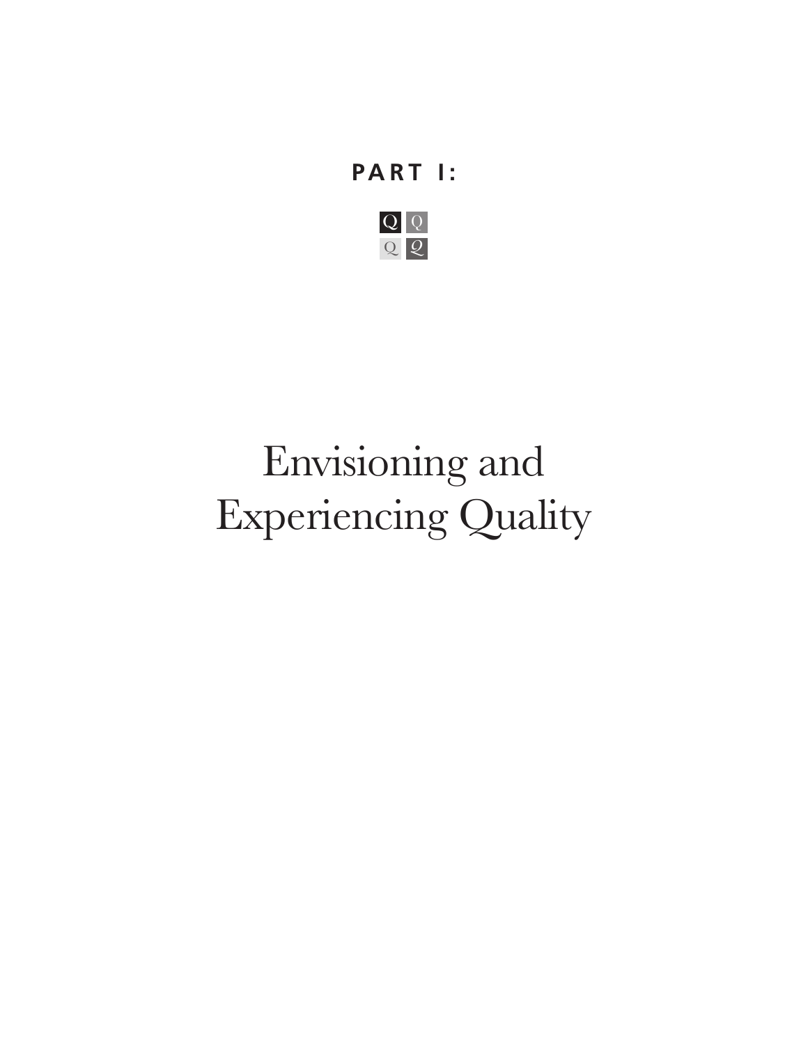# **PART I:**



# Envisioning and Experiencing Quality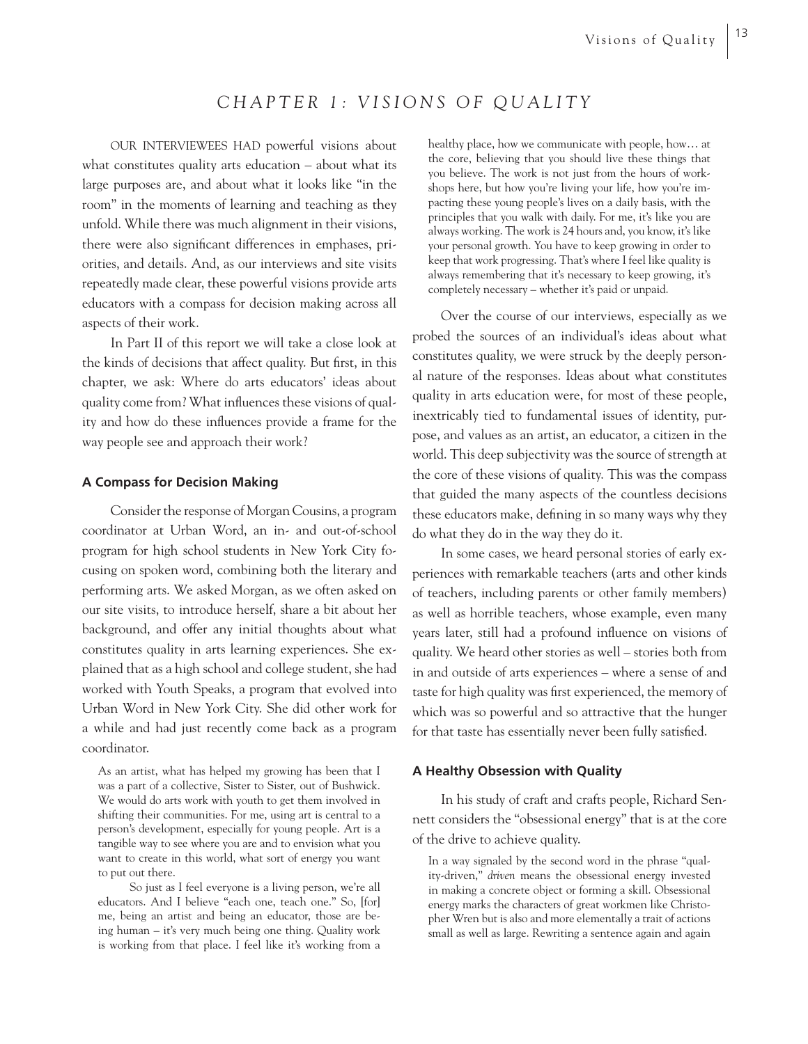## *CHAPTER 1: VISIONS OF QUALITY*

OUR INTERVIEWEES HAD powerful visions about what constitutes quality arts education – about what its large purposes are, and about what it looks like "in the room" in the moments of learning and teaching as they unfold. While there was much alignment in their visions, there were also significant differences in emphases, priorities, and details. And, as our interviews and site visits repeatedly made clear, these powerful visions provide arts educators with a compass for decision making across all aspects of their work.

In Part II of this report we will take a close look at the kinds of decisions that affect quality. But first, in this chapter, we ask: Where do arts educators' ideas about quality come from? What influences these visions of quality and how do these influences provide a frame for the way people see and approach their work?

### **A Compass for Decision Making**

Consider the response of Morgan Cousins, a program coordinator at Urban Word, an in- and out-of-school program for high school students in New York City focusing on spoken word, combining both the literary and performing arts. We asked Morgan, as we often asked on our site visits, to introduce herself, share a bit about her background, and offer any initial thoughts about what constitutes quality in arts learning experiences. She explained that as a high school and college student, she had worked with Youth Speaks, a program that evolved into Urban Word in New York City. She did other work for a while and had just recently come back as a program coordinator.

As an artist, what has helped my growing has been that I was a part of a collective, Sister to Sister, out of Bushwick. We would do arts work with youth to get them involved in shifting their communities. For me, using art is central to a person's development, especially for young people. Art is a tangible way to see where you are and to envision what you want to create in this world, what sort of energy you want to put out there.

 So just as I feel everyone is a living person, we're all educators. And I believe "each one, teach one." So, [for] me, being an artist and being an educator, those are being human – it's very much being one thing. Quality work is working from that place. I feel like it's working from a healthy place, how we communicate with people, how… at the core, believing that you should live these things that you believe. The work is not just from the hours of workshops here, but how you're living your life, how you're impacting these young people's lives on a daily basis, with the principles that you walk with daily. For me, it's like you are always working. The work is 24 hours and, you know, it's like your personal growth. You have to keep growing in order to keep that work progressing. That's where I feel like quality is always remembering that it's necessary to keep growing, it's completely necessary – whether it's paid or unpaid.

Over the course of our interviews, especially as we probed the sources of an individual's ideas about what constitutes quality, we were struck by the deeply personal nature of the responses. Ideas about what constitutes quality in arts education were, for most of these people, inextricably tied to fundamental issues of identity, purpose, and values as an artist, an educator, a citizen in the world. This deep subjectivity was the source of strength at the core of these visions of quality. This was the compass that guided the many aspects of the countless decisions these educators make, defining in so many ways why they do what they do in the way they do it.

In some cases, we heard personal stories of early experiences with remarkable teachers (arts and other kinds of teachers, including parents or other family members) as well as horrible teachers, whose example, even many years later, still had a profound influence on visions of quality. We heard other stories as well – stories both from in and outside of arts experiences – where a sense of and taste for high quality was first experienced, the memory of which was so powerful and so attractive that the hunger for that taste has essentially never been fully satisfied.

#### **A Healthy Obsession with Quality**

In his study of craft and crafts people, Richard Sennett considers the "obsessional energy" that is at the core of the drive to achieve quality.

In a way signaled by the second word in the phrase "quality-driven," *driven* means the obsessional energy invested in making a concrete object or forming a skill. Obsessional energy marks the characters of great workmen like Christopher Wren but is also and more elementally a trait of actions small as well as large. Rewriting a sentence again and again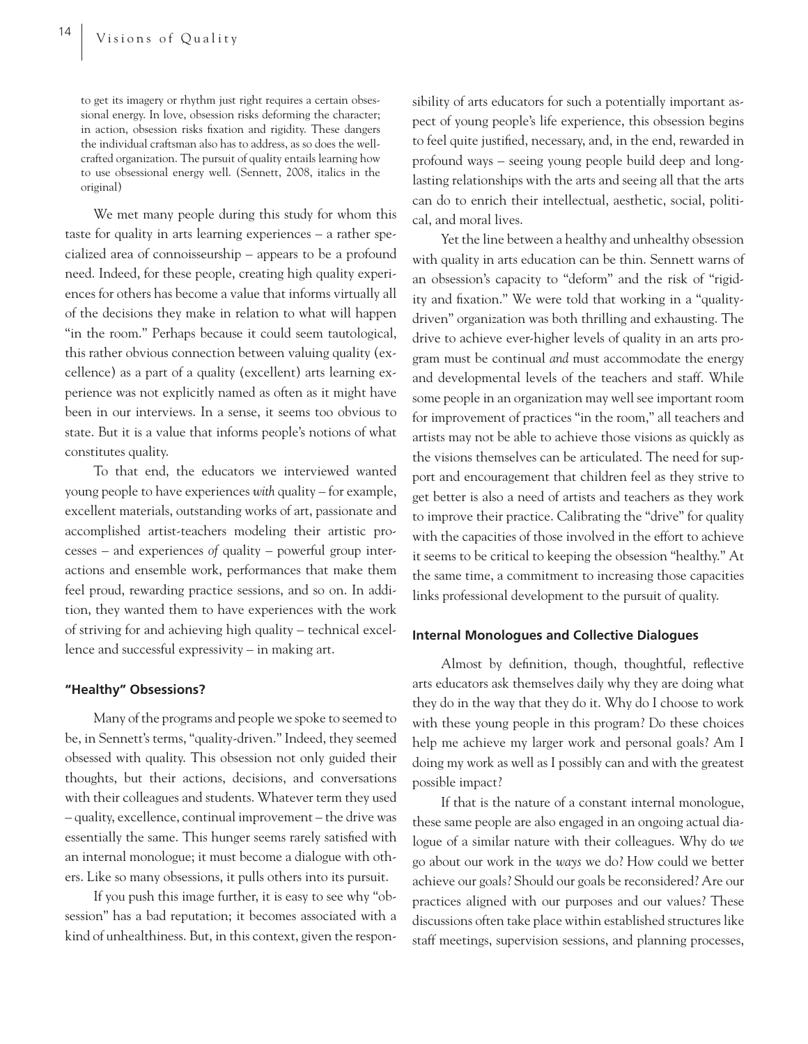to get its imagery or rhythm just right requires a certain obsessional energy. In love, obsession risks deforming the character; in action, obsession risks fixation and rigidity. These dangers the individual craftsman also has to address, as so does the wellcrafted organization. The pursuit of quality entails learning how to use obsessional energy well. (Sennett, 2008, italics in the original)

We met many people during this study for whom this taste for quality in arts learning experiences – a rather specialized area of connoisseurship – appears to be a profound need. Indeed, for these people, creating high quality experiences for others has become a value that informs virtually all of the decisions they make in relation to what will happen "in the room." Perhaps because it could seem tautological, this rather obvious connection between valuing quality (excellence) as a part of a quality (excellent) arts learning experience was not explicitly named as often as it might have been in our interviews. In a sense, it seems too obvious to state. But it is a value that informs people's notions of what constitutes quality.

To that end, the educators we interviewed wanted young people to have experiences *with* quality – for example, excellent materials, outstanding works of art, passionate and accomplished artist-teachers modeling their artistic processes – and experiences *of* quality – powerful group interactions and ensemble work, performances that make them feel proud, rewarding practice sessions, and so on. In addition, they wanted them to have experiences with the work of striving for and achieving high quality – technical excellence and successful expressivity – in making art.

### **"Healthy" Obsessions?**

Many of the programs and people we spoke to seemed to be, in Sennett's terms, "quality-driven." Indeed, they seemed obsessed with quality. This obsession not only guided their thoughts, but their actions, decisions, and conversations with their colleagues and students. Whatever term they used – quality, excellence, continual improvement – the drive was essentially the same. This hunger seems rarely satisfied with an internal monologue; it must become a dialogue with others. Like so many obsessions, it pulls others into its pursuit.

If you push this image further, it is easy to see why "obsession" has a bad reputation; it becomes associated with a kind of unhealthiness. But, in this context, given the responsibility of arts educators for such a potentially important aspect of young people's life experience, this obsession begins to feel quite justified, necessary, and, in the end, rewarded in profound ways – seeing young people build deep and longlasting relationships with the arts and seeing all that the arts can do to enrich their intellectual, aesthetic, social, political, and moral lives.

Yet the line between a healthy and unhealthy obsession with quality in arts education can be thin. Sennett warns of an obsession's capacity to "deform" and the risk of "rigidity and fixation." We were told that working in a "qualitydriven" organization was both thrilling and exhausting. The drive to achieve ever-higher levels of quality in an arts program must be continual *and* must accommodate the energy and developmental levels of the teachers and staff. While some people in an organization may well see important room for improvement of practices "in the room," all teachers and artists may not be able to achieve those visions as quickly as the visions themselves can be articulated. The need for support and encouragement that children feel as they strive to get better is also a need of artists and teachers as they work to improve their practice. Calibrating the "drive" for quality with the capacities of those involved in the effort to achieve it seems to be critical to keeping the obsession "healthy." At the same time, a commitment to increasing those capacities links professional development to the pursuit of quality.

### **Internal Monologues and Collective Dialogues**

Almost by definition, though, thoughtful, reflective arts educators ask themselves daily why they are doing what they do in the way that they do it. Why do I choose to work with these young people in this program? Do these choices help me achieve my larger work and personal goals? Am I doing my work as well as I possibly can and with the greatest possible impact?

If that is the nature of a constant internal monologue, these same people are also engaged in an ongoing actual dialogue of a similar nature with their colleagues. Why do *we* go about our work in the *ways* we do? How could we better achieve our goals? Should our goals be reconsidered? Are our practices aligned with our purposes and our values? These discussions often take place within established structures like staff meetings, supervision sessions, and planning processes,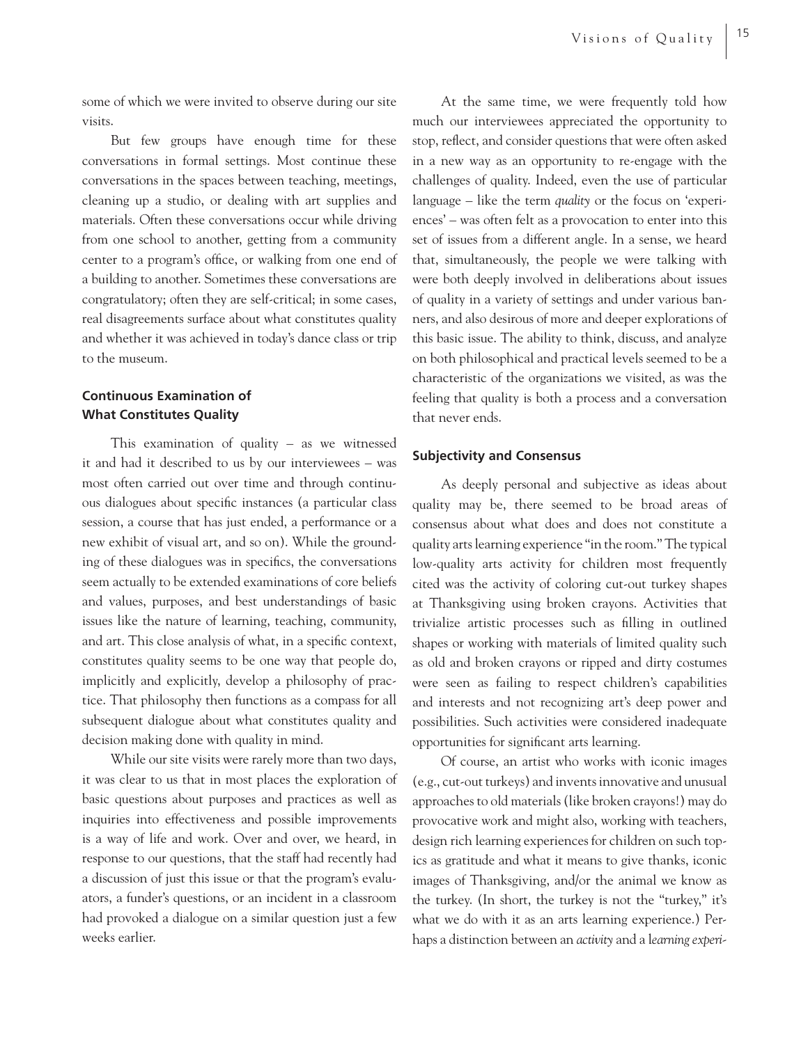some of which we were invited to observe during our site visits.

But few groups have enough time for these conversations in formal settings. Most continue these conversations in the spaces between teaching, meetings, cleaning up a studio, or dealing with art supplies and materials. Often these conversations occur while driving from one school to another, getting from a community center to a program's office, or walking from one end of a building to another. Sometimes these conversations are congratulatory; often they are self-critical; in some cases, real disagreements surface about what constitutes quality and whether it was achieved in today's dance class or trip to the museum.

### **Continuous Examination of What Constitutes Quality**

This examination of quality  $-$  as we witnessed it and had it described to us by our interviewees – was most often carried out over time and through continuous dialogues about specific instances (a particular class session, a course that has just ended, a performance or a new exhibit of visual art, and so on). While the grounding of these dialogues was in specifics, the conversations seem actually to be extended examinations of core beliefs and values, purposes, and best understandings of basic issues like the nature of learning, teaching, community, and art. This close analysis of what, in a specific context, constitutes quality seems to be one way that people do, implicitly and explicitly, develop a philosophy of practice. That philosophy then functions as a compass for all subsequent dialogue about what constitutes quality and decision making done with quality in mind.

While our site visits were rarely more than two days, it was clear to us that in most places the exploration of basic questions about purposes and practices as well as inquiries into effectiveness and possible improvements is a way of life and work. Over and over, we heard, in response to our questions, that the staff had recently had a discussion of just this issue or that the program's evaluators, a funder's questions, or an incident in a classroom had provoked a dialogue on a similar question just a few weeks earlier.

At the same time, we were frequently told how much our interviewees appreciated the opportunity to stop, reflect, and consider questions that were often asked in a new way as an opportunity to re-engage with the challenges of quality. Indeed, even the use of particular language – like the term *quality* or the focus on 'experiences' – was often felt as a provocation to enter into this set of issues from a different angle. In a sense, we heard that, simultaneously, the people we were talking with were both deeply involved in deliberations about issues of quality in a variety of settings and under various banners, and also desirous of more and deeper explorations of this basic issue. The ability to think, discuss, and analyze on both philosophical and practical levels seemed to be a characteristic of the organizations we visited, as was the feeling that quality is both a process and a conversation that never ends.

### **Subjectivity and Consensus**

As deeply personal and subjective as ideas about quality may be, there seemed to be broad areas of consensus about what does and does not constitute a quality arts learning experience "in the room." The typical low-quality arts activity for children most frequently cited was the activity of coloring cut-out turkey shapes at Thanksgiving using broken crayons. Activities that trivialize artistic processes such as filling in outlined shapes or working with materials of limited quality such as old and broken crayons or ripped and dirty costumes were seen as failing to respect children's capabilities and interests and not recognizing art's deep power and possibilities. Such activities were considered inadequate opportunities for significant arts learning.

Of course, an artist who works with iconic images (e.g., cut-out turkeys) and invents innovative and unusual approaches to old materials (like broken crayons!) may do provocative work and might also, working with teachers, design rich learning experiences for children on such topics as gratitude and what it means to give thanks, iconic images of Thanksgiving, and/or the animal we know as the turkey. (In short, the turkey is not the "turkey," it's what we do with it as an arts learning experience.) Perhaps a distinction between an *activity* and a l*earning experi-*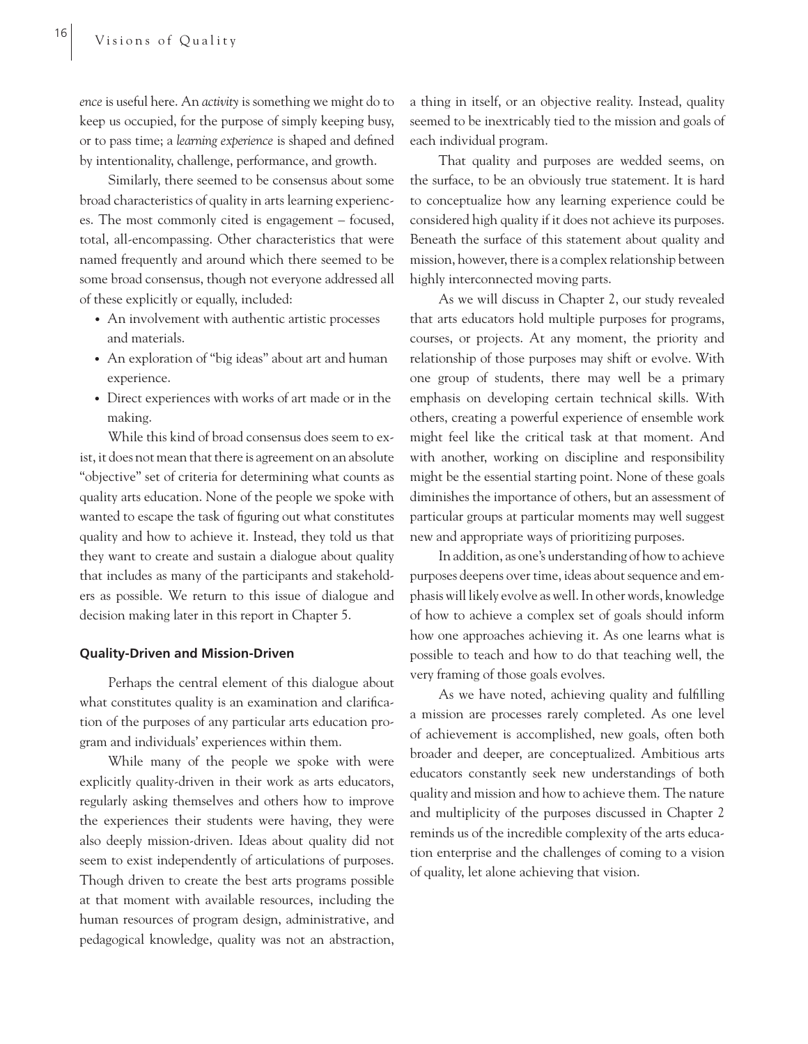*ence* is useful here. An *activity* is something we might do to keep us occupied, for the purpose of simply keeping busy, or to pass time; a *learning experience* is shaped and defined by intentionality, challenge, performance, and growth.

Similarly, there seemed to be consensus about some broad characteristics of quality in arts learning experiences. The most commonly cited is engagement – focused, total, all-encompassing. Other characteristics that were named frequently and around which there seemed to be some broad consensus, though not everyone addressed all of these explicitly or equally, included:

- An involvement with authentic artistic processes and materials.
- An exploration of "big ideas" about art and human experience.
- Direct experiences with works of art made or in the making.

While this kind of broad consensus does seem to exist, it does not mean that there is agreement on an absolute "objective" set of criteria for determining what counts as quality arts education. None of the people we spoke with wanted to escape the task of figuring out what constitutes quality and how to achieve it. Instead, they told us that they want to create and sustain a dialogue about quality that includes as many of the participants and stakeholders as possible. We return to this issue of dialogue and decision making later in this report in Chapter 5.

#### **Quality-Driven and Mission-Driven**

Perhaps the central element of this dialogue about what constitutes quality is an examination and clarification of the purposes of any particular arts education program and individuals' experiences within them.

While many of the people we spoke with were explicitly quality-driven in their work as arts educators, regularly asking themselves and others how to improve the experiences their students were having, they were also deeply mission-driven. Ideas about quality did not seem to exist independently of articulations of purposes. Though driven to create the best arts programs possible at that moment with available resources, including the human resources of program design, administrative, and pedagogical knowledge, quality was not an abstraction,

a thing in itself, or an objective reality. Instead, quality seemed to be inextricably tied to the mission and goals of each individual program.

That quality and purposes are wedded seems, on the surface, to be an obviously true statement. It is hard to conceptualize how any learning experience could be considered high quality if it does not achieve its purposes. Beneath the surface of this statement about quality and mission, however, there is a complex relationship between highly interconnected moving parts.

As we will discuss in Chapter 2, our study revealed that arts educators hold multiple purposes for programs, courses, or projects. At any moment, the priority and relationship of those purposes may shift or evolve. With one group of students, there may well be a primary emphasis on developing certain technical skills. With others, creating a powerful experience of ensemble work might feel like the critical task at that moment. And with another, working on discipline and responsibility might be the essential starting point. None of these goals diminishes the importance of others, but an assessment of particular groups at particular moments may well suggest new and appropriate ways of prioritizing purposes.

In addition, as one's understanding of how to achieve purposes deepens over time, ideas about sequence and emphasis will likely evolve as well. In other words, knowledge of how to achieve a complex set of goals should inform how one approaches achieving it. As one learns what is possible to teach and how to do that teaching well, the very framing of those goals evolves.

As we have noted, achieving quality and fulfilling a mission are processes rarely completed. As one level of achievement is accomplished, new goals, often both broader and deeper, are conceptualized. Ambitious arts educators constantly seek new understandings of both quality and mission and how to achieve them. The nature and multiplicity of the purposes discussed in Chapter 2 reminds us of the incredible complexity of the arts education enterprise and the challenges of coming to a vision of quality, let alone achieving that vision.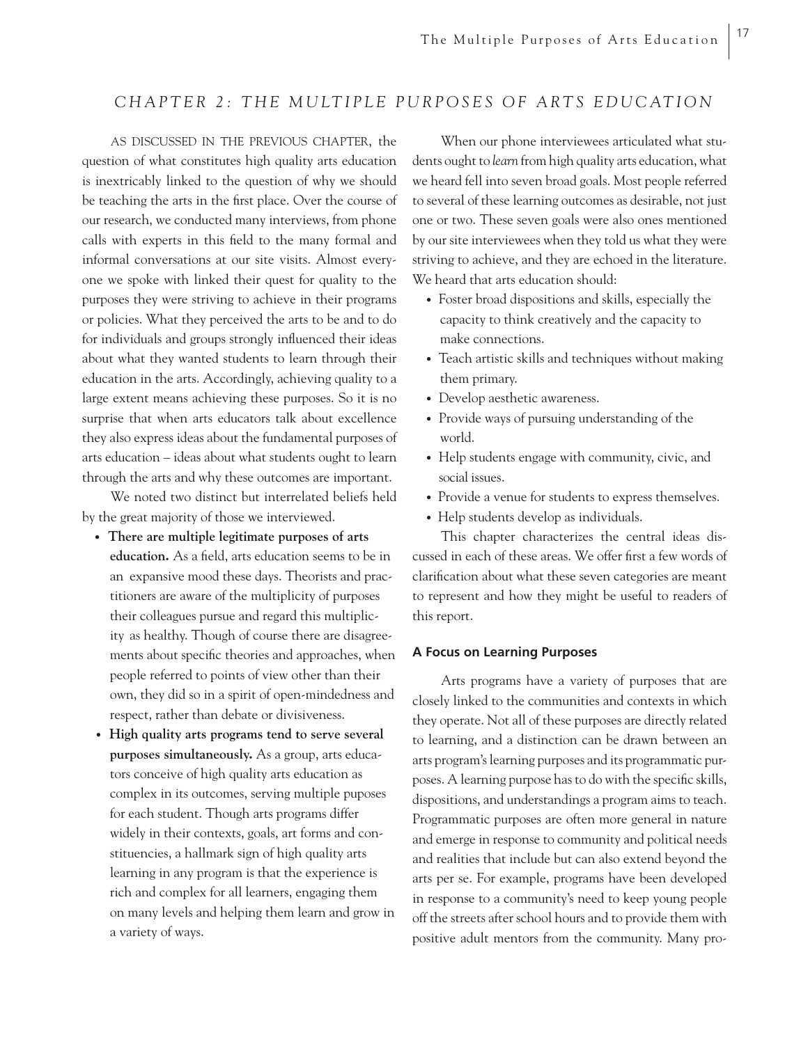### CHAPTER 2: THE MULTIPLE PURPOSES OF ARTS EDUCATION

AS DISCUSSED IN THE PREVIOUS CHAPTER, the question of what constitutes high quality arts education is inextricably linked to the question of why we should be teaching the arts in the first place. Over the course of our research, we conducted many interviews, from phone calls with experts in this field to the many formal and informal conversations at our site visits. Almost everyone we spoke with linked their quest for quality to the purposes they were striving to achieve in their programs or policies. What they perceived the arts to be and to do for individuals and groups strongly influenced their ideas about what they wanted students to learn through their education in the arts. Accordingly, achieving quality to a large extent means achieving these purposes. So it is no surprise that when arts educators talk about excellence they also express ideas about the fundamental purposes of arts education – ideas about what students ought to learn through the arts and why these outcomes are important.

We noted two distinct but interrelated beliefs held by the great majority of those we interviewed.

- **There are multiple legitimate purposes of arts**  education. As a field, arts education seems to be in an expansive mood these days. Theorists and prac titioners are aware of the multiplicity of purposes their colleagues pursue and regard this multiplic ity as healthy. Though of course there are disagree ments about specific theories and approaches, when people referred to points of view other than their own, they did so in a spirit of open-mindedness and respect, rather than debate or divisiveness.
- **High quality arts programs tend to serve several purposes simultaneously.** As a group, arts educa tors conceive of high quality arts education as complex in its outcomes, serving multiple puposes for each student. Though arts programs differ widely in their contexts, goals, art forms and con stituencies, a hallmark sign of high quality arts learning in any program is that the experience is rich and complex for all learners, engaging them on many levels and helping them learn and grow in a variety of ways.

When our phone interviewees articulated what students ought to *learn* from high quality arts education, what we heard fell into seven broad goals. Most people referred to several of these learning outcomes as desirable, not just one or two. These seven goals were also ones mentioned by our site interviewees when they told us what they were striving to achieve, and they are echoed in the literature. We heard that arts education should:

- Foster broad dispositions and skills, especially the capacity to think creatively and the capacity to make connections.
- Teach artistic skills and techniques without making them primary.
- Develop aesthetic awareness.
- Provide ways of pursuing understanding of the world.
- Help students engage with community, civic, and social issues.
- Provide a venue for students to express themselves.
- Help students develop as individuals.

This chapter characterizes the central ideas discussed in each of these areas. We offer first a few words of clarification about what these seven categories are meant to represent and how they might be useful to readers of this report.

### **A Focus on Learning Purposes**

Arts programs have a variety of purposes that are closely linked to the communities and contexts in which they operate. Not all of these purposes are directly related to learning, and a distinction can be drawn between an arts program's learning purposes and its programmatic purposes. A learning purpose has to do with the specific skills, dispositions, and understandings a program aims to teach. Programmatic purposes are often more general in nature and emerge in response to community and political needs and realities that include but can also extend beyond the arts per se. For example, programs have been developed in response to a community's need to keep young people off the streets after school hours and to provide them with positive adult mentors from the community. Many pro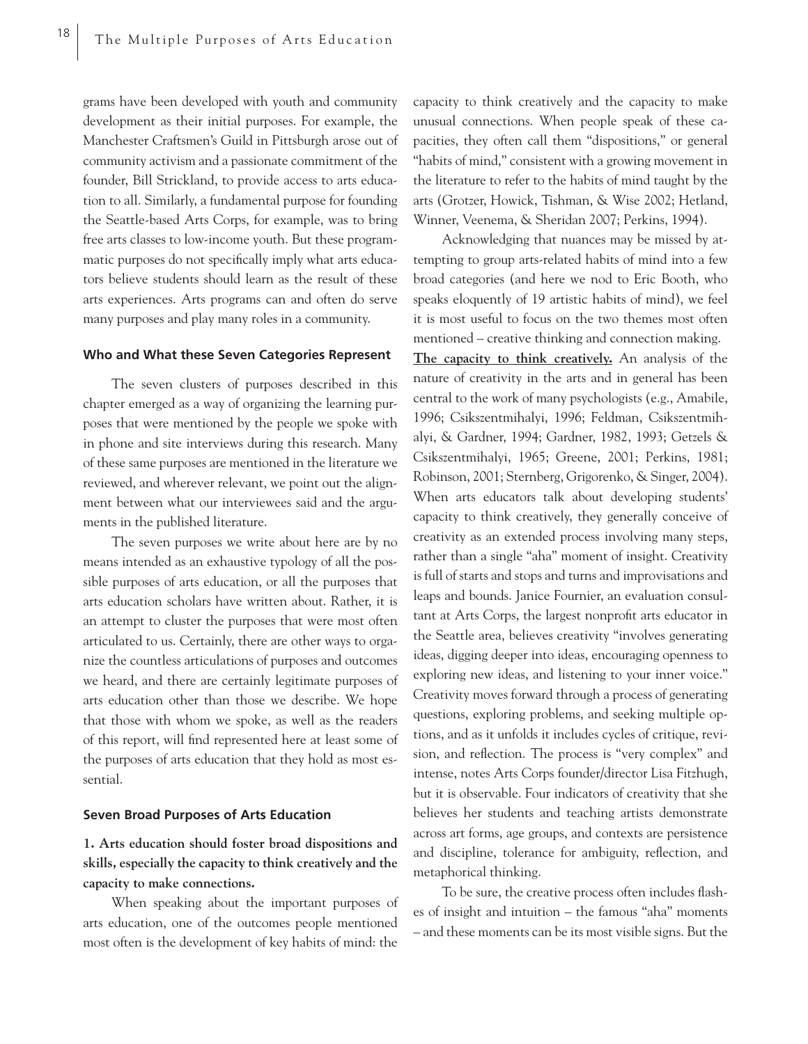grams have been developed with youth and community development as their initial purposes. For example, the Manchester Craftsmen's Guild in Pittsburgh arose out of community activism and a passionate commitment of the founder, Bill Strickland, to provide access to arts education to all. Similarly, a fundamental purpose for founding the Seattle-based Arts Corps, for example, was to bring free arts classes to low-income youth. But these programmatic purposes do not specifically imply what arts educators believe students should learn as the result of these arts experiences. Arts programs can and often do serve many purposes and play many roles in a community.

#### **Who and What these Seven Categories Represent**

The seven clusters of purposes described in this chapter emerged as a way of organizing the learning purposes that were mentioned by the people we spoke with in phone and site interviews during this research. Many of these same purposes are mentioned in the literature we reviewed, and wherever relevant, we point out the alignment between what our interviewees said and the arguments in the published literature.

The seven purposes we write about here are by no means intended as an exhaustive typology of all the possible purposes of arts education, or all the purposes that arts education scholars have written about. Rather, it is an attempt to cluster the purposes that were most often articulated to us. Certainly, there are other ways to organize the countless articulations of purposes and outcomes we heard, and there are certainly legitimate purposes of arts education other than those we describe. We hope that those with whom we spoke, as well as the readers of this report, will find represented here at least some of the purposes of arts education that they hold as most essential.

### **Seven Broad Purposes of Arts Education**

**1. Arts education should foster broad dispositions and skills, especially the capacity to think creatively and the capacity to make connections.** 

When speaking about the important purposes of arts education, one of the outcomes people mentioned most often is the development of key habits of mind: the

capacity to think creatively and the capacity to make unusual connections. When people speak of these capacities, they often call them "dispositions," or general "habits of mind," consistent with a growing movement in the literature to refer to the habits of mind taught by the arts (Grotzer, Howick, Tishman, & Wise 2002; Hetland, Winner, Veenema, & Sheridan 2007; Perkins, 1994).

Acknowledging that nuances may be missed by attempting to group arts-related habits of mind into a few broad categories (and here we nod to Eric Booth, who speaks eloquently of 19 artistic habits of mind), we feel it is most useful to focus on the two themes most often mentioned – creative thinking and connection making.

**The capacity to think creatively.** An analysis of the nature of creativity in the arts and in general has been central to the work of many psychologists (e.g., Amabile, 1996; Csikszentmihalyi, 1996; Feldman, Csikszentmihalyi, & Gardner, 1994; Gardner, 1982, 1993; Getzels & Csikszentmihalyi, 1965; Greene, 2001; Perkins, 1981; Robinson, 2001; Sternberg, Grigorenko, & Singer, 2004). When arts educators talk about developing students' capacity to think creatively, they generally conceive of creativity as an extended process involving many steps, rather than a single "aha" moment of insight. Creativity is full of starts and stops and turns and improvisations and leaps and bounds. Janice Fournier, an evaluation consultant at Arts Corps, the largest nonprofit arts educator in the Seattle area, believes creativity "involves generating ideas, digging deeper into ideas, encouraging openness to exploring new ideas, and listening to your inner voice." Creativity moves forward through a process of generating questions, exploring problems, and seeking multiple options, and as it unfolds it includes cycles of critique, revision, and reflection. The process is "very complex" and intense, notes Arts Corps founder/director Lisa Fitzhugh, but it is observable. Four indicators of creativity that she believes her students and teaching artists demonstrate across art forms, age groups, and contexts are persistence and discipline, tolerance for ambiguity, reflection, and metaphorical thinking.

To be sure, the creative process often includes flashes of insight and intuition – the famous "aha" moments – and these moments can be its most visible signs. But the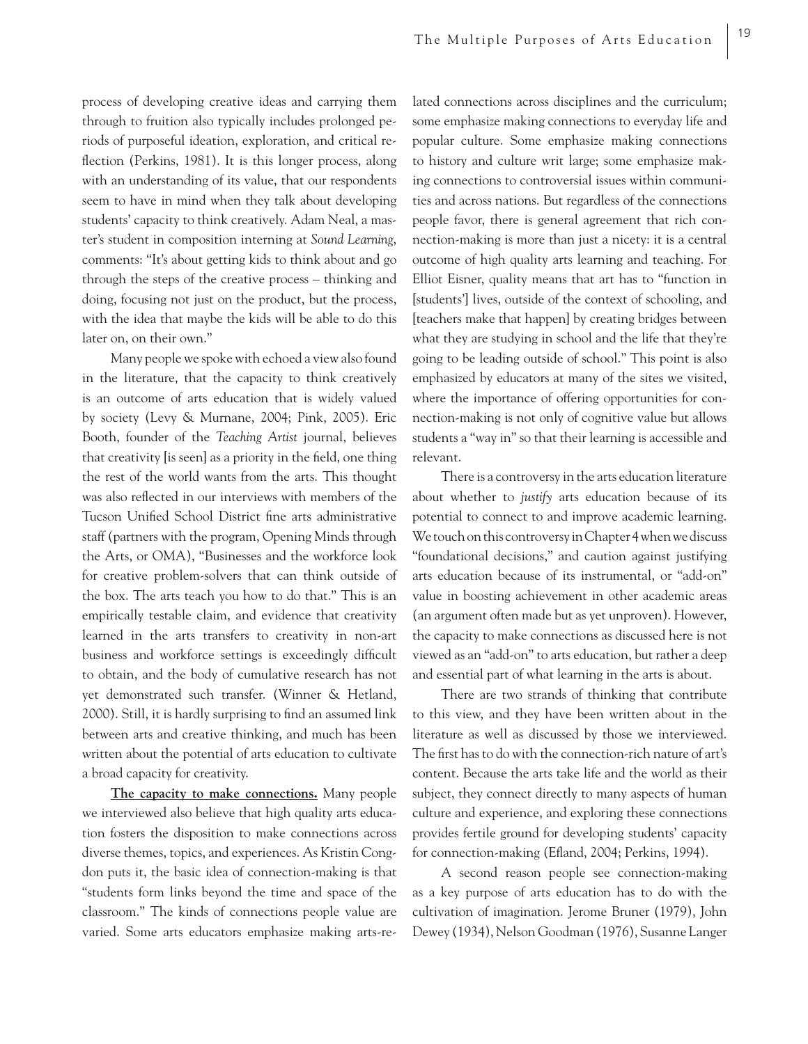process of developing creative ideas and carrying them through to fruition also typically includes prolonged periods of purposeful ideation, exploration, and critical reflection (Perkins, 1981). It is this longer process, along with an understanding of its value, that our respondents seem to have in mind when they talk about developing students' capacity to think creatively. Adam Neal, a master's student in composition interning at *Sound Learning*, comments: "It's about getting kids to think about and go through the steps of the creative process – thinking and doing, focusing not just on the product, but the process, with the idea that maybe the kids will be able to do this later on, on their own."

Many people we spoke with echoed a view also found in the literature, that the capacity to think creatively is an outcome of arts education that is widely valued by society (Levy & Murnane, 2004; Pink, 2005). Eric Booth, founder of the *Teaching Artist* journal, believes that creativity [is seen] as a priority in the field, one thing the rest of the world wants from the arts. This thought was also reflected in our interviews with members of the Tucson Unified School District fine arts administrative staff (partners with the program, Opening Minds through the Arts, or OMA), "Businesses and the workforce look for creative problem-solvers that can think outside of the box. The arts teach you how to do that." This is an empirically testable claim, and evidence that creativity learned in the arts transfers to creativity in non-art business and workforce settings is exceedingly difficult to obtain, and the body of cumulative research has not yet demonstrated such transfer. (Winner & Hetland, 2000). Still, it is hardly surprising to find an assumed link between arts and creative thinking, and much has been written about the potential of arts education to cultivate a broad capacity for creativity.

**The capacity to make connections.** Many people we interviewed also believe that high quality arts education fosters the disposition to make connections across diverse themes, topics, and experiences. As Kristin Congdon puts it, the basic idea of connection-making is that "students form links beyond the time and space of the classroom." The kinds of connections people value are varied. Some arts educators emphasize making arts-related connections across disciplines and the curriculum; some emphasize making connections to everyday life and popular culture. Some emphasize making connections to history and culture writ large; some emphasize making connections to controversial issues within communities and across nations. But regardless of the connections people favor, there is general agreement that rich connection-making is more than just a nicety: it is a central outcome of high quality arts learning and teaching. For Elliot Eisner, quality means that art has to "function in [students'] lives, outside of the context of schooling, and [teachers make that happen] by creating bridges between what they are studying in school and the life that they're going to be leading outside of school." This point is also emphasized by educators at many of the sites we visited, where the importance of offering opportunities for connection-making is not only of cognitive value but allows students a "way in" so that their learning is accessible and relevant.

There is a controversy in the arts education literature about whether to *justify* arts education because of its potential to connect to and improve academic learning. We touch on this controversy in Chapter 4 when we discuss "foundational decisions," and caution against justifying arts education because of its instrumental, or "add-on" value in boosting achievement in other academic areas (an argument often made but as yet unproven). However, the capacity to make connections as discussed here is not viewed as an "add-on" to arts education, but rather a deep and essential part of what learning in the arts is about.

There are two strands of thinking that contribute to this view, and they have been written about in the literature as well as discussed by those we interviewed. The first has to do with the connection-rich nature of art's content. Because the arts take life and the world as their subject, they connect directly to many aspects of human culture and experience, and exploring these connections provides fertile ground for developing students' capacity for connection-making (Efland, 2004; Perkins, 1994).

A second reason people see connection-making as a key purpose of arts education has to do with the cultivation of imagination. Jerome Bruner (1979), John Dewey (1934), Nelson Goodman (1976), Susanne Langer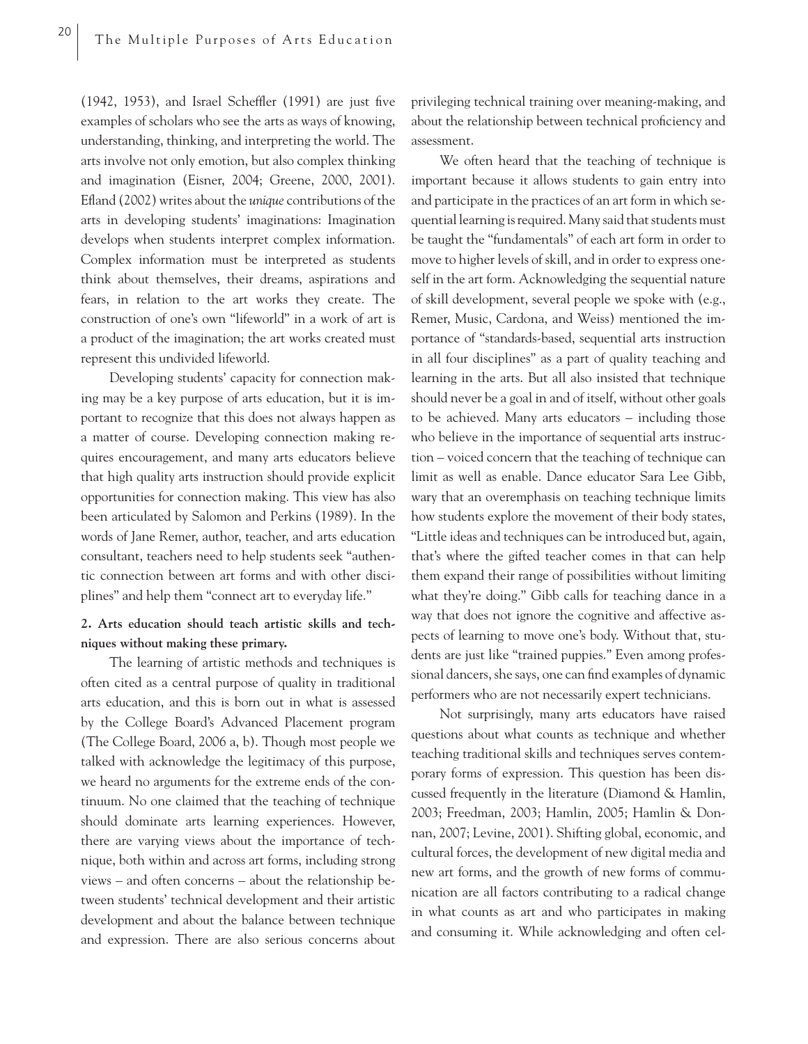(1942, 1953), and Israel Scheffler (1991) are just five examples of scholars who see the arts as ways of knowing, understanding, thinking, and interpreting the world. The arts involve not only emotion, but also complex thinking and imagination (Eisner, 2004; Greene, 2000, 2001). Efland (2002) writes about the *unique* contributions of the arts in developing students' imaginations: Imagination develops when students interpret complex information. Complex information must be interpreted as students think about themselves, their dreams, aspirations and fears, in relation to the art works they create. The construction of one's own "lifeworld" in a work of art is a product of the imagination; the art works created must represent this undivided lifeworld.

Developing students' capacity for connection making may be a key purpose of arts education, but it is important to recognize that this does not always happen as a matter of course. Developing connection making requires encouragement, and many arts educators believe that high quality arts instruction should provide explicit opportunities for connection making. This view has also been articulated by Salomon and Perkins (1989). In the words of Jane Remer, author, teacher, and arts education consultant, teachers need to help students seek "authentic connection between art forms and with other disciplines" and help them "connect art to everyday life."

### **2. Arts education should teach artistic skills and techniques without making these primary.**

The learning of artistic methods and techniques is often cited as a central purpose of quality in traditional arts education, and this is born out in what is assessed by the College Board's Advanced Placement program (The College Board, 2006 a, b). Though most people we talked with acknowledge the legitimacy of this purpose, we heard no arguments for the extreme ends of the continuum. No one claimed that the teaching of technique should dominate arts learning experiences. However, there are varying views about the importance of technique, both within and across art forms, including strong views – and often concerns – about the relationship between students' technical development and their artistic development and about the balance between technique and expression. There are also serious concerns about privileging technical training over meaning-making, and about the relationship between technical proficiency and assessment.

We often heard that the teaching of technique is important because it allows students to gain entry into and participate in the practices of an art form in which sequential learning is required. Many said that students must be taught the "fundamentals" of each art form in order to move to higher levels of skill, and in order to express oneself in the art form. Acknowledging the sequential nature of skill development, several people we spoke with (e.g., Remer, Music, Cardona, and Weiss) mentioned the importance of "standards-based, sequential arts instruction in all four disciplines" as a part of quality teaching and learning in the arts. But all also insisted that technique should never be a goal in and of itself, without other goals to be achieved. Many arts educators – including those who believe in the importance of sequential arts instruction – voiced concern that the teaching of technique can limit as well as enable. Dance educator Sara Lee Gibb, wary that an overemphasis on teaching technique limits how students explore the movement of their body states, "Little ideas and techniques can be introduced but, again, that's where the gifted teacher comes in that can help them expand their range of possibilities without limiting what they're doing." Gibb calls for teaching dance in a way that does not ignore the cognitive and affective aspects of learning to move one's body. Without that, students are just like "trained puppies." Even among professional dancers, she says, one can find examples of dynamic performers who are not necessarily expert technicians.

Not surprisingly, many arts educators have raised questions about what counts as technique and whether teaching traditional skills and techniques serves contemporary forms of expression. This question has been discussed frequently in the literature (Diamond & Hamlin, 2003; Freedman, 2003; Hamlin, 2005; Hamlin & Donnan, 2007; Levine, 2001). Shifting global, economic, and cultural forces, the development of new digital media and new art forms, and the growth of new forms of communication are all factors contributing to a radical change in what counts as art and who participates in making and consuming it. While acknowledging and often cel-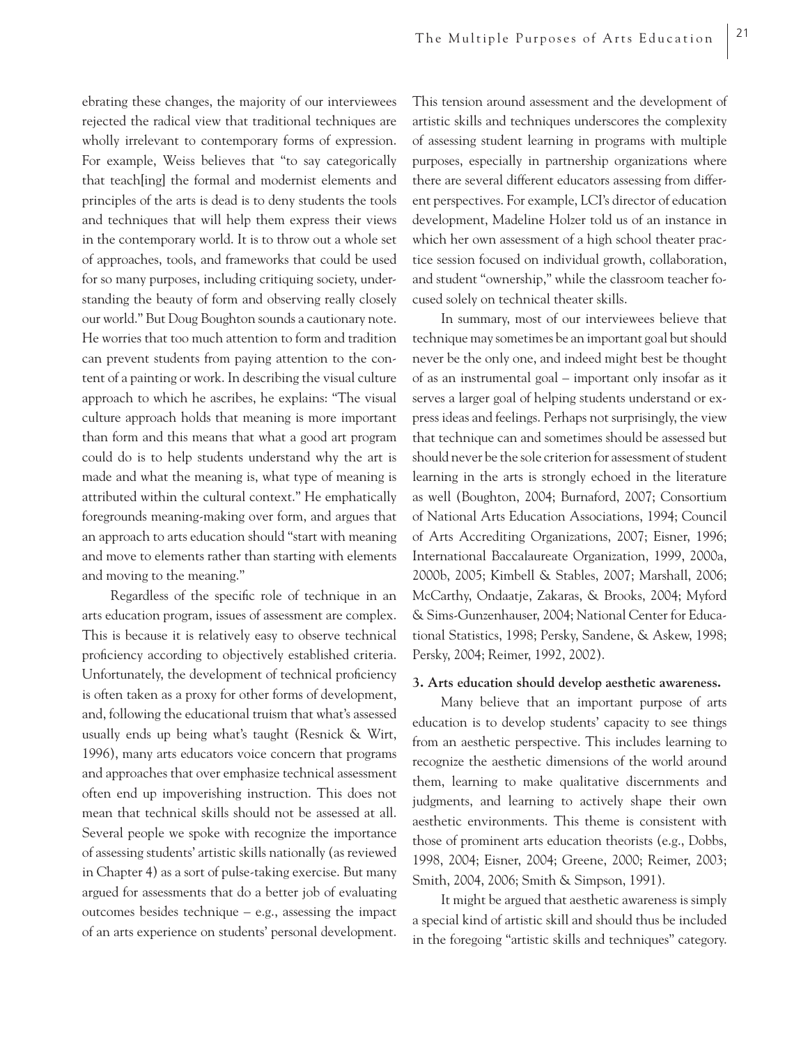ebrating these changes, the majority of our interviewees rejected the radical view that traditional techniques are wholly irrelevant to contemporary forms of expression. For example, Weiss believes that "to say categorically that teach[ing] the formal and modernist elements and principles of the arts is dead is to deny students the tools and techniques that will help them express their views in the contemporary world. It is to throw out a whole set of approaches, tools, and frameworks that could be used for so many purposes, including critiquing society, understanding the beauty of form and observing really closely our world." But Doug Boughton sounds a cautionary note. He worries that too much attention to form and tradition can prevent students from paying attention to the content of a painting or work. In describing the visual culture approach to which he ascribes, he explains: "The visual culture approach holds that meaning is more important than form and this means that what a good art program could do is to help students understand why the art is made and what the meaning is, what type of meaning is attributed within the cultural context." He emphatically foregrounds meaning-making over form, and argues that an approach to arts education should "start with meaning and move to elements rather than starting with elements and moving to the meaning."

Regardless of the specific role of technique in an arts education program, issues of assessment are complex. This is because it is relatively easy to observe technical proficiency according to objectively established criteria. Unfortunately, the development of technical proficiency is often taken as a proxy for other forms of development, and, following the educational truism that what's assessed usually ends up being what's taught (Resnick & Wirt, 1996), many arts educators voice concern that programs and approaches that over emphasize technical assessment often end up impoverishing instruction. This does not mean that technical skills should not be assessed at all. Several people we spoke with recognize the importance of assessing students' artistic skills nationally (as reviewed in Chapter 4) as a sort of pulse-taking exercise. But many argued for assessments that do a better job of evaluating outcomes besides technique – e.g., assessing the impact of an arts experience on students' personal development.

This tension around assessment and the development of artistic skills and techniques underscores the complexity of assessing student learning in programs with multiple purposes, especially in partnership organizations where there are several different educators assessing from different perspectives. For example, LCI's director of education development, Madeline Holzer told us of an instance in which her own assessment of a high school theater practice session focused on individual growth, collaboration, and student "ownership," while the classroom teacher focused solely on technical theater skills.

In summary, most of our interviewees believe that technique may sometimes be an important goal but should never be the only one, and indeed might best be thought of as an instrumental goal – important only insofar as it serves a larger goal of helping students understand or express ideas and feelings. Perhaps not surprisingly, the view that technique can and sometimes should be assessed but should never be the sole criterion for assessment of student learning in the arts is strongly echoed in the literature as well (Boughton, 2004; Burnaford, 2007; Consortium of National Arts Education Associations, 1994; Council of Arts Accrediting Organizations, 2007; Eisner, 1996; International Baccalaureate Organization, 1999, 2000a, 2000b, 2005; Kimbell & Stables, 2007; Marshall, 2006; McCarthy, Ondaatje, Zakaras, & Brooks, 2004; Myford & Sims-Gunzenhauser, 2004; National Center for Educational Statistics, 1998; Persky, Sandene, & Askew, 1998; Persky, 2004; Reimer, 1992, 2002).

### **3. Arts education should develop aesthetic awareness.**

Many believe that an important purpose of arts education is to develop students' capacity to see things from an aesthetic perspective. This includes learning to recognize the aesthetic dimensions of the world around them, learning to make qualitative discernments and judgments, and learning to actively shape their own aesthetic environments. This theme is consistent with those of prominent arts education theorists (e.g., Dobbs, 1998, 2004; Eisner, 2004; Greene, 2000; Reimer, 2003; Smith, 2004, 2006; Smith & Simpson, 1991).

It might be argued that aesthetic awareness is simply a special kind of artistic skill and should thus be included in the foregoing "artistic skills and techniques" category.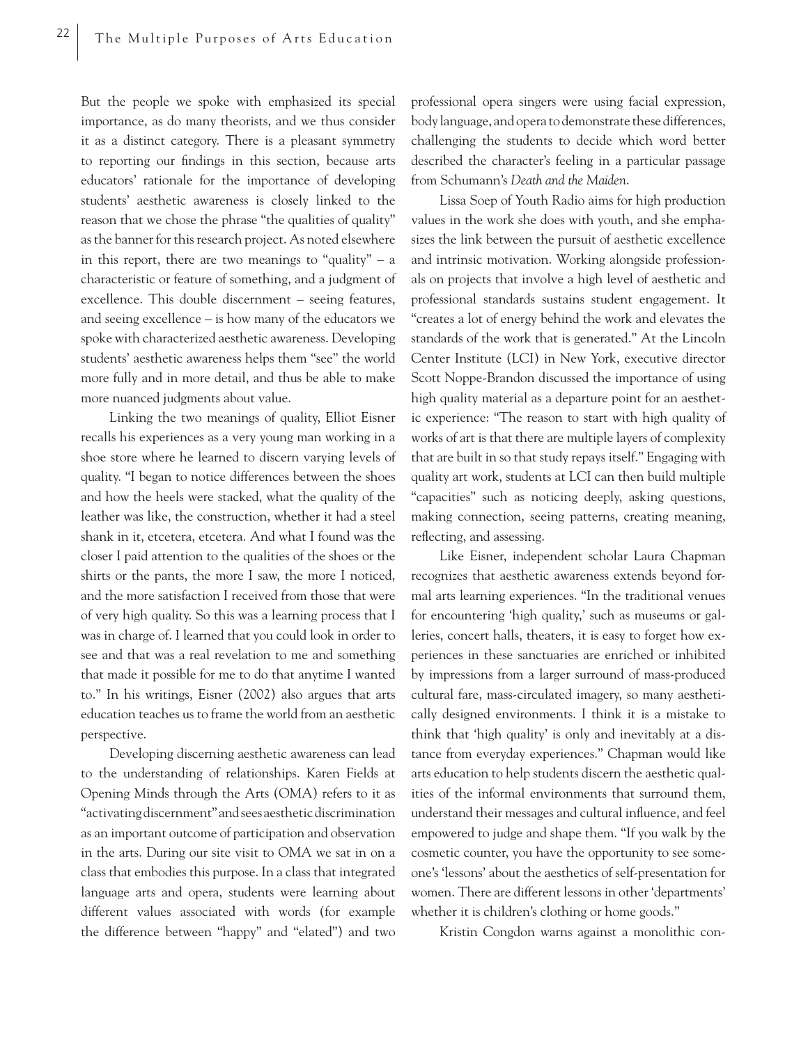But the people we spoke with emphasized its special importance, as do many theorists, and we thus consider it as a distinct category. There is a pleasant symmetry to reporting our findings in this section, because arts educators' rationale for the importance of developing students' aesthetic awareness is closely linked to the reason that we chose the phrase "the qualities of quality" as the banner for this research project. As noted elsewhere in this report, there are two meanings to "quality" – a characteristic or feature of something, and a judgment of excellence. This double discernment – seeing features, and seeing excellence – is how many of the educators we spoke with characterized aesthetic awareness. Developing students' aesthetic awareness helps them "see" the world more fully and in more detail, and thus be able to make more nuanced judgments about value.

Linking the two meanings of quality, Elliot Eisner recalls his experiences as a very young man working in a shoe store where he learned to discern varying levels of quality. "I began to notice differences between the shoes and how the heels were stacked, what the quality of the leather was like, the construction, whether it had a steel shank in it, etcetera, etcetera. And what I found was the closer I paid attention to the qualities of the shoes or the shirts or the pants, the more I saw, the more I noticed, and the more satisfaction I received from those that were of very high quality. So this was a learning process that I was in charge of. I learned that you could look in order to see and that was a real revelation to me and something that made it possible for me to do that anytime I wanted to." In his writings, Eisner (2002) also argues that arts education teaches us to frame the world from an aesthetic perspective.

Developing discerning aesthetic awareness can lead to the understanding of relationships. Karen Fields at Opening Minds through the Arts (OMA) refers to it as "activating discernment" and sees aesthetic discrimination as an important outcome of participation and observation in the arts. During our site visit to OMA we sat in on a class that embodies this purpose. In a class that integrated language arts and opera, students were learning about different values associated with words (for example the difference between "happy" and "elated") and two professional opera singers were using facial expression, body language, and opera to demonstrate these differences, challenging the students to decide which word better described the character's feeling in a particular passage from Schumann's *Death and the Maiden*.

Lissa Soep of Youth Radio aims for high production values in the work she does with youth, and she emphasizes the link between the pursuit of aesthetic excellence and intrinsic motivation. Working alongside professionals on projects that involve a high level of aesthetic and professional standards sustains student engagement. It "creates a lot of energy behind the work and elevates the standards of the work that is generated." At the Lincoln Center Institute (LCI) in New York, executive director Scott Noppe-Brandon discussed the importance of using high quality material as a departure point for an aesthetic experience: "The reason to start with high quality of works of art is that there are multiple layers of complexity that are built in so that study repays itself." Engaging with quality art work, students at LCI can then build multiple "capacities" such as noticing deeply, asking questions, making connection, seeing patterns, creating meaning, reflecting, and assessing.

Like Eisner, independent scholar Laura Chapman recognizes that aesthetic awareness extends beyond formal arts learning experiences. "In the traditional venues for encountering 'high quality,' such as museums or galleries, concert halls, theaters, it is easy to forget how experiences in these sanctuaries are enriched or inhibited by impressions from a larger surround of mass-produced cultural fare, mass-circulated imagery, so many aesthetically designed environments. I think it is a mistake to think that 'high quality' is only and inevitably at a distance from everyday experiences." Chapman would like arts education to help students discern the aesthetic qualities of the informal environments that surround them, understand their messages and cultural influence, and feel empowered to judge and shape them. "If you walk by the cosmetic counter, you have the opportunity to see someone's 'lessons' about the aesthetics of self-presentation for women. There are different lessons in other 'departments' whether it is children's clothing or home goods."

Kristin Congdon warns against a monolithic con-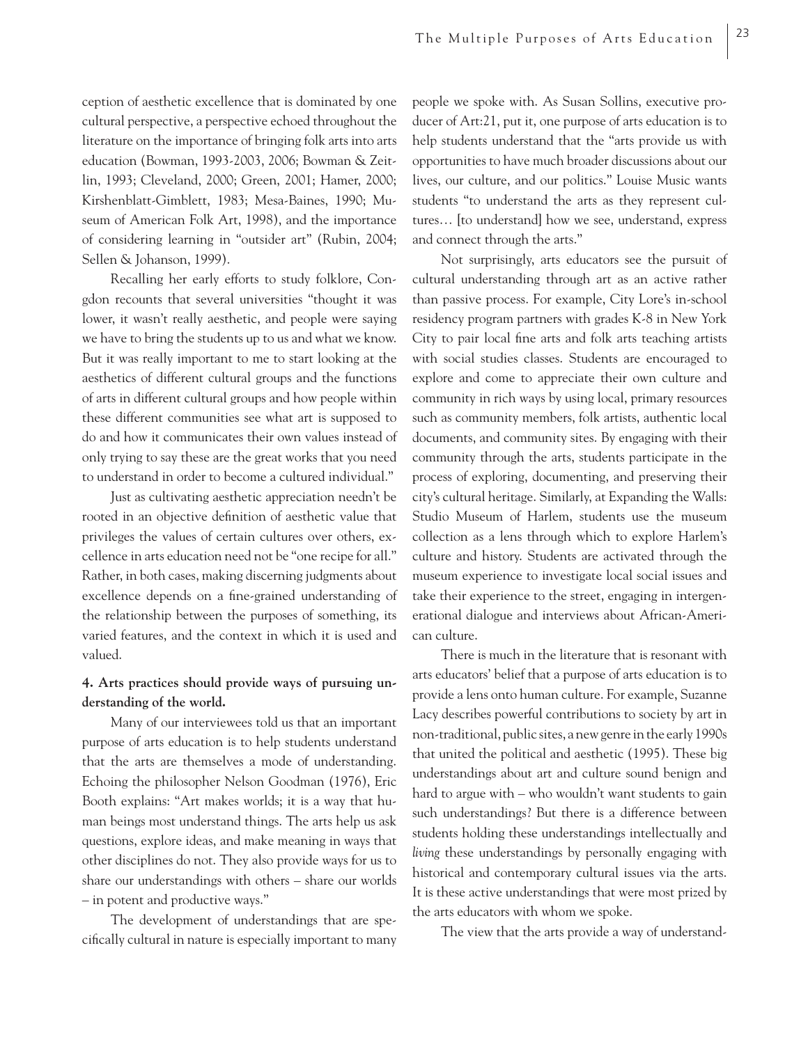ception of aesthetic excellence that is dominated by one cultural perspective, a perspective echoed throughout the literature on the importance of bringing folk arts into arts education (Bowman, 1993-2003, 2006; Bowman & Zeitlin, 1993; Cleveland, 2000; Green, 2001; Hamer, 2000; Kirshenblatt-Gimblett, 1983; Mesa-Baines, 1990; Museum of American Folk Art, 1998), and the importance of considering learning in "outsider art" (Rubin, 2004; Sellen & Johanson, 1999).

Recalling her early efforts to study folklore, Congdon recounts that several universities "thought it was lower, it wasn't really aesthetic, and people were saying we have to bring the students up to us and what we know. But it was really important to me to start looking at the aesthetics of different cultural groups and the functions of arts in different cultural groups and how people within these different communities see what art is supposed to do and how it communicates their own values instead of only trying to say these are the great works that you need to understand in order to become a cultured individual."

Just as cultivating aesthetic appreciation needn't be rooted in an objective definition of aesthetic value that privileges the values of certain cultures over others, excellence in arts education need not be "one recipe for all." Rather, in both cases, making discerning judgments about excellence depends on a fine-grained understanding of the relationship between the purposes of something, its varied features, and the context in which it is used and valued.

### **4. Arts practices should provide ways of pursuing understanding of the world.**

Many of our interviewees told us that an important purpose of arts education is to help students understand that the arts are themselves a mode of understanding. Echoing the philosopher Nelson Goodman (1976), Eric Booth explains: "Art makes worlds; it is a way that human beings most understand things. The arts help us ask questions, explore ideas, and make meaning in ways that other disciplines do not. They also provide ways for us to share our understandings with others – share our worlds – in potent and productive ways."

The development of understandings that are specifically cultural in nature is especially important to many people we spoke with. As Susan Sollins, executive producer of Art:21, put it, one purpose of arts education is to help students understand that the "arts provide us with opportunities to have much broader discussions about our lives, our culture, and our politics." Louise Music wants students "to understand the arts as they represent cultures… [to understand] how we see, understand, express and connect through the arts."

Not surprisingly, arts educators see the pursuit of cultural understanding through art as an active rather than passive process. For example, City Lore's in-school residency program partners with grades K-8 in New York City to pair local fine arts and folk arts teaching artists with social studies classes. Students are encouraged to explore and come to appreciate their own culture and community in rich ways by using local, primary resources such as community members, folk artists, authentic local documents, and community sites. By engaging with their community through the arts, students participate in the process of exploring, documenting, and preserving their city's cultural heritage. Similarly, at Expanding the Walls: Studio Museum of Harlem, students use the museum collection as a lens through which to explore Harlem's culture and history. Students are activated through the museum experience to investigate local social issues and take their experience to the street, engaging in intergenerational dialogue and interviews about African-American culture.

There is much in the literature that is resonant with arts educators' belief that a purpose of arts education is to provide a lens onto human culture. For example, Suzanne Lacy describes powerful contributions to society by art in non-traditional, public sites, a new genre in the early 1990s that united the political and aesthetic (1995). These big understandings about art and culture sound benign and hard to argue with – who wouldn't want students to gain such understandings? But there is a difference between students holding these understandings intellectually and *living* these understandings by personally engaging with historical and contemporary cultural issues via the arts. It is these active understandings that were most prized by the arts educators with whom we spoke.

The view that the arts provide a way of understand-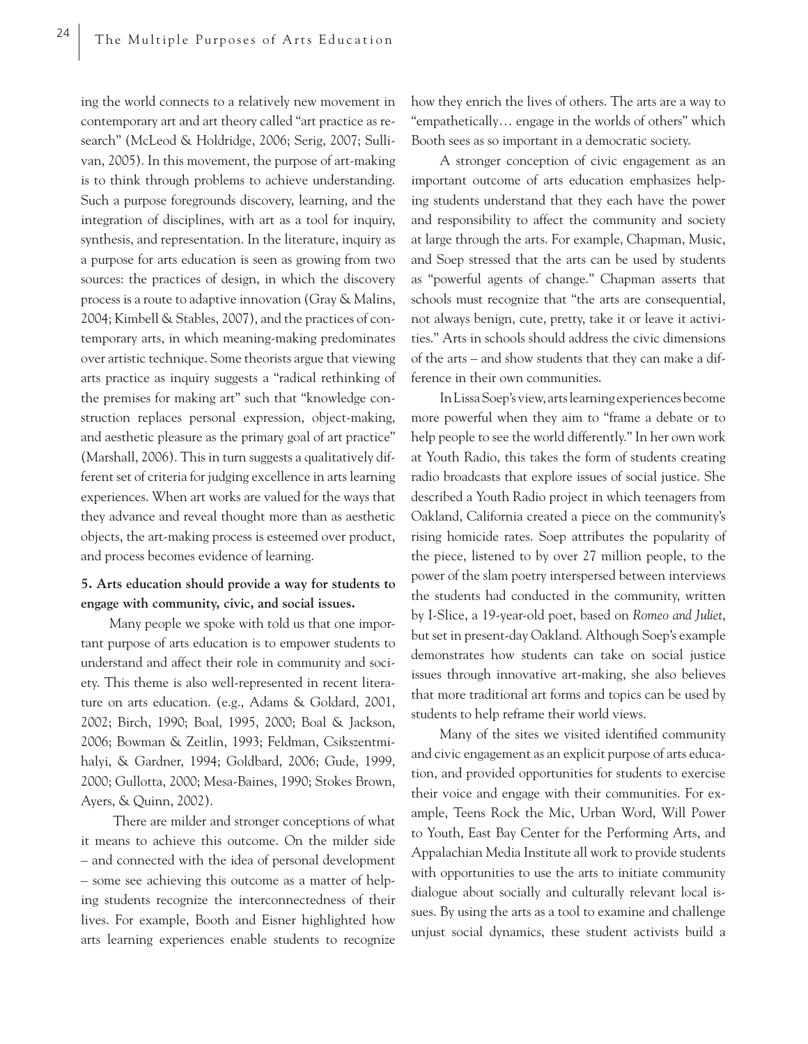ing the world connects to a relatively new movement in contemporary art and art theory called "art practice as research" (McLeod & Holdridge, 2006; Serig, 2007; Sullivan, 2005). In this movement, the purpose of art-making is to think through problems to achieve understanding. Such a purpose foregrounds discovery, learning, and the integration of disciplines, with art as a tool for inquiry, synthesis, and representation. In the literature, inquiry as a purpose for arts education is seen as growing from two sources: the practices of design, in which the discovery process is a route to adaptive innovation (Gray & Malins, 2004; Kimbell & Stables, 2007), and the practices of contemporary arts, in which meaning-making predominates over artistic technique. Some theorists argue that viewing arts practice as inquiry suggests a "radical rethinking of the premises for making art" such that "knowledge construction replaces personal expression, object-making, and aesthetic pleasure as the primary goal of art practice" (Marshall, 2006). This in turn suggests a qualitatively different set of criteria for judging excellence in arts learning experiences. When art works are valued for the ways that they advance and reveal thought more than as aesthetic objects, the art-making process is esteemed over product, and process becomes evidence of learning.

### **5. Arts education should provide a way for students to engage with community, civic, and social issues.**

Many people we spoke with told us that one important purpose of arts education is to empower students to understand and affect their role in community and society. This theme is also well-represented in recent literature on arts education. (e.g., Adams & Goldard, 2001, 2002; Birch, 1990; Boal, 1995, 2000; Boal & Jackson, 2006; Bowman & Zeitlin, 1993; Feldman, Csikszentmihalyi, & Gardner, 1994; Goldbard, 2006; Gude, 1999, 2000; Gullotta, 2000; Mesa-Baines, 1990; Stokes Brown, Ayers, & Quinn, 2002).

 There are milder and stronger conceptions of what it means to achieve this outcome. On the milder side – and connected with the idea of personal development – some see achieving this outcome as a matter of helping students recognize the interconnectedness of their lives. For example, Booth and Eisner highlighted how arts learning experiences enable students to recognize how they enrich the lives of others. The arts are a way to "empathetically… engage in the worlds of others" which Booth sees as so important in a democratic society.

A stronger conception of civic engagement as an important outcome of arts education emphasizes helping students understand that they each have the power and responsibility to affect the community and society at large through the arts. For example, Chapman, Music, and Soep stressed that the arts can be used by students as "powerful agents of change." Chapman asserts that schools must recognize that "the arts are consequential, not always benign, cute, pretty, take it or leave it activities." Arts in schools should address the civic dimensions of the arts – and show students that they can make a difference in their own communities.

In Lissa Soep's view, arts learning experiences become more powerful when they aim to "frame a debate or to help people to see the world differently." In her own work at Youth Radio, this takes the form of students creating radio broadcasts that explore issues of social justice. She described a Youth Radio project in which teenagers from Oakland, California created a piece on the community's rising homicide rates. Soep attributes the popularity of the piece, listened to by over 27 million people, to the power of the slam poetry interspersed between interviews the students had conducted in the community, written by I-Slice, a 19-year-old poet, based on *Romeo and Juliet*, but set in present-day Oakland. Although Soep's example demonstrates how students can take on social justice issues through innovative art-making, she also believes that more traditional art forms and topics can be used by students to help reframe their world views.

Many of the sites we visited identified community and civic engagement as an explicit purpose of arts education, and provided opportunities for students to exercise their voice and engage with their communities. For example, Teens Rock the Mic, Urban Word, Will Power to Youth, East Bay Center for the Performing Arts, and Appalachian Media Institute all work to provide students with opportunities to use the arts to initiate community dialogue about socially and culturally relevant local issues. By using the arts as a tool to examine and challenge unjust social dynamics, these student activists build a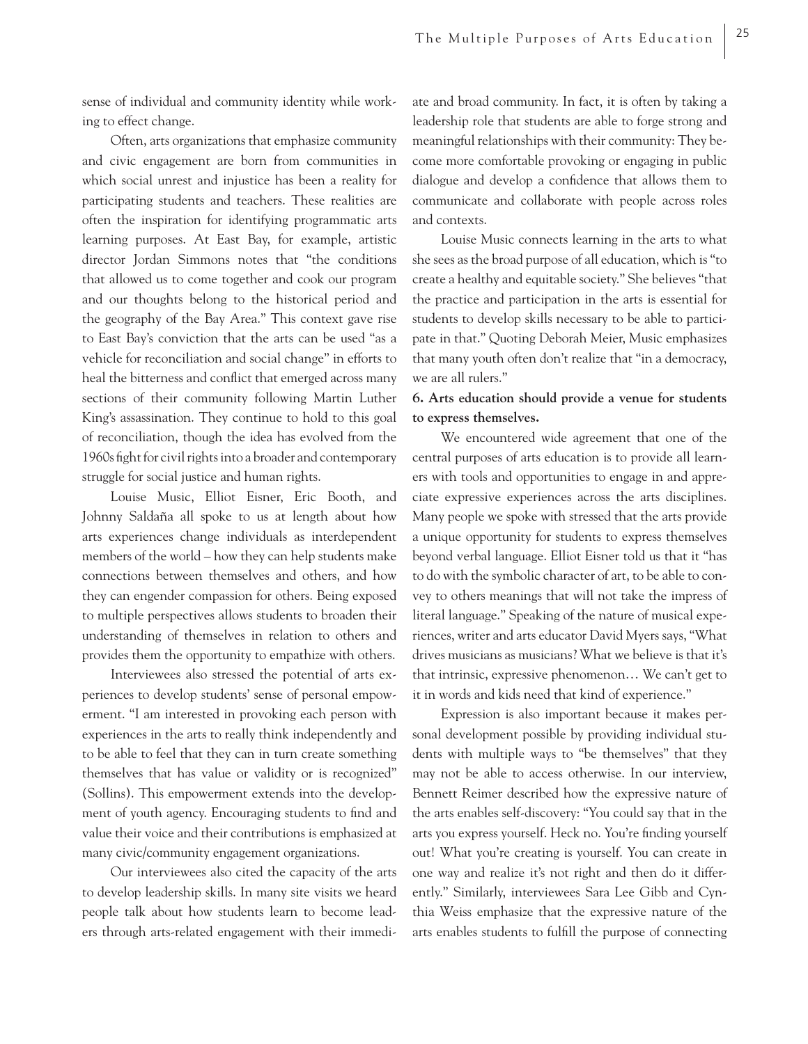sense of individual and community identity while working to effect change.

Often, arts organizations that emphasize community and civic engagement are born from communities in which social unrest and injustice has been a reality for participating students and teachers. These realities are often the inspiration for identifying programmatic arts learning purposes. At East Bay, for example, artistic director Jordan Simmons notes that "the conditions that allowed us to come together and cook our program and our thoughts belong to the historical period and the geography of the Bay Area." This context gave rise to East Bay's conviction that the arts can be used "as a vehicle for reconciliation and social change" in efforts to heal the bitterness and conflict that emerged across many sections of their community following Martin Luther King's assassination. They continue to hold to this goal of reconciliation, though the idea has evolved from the 1960s fight for civil rights into a broader and contemporary struggle for social justice and human rights.

Louise Music, Elliot Eisner, Eric Booth, and Johnny Saldaña all spoke to us at length about how arts experiences change individuals as interdependent members of the world – how they can help students make connections between themselves and others, and how they can engender compassion for others. Being exposed to multiple perspectives allows students to broaden their understanding of themselves in relation to others and provides them the opportunity to empathize with others.

Interviewees also stressed the potential of arts experiences to develop students' sense of personal empowerment. "I am interested in provoking each person with experiences in the arts to really think independently and to be able to feel that they can in turn create something themselves that has value or validity or is recognized" (Sollins). This empowerment extends into the development of youth agency. Encouraging students to find and value their voice and their contributions is emphasized at many civic/community engagement organizations.

Our interviewees also cited the capacity of the arts to develop leadership skills. In many site visits we heard people talk about how students learn to become leaders through arts-related engagement with their immediate and broad community. In fact, it is often by taking a leadership role that students are able to forge strong and meaningful relationships with their community: They become more comfortable provoking or engaging in public dialogue and develop a confidence that allows them to communicate and collaborate with people across roles and contexts.

Louise Music connects learning in the arts to what she sees as the broad purpose of all education, which is "to create a healthy and equitable society." She believes "that the practice and participation in the arts is essential for students to develop skills necessary to be able to participate in that." Quoting Deborah Meier, Music emphasizes that many youth often don't realize that "in a democracy, we are all rulers."

## **6. Arts education should provide a venue for students to express themselves.**

We encountered wide agreement that one of the central purposes of arts education is to provide all learners with tools and opportunities to engage in and appreciate expressive experiences across the arts disciplines. Many people we spoke with stressed that the arts provide a unique opportunity for students to express themselves beyond verbal language. Elliot Eisner told us that it "has to do with the symbolic character of art, to be able to convey to others meanings that will not take the impress of literal language." Speaking of the nature of musical experiences, writer and arts educator David Myers says, "What drives musicians as musicians? What we believe is that it's that intrinsic, expressive phenomenon… We can't get to it in words and kids need that kind of experience."

Expression is also important because it makes personal development possible by providing individual students with multiple ways to "be themselves" that they may not be able to access otherwise. In our interview, Bennett Reimer described how the expressive nature of the arts enables self-discovery: "You could say that in the arts you express yourself. Heck no. You're finding yourself out! What you're creating is yourself. You can create in one way and realize it's not right and then do it differently." Similarly, interviewees Sara Lee Gibb and Cynthia Weiss emphasize that the expressive nature of the arts enables students to fulfill the purpose of connecting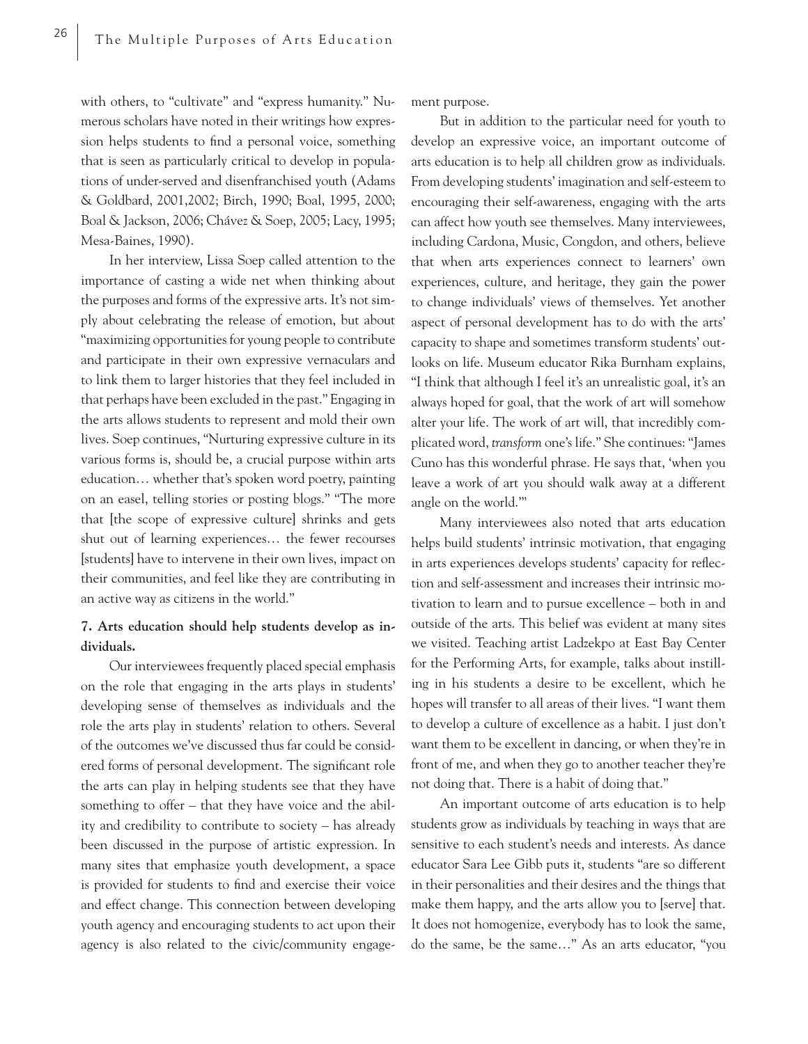with others, to "cultivate" and "express humanity." Numerous scholars have noted in their writings how expression helps students to find a personal voice, something that is seen as particularly critical to develop in populations of under-served and disenfranchised youth (Adams & Goldbard, 2001,2002; Birch, 1990; Boal, 1995, 2000; Boal & Jackson, 2006; Chávez & Soep, 2005; Lacy, 1995; Mesa-Baines, 1990).

In her interview, Lissa Soep called attention to the importance of casting a wide net when thinking about the purposes and forms of the expressive arts. It's not simply about celebrating the release of emotion, but about "maximizing opportunities for young people to contribute and participate in their own expressive vernaculars and to link them to larger histories that they feel included in that perhaps have been excluded in the past." Engaging in the arts allows students to represent and mold their own lives. Soep continues, "Nurturing expressive culture in its various forms is, should be, a crucial purpose within arts education… whether that's spoken word poetry, painting on an easel, telling stories or posting blogs." "The more that [the scope of expressive culture] shrinks and gets shut out of learning experiences… the fewer recourses [students] have to intervene in their own lives, impact on their communities, and feel like they are contributing in an active way as citizens in the world."

## **7. Arts education should help students develop as individuals.**

Our interviewees frequently placed special emphasis on the role that engaging in the arts plays in students' developing sense of themselves as individuals and the role the arts play in students' relation to others. Several of the outcomes we've discussed thus far could be considered forms of personal development. The significant role the arts can play in helping students see that they have something to offer – that they have voice and the ability and credibility to contribute to society – has already been discussed in the purpose of artistic expression. In many sites that emphasize youth development, a space is provided for students to find and exercise their voice and effect change. This connection between developing youth agency and encouraging students to act upon their agency is also related to the civic/community engagement purpose.

But in addition to the particular need for youth to develop an expressive voice, an important outcome of arts education is to help all children grow as individuals. From developing students' imagination and self-esteem to encouraging their self-awareness, engaging with the arts can affect how youth see themselves. Many interviewees, including Cardona, Music, Congdon, and others, believe that when arts experiences connect to learners' own experiences, culture, and heritage, they gain the power to change individuals' views of themselves. Yet another aspect of personal development has to do with the arts' capacity to shape and sometimes transform students' outlooks on life. Museum educator Rika Burnham explains, "I think that although I feel it's an unrealistic goal, it's an always hoped for goal, that the work of art will somehow alter your life. The work of art will, that incredibly complicated word, *transform* one's life." She continues: "James Cuno has this wonderful phrase. He says that, 'when you leave a work of art you should walk away at a different angle on the world.'"

Many interviewees also noted that arts education helps build students' intrinsic motivation, that engaging in arts experiences develops students' capacity for reflection and self-assessment and increases their intrinsic motivation to learn and to pursue excellence – both in and outside of the arts. This belief was evident at many sites we visited. Teaching artist Ladzekpo at East Bay Center for the Performing Arts, for example, talks about instilling in his students a desire to be excellent, which he hopes will transfer to all areas of their lives. "I want them to develop a culture of excellence as a habit. I just don't want them to be excellent in dancing, or when they're in front of me, and when they go to another teacher they're not doing that. There is a habit of doing that."

An important outcome of arts education is to help students grow as individuals by teaching in ways that are sensitive to each student's needs and interests. As dance educator Sara Lee Gibb puts it, students "are so different in their personalities and their desires and the things that make them happy, and the arts allow you to [serve] that. It does not homogenize, everybody has to look the same, do the same, be the same…" As an arts educator, "you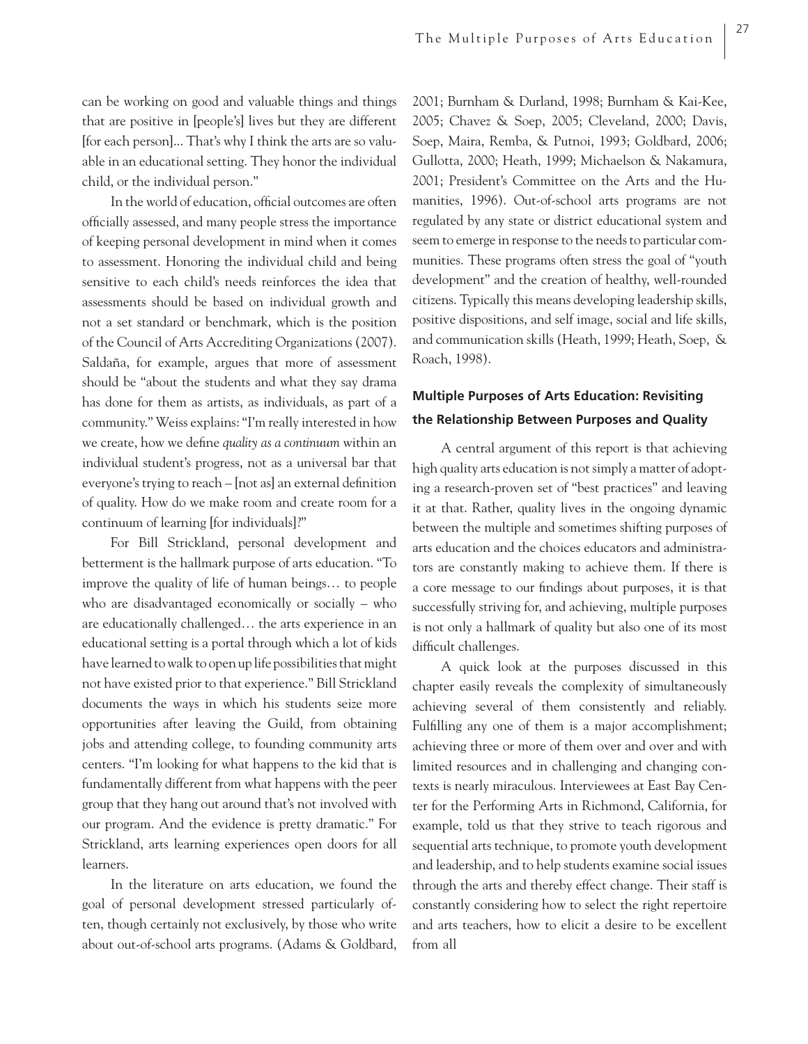can be working on good and valuable things and things that are positive in [people's] lives but they are different [for each person]... That's why I think the arts are so valuable in an educational setting. They honor the individual child, or the individual person."

In the world of education, official outcomes are often officially assessed, and many people stress the importance of keeping personal development in mind when it comes to assessment. Honoring the individual child and being sensitive to each child's needs reinforces the idea that assessments should be based on individual growth and not a set standard or benchmark, which is the position of the Council of Arts Accrediting Organizations (2007). Saldaña, for example, argues that more of assessment should be "about the students and what they say drama has done for them as artists, as individuals, as part of a community." Weiss explains: "I'm really interested in how we create, how we define *quality as a continuum* within an individual student's progress, not as a universal bar that everyone's trying to reach  $-$  [not as] an external definition of quality. How do we make room and create room for a continuum of learning [for individuals]?"

For Bill Strickland, personal development and betterment is the hallmark purpose of arts education. "To improve the quality of life of human beings… to people who are disadvantaged economically or socially – who are educationally challenged… the arts experience in an educational setting is a portal through which a lot of kids have learned to walk to open up life possibilities that might not have existed prior to that experience." Bill Strickland documents the ways in which his students seize more opportunities after leaving the Guild, from obtaining jobs and attending college, to founding community arts centers. "I'm looking for what happens to the kid that is fundamentally different from what happens with the peer group that they hang out around that's not involved with our program. And the evidence is pretty dramatic." For Strickland, arts learning experiences open doors for all learners.

In the literature on arts education, we found the goal of personal development stressed particularly often, though certainly not exclusively, by those who write about out-of-school arts programs. (Adams & Goldbard,

2001; Burnham & Durland, 1998; Burnham & Kai-Kee, 2005; Chavez & Soep, 2005; Cleveland, 2000; Davis, Soep, Maira, Remba, & Putnoi, 1993; Goldbard, 2006; Gullotta, 2000; Heath, 1999; Michaelson & Nakamura, 2001; President's Committee on the Arts and the Humanities, 1996). Out-of-school arts programs are not regulated by any state or district educational system and seem to emerge in response to the needs to particular communities. These programs often stress the goal of "youth development" and the creation of healthy, well-rounded citizens. Typically this means developing leadership skills, positive dispositions, and self image, social and life skills, and communication skills (Heath, 1999; Heath, Soep, & Roach, 1998).

## **Multiple Purposes of Arts Education: Revisiting the Relationship Between Purposes and Quality**

A central argument of this report is that achieving high quality arts education is not simply a matter of adopting a research-proven set of "best practices" and leaving it at that. Rather, quality lives in the ongoing dynamic between the multiple and sometimes shifting purposes of arts education and the choices educators and administrators are constantly making to achieve them. If there is a core message to our findings about purposes, it is that successfully striving for, and achieving, multiple purposes is not only a hallmark of quality but also one of its most difficult challenges.

A quick look at the purposes discussed in this chapter easily reveals the complexity of simultaneously achieving several of them consistently and reliably. Fulfilling any one of them is a major accomplishment; achieving three or more of them over and over and with limited resources and in challenging and changing contexts is nearly miraculous. Interviewees at East Bay Center for the Performing Arts in Richmond, California, for example, told us that they strive to teach rigorous and sequential arts technique, to promote youth development and leadership, and to help students examine social issues through the arts and thereby effect change. Their staff is constantly considering how to select the right repertoire and arts teachers, how to elicit a desire to be excellent from all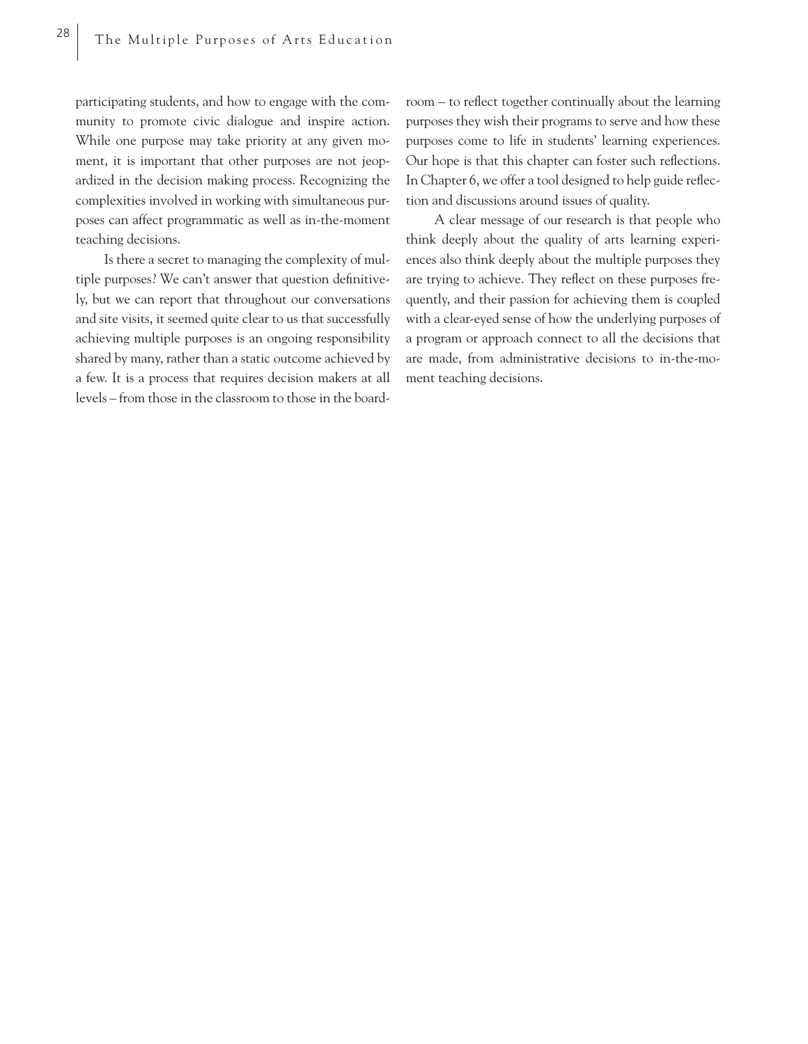participating students, and how to engage with the community to promote civic dialogue and inspire action. While one purpose may take priority at any given moment, it is important that other purposes are not jeopardized in the decision making process. Recognizing the complexities involved in working with simultaneous purposes can affect programmatic as well as in-the-moment teaching decisions.

Is there a secret to managing the complexity of multiple purposes? We can't answer that question definitively, but we can report that throughout our conversations and site visits, it seemed quite clear to us that successfully achieving multiple purposes is an ongoing responsibility shared by many, rather than a static outcome achieved by a few. It is a process that requires decision makers at all levels – from those in the classroom to those in the boardroom – to reflect together continually about the learning purposes they wish their programs to serve and how these purposes come to life in students' learning experiences. Our hope is that this chapter can foster such reflections. In Chapter 6, we offer a tool designed to help guide reflection and discussions around issues of quality.

A clear message of our research is that people who think deeply about the quality of arts learning experiences also think deeply about the multiple purposes they are trying to achieve. They reflect on these purposes frequently, and their passion for achieving them is coupled with a clear-eyed sense of how the underlying purposes of a program or approach connect to all the decisions that are made, from administrative decisions to in-the-moment teaching decisions.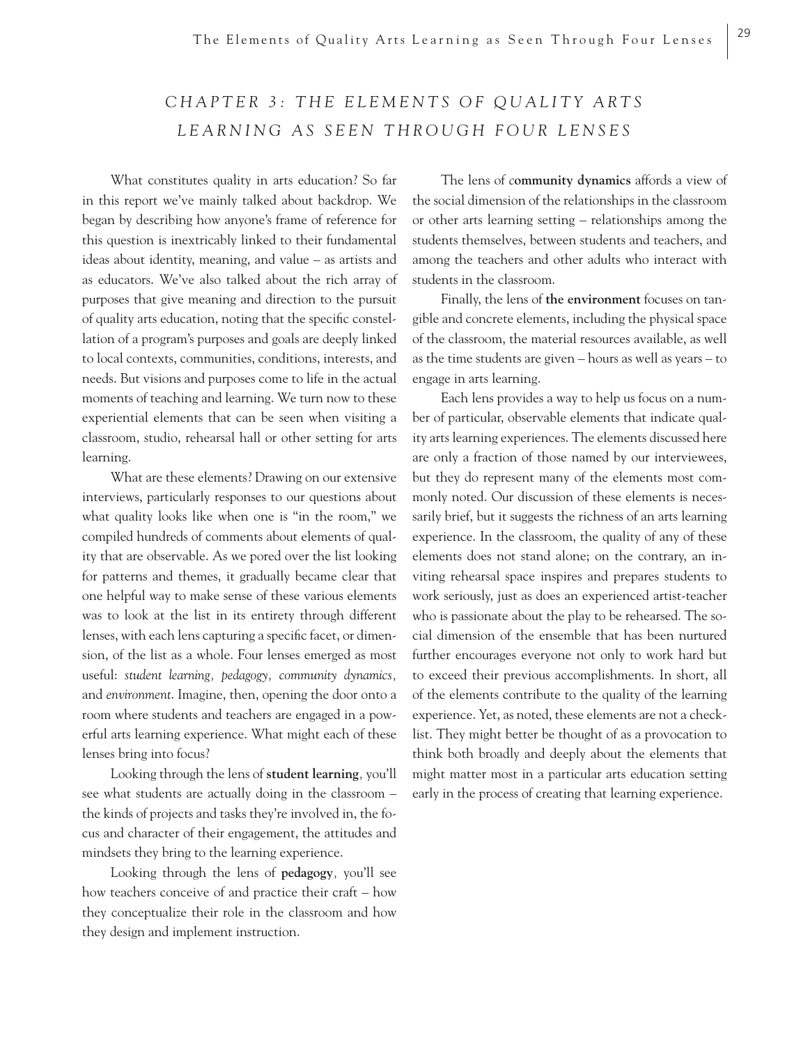## CHAPTER 3: THE ELEMENTS OF QUALITY ARTS *LEARNING AS SEEN THROUGH FOUR LENSES*

What constitutes quality in arts education? So far in this report we've mainly talked about backdrop. We began by describing how anyone's frame of reference for this question is inextricably linked to their fundamental ideas about identity, meaning, and value – as artists and as educators. We've also talked about the rich array of purposes that give meaning and direction to the pursuit of quality arts education, noting that the specific constellation of a program's purposes and goals are deeply linked to local contexts, communities, conditions, interests, and needs. But visions and purposes come to life in the actual moments of teaching and learning. We turn now to these experiential elements that can be seen when visiting a classroom, studio, rehearsal hall or other setting for arts learning.

What are these elements? Drawing on our extensive interviews, particularly responses to our questions about what quality looks like when one is "in the room," we compiled hundreds of comments about elements of quality that are observable. As we pored over the list looking for patterns and themes, it gradually became clear that one helpful way to make sense of these various elements was to look at the list in its entirety through different lenses, with each lens capturing a specific facet, or dimension, of the list as a whole. Four lenses emerged as most useful: *student learning, pedagogy, community dynamics,*  and *environment*. Imagine, then, opening the door onto a room where students and teachers are engaged in a powerful arts learning experience. What might each of these lenses bring into focus?

Looking through the lens of **student learning***,* you'll see what students are actually doing in the classroom – the kinds of projects and tasks they're involved in, the focus and character of their engagement, the attitudes and mindsets they bring to the learning experience.

Looking through the lens of **pedagogy***,* you'll see how teachers conceive of and practice their craft – how they conceptualize their role in the classroom and how they design and implement instruction.

The lens of *c***ommunity dynamics** affords a view of the social dimension of the relationships in the classroom or other arts learning setting – relationships among the students themselves, between students and teachers, and among the teachers and other adults who interact with students in the classroom.

Finally, the lens of **the environment** focuses on tangible and concrete elements, including the physical space of the classroom, the material resources available, as well as the time students are given – hours as well as years – to engage in arts learning.

Each lens provides a way to help us focus on a number of particular, observable elements that indicate quality arts learning experiences. The elements discussed here are only a fraction of those named by our interviewees, but they do represent many of the elements most commonly noted. Our discussion of these elements is necessarily brief, but it suggests the richness of an arts learning experience. In the classroom, the quality of any of these elements does not stand alone; on the contrary, an inviting rehearsal space inspires and prepares students to work seriously, just as does an experienced artist-teacher who is passionate about the play to be rehearsed. The social dimension of the ensemble that has been nurtured further encourages everyone not only to work hard but to exceed their previous accomplishments. In short, all of the elements contribute to the quality of the learning experience. Yet, as noted, these elements are not a checklist. They might better be thought of as a provocation to think both broadly and deeply about the elements that might matter most in a particular arts education setting early in the process of creating that learning experience.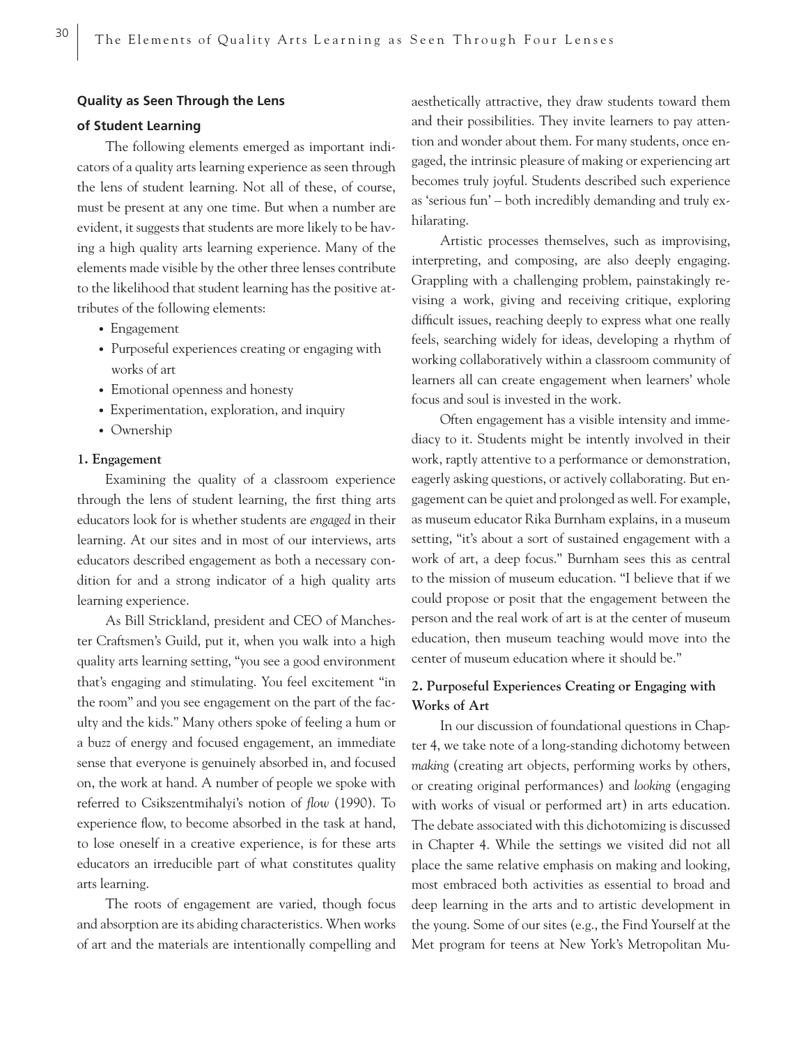### **Quality as Seen Through the Lens**

## **of Student Learning**

The following elements emerged as important indicators of a quality arts learning experience as seen through the lens of student learning. Not all of these, of course, must be present at any one time. But when a number are evident, it suggests that students are more likely to be having a high quality arts learning experience. Many of the elements made visible by the other three lenses contribute to the likelihood that student learning has the positive attributes of the following elements:

- Engagement
- Purposeful experiences creating or engaging with works of art
- Emotional openness and honesty
- Experimentation, exploration, and inquiry
- Ownership

#### **1. Engagement**

Examining the quality of a classroom experience through the lens of student learning, the first thing arts educators look for is whether students are *engaged* in their learning. At our sites and in most of our interviews, arts educators described engagement as both a necessary condition for and a strong indicator of a high quality arts learning experience.

As Bill Strickland, president and CEO of Manchester Craftsmen's Guild, put it, when you walk into a high quality arts learning setting, "you see a good environment that's engaging and stimulating. You feel excitement "in the room" and you see engagement on the part of the faculty and the kids." Many others spoke of feeling a hum or a buzz of energy and focused engagement, an immediate sense that everyone is genuinely absorbed in, and focused on, the work at hand. A number of people we spoke with referred to Csikszentmihalyi's notion of *flow* (1990). To experience flow, to become absorbed in the task at hand, to lose oneself in a creative experience, is for these arts educators an irreducible part of what constitutes quality arts learning.

The roots of engagement are varied, though focus and absorption are its abiding characteristics. When works of art and the materials are intentionally compelling and aesthetically attractive, they draw students toward them and their possibilities. They invite learners to pay attention and wonder about them. For many students, once engaged, the intrinsic pleasure of making or experiencing art becomes truly joyful. Students described such experience as 'serious fun' – both incredibly demanding and truly exhilarating.

Artistic processes themselves, such as improvising, interpreting, and composing, are also deeply engaging. Grappling with a challenging problem, painstakingly revising a work, giving and receiving critique, exploring difficult issues, reaching deeply to express what one really feels, searching widely for ideas, developing a rhythm of working collaboratively within a classroom community of learners all can create engagement when learners' whole focus and soul is invested in the work.

Often engagement has a visible intensity and immediacy to it. Students might be intently involved in their work, raptly attentive to a performance or demonstration, eagerly asking questions, or actively collaborating. But engagement can be quiet and prolonged as well. For example, as museum educator Rika Burnham explains, in a museum setting, "it's about a sort of sustained engagement with a work of art, a deep focus." Burnham sees this as central to the mission of museum education. "I believe that if we could propose or posit that the engagement between the person and the real work of art is at the center of museum education, then museum teaching would move into the center of museum education where it should be."

## **2. Purposeful Experiences Creating or Engaging with Works of Art**

In our discussion of foundational questions in Chapter 4, we take note of a long-standing dichotomy between *making* (creating art objects, performing works by others, or creating original performances) and *looking* (engaging with works of visual or performed art) in arts education. The debate associated with this dichotomizing is discussed in Chapter 4. While the settings we visited did not all place the same relative emphasis on making and looking, most embraced both activities as essential to broad and deep learning in the arts and to artistic development in the young. Some of our sites (e.g., the Find Yourself at the Met program for teens at New York's Metropolitan Mu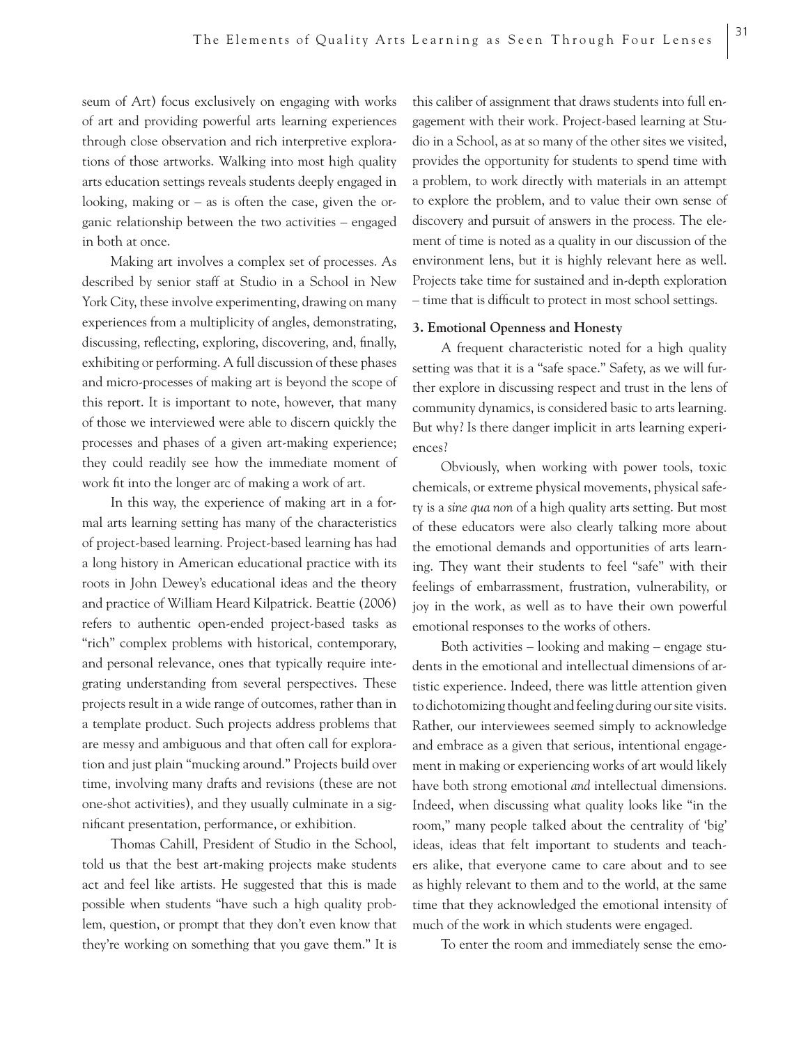seum of Art) focus exclusively on engaging with works of art and providing powerful arts learning experiences through close observation and rich interpretive explorations of those artworks. Walking into most high quality arts education settings reveals students deeply engaged in looking, making or  $-$  as is often the case, given the organic relationship between the two activities – engaged in both at once.

Making art involves a complex set of processes. As described by senior staff at Studio in a School in New York City, these involve experimenting, drawing on many experiences from a multiplicity of angles, demonstrating, discussing, reflecting, exploring, discovering, and, finally, exhibiting or performing. A full discussion of these phases and micro-processes of making art is beyond the scope of this report. It is important to note, however, that many of those we interviewed were able to discern quickly the processes and phases of a given art-making experience; they could readily see how the immediate moment of work fit into the longer arc of making a work of art.

In this way, the experience of making art in a formal arts learning setting has many of the characteristics of project-based learning. Project-based learning has had a long history in American educational practice with its roots in John Dewey's educational ideas and the theory and practice of William Heard Kilpatrick. Beattie (2006) refers to authentic open-ended project-based tasks as "rich" complex problems with historical, contemporary, and personal relevance, ones that typically require integrating understanding from several perspectives. These projects result in a wide range of outcomes, rather than in a template product. Such projects address problems that are messy and ambiguous and that often call for exploration and just plain "mucking around." Projects build over time, involving many drafts and revisions (these are not one-shot activities), and they usually culminate in a significant presentation, performance, or exhibition.

Thomas Cahill, President of Studio in the School, told us that the best art-making projects make students act and feel like artists. He suggested that this is made possible when students "have such a high quality problem, question, or prompt that they don't even know that they're working on something that you gave them." It is

this caliber of assignment that draws students into full engagement with their work. Project-based learning at Studio in a School, as at so many of the other sites we visited, provides the opportunity for students to spend time with a problem, to work directly with materials in an attempt to explore the problem, and to value their own sense of discovery and pursuit of answers in the process. The element of time is noted as a quality in our discussion of the environment lens, but it is highly relevant here as well. Projects take time for sustained and in-depth exploration – time that is difficult to protect in most school settings.

## **3. Emotional Openness and Honesty**

A frequent characteristic noted for a high quality setting was that it is a "safe space." Safety, as we will further explore in discussing respect and trust in the lens of community dynamics, is considered basic to arts learning. But why? Is there danger implicit in arts learning experiences?

Obviously, when working with power tools, toxic chemicals, or extreme physical movements, physical safety is a *sine qua non* of a high quality arts setting. But most of these educators were also clearly talking more about the emotional demands and opportunities of arts learning. They want their students to feel "safe" with their feelings of embarrassment, frustration, vulnerability, or joy in the work, as well as to have their own powerful emotional responses to the works of others.

Both activities – looking and making – engage students in the emotional and intellectual dimensions of artistic experience. Indeed, there was little attention given to dichotomizing thought and feeling during our site visits. Rather, our interviewees seemed simply to acknowledge and embrace as a given that serious, intentional engagement in making or experiencing works of art would likely have both strong emotional *and* intellectual dimensions. Indeed, when discussing what quality looks like "in the room," many people talked about the centrality of 'big' ideas, ideas that felt important to students and teachers alike, that everyone came to care about and to see as highly relevant to them and to the world, at the same time that they acknowledged the emotional intensity of much of the work in which students were engaged.

To enter the room and immediately sense the emo-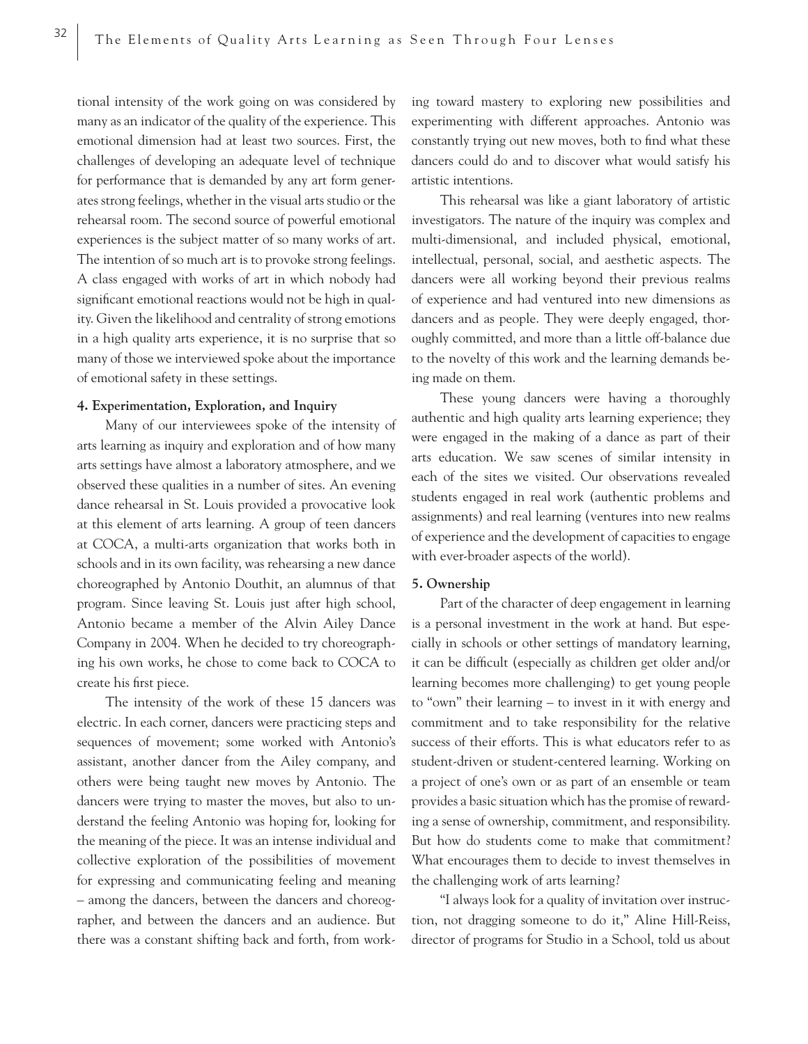tional intensity of the work going on was considered by many as an indicator of the quality of the experience. This emotional dimension had at least two sources. First, the challenges of developing an adequate level of technique for performance that is demanded by any art form generates strong feelings, whether in the visual arts studio or the rehearsal room. The second source of powerful emotional experiences is the subject matter of so many works of art. The intention of so much art is to provoke strong feelings. A class engaged with works of art in which nobody had significant emotional reactions would not be high in quality. Given the likelihood and centrality of strong emotions in a high quality arts experience, it is no surprise that so many of those we interviewed spoke about the importance of emotional safety in these settings.

## **4. Experimentation, Exploration, and Inquiry**

Many of our interviewees spoke of the intensity of arts learning as inquiry and exploration and of how many arts settings have almost a laboratory atmosphere, and we observed these qualities in a number of sites. An evening dance rehearsal in St. Louis provided a provocative look at this element of arts learning. A group of teen dancers at COCA, a multi-arts organization that works both in schools and in its own facility, was rehearsing a new dance choreographed by Antonio Douthit, an alumnus of that program. Since leaving St. Louis just after high school, Antonio became a member of the Alvin Ailey Dance Company in 2004. When he decided to try choreographing his own works, he chose to come back to COCA to create his first piece.

The intensity of the work of these 15 dancers was electric. In each corner, dancers were practicing steps and sequences of movement; some worked with Antonio's assistant, another dancer from the Ailey company, and others were being taught new moves by Antonio. The dancers were trying to master the moves, but also to understand the feeling Antonio was hoping for, looking for the meaning of the piece. It was an intense individual and collective exploration of the possibilities of movement for expressing and communicating feeling and meaning – among the dancers, between the dancers and choreographer, and between the dancers and an audience. But there was a constant shifting back and forth, from working toward mastery to exploring new possibilities and experimenting with different approaches. Antonio was constantly trying out new moves, both to find what these dancers could do and to discover what would satisfy his artistic intentions.

This rehearsal was like a giant laboratory of artistic investigators. The nature of the inquiry was complex and multi-dimensional, and included physical, emotional, intellectual, personal, social, and aesthetic aspects. The dancers were all working beyond their previous realms of experience and had ventured into new dimensions as dancers and as people. They were deeply engaged, thoroughly committed, and more than a little off-balance due to the novelty of this work and the learning demands being made on them.

These young dancers were having a thoroughly authentic and high quality arts learning experience; they were engaged in the making of a dance as part of their arts education. We saw scenes of similar intensity in each of the sites we visited. Our observations revealed students engaged in real work (authentic problems and assignments) and real learning (ventures into new realms of experience and the development of capacities to engage with ever-broader aspects of the world).

#### **5. Ownership**

Part of the character of deep engagement in learning is a personal investment in the work at hand. But especially in schools or other settings of mandatory learning, it can be difficult (especially as children get older and/or learning becomes more challenging) to get young people to "own" their learning – to invest in it with energy and commitment and to take responsibility for the relative success of their efforts. This is what educators refer to as student-driven or student-centered learning. Working on a project of one's own or as part of an ensemble or team provides a basic situation which has the promise of rewarding a sense of ownership, commitment, and responsibility. But how do students come to make that commitment? What encourages them to decide to invest themselves in the challenging work of arts learning?

"I always look for a quality of invitation over instruction, not dragging someone to do it," Aline Hill-Reiss, director of programs for Studio in a School, told us about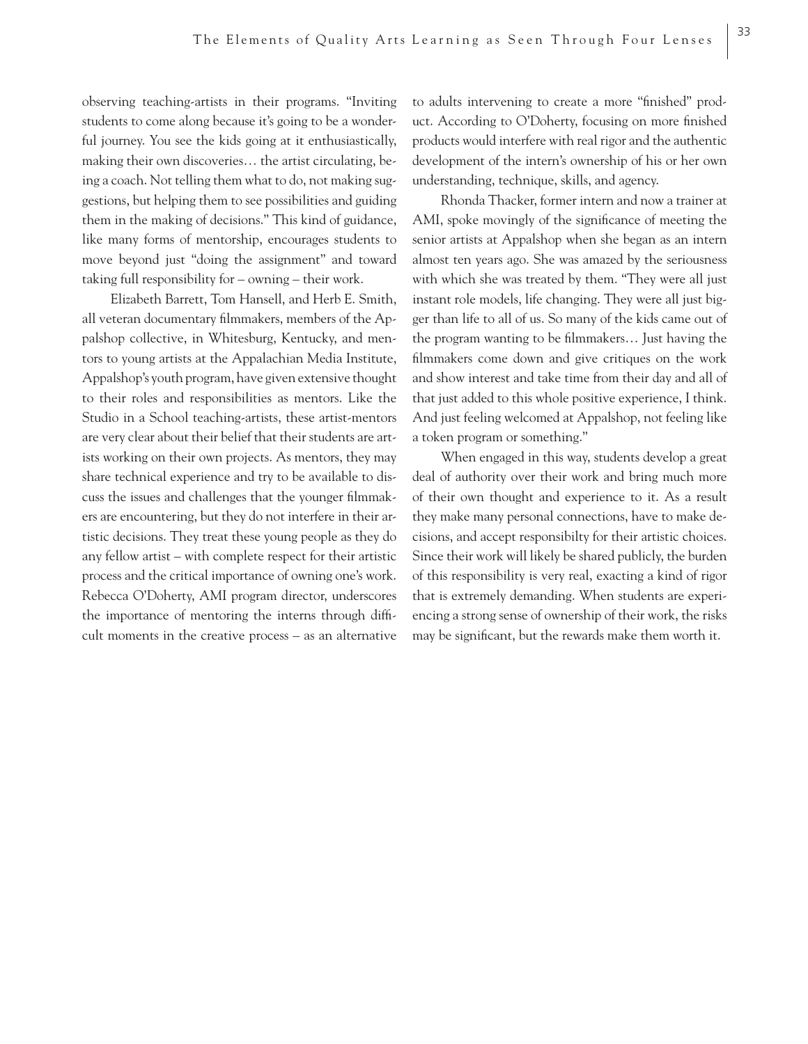observing teaching-artists in their programs. "Inviting students to come along because it's going to be a wonderful journey. You see the kids going at it enthusiastically, making their own discoveries… the artist circulating, being a coach. Not telling them what to do, not making suggestions, but helping them to see possibilities and guiding them in the making of decisions." This kind of guidance, like many forms of mentorship, encourages students to move beyond just "doing the assignment" and toward taking full responsibility for – owning – their work.

Elizabeth Barrett, Tom Hansell, and Herb E. Smith, all veteran documentary filmmakers, members of the Appalshop collective, in Whitesburg, Kentucky, and mentors to young artists at the Appalachian Media Institute, Appalshop's youth program, have given extensive thought to their roles and responsibilities as mentors. Like the Studio in a School teaching-artists, these artist-mentors are very clear about their belief that their students are artists working on their own projects. As mentors, they may share technical experience and try to be available to discuss the issues and challenges that the younger filmmakers are encountering, but they do not interfere in their artistic decisions. They treat these young people as they do any fellow artist – with complete respect for their artistic process and the critical importance of owning one's work. Rebecca O'Doherty, AMI program director, underscores the importance of mentoring the interns through difficult moments in the creative process – as an alternative to adults intervening to create a more "finished" product. According to O'Doherty, focusing on more finished products would interfere with real rigor and the authentic development of the intern's ownership of his or her own understanding, technique, skills, and agency.

Rhonda Thacker, former intern and now a trainer at AMI, spoke movingly of the significance of meeting the senior artists at Appalshop when she began as an intern almost ten years ago. She was amazed by the seriousness with which she was treated by them. "They were all just instant role models, life changing. They were all just bigger than life to all of us. So many of the kids came out of the program wanting to be filmmakers... Just having the filmmakers come down and give critiques on the work and show interest and take time from their day and all of that just added to this whole positive experience, I think. And just feeling welcomed at Appalshop, not feeling like a token program or something."

When engaged in this way, students develop a great deal of authority over their work and bring much more of their own thought and experience to it. As a result they make many personal connections, have to make decisions, and accept responsibilty for their artistic choices. Since their work will likely be shared publicly, the burden of this responsibility is very real, exacting a kind of rigor that is extremely demanding. When students are experiencing a strong sense of ownership of their work, the risks may be significant, but the rewards make them worth it.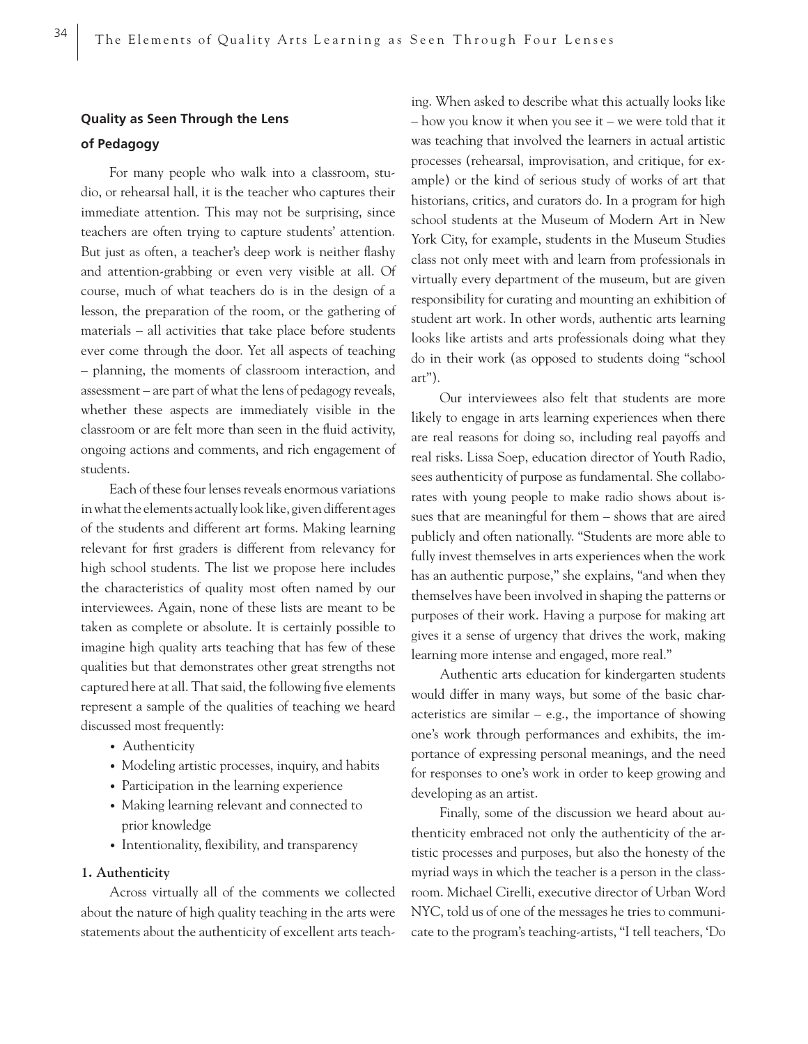## **Quality as Seen Through the Lens of Pedagogy**

For many people who walk into a classroom, studio, or rehearsal hall, it is the teacher who captures their immediate attention. This may not be surprising, since teachers are often trying to capture students' attention. But just as often, a teacher's deep work is neither flashy and attention-grabbing or even very visible at all. Of course, much of what teachers do is in the design of a lesson, the preparation of the room, or the gathering of materials – all activities that take place before students ever come through the door. Yet all aspects of teaching – planning, the moments of classroom interaction, and assessment – are part of what the lens of pedagogy reveals, whether these aspects are immediately visible in the classroom or are felt more than seen in the fluid activity, ongoing actions and comments, and rich engagement of students.

Each of these four lenses reveals enormous variations in what the elements actually look like, given different ages of the students and different art forms. Making learning relevant for first graders is different from relevancy for high school students. The list we propose here includes the characteristics of quality most often named by our interviewees. Again, none of these lists are meant to be taken as complete or absolute. It is certainly possible to imagine high quality arts teaching that has few of these qualities but that demonstrates other great strengths not captured here at all. That said, the following five elements represent a sample of the qualities of teaching we heard discussed most frequently:

- Authenticity
- Modeling artistic processes, inquiry, and habits
- Participation in the learning experience
- Making learning relevant and connected to prior knowledge
- Intentionality, flexibility, and transparency

#### **1. Authenticity**

Across virtually all of the comments we collected about the nature of high quality teaching in the arts were statements about the authenticity of excellent arts teach-

ing. When asked to describe what this actually looks like – how you know it when you see it – we were told that it was teaching that involved the learners in actual artistic processes (rehearsal, improvisation, and critique, for example) or the kind of serious study of works of art that historians, critics, and curators do. In a program for high school students at the Museum of Modern Art in New York City, for example, students in the Museum Studies class not only meet with and learn from professionals in virtually every department of the museum, but are given responsibility for curating and mounting an exhibition of student art work. In other words, authentic arts learning looks like artists and arts professionals doing what they do in their work (as opposed to students doing "school art").

Our interviewees also felt that students are more likely to engage in arts learning experiences when there are real reasons for doing so, including real payoffs and real risks. Lissa Soep, education director of Youth Radio, sees authenticity of purpose as fundamental. She collaborates with young people to make radio shows about issues that are meaningful for them – shows that are aired publicly and often nationally. "Students are more able to fully invest themselves in arts experiences when the work has an authentic purpose," she explains, "and when they themselves have been involved in shaping the patterns or purposes of their work. Having a purpose for making art gives it a sense of urgency that drives the work, making learning more intense and engaged, more real."

Authentic arts education for kindergarten students would differ in many ways, but some of the basic characteristics are similar  $-$  e.g., the importance of showing one's work through performances and exhibits, the importance of expressing personal meanings, and the need for responses to one's work in order to keep growing and developing as an artist.

Finally, some of the discussion we heard about authenticity embraced not only the authenticity of the artistic processes and purposes, but also the honesty of the myriad ways in which the teacher is a person in the classroom. Michael Cirelli, executive director of Urban Word NYC, told us of one of the messages he tries to communicate to the program's teaching-artists, "I tell teachers, 'Do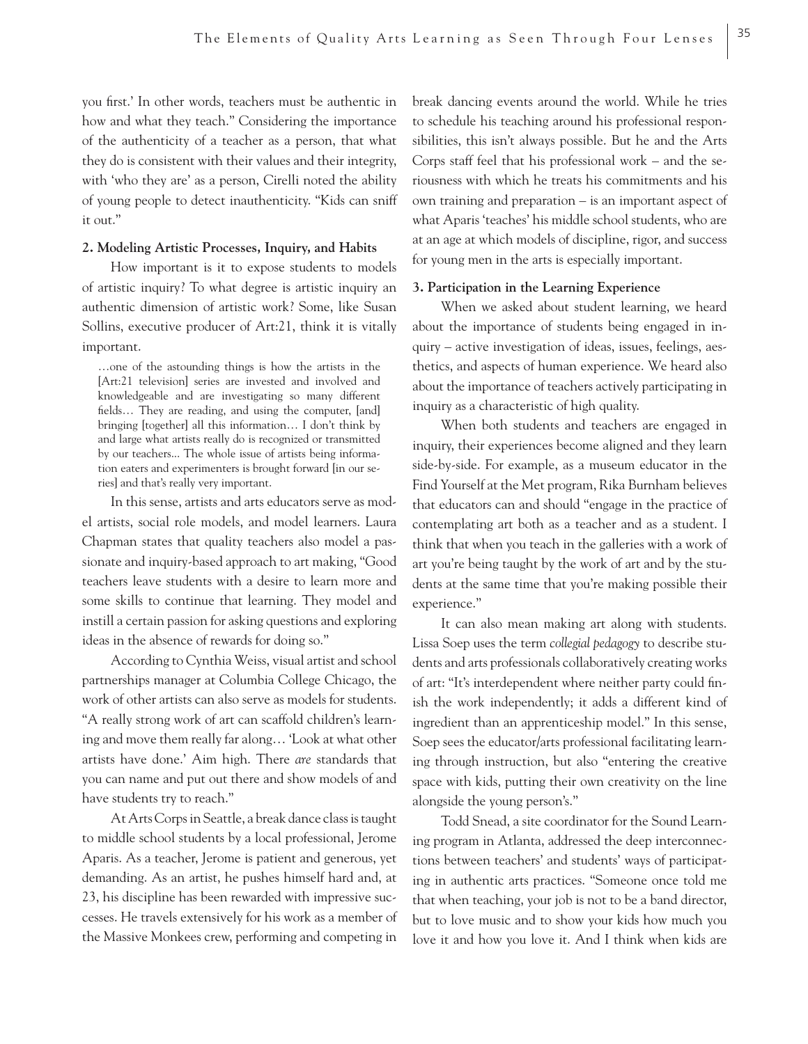you first.' In other words, teachers must be authentic in how and what they teach." Considering the importance of the authenticity of a teacher as a person, that what they do is consistent with their values and their integrity, with 'who they are' as a person, Cirelli noted the ability of young people to detect inauthenticity. "Kids can sniff it out."

## **2. Modeling Artistic Processes, Inquiry, and Habits**

How important is it to expose students to models of artistic inquiry? To what degree is artistic inquiry an authentic dimension of artistic work? Some, like Susan Sollins, executive producer of Art:21, think it is vitally important.

…one of the astounding things is how the artists in the [Art:21 television] series are invested and involved and knowledgeable and are investigating so many different fields... They are reading, and using the computer, [and] bringing [together] all this information… I don't think by and large what artists really do is recognized or transmitted by our teachers... The whole issue of artists being information eaters and experimenters is brought forward [in our series] and that's really very important.

In this sense, artists and arts educators serve as model artists, social role models, and model learners. Laura Chapman states that quality teachers also model a passionate and inquiry-based approach to art making, "Good teachers leave students with a desire to learn more and some skills to continue that learning. They model and instill a certain passion for asking questions and exploring ideas in the absence of rewards for doing so."

According to Cynthia Weiss, visual artist and school partnerships manager at Columbia College Chicago, the work of other artists can also serve as models for students. "A really strong work of art can scaffold children's learning and move them really far along… 'Look at what other artists have done.' Aim high. There *are* standards that you can name and put out there and show models of and have students try to reach."

At Arts Corps in Seattle, a break dance class is taught to middle school students by a local professional, Jerome Aparis. As a teacher, Jerome is patient and generous, yet demanding. As an artist, he pushes himself hard and, at 23, his discipline has been rewarded with impressive successes. He travels extensively for his work as a member of the Massive Monkees crew, performing and competing in break dancing events around the world. While he tries to schedule his teaching around his professional responsibilities, this isn't always possible. But he and the Arts Corps staff feel that his professional work – and the seriousness with which he treats his commitments and his own training and preparation – is an important aspect of what Aparis 'teaches' his middle school students, who are at an age at which models of discipline, rigor, and success for young men in the arts is especially important.

## **3. Participation in the Learning Experience**

When we asked about student learning, we heard about the importance of students being engaged in inquiry – active investigation of ideas, issues, feelings, aesthetics, and aspects of human experience. We heard also about the importance of teachers actively participating in inquiry as a characteristic of high quality.

When both students and teachers are engaged in inquiry, their experiences become aligned and they learn side-by-side. For example, as a museum educator in the Find Yourself at the Met program, Rika Burnham believes that educators can and should "engage in the practice of contemplating art both as a teacher and as a student. I think that when you teach in the galleries with a work of art you're being taught by the work of art and by the students at the same time that you're making possible their experience."

It can also mean making art along with students. Lissa Soep uses the term *collegial pedagogy* to describe students and arts professionals collaboratively creating works of art: "It's interdependent where neither party could finish the work independently; it adds a different kind of ingredient than an apprenticeship model." In this sense, Soep sees the educator/arts professional facilitating learning through instruction, but also "entering the creative space with kids, putting their own creativity on the line alongside the young person's."

Todd Snead, a site coordinator for the Sound Learning program in Atlanta, addressed the deep interconnections between teachers' and students' ways of participating in authentic arts practices. "Someone once told me that when teaching, your job is not to be a band director, but to love music and to show your kids how much you love it and how you love it. And I think when kids are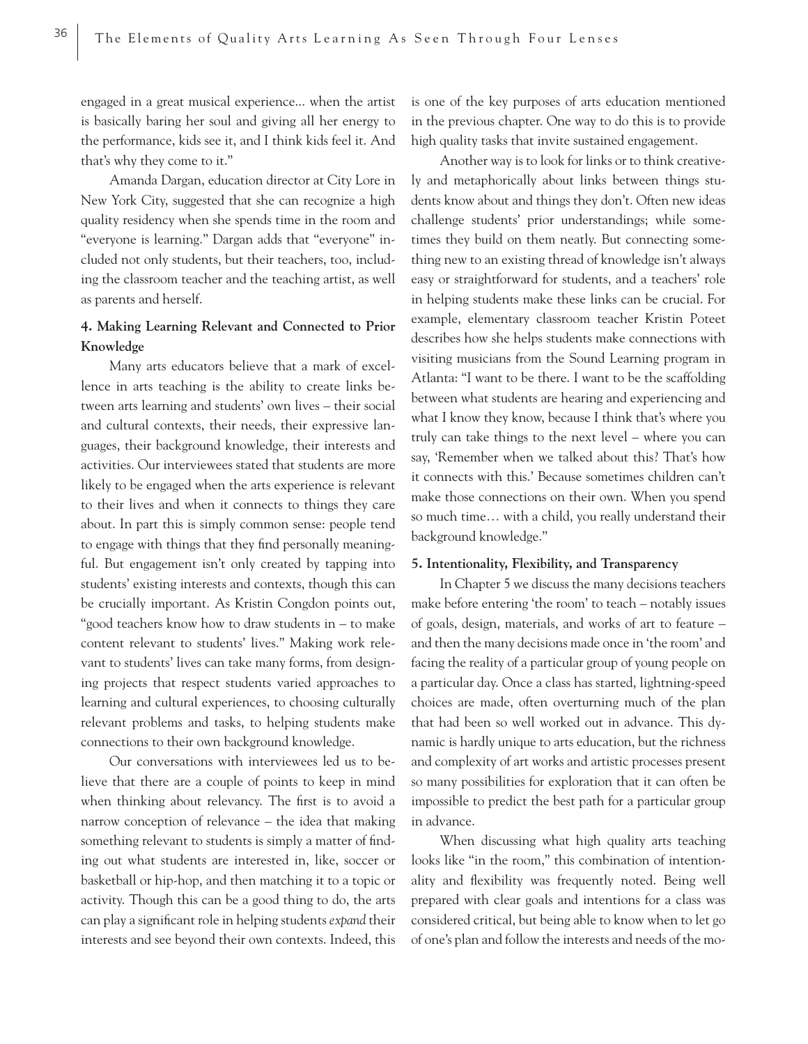engaged in a great musical experience... when the artist is basically baring her soul and giving all her energy to the performance, kids see it, and I think kids feel it. And that's why they come to it."

Amanda Dargan, education director at City Lore in New York City, suggested that she can recognize a high quality residency when she spends time in the room and "everyone is learning." Dargan adds that "everyone" included not only students, but their teachers, too, including the classroom teacher and the teaching artist, as well as parents and herself.

## **4. Making Learning Relevant and Connected to Prior Knowledge**

Many arts educators believe that a mark of excellence in arts teaching is the ability to create links between arts learning and students' own lives – their social and cultural contexts, their needs, their expressive languages, their background knowledge, their interests and activities. Our interviewees stated that students are more likely to be engaged when the arts experience is relevant to their lives and when it connects to things they care about. In part this is simply common sense: people tend to engage with things that they find personally meaningful. But engagement isn't only created by tapping into students' existing interests and contexts, though this can be crucially important. As Kristin Congdon points out, "good teachers know how to draw students in – to make content relevant to students' lives." Making work relevant to students' lives can take many forms, from designing projects that respect students varied approaches to learning and cultural experiences, to choosing culturally relevant problems and tasks, to helping students make connections to their own background knowledge.

Our conversations with interviewees led us to believe that there are a couple of points to keep in mind when thinking about relevancy. The first is to avoid a narrow conception of relevance – the idea that making something relevant to students is simply a matter of finding out what students are interested in, like, soccer or basketball or hip-hop, and then matching it to a topic or activity. Though this can be a good thing to do, the arts can play a significant role in helping students *expand* their interests and see beyond their own contexts. Indeed, this

is one of the key purposes of arts education mentioned in the previous chapter. One way to do this is to provide high quality tasks that invite sustained engagement.

Another way is to look for links or to think creatively and metaphorically about links between things students know about and things they don't. Often new ideas challenge students' prior understandings; while sometimes they build on them neatly. But connecting something new to an existing thread of knowledge isn't always easy or straightforward for students, and a teachers' role in helping students make these links can be crucial. For example, elementary classroom teacher Kristin Poteet describes how she helps students make connections with visiting musicians from the Sound Learning program in Atlanta: "I want to be there. I want to be the scaffolding between what students are hearing and experiencing and what I know they know, because I think that's where you truly can take things to the next level – where you can say, 'Remember when we talked about this? That's how it connects with this.' Because sometimes children can't make those connections on their own. When you spend so much time… with a child, you really understand their background knowledge."

## **5. Intentionality, Flexibility, and Transparency**

In Chapter 5 we discuss the many decisions teachers make before entering 'the room' to teach – notably issues of goals, design, materials, and works of art to feature – and then the many decisions made once in 'the room' and facing the reality of a particular group of young people on a particular day. Once a class has started, lightning-speed choices are made, often overturning much of the plan that had been so well worked out in advance. This dynamic is hardly unique to arts education, but the richness and complexity of art works and artistic processes present so many possibilities for exploration that it can often be impossible to predict the best path for a particular group in advance.

When discussing what high quality arts teaching looks like "in the room," this combination of intentionality and flexibility was frequently noted. Being well prepared with clear goals and intentions for a class was considered critical, but being able to know when to let go of one's plan and follow the interests and needs of the mo-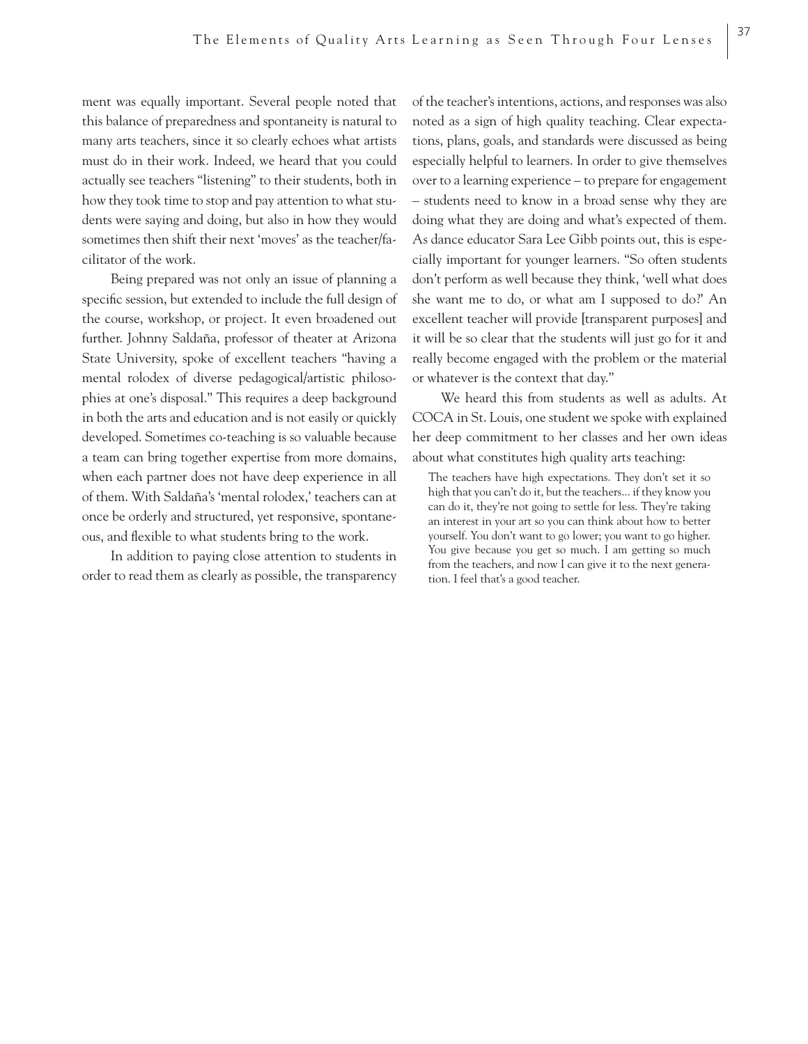ment was equally important. Several people noted that this balance of preparedness and spontaneity is natural to many arts teachers, since it so clearly echoes what artists must do in their work. Indeed, we heard that you could actually see teachers "listening" to their students, both in how they took time to stop and pay attention to what students were saying and doing, but also in how they would sometimes then shift their next 'moves' as the teacher/facilitator of the work.

Being prepared was not only an issue of planning a specific session, but extended to include the full design of the course, workshop, or project. It even broadened out further. Johnny Saldaña, professor of theater at Arizona State University, spoke of excellent teachers "having a mental rolodex of diverse pedagogical/artistic philosophies at one's disposal." This requires a deep background in both the arts and education and is not easily or quickly developed. Sometimes co-teaching is so valuable because a team can bring together expertise from more domains, when each partner does not have deep experience in all of them. With Saldaña's 'mental rolodex,' teachers can at once be orderly and structured, yet responsive, spontaneous, and flexible to what students bring to the work.

In addition to paying close attention to students in order to read them as clearly as possible, the transparency of the teacher's intentions, actions, and responses was also noted as a sign of high quality teaching. Clear expectations, plans, goals, and standards were discussed as being especially helpful to learners. In order to give themselves over to a learning experience – to prepare for engagement – students need to know in a broad sense why they are doing what they are doing and what's expected of them. As dance educator Sara Lee Gibb points out, this is especially important for younger learners. "So often students don't perform as well because they think, 'well what does she want me to do, or what am I supposed to do?' An excellent teacher will provide [transparent purposes] and it will be so clear that the students will just go for it and really become engaged with the problem or the material or whatever is the context that day."

We heard this from students as well as adults. At COCA in St. Louis, one student we spoke with explained her deep commitment to her classes and her own ideas about what constitutes high quality arts teaching:

The teachers have high expectations. They don't set it so high that you can't do it, but the teachers... if they know you can do it, they're not going to settle for less. They're taking an interest in your art so you can think about how to better yourself. You don't want to go lower; you want to go higher. You give because you get so much. I am getting so much from the teachers, and now I can give it to the next generation. I feel that's a good teacher.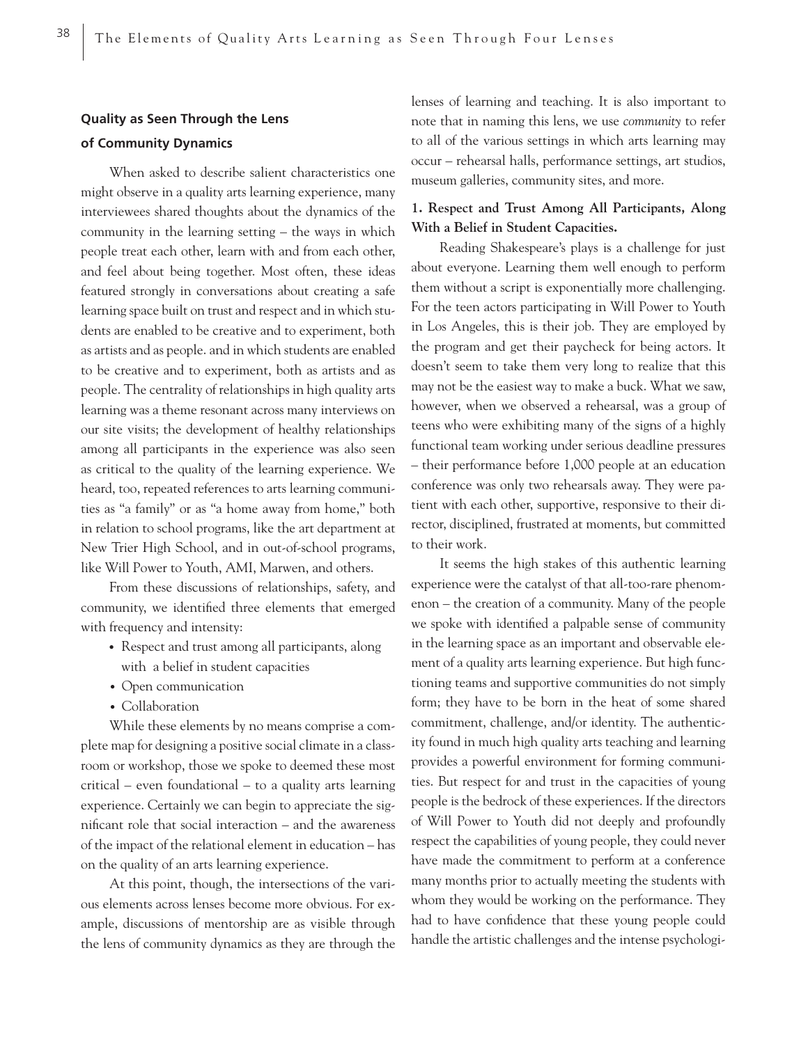## **Quality as Seen Through the Lens of Community Dynamics**

When asked to describe salient characteristics one might observe in a quality arts learning experience, many interviewees shared thoughts about the dynamics of the community in the learning setting – the ways in which people treat each other, learn with and from each other, and feel about being together. Most often, these ideas featured strongly in conversations about creating a safe learning space built on trust and respect and in which students are enabled to be creative and to experiment, both as artists and as people. and in which students are enabled to be creative and to experiment, both as artists and as people. The centrality of relationships in high quality arts learning was a theme resonant across many interviews on our site visits; the development of healthy relationships among all participants in the experience was also seen as critical to the quality of the learning experience. We heard, too, repeated references to arts learning communities as "a family" or as "a home away from home," both in relation to school programs, like the art department at New Trier High School, and in out-of-school programs, like Will Power to Youth, AMI, Marwen, and others.

From these discussions of relationships, safety, and community, we identified three elements that emerged with frequency and intensity:

- Respect and trust among all participants, along with a belief in student capacities
- Open communication
- Collaboration

While these elements by no means comprise a complete map for designing a positive social climate in a classroom or workshop, those we spoke to deemed these most critical – even foundational – to a quality arts learning experience. Certainly we can begin to appreciate the significant role that social interaction – and the awareness of the impact of the relational element in education – has on the quality of an arts learning experience.

At this point, though, the intersections of the various elements across lenses become more obvious. For example, discussions of mentorship are as visible through the lens of community dynamics as they are through the lenses of learning and teaching. It is also important to note that in naming this lens, we use *community* to refer to all of the various settings in which arts learning may occur – rehearsal halls, performance settings, art studios, museum galleries, community sites, and more.

## **1. Respect and Trust Among All Participants, Along With a Belief in Student Capacities.**

Reading Shakespeare's plays is a challenge for just about everyone. Learning them well enough to perform them without a script is exponentially more challenging. For the teen actors participating in Will Power to Youth in Los Angeles, this is their job. They are employed by the program and get their paycheck for being actors. It doesn't seem to take them very long to realize that this may not be the easiest way to make a buck. What we saw, however, when we observed a rehearsal, was a group of teens who were exhibiting many of the signs of a highly functional team working under serious deadline pressures – their performance before 1,000 people at an education conference was only two rehearsals away. They were patient with each other, supportive, responsive to their director, disciplined, frustrated at moments, but committed to their work.

It seems the high stakes of this authentic learning experience were the catalyst of that all-too-rare phenomenon – the creation of a community. Many of the people we spoke with identified a palpable sense of community in the learning space as an important and observable element of a quality arts learning experience. But high functioning teams and supportive communities do not simply form; they have to be born in the heat of some shared commitment, challenge, and/or identity. The authenticity found in much high quality arts teaching and learning provides a powerful environment for forming communities. But respect for and trust in the capacities of young people is the bedrock of these experiences. If the directors of Will Power to Youth did not deeply and profoundly respect the capabilities of young people, they could never have made the commitment to perform at a conference many months prior to actually meeting the students with whom they would be working on the performance. They had to have confidence that these young people could handle the artistic challenges and the intense psychologi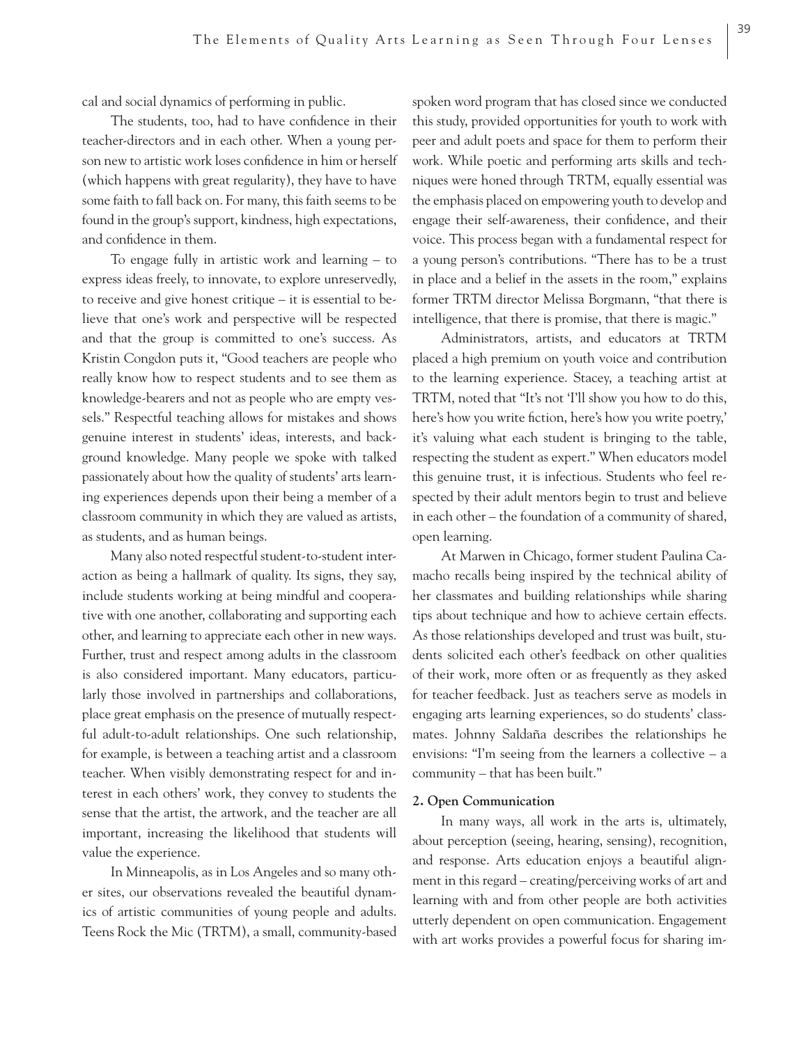cal and social dynamics of performing in public.

The students, too, had to have confidence in their teacher-directors and in each other. When a young person new to artistic work loses confidence in him or herself (which happens with great regularity), they have to have some faith to fall back on. For many, this faith seems to be found in the group's support, kindness, high expectations, and confidence in them.

To engage fully in artistic work and learning – to express ideas freely, to innovate, to explore unreservedly, to receive and give honest critique – it is essential to believe that one's work and perspective will be respected and that the group is committed to one's success. As Kristin Congdon puts it, "Good teachers are people who really know how to respect students and to see them as knowledge-bearers and not as people who are empty vessels." Respectful teaching allows for mistakes and shows genuine interest in students' ideas, interests, and background knowledge. Many people we spoke with talked passionately about how the quality of students' arts learning experiences depends upon their being a member of a classroom community in which they are valued as artists, as students, and as human beings.

Many also noted respectful student-to-student interaction as being a hallmark of quality. Its signs, they say, include students working at being mindful and cooperative with one another, collaborating and supporting each other, and learning to appreciate each other in new ways. Further, trust and respect among adults in the classroom is also considered important. Many educators, particularly those involved in partnerships and collaborations, place great emphasis on the presence of mutually respectful adult-to-adult relationships. One such relationship, for example, is between a teaching artist and a classroom teacher. When visibly demonstrating respect for and interest in each others' work, they convey to students the sense that the artist, the artwork, and the teacher are all important, increasing the likelihood that students will value the experience.

In Minneapolis, as in Los Angeles and so many other sites, our observations revealed the beautiful dynamics of artistic communities of young people and adults. Teens Rock the Mic (TRTM), a small, community-based

spoken word program that has closed since we conducted this study, provided opportunities for youth to work with peer and adult poets and space for them to perform their work. While poetic and performing arts skills and techniques were honed through TRTM, equally essential was the emphasis placed on empowering youth to develop and engage their self-awareness, their confidence, and their voice. This process began with a fundamental respect for a young person's contributions. "There has to be a trust in place and a belief in the assets in the room," explains former TRTM director Melissa Borgmann, "that there is intelligence, that there is promise, that there is magic."

39

Administrators, artists, and educators at TRTM placed a high premium on youth voice and contribution to the learning experience. Stacey, a teaching artist at TRTM, noted that "It's not 'I'll show you how to do this, here's how you write fiction, here's how you write poetry,' it's valuing what each student is bringing to the table, respecting the student as expert." When educators model this genuine trust, it is infectious. Students who feel respected by their adult mentors begin to trust and believe in each other – the foundation of a community of shared, open learning.

At Marwen in Chicago, former student Paulina Camacho recalls being inspired by the technical ability of her classmates and building relationships while sharing tips about technique and how to achieve certain effects. As those relationships developed and trust was built, students solicited each other's feedback on other qualities of their work, more often or as frequently as they asked for teacher feedback. Just as teachers serve as models in engaging arts learning experiences, so do students' classmates. Johnny Saldaña describes the relationships he envisions: "I'm seeing from the learners a collective – a community – that has been built."

#### **2. Open Communication**

In many ways, all work in the arts is, ultimately, about perception (seeing, hearing, sensing), recognition, and response. Arts education enjoys a beautiful alignment in this regard – creating/perceiving works of art and learning with and from other people are both activities utterly dependent on open communication. Engagement with art works provides a powerful focus for sharing im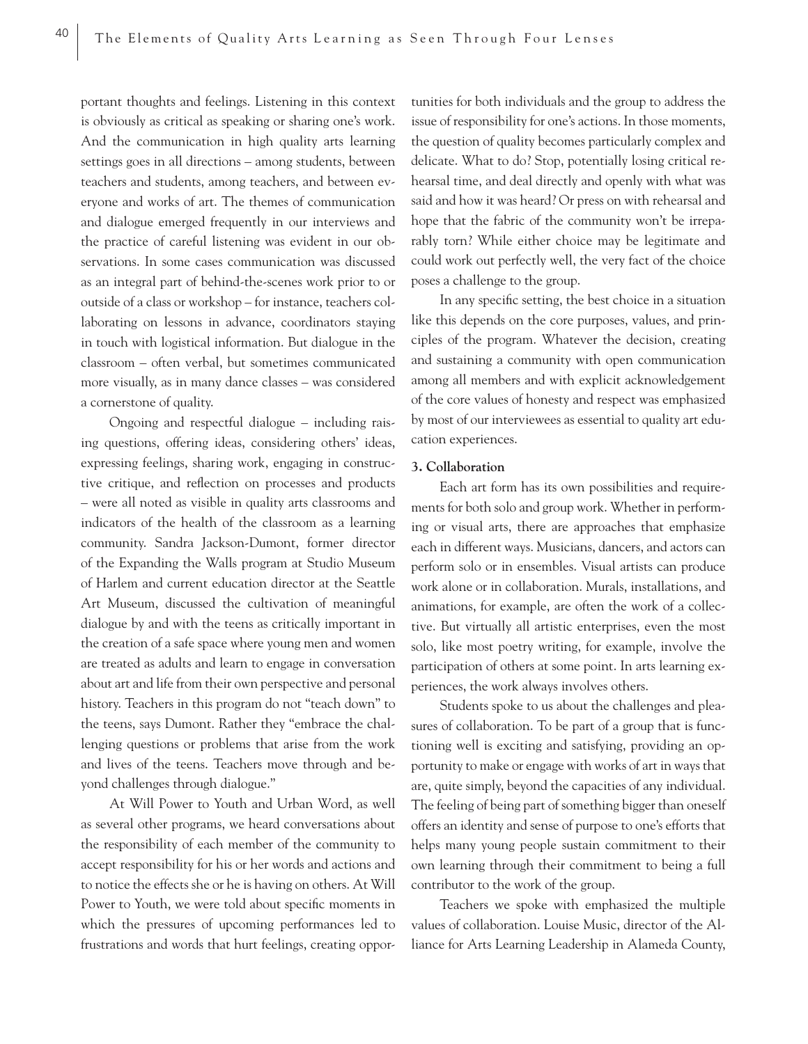portant thoughts and feelings. Listening in this context is obviously as critical as speaking or sharing one's work. And the communication in high quality arts learning settings goes in all directions – among students, between teachers and students, among teachers, and between everyone and works of art. The themes of communication and dialogue emerged frequently in our interviews and the practice of careful listening was evident in our observations. In some cases communication was discussed as an integral part of behind-the-scenes work prior to or outside of a class or workshop – for instance, teachers collaborating on lessons in advance, coordinators staying in touch with logistical information. But dialogue in the classroom – often verbal, but sometimes communicated more visually, as in many dance classes – was considered a cornerstone of quality.

Ongoing and respectful dialogue – including raising questions, offering ideas, considering others' ideas, expressing feelings, sharing work, engaging in constructive critique, and reflection on processes and products – were all noted as visible in quality arts classrooms and indicators of the health of the classroom as a learning community. Sandra Jackson-Dumont, former director of the Expanding the Walls program at Studio Museum of Harlem and current education director at the Seattle Art Museum, discussed the cultivation of meaningful dialogue by and with the teens as critically important in the creation of a safe space where young men and women are treated as adults and learn to engage in conversation about art and life from their own perspective and personal history. Teachers in this program do not "teach down" to the teens, says Dumont. Rather they "embrace the challenging questions or problems that arise from the work and lives of the teens. Teachers move through and beyond challenges through dialogue."

At Will Power to Youth and Urban Word, as well as several other programs, we heard conversations about the responsibility of each member of the community to accept responsibility for his or her words and actions and to notice the effects she or he is having on others. At Will Power to Youth, we were told about specific moments in which the pressures of upcoming performances led to frustrations and words that hurt feelings, creating oppor-

tunities for both individuals and the group to address the issue of responsibility for one's actions. In those moments, the question of quality becomes particularly complex and delicate. What to do? Stop, potentially losing critical rehearsal time, and deal directly and openly with what was said and how it was heard? Or press on with rehearsal and hope that the fabric of the community won't be irreparably torn? While either choice may be legitimate and could work out perfectly well, the very fact of the choice poses a challenge to the group.

In any specific setting, the best choice in a situation like this depends on the core purposes, values, and principles of the program. Whatever the decision, creating and sustaining a community with open communication among all members and with explicit acknowledgement of the core values of honesty and respect was emphasized by most of our interviewees as essential to quality art education experiences.

#### **3. Collaboration**

Each art form has its own possibilities and requirements for both solo and group work. Whether in performing or visual arts, there are approaches that emphasize each in different ways. Musicians, dancers, and actors can perform solo or in ensembles. Visual artists can produce work alone or in collaboration. Murals, installations, and animations, for example, are often the work of a collective. But virtually all artistic enterprises, even the most solo, like most poetry writing, for example, involve the participation of others at some point. In arts learning experiences, the work always involves others.

Students spoke to us about the challenges and pleasures of collaboration. To be part of a group that is functioning well is exciting and satisfying, providing an opportunity to make or engage with works of art in ways that are, quite simply, beyond the capacities of any individual. The feeling of being part of something bigger than oneself offers an identity and sense of purpose to one's efforts that helps many young people sustain commitment to their own learning through their commitment to being a full contributor to the work of the group.

Teachers we spoke with emphasized the multiple values of collaboration. Louise Music, director of the Alliance for Arts Learning Leadership in Alameda County,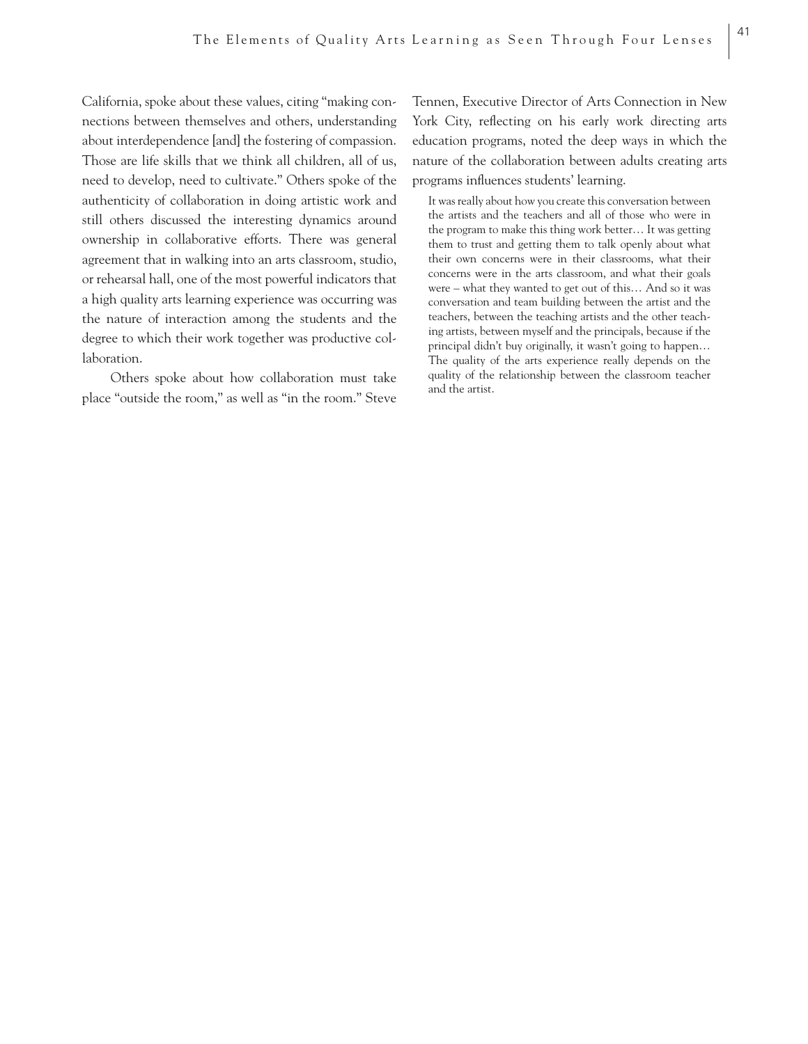California, spoke about these values, citing "making connections between themselves and others, understanding about interdependence [and] the fostering of compassion. Those are life skills that we think all children, all of us, need to develop, need to cultivate." Others spoke of the authenticity of collaboration in doing artistic work and still others discussed the interesting dynamics around ownership in collaborative efforts. There was general agreement that in walking into an arts classroom, studio, or rehearsal hall, one of the most powerful indicators that a high quality arts learning experience was occurring was the nature of interaction among the students and the degree to which their work together was productive collaboration.

Others spoke about how collaboration must take place "outside the room," as well as "in the room." Steve

Tennen, Executive Director of Arts Connection in New York City, reflecting on his early work directing arts education programs, noted the deep ways in which the nature of the collaboration between adults creating arts programs influences students' learning.

It was really about how you create this conversation between the artists and the teachers and all of those who were in the program to make this thing work better… It was getting them to trust and getting them to talk openly about what their own concerns were in their classrooms, what their concerns were in the arts classroom, and what their goals were – what they wanted to get out of this… And so it was conversation and team building between the artist and the teachers, between the teaching artists and the other teaching artists, between myself and the principals, because if the principal didn't buy originally, it wasn't going to happen… The quality of the arts experience really depends on the quality of the relationship between the classroom teacher and the artist.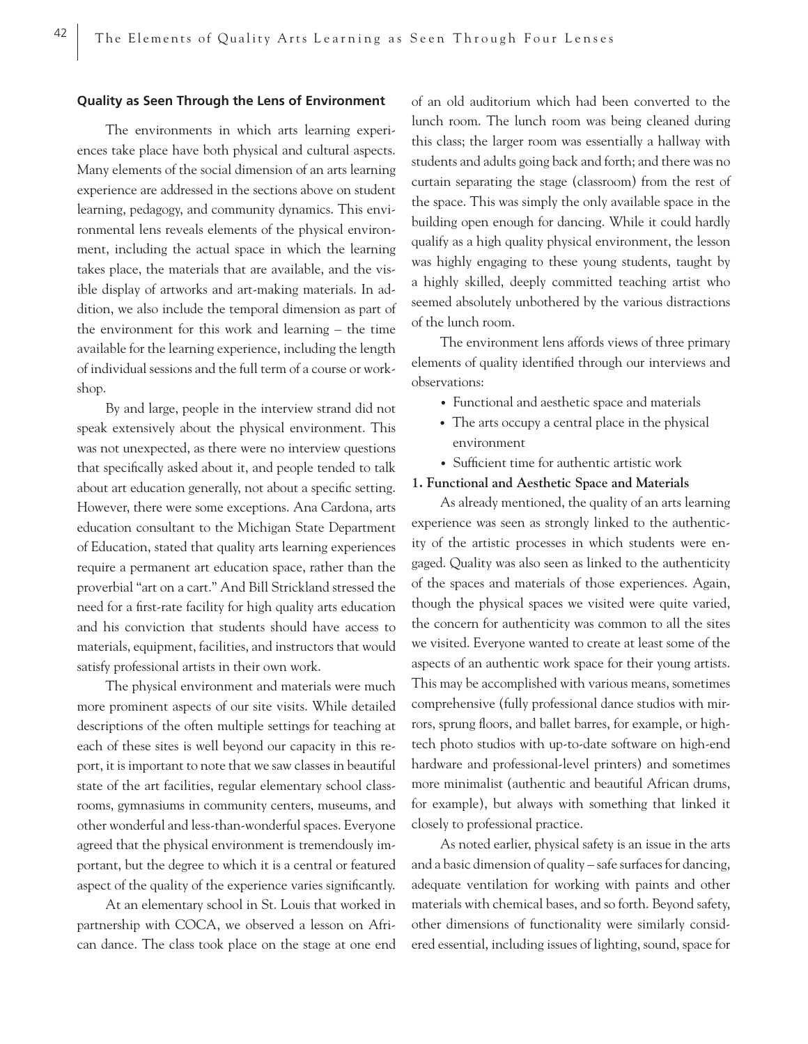## **Quality as Seen Through the Lens of Environment**

The environments in which arts learning experiences take place have both physical and cultural aspects. Many elements of the social dimension of an arts learning experience are addressed in the sections above on student learning, pedagogy, and community dynamics. This environmental lens reveals elements of the physical environment, including the actual space in which the learning takes place, the materials that are available, and the visible display of artworks and art-making materials. In addition, we also include the temporal dimension as part of the environment for this work and learning – the time available for the learning experience, including the length of individual sessions and the full term of a course or workshop.

By and large, people in the interview strand did not speak extensively about the physical environment. This was not unexpected, as there were no interview questions that specifically asked about it, and people tended to talk about art education generally, not about a specific setting. However, there were some exceptions. Ana Cardona, arts education consultant to the Michigan State Department of Education, stated that quality arts learning experiences require a permanent art education space, rather than the proverbial "art on a cart." And Bill Strickland stressed the need for a first-rate facility for high quality arts education and his conviction that students should have access to materials, equipment, facilities, and instructors that would satisfy professional artists in their own work.

The physical environment and materials were much more prominent aspects of our site visits. While detailed descriptions of the often multiple settings for teaching at each of these sites is well beyond our capacity in this report, it is important to note that we saw classes in beautiful state of the art facilities, regular elementary school classrooms, gymnasiums in community centers, museums, and other wonderful and less-than-wonderful spaces. Everyone agreed that the physical environment is tremendously important, but the degree to which it is a central or featured aspect of the quality of the experience varies significantly.

At an elementary school in St. Louis that worked in partnership with COCA, we observed a lesson on African dance. The class took place on the stage at one end of an old auditorium which had been converted to the lunch room. The lunch room was being cleaned during this class; the larger room was essentially a hallway with students and adults going back and forth; and there was no curtain separating the stage (classroom) from the rest of the space. This was simply the only available space in the building open enough for dancing. While it could hardly qualify as a high quality physical environment, the lesson was highly engaging to these young students, taught by a highly skilled, deeply committed teaching artist who seemed absolutely unbothered by the various distractions of the lunch room.

The environment lens affords views of three primary elements of quality identified through our interviews and observations:

- Functional and aesthetic space and materials
- The arts occupy a central place in the physical environment
- Sufficient time for authentic artistic work

#### **1. Functional and Aesthetic Space and Materials**

As already mentioned, the quality of an arts learning experience was seen as strongly linked to the authenticity of the artistic processes in which students were engaged. Quality was also seen as linked to the authenticity of the spaces and materials of those experiences. Again, though the physical spaces we visited were quite varied, the concern for authenticity was common to all the sites we visited. Everyone wanted to create at least some of the aspects of an authentic work space for their young artists. This may be accomplished with various means, sometimes comprehensive (fully professional dance studios with mirrors, sprung floors, and ballet barres, for example, or hightech photo studios with up-to-date software on high-end hardware and professional-level printers) and sometimes more minimalist (authentic and beautiful African drums, for example), but always with something that linked it closely to professional practice.

As noted earlier, physical safety is an issue in the arts and a basic dimension of quality – safe surfaces for dancing, adequate ventilation for working with paints and other materials with chemical bases, and so forth. Beyond safety, other dimensions of functionality were similarly considered essential, including issues of lighting, sound, space for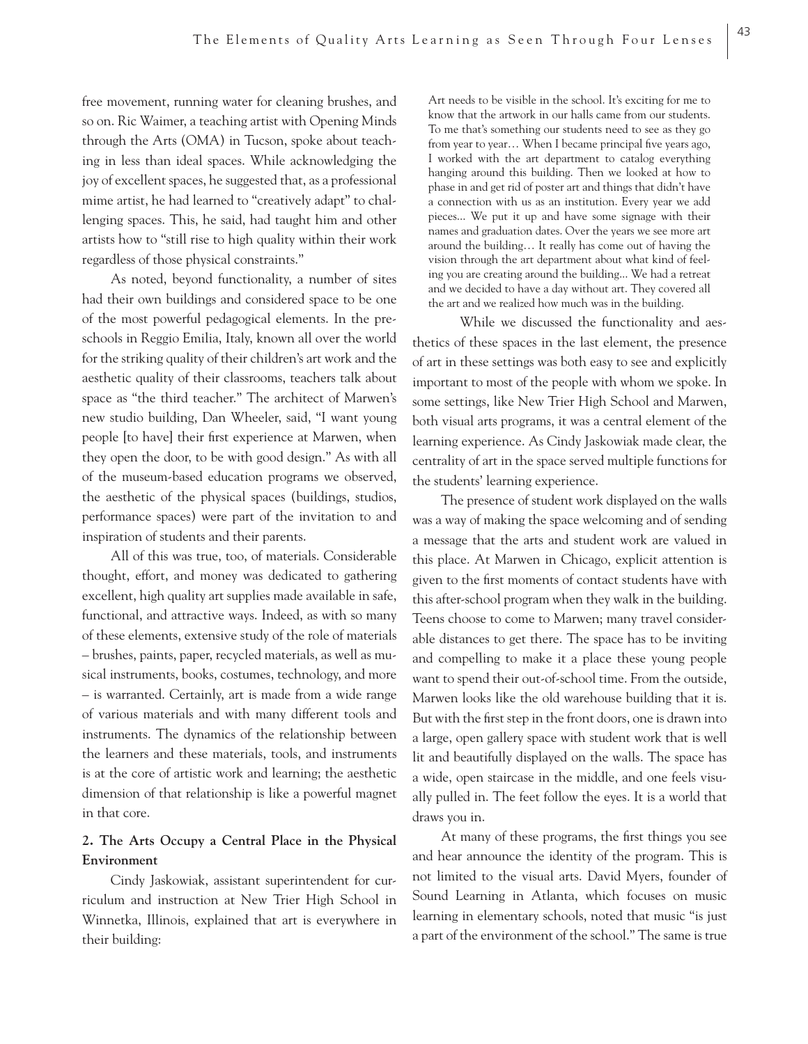free movement, running water for cleaning brushes, and so on. Ric Waimer, a teaching artist with Opening Minds through the Arts (OMA) in Tucson, spoke about teaching in less than ideal spaces. While acknowledging the joy of excellent spaces, he suggested that, as a professional mime artist, he had learned to "creatively adapt" to challenging spaces. This, he said, had taught him and other artists how to "still rise to high quality within their work regardless of those physical constraints."

As noted, beyond functionality, a number of sites had their own buildings and considered space to be one of the most powerful pedagogical elements. In the preschools in Reggio Emilia, Italy, known all over the world for the striking quality of their children's art work and the aesthetic quality of their classrooms, teachers talk about space as "the third teacher." The architect of Marwen's new studio building, Dan Wheeler, said, "I want young people [to have] their first experience at Marwen, when they open the door, to be with good design." As with all of the museum-based education programs we observed, the aesthetic of the physical spaces (buildings, studios, performance spaces) were part of the invitation to and inspiration of students and their parents.

All of this was true, too, of materials. Considerable thought, effort, and money was dedicated to gathering excellent, high quality art supplies made available in safe, functional, and attractive ways. Indeed, as with so many of these elements, extensive study of the role of materials – brushes, paints, paper, recycled materials, as well as musical instruments, books, costumes, technology, and more – is warranted. Certainly, art is made from a wide range of various materials and with many different tools and instruments. The dynamics of the relationship between the learners and these materials, tools, and instruments is at the core of artistic work and learning; the aesthetic dimension of that relationship is like a powerful magnet in that core.

## **2. The Arts Occupy a Central Place in the Physical Environment**

Cindy Jaskowiak, assistant superintendent for curriculum and instruction at New Trier High School in Winnetka, Illinois, explained that art is everywhere in their building:

Art needs to be visible in the school. It's exciting for me to know that the artwork in our halls came from our students. To me that's something our students need to see as they go from year to year... When I became principal five years ago, I worked with the art department to catalog everything hanging around this building. Then we looked at how to phase in and get rid of poster art and things that didn't have a connection with us as an institution. Every year we add pieces... We put it up and have some signage with their names and graduation dates. Over the years we see more art around the building… It really has come out of having the vision through the art department about what kind of feeling you are creating around the building... We had a retreat and we decided to have a day without art. They covered all the art and we realized how much was in the building.

 While we discussed the functionality and aesthetics of these spaces in the last element, the presence of art in these settings was both easy to see and explicitly important to most of the people with whom we spoke. In some settings, like New Trier High School and Marwen, both visual arts programs, it was a central element of the learning experience. As Cindy Jaskowiak made clear, the centrality of art in the space served multiple functions for the students' learning experience.

The presence of student work displayed on the walls was a way of making the space welcoming and of sending a message that the arts and student work are valued in this place. At Marwen in Chicago, explicit attention is given to the first moments of contact students have with this after-school program when they walk in the building. Teens choose to come to Marwen; many travel considerable distances to get there. The space has to be inviting and compelling to make it a place these young people want to spend their out-of-school time. From the outside, Marwen looks like the old warehouse building that it is. But with the first step in the front doors, one is drawn into a large, open gallery space with student work that is well lit and beautifully displayed on the walls. The space has a wide, open staircase in the middle, and one feels visually pulled in. The feet follow the eyes. It is a world that draws you in.

At many of these programs, the first things you see and hear announce the identity of the program. This is not limited to the visual arts. David Myers, founder of Sound Learning in Atlanta, which focuses on music learning in elementary schools, noted that music "is just a part of the environment of the school." The same is true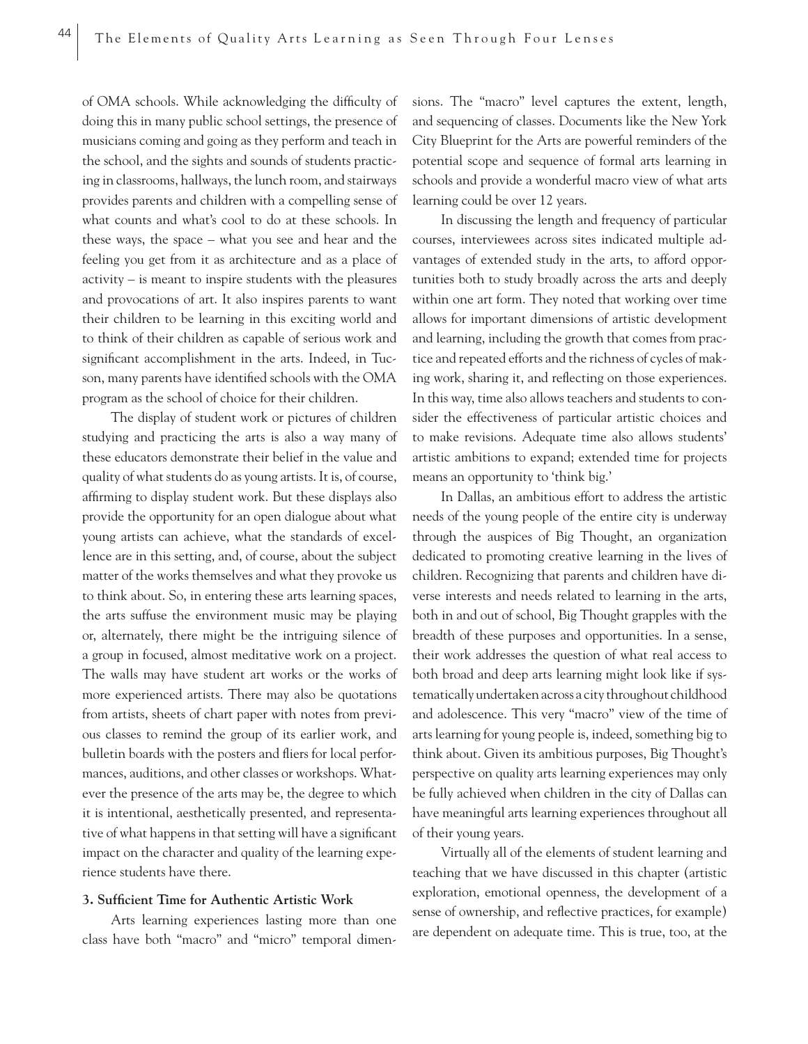of OMA schools. While acknowledging the difficulty of doing this in many public school settings, the presence of musicians coming and going as they perform and teach in the school, and the sights and sounds of students practicing in classrooms, hallways, the lunch room, and stairways provides parents and children with a compelling sense of what counts and what's cool to do at these schools. In these ways, the space – what you see and hear and the feeling you get from it as architecture and as a place of activity – is meant to inspire students with the pleasures and provocations of art. It also inspires parents to want their children to be learning in this exciting world and to think of their children as capable of serious work and significant accomplishment in the arts. Indeed, in Tucson, many parents have identified schools with the OMA program as the school of choice for their children.

The display of student work or pictures of children studying and practicing the arts is also a way many of these educators demonstrate their belief in the value and quality of what students do as young artists. It is, of course, affirming to display student work. But these displays also provide the opportunity for an open dialogue about what young artists can achieve, what the standards of excellence are in this setting, and, of course, about the subject matter of the works themselves and what they provoke us to think about. So, in entering these arts learning spaces, the arts suffuse the environment music may be playing or, alternately, there might be the intriguing silence of a group in focused, almost meditative work on a project. The walls may have student art works or the works of more experienced artists. There may also be quotations from artists, sheets of chart paper with notes from previous classes to remind the group of its earlier work, and bulletin boards with the posters and fliers for local performances, auditions, and other classes or workshops. Whatever the presence of the arts may be, the degree to which it is intentional, aesthetically presented, and representative of what happens in that setting will have a significant impact on the character and quality of the learning experience students have there.

## **3. Sufficient Time for Authentic Artistic Work**

Arts learning experiences lasting more than one class have both "macro" and "micro" temporal dimensions. The "macro" level captures the extent, length, and sequencing of classes. Documents like the New York City Blueprint for the Arts are powerful reminders of the potential scope and sequence of formal arts learning in schools and provide a wonderful macro view of what arts learning could be over 12 years.

In discussing the length and frequency of particular courses, interviewees across sites indicated multiple advantages of extended study in the arts, to afford opportunities both to study broadly across the arts and deeply within one art form. They noted that working over time allows for important dimensions of artistic development and learning, including the growth that comes from practice and repeated efforts and the richness of cycles of making work, sharing it, and reflecting on those experiences. In this way, time also allows teachers and students to consider the effectiveness of particular artistic choices and to make revisions. Adequate time also allows students' artistic ambitions to expand; extended time for projects means an opportunity to 'think big.'

In Dallas, an ambitious effort to address the artistic needs of the young people of the entire city is underway through the auspices of Big Thought, an organization dedicated to promoting creative learning in the lives of children. Recognizing that parents and children have diverse interests and needs related to learning in the arts, both in and out of school, Big Thought grapples with the breadth of these purposes and opportunities. In a sense, their work addresses the question of what real access to both broad and deep arts learning might look like if systematically undertaken across a city throughout childhood and adolescence. This very "macro" view of the time of arts learning for young people is, indeed, something big to think about. Given its ambitious purposes, Big Thought's perspective on quality arts learning experiences may only be fully achieved when children in the city of Dallas can have meaningful arts learning experiences throughout all of their young years.

Virtually all of the elements of student learning and teaching that we have discussed in this chapter (artistic exploration, emotional openness, the development of a sense of ownership, and reflective practices, for example) are dependent on adequate time. This is true, too, at the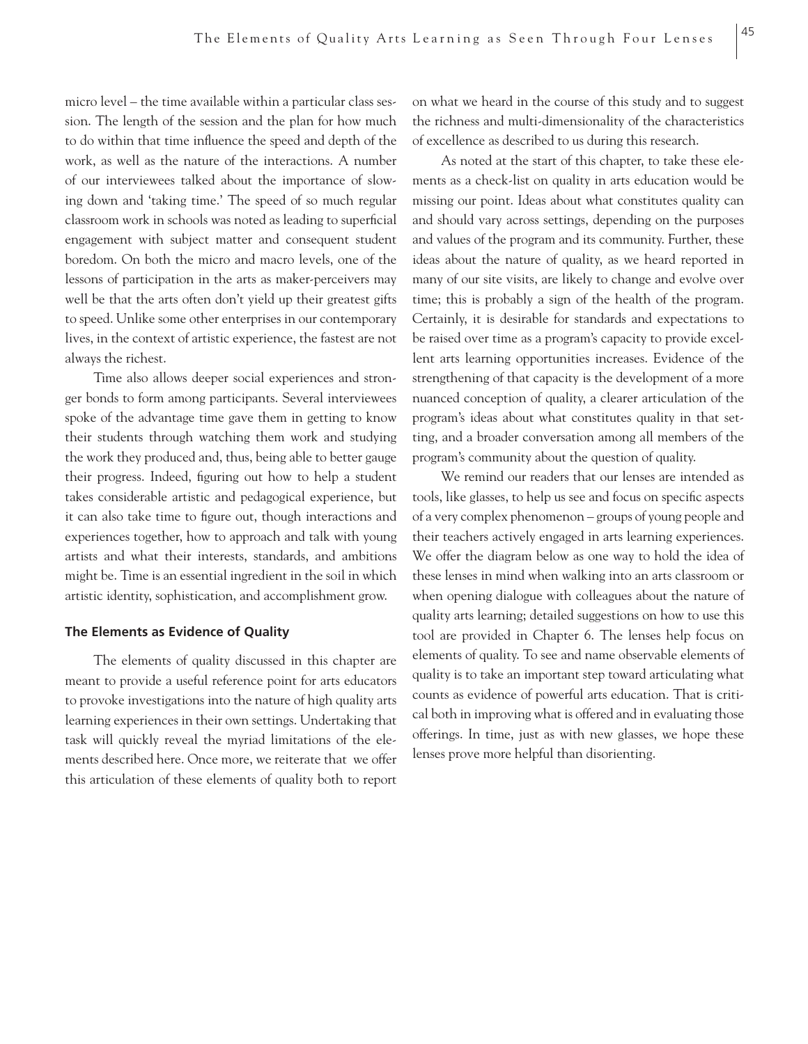micro level – the time available within a particular class session. The length of the session and the plan for how much to do within that time influence the speed and depth of the work, as well as the nature of the interactions. A number of our interviewees talked about the importance of slowing down and 'taking time.' The speed of so much regular classroom work in schools was noted as leading to superficial engagement with subject matter and consequent student boredom. On both the micro and macro levels, one of the lessons of participation in the arts as maker-perceivers may well be that the arts often don't yield up their greatest gifts to speed. Unlike some other enterprises in our contemporary lives, in the context of artistic experience, the fastest are not always the richest.

Time also allows deeper social experiences and stronger bonds to form among participants. Several interviewees spoke of the advantage time gave them in getting to know their students through watching them work and studying the work they produced and, thus, being able to better gauge their progress. Indeed, figuring out how to help a student takes considerable artistic and pedagogical experience, but it can also take time to figure out, though interactions and experiences together, how to approach and talk with young artists and what their interests, standards, and ambitions might be. Time is an essential ingredient in the soil in which artistic identity, sophistication, and accomplishment grow.

## **The Elements as Evidence of Quality**

The elements of quality discussed in this chapter are meant to provide a useful reference point for arts educators to provoke investigations into the nature of high quality arts learning experiences in their own settings. Undertaking that task will quickly reveal the myriad limitations of the elements described here. Once more, we reiterate that we offer this articulation of these elements of quality both to report on what we heard in the course of this study and to suggest the richness and multi-dimensionality of the characteristics of excellence as described to us during this research.

As noted at the start of this chapter, to take these elements as a check-list on quality in arts education would be missing our point. Ideas about what constitutes quality can and should vary across settings, depending on the purposes and values of the program and its community. Further, these ideas about the nature of quality, as we heard reported in many of our site visits, are likely to change and evolve over time; this is probably a sign of the health of the program. Certainly, it is desirable for standards and expectations to be raised over time as a program's capacity to provide excellent arts learning opportunities increases. Evidence of the strengthening of that capacity is the development of a more nuanced conception of quality, a clearer articulation of the program's ideas about what constitutes quality in that setting, and a broader conversation among all members of the program's community about the question of quality.

We remind our readers that our lenses are intended as tools, like glasses, to help us see and focus on specific aspects of a very complex phenomenon – groups of young people and their teachers actively engaged in arts learning experiences. We offer the diagram below as one way to hold the idea of these lenses in mind when walking into an arts classroom or when opening dialogue with colleagues about the nature of quality arts learning; detailed suggestions on how to use this tool are provided in Chapter 6. The lenses help focus on elements of quality. To see and name observable elements of quality is to take an important step toward articulating what counts as evidence of powerful arts education. That is critical both in improving what is offered and in evaluating those offerings. In time, just as with new glasses, we hope these lenses prove more helpful than disorienting.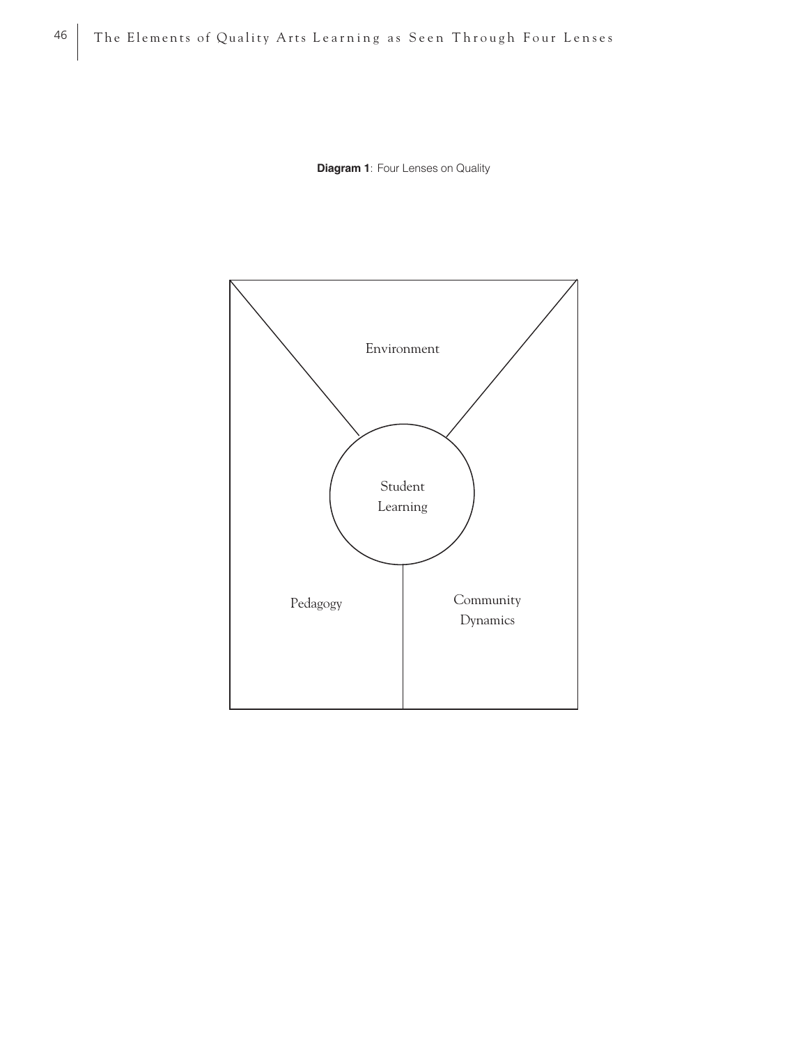**Diagram 1**: Four Lenses on Quality

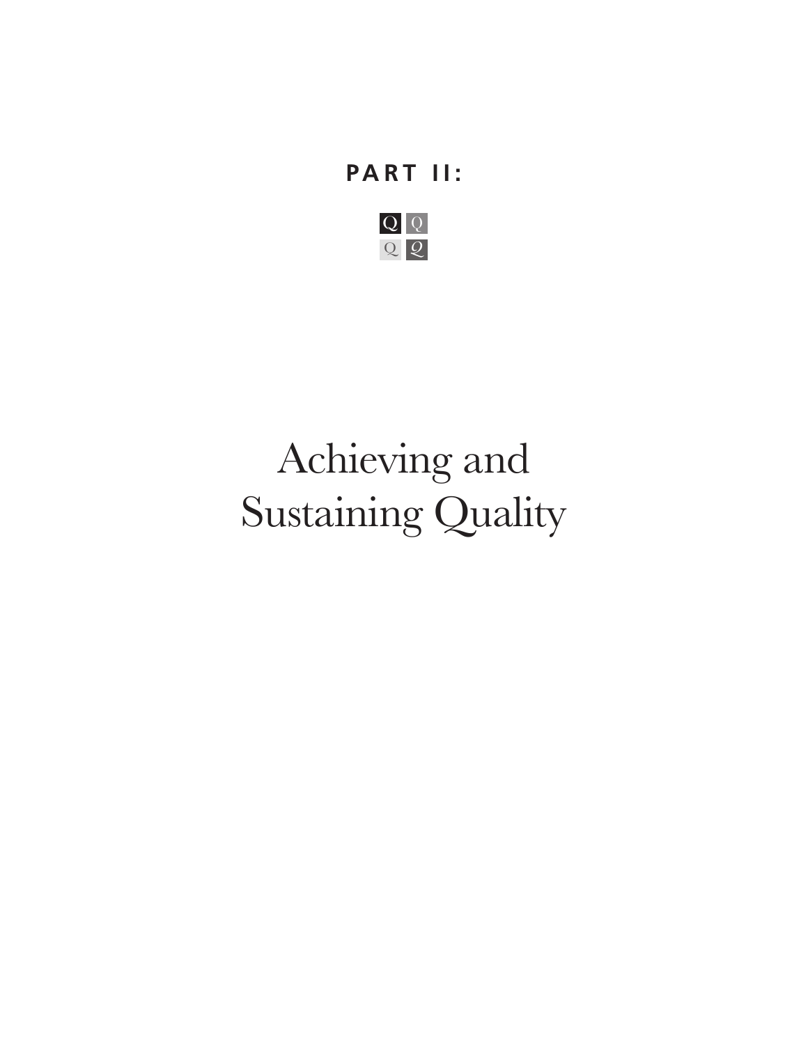# **PART II:**



# Achieving and Sustaining Quality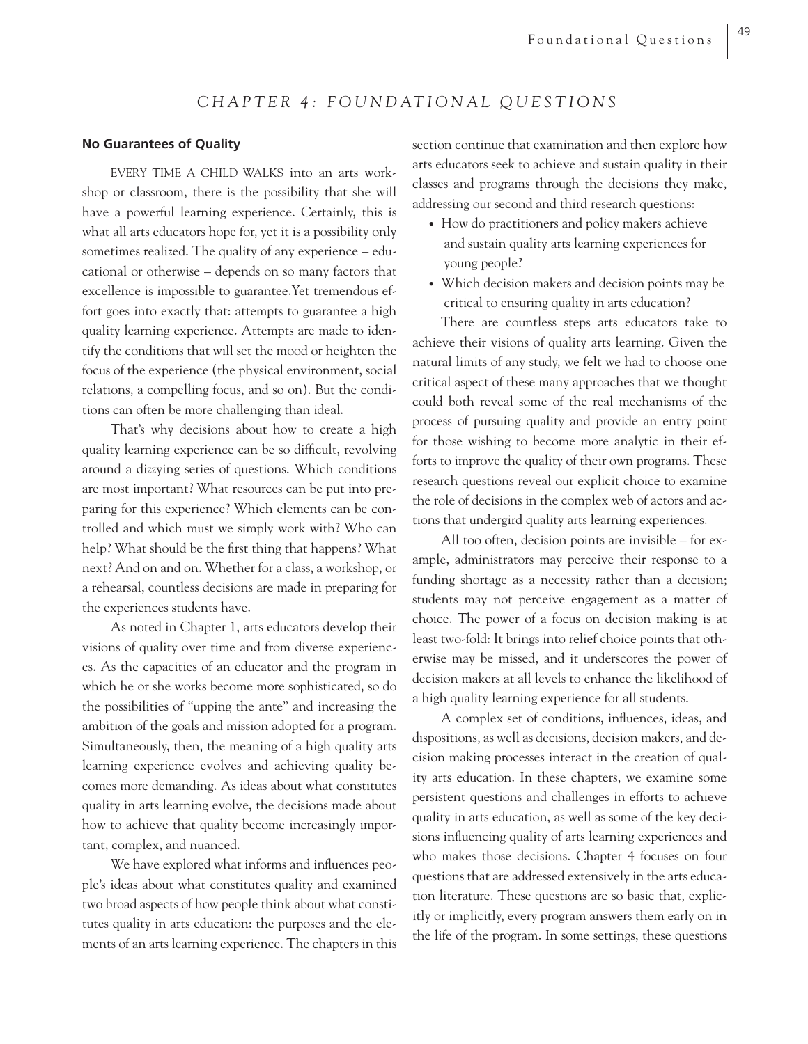## *CHAPTER 4: FOUNDATIONAL QUESTIONS*

## **No Guarantees of Quality**

EVERY TIME A CHILD WALKS into an arts workshop or classroom, there is the possibility that she will have a powerful learning experience. Certainly, this is what all arts educators hope for, yet it is a possibility only sometimes realized. The quality of any experience – educational or otherwise – depends on so many factors that excellence is impossible to guarantee.Yet tremendous effort goes into exactly that: attempts to guarantee a high quality learning experience. Attempts are made to identify the conditions that will set the mood or heighten the focus of the experience (the physical environment, social relations, a compelling focus, and so on). But the conditions can often be more challenging than ideal.

That's why decisions about how to create a high quality learning experience can be so difficult, revolving around a dizzying series of questions. Which conditions are most important? What resources can be put into preparing for this experience? Which elements can be controlled and which must we simply work with? Who can help? What should be the first thing that happens? What next? And on and on. Whether for a class, a workshop, or a rehearsal, countless decisions are made in preparing for the experiences students have.

As noted in Chapter 1, arts educators develop their visions of quality over time and from diverse experiences. As the capacities of an educator and the program in which he or she works become more sophisticated, so do the possibilities of "upping the ante" and increasing the ambition of the goals and mission adopted for a program. Simultaneously, then, the meaning of a high quality arts learning experience evolves and achieving quality becomes more demanding. As ideas about what constitutes quality in arts learning evolve, the decisions made about how to achieve that quality become increasingly important, complex, and nuanced.

We have explored what informs and influences people's ideas about what constitutes quality and examined two broad aspects of how people think about what constitutes quality in arts education: the purposes and the elements of an arts learning experience. The chapters in this section continue that examination and then explore how arts educators seek to achieve and sustain quality in their classes and programs through the decisions they make, addressing our second and third research questions:

- How do practitioners and policy makers achieve and sustain quality arts learning experiences for young people?
- Which decision makers and decision points may be critical to ensuring quality in arts education?

There are countless steps arts educators take to achieve their visions of quality arts learning. Given the natural limits of any study, we felt we had to choose one critical aspect of these many approaches that we thought could both reveal some of the real mechanisms of the process of pursuing quality and provide an entry point for those wishing to become more analytic in their efforts to improve the quality of their own programs. These research questions reveal our explicit choice to examine the role of decisions in the complex web of actors and actions that undergird quality arts learning experiences.

All too often, decision points are invisible – for example, administrators may perceive their response to a funding shortage as a necessity rather than a decision; students may not perceive engagement as a matter of choice. The power of a focus on decision making is at least two-fold: It brings into relief choice points that otherwise may be missed, and it underscores the power of decision makers at all levels to enhance the likelihood of a high quality learning experience for all students.

A complex set of conditions, influences, ideas, and dispositions, as well as decisions, decision makers, and decision making processes interact in the creation of quality arts education. In these chapters, we examine some persistent questions and challenges in efforts to achieve quality in arts education, as well as some of the key decisions influencing quality of arts learning experiences and who makes those decisions. Chapter 4 focuses on four questions that are addressed extensively in the arts education literature. These questions are so basic that, explicitly or implicitly, every program answers them early on in the life of the program. In some settings, these questions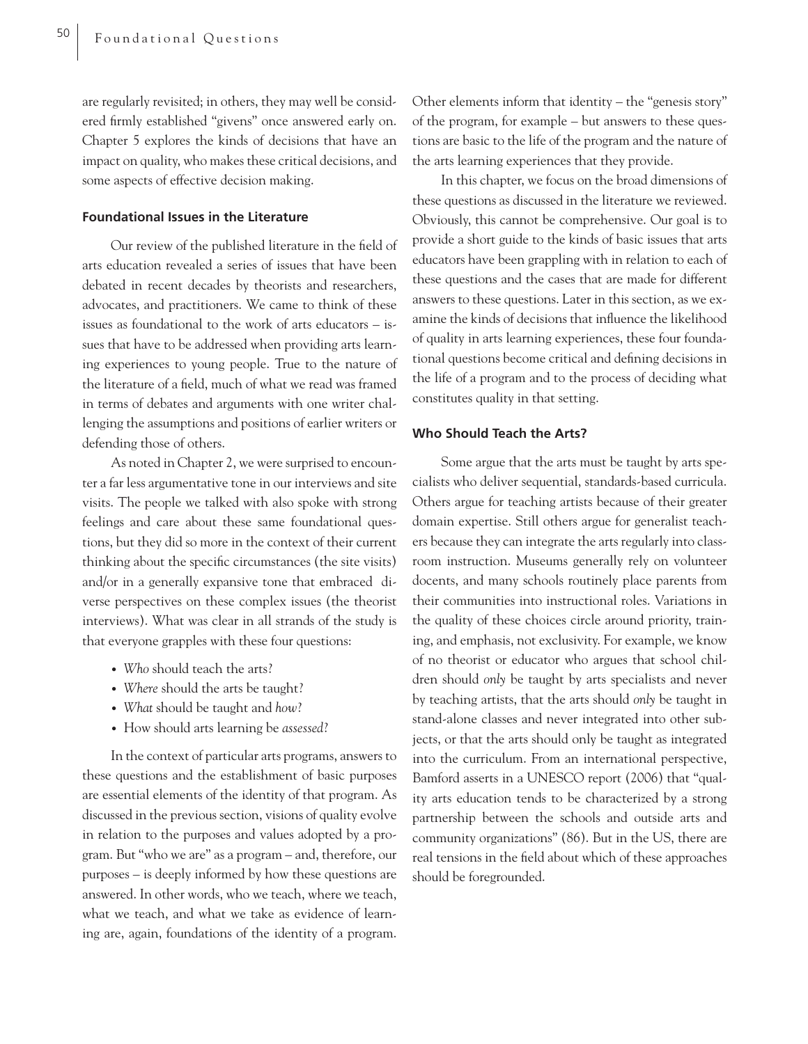are regularly revisited; in others, they may well be considered firmly established "givens" once answered early on. Chapter 5 explores the kinds of decisions that have an impact on quality, who makes these critical decisions, and some aspects of effective decision making.

## **Foundational Issues in the Literature**

Our review of the published literature in the field of arts education revealed a series of issues that have been debated in recent decades by theorists and researchers, advocates, and practitioners. We came to think of these issues as foundational to the work of arts educators – issues that have to be addressed when providing arts learning experiences to young people. True to the nature of the literature of a field, much of what we read was framed in terms of debates and arguments with one writer challenging the assumptions and positions of earlier writers or defending those of others.

As noted in Chapter 2, we were surprised to encounter a far less argumentative tone in our interviews and site visits. The people we talked with also spoke with strong feelings and care about these same foundational questions, but they did so more in the context of their current thinking about the specific circumstances (the site visits) and/or in a generally expansive tone that embraced diverse perspectives on these complex issues (the theorist interviews). What was clear in all strands of the study is that everyone grapples with these four questions:

- *Who* should teach the arts?
- *Where* should the arts be taught?
- *What* should be taught and *how*?
- How should arts learning be *assessed*?

In the context of particular arts programs, answers to these questions and the establishment of basic purposes are essential elements of the identity of that program. As discussed in the previous section, visions of quality evolve in relation to the purposes and values adopted by a program. But "who we are" as a program – and, therefore, our purposes – is deeply informed by how these questions are answered. In other words, who we teach, where we teach, what we teach, and what we take as evidence of learning are, again, foundations of the identity of a program.

Other elements inform that identity – the "genesis story" of the program, for example – but answers to these questions are basic to the life of the program and the nature of the arts learning experiences that they provide.

In this chapter, we focus on the broad dimensions of these questions as discussed in the literature we reviewed. Obviously, this cannot be comprehensive. Our goal is to provide a short guide to the kinds of basic issues that arts educators have been grappling with in relation to each of these questions and the cases that are made for different answers to these questions. Later in this section, as we examine the kinds of decisions that influence the likelihood of quality in arts learning experiences, these four foundational questions become critical and defining decisions in the life of a program and to the process of deciding what constitutes quality in that setting.

#### **Who Should Teach the Arts?**

Some argue that the arts must be taught by arts specialists who deliver sequential, standards-based curricula. Others argue for teaching artists because of their greater domain expertise. Still others argue for generalist teachers because they can integrate the arts regularly into classroom instruction. Museums generally rely on volunteer docents, and many schools routinely place parents from their communities into instructional roles. Variations in the quality of these choices circle around priority, training, and emphasis, not exclusivity. For example, we know of no theorist or educator who argues that school children should *only* be taught by arts specialists and never by teaching artists, that the arts should *only* be taught in stand-alone classes and never integrated into other subjects, or that the arts should only be taught as integrated into the curriculum. From an international perspective, Bamford asserts in a UNESCO report (2006) that "quality arts education tends to be characterized by a strong partnership between the schools and outside arts and community organizations" (86). But in the US, there are real tensions in the field about which of these approaches should be foregrounded.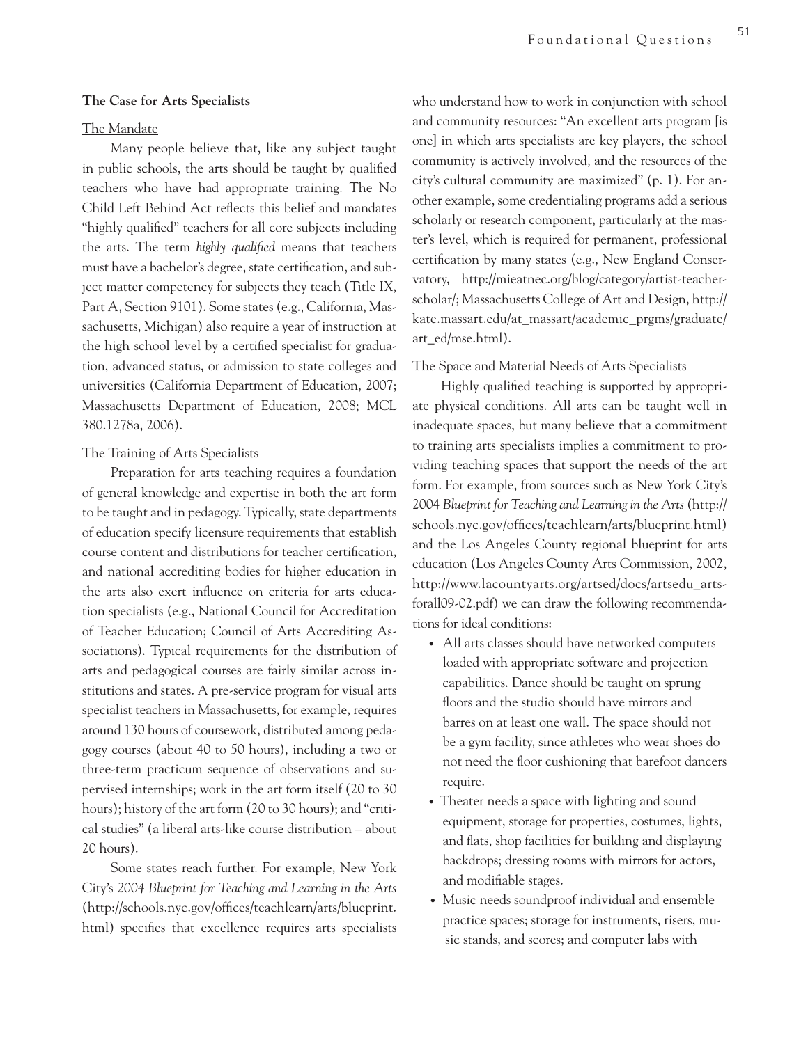## **The Case for Arts Specialists**

## The Mandate

Many people believe that, like any subject taught in public schools, the arts should be taught by qualified teachers who have had appropriate training. The No Child Left Behind Act reflects this belief and mandates "highly qualified" teachers for all core subjects including the arts. The term *highly qualified* means that teachers must have a bachelor's degree, state certification, and subject matter competency for subjects they teach (Title IX, Part A, Section 9101). Some states (e.g., California, Massachusetts, Michigan) also require a year of instruction at the high school level by a certified specialist for graduation, advanced status, or admission to state colleges and universities (California Department of Education, 2007; Massachusetts Department of Education, 2008; MCL 380.1278a, 2006).

## The Training of Arts Specialists

Preparation for arts teaching requires a foundation of general knowledge and expertise in both the art form to be taught and in pedagogy. Typically, state departments of education specify licensure requirements that establish course content and distributions for teacher certification, and national accrediting bodies for higher education in the arts also exert influence on criteria for arts education specialists (e.g., National Council for Accreditation of Teacher Education; Council of Arts Accrediting Associations). Typical requirements for the distribution of arts and pedagogical courses are fairly similar across institutions and states. A pre-service program for visual arts specialist teachers in Massachusetts, for example, requires around 130 hours of coursework, distributed among pedagogy courses (about 40 to 50 hours), including a two or three-term practicum sequence of observations and supervised internships; work in the art form itself (20 to 30 hours); history of the art form (20 to 30 hours); and "critical studies" (a liberal arts-like course distribution – about 20 hours).

Some states reach further. For example, New York City's *2004 Blueprint for Teaching and Learning in the Arts* (http://schools.nyc.gov/offices/teachlearn/arts/blueprint. html) specifies that excellence requires arts specialists who understand how to work in conjunction with school and community resources: "An excellent arts program [is one] in which arts specialists are key players, the school community is actively involved, and the resources of the city's cultural community are maximized" (p. 1). For another example, some credentialing programs add a serious scholarly or research component, particularly at the master's level, which is required for permanent, professional certification by many states (e.g., New England Conservatory, http://mieatnec.org/blog/category/artist-teacherscholar/; Massachusetts College of Art and Design, http:// kate.massart.edu/at\_massart/academic\_prgms/graduate/ art\_ed/mse.html).

## The Space and Material Needs of Arts Specialists

Highly qualified teaching is supported by appropriate physical conditions. All arts can be taught well in inadequate spaces, but many believe that a commitment to training arts specialists implies a commitment to providing teaching spaces that support the needs of the art form. For example, from sources such as New York City's 2004 *Blueprint for Teaching and Learning in the Arts* (http:// schools.nyc.gov/offices/teachlearn/arts/blueprint.html) and the Los Angeles County regional blueprint for arts education (Los Angeles County Arts Commission, 2002, http://www.lacountyarts.org/artsed/docs/artsedu\_artsforall09-02.pdf) we can draw the following recommendations for ideal conditions:

- All arts classes should have networked computers loaded with appropriate software and projection capabilities. Dance should be taught on sprung floors and the studio should have mirrors and barres on at least one wall. The space should not be a gym facility, since athletes who wear shoes do not need the floor cushioning that barefoot dancers require.
- Theater needs a space with lighting and sound equipment, storage for properties, costumes, lights, and flats, shop facilities for building and displaying backdrops; dressing rooms with mirrors for actors, and modifiable stages.
- Music needs soundproof individual and ensemble practice spaces; storage for instruments, risers, music stands, and scores; and computer labs with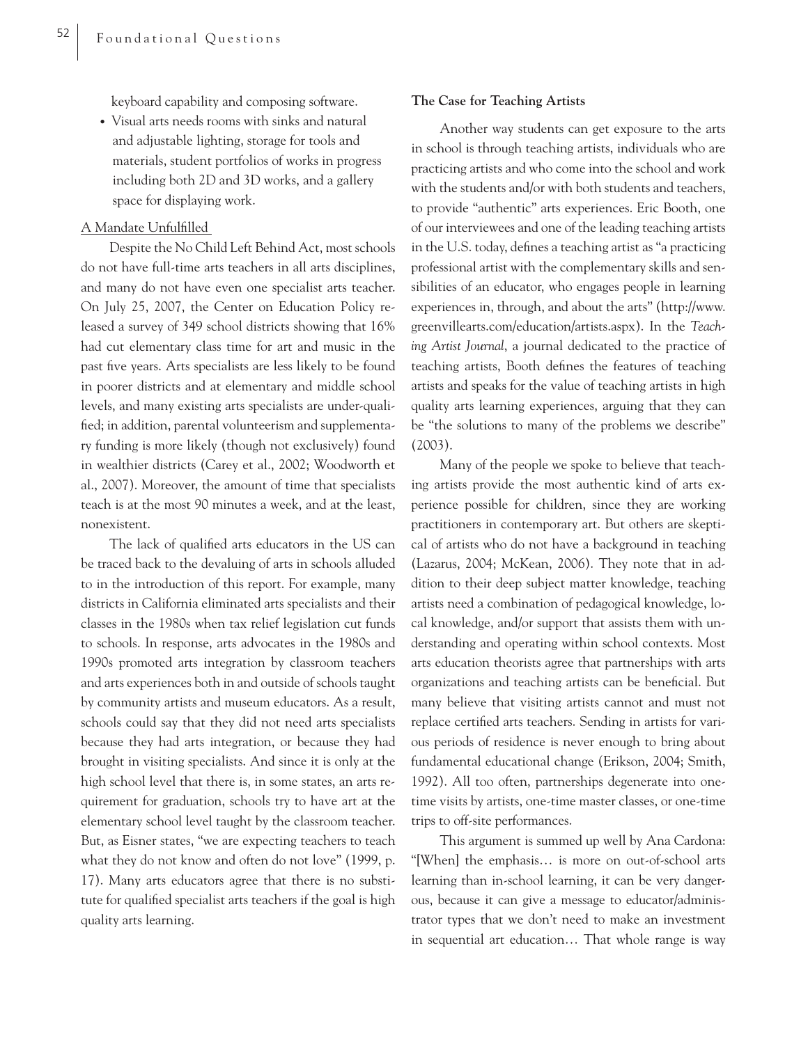keyboard capability and composing software.

• Visual arts needs rooms with sinks and natural and adjustable lighting, storage for tools and materials, student portfolios of works in progress including both 2D and 3D works, and a gallery space for displaying work.

## A Mandate Unfulfilled

Despite the No Child Left Behind Act, most schools do not have full-time arts teachers in all arts disciplines, and many do not have even one specialist arts teacher. On July 25, 2007, the Center on Education Policy released a survey of 349 school districts showing that 16% had cut elementary class time for art and music in the past five years. Arts specialists are less likely to be found in poorer districts and at elementary and middle school levels, and many existing arts specialists are under-qualified; in addition, parental volunteerism and supplementary funding is more likely (though not exclusively) found in wealthier districts (Carey et al., 2002; Woodworth et al., 2007). Moreover, the amount of time that specialists teach is at the most 90 minutes a week, and at the least, nonexistent.

The lack of qualified arts educators in the US can be traced back to the devaluing of arts in schools alluded to in the introduction of this report. For example, many districts in California eliminated arts specialists and their classes in the 1980s when tax relief legislation cut funds to schools. In response, arts advocates in the 1980s and 1990s promoted arts integration by classroom teachers and arts experiences both in and outside of schools taught by community artists and museum educators. As a result, schools could say that they did not need arts specialists because they had arts integration, or because they had brought in visiting specialists. And since it is only at the high school level that there is, in some states, an arts requirement for graduation, schools try to have art at the elementary school level taught by the classroom teacher. But, as Eisner states, "we are expecting teachers to teach what they do not know and often do not love" (1999, p. 17). Many arts educators agree that there is no substitute for qualified specialist arts teachers if the goal is high quality arts learning.

## **The Case for Teaching Artists**

Another way students can get exposure to the arts in school is through teaching artists, individuals who are practicing artists and who come into the school and work with the students and/or with both students and teachers, to provide "authentic" arts experiences. Eric Booth, one of our interviewees and one of the leading teaching artists in the U.S. today, defines a teaching artist as "a practicing professional artist with the complementary skills and sensibilities of an educator, who engages people in learning experiences in, through, and about the arts" (http://www. greenvillearts.com/education/artists.aspx). In the *Teaching Artist Journal*, a journal dedicated to the practice of teaching artists, Booth defines the features of teaching artists and speaks for the value of teaching artists in high quality arts learning experiences, arguing that they can be "the solutions to many of the problems we describe" (2003).

Many of the people we spoke to believe that teaching artists provide the most authentic kind of arts experience possible for children, since they are working practitioners in contemporary art. But others are skeptical of artists who do not have a background in teaching (Lazarus, 2004; McKean, 2006). They note that in addition to their deep subject matter knowledge, teaching artists need a combination of pedagogical knowledge, local knowledge, and/or support that assists them with understanding and operating within school contexts. Most arts education theorists agree that partnerships with arts organizations and teaching artists can be beneficial. But many believe that visiting artists cannot and must not replace certified arts teachers. Sending in artists for various periods of residence is never enough to bring about fundamental educational change (Erikson, 2004; Smith, 1992). All too often, partnerships degenerate into onetime visits by artists, one-time master classes, or one-time trips to off-site performances.

This argument is summed up well by Ana Cardona: "[When] the emphasis… is more on out-of-school arts learning than in-school learning, it can be very dangerous, because it can give a message to educator/administrator types that we don't need to make an investment in sequential art education… That whole range is way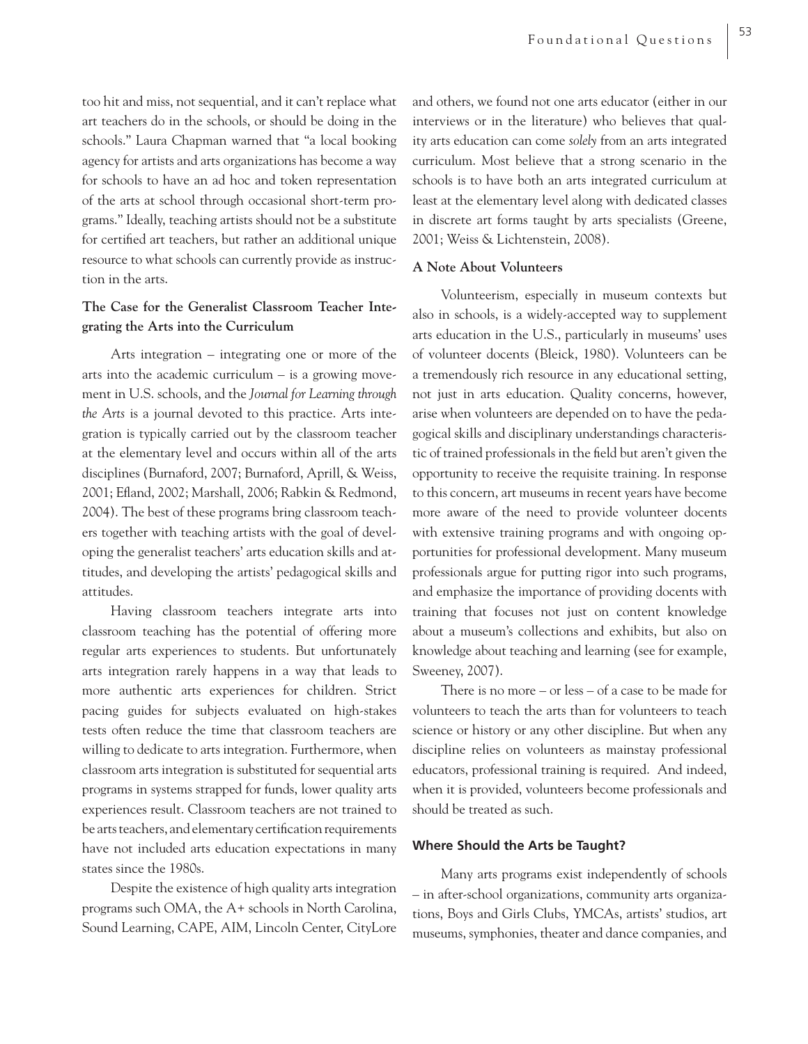too hit and miss, not sequential, and it can't replace what art teachers do in the schools, or should be doing in the schools." Laura Chapman warned that "a local booking agency for artists and arts organizations has become a way for schools to have an ad hoc and token representation of the arts at school through occasional short-term programs." Ideally, teaching artists should not be a substitute for certified art teachers, but rather an additional unique resource to what schools can currently provide as instruction in the arts.

## **The Case for the Generalist Classroom Teacher Integrating the Arts into the Curriculum**

Arts integration – integrating one or more of the arts into the academic curriculum – is a growing movement in U.S. schools, and the *Journal for Learning through the Arts* is a journal devoted to this practice. Arts integration is typically carried out by the classroom teacher at the elementary level and occurs within all of the arts disciplines (Burnaford, 2007; Burnaford, Aprill, & Weiss, 2001; Efland, 2002; Marshall, 2006; Rabkin & Redmond, 2004). The best of these programs bring classroom teachers together with teaching artists with the goal of developing the generalist teachers' arts education skills and attitudes, and developing the artists' pedagogical skills and attitudes.

Having classroom teachers integrate arts into classroom teaching has the potential of offering more regular arts experiences to students. But unfortunately arts integration rarely happens in a way that leads to more authentic arts experiences for children. Strict pacing guides for subjects evaluated on high-stakes tests often reduce the time that classroom teachers are willing to dedicate to arts integration. Furthermore, when classroom arts integration is substituted for sequential arts programs in systems strapped for funds, lower quality arts experiences result. Classroom teachers are not trained to be arts teachers, and elementary certification requirements have not included arts education expectations in many states since the 1980s.

Despite the existence of high quality arts integration programs such OMA, the A+ schools in North Carolina, Sound Learning, CAPE, AIM, Lincoln Center, CityLore and others, we found not one arts educator (either in our interviews or in the literature) who believes that quality arts education can come *solely* from an arts integrated curriculum. Most believe that a strong scenario in the schools is to have both an arts integrated curriculum at least at the elementary level along with dedicated classes in discrete art forms taught by arts specialists (Greene, 2001; Weiss & Lichtenstein, 2008).

## **A Note About Volunteers**

Volunteerism, especially in museum contexts but also in schools, is a widely-accepted way to supplement arts education in the U.S., particularly in museums' uses of volunteer docents (Bleick, 1980). Volunteers can be a tremendously rich resource in any educational setting, not just in arts education. Quality concerns, however, arise when volunteers are depended on to have the pedagogical skills and disciplinary understandings characteristic of trained professionals in the field but aren't given the opportunity to receive the requisite training. In response to this concern, art museums in recent years have become more aware of the need to provide volunteer docents with extensive training programs and with ongoing opportunities for professional development. Many museum professionals argue for putting rigor into such programs, and emphasize the importance of providing docents with training that focuses not just on content knowledge about a museum's collections and exhibits, but also on knowledge about teaching and learning (see for example, Sweeney, 2007).

There is no more – or less – of a case to be made for volunteers to teach the arts than for volunteers to teach science or history or any other discipline. But when any discipline relies on volunteers as mainstay professional educators, professional training is required. And indeed, when it is provided, volunteers become professionals and should be treated as such.

#### **Where Should the Arts be Taught?**

Many arts programs exist independently of schools – in after-school organizations, community arts organizations, Boys and Girls Clubs, YMCAs, artists' studios, art museums, symphonies, theater and dance companies, and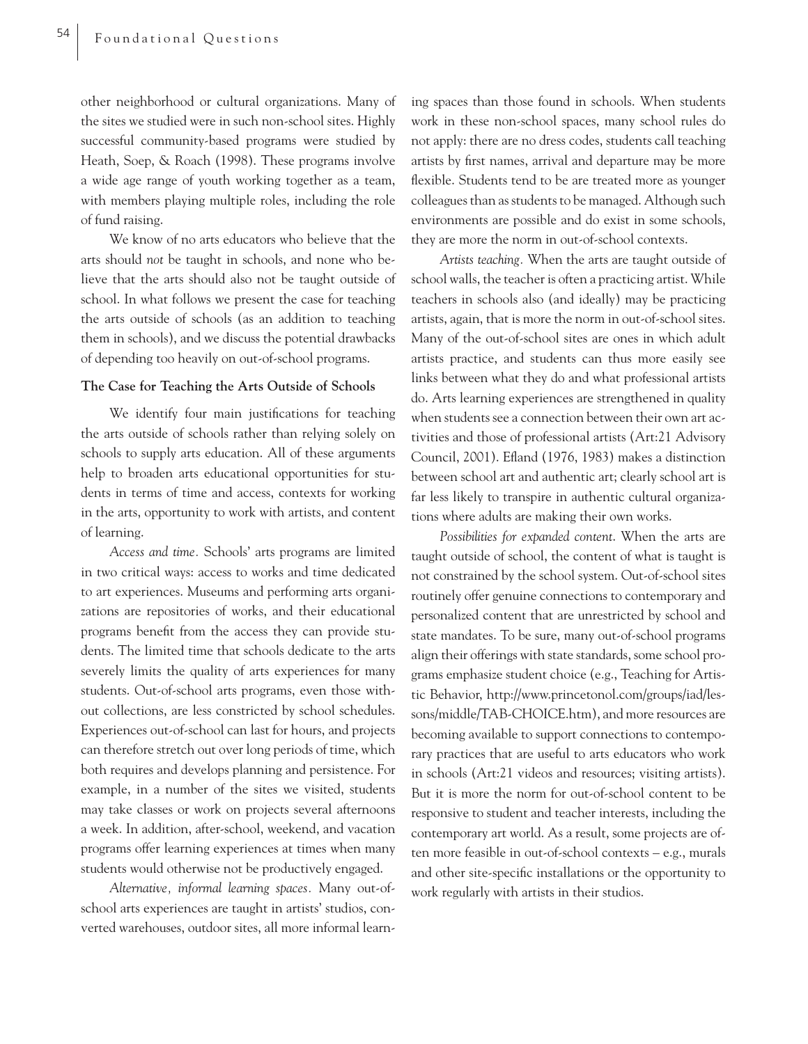other neighborhood or cultural organizations. Many of the sites we studied were in such non-school sites. Highly successful community-based programs were studied by Heath, Soep, & Roach (1998). These programs involve a wide age range of youth working together as a team, with members playing multiple roles, including the role of fund raising.

We know of no arts educators who believe that the arts should *not* be taught in schools, and none who believe that the arts should also not be taught outside of school. In what follows we present the case for teaching the arts outside of schools (as an addition to teaching them in schools), and we discuss the potential drawbacks of depending too heavily on out-of-school programs.

## **The Case for Teaching the Arts Outside of Schools**

We identify four main justifications for teaching the arts outside of schools rather than relying solely on schools to supply arts education. All of these arguments help to broaden arts educational opportunities for students in terms of time and access, contexts for working in the arts, opportunity to work with artists, and content of learning.

*Access and time.* Schools' arts programs are limited in two critical ways: access to works and time dedicated to art experiences. Museums and performing arts organizations are repositories of works, and their educational programs benefit from the access they can provide students. The limited time that schools dedicate to the arts severely limits the quality of arts experiences for many students. Out-of-school arts programs, even those without collections, are less constricted by school schedules. Experiences out-of-school can last for hours, and projects can therefore stretch out over long periods of time, which both requires and develops planning and persistence. For example, in a number of the sites we visited, students may take classes or work on projects several afternoons a week. In addition, after-school, weekend, and vacation programs offer learning experiences at times when many students would otherwise not be productively engaged.

*Alternative, informal learning spaces.* Many out-ofschool arts experiences are taught in artists' studios, converted warehouses, outdoor sites, all more informal learn-

ing spaces than those found in schools. When students work in these non-school spaces, many school rules do not apply: there are no dress codes, students call teaching artists by first names, arrival and departure may be more flexible. Students tend to be are treated more as younger colleagues than as students to be managed. Although such environments are possible and do exist in some schools, they are more the norm in out-of-school contexts.

*Artists teaching.* When the arts are taught outside of school walls, the teacher is often a practicing artist. While teachers in schools also (and ideally) may be practicing artists, again, that is more the norm in out-of-school sites. Many of the out-of-school sites are ones in which adult artists practice, and students can thus more easily see links between what they do and what professional artists do. Arts learning experiences are strengthened in quality when students see a connection between their own art activities and those of professional artists (Art:21 Advisory Council, 2001). Efland (1976, 1983) makes a distinction between school art and authentic art; clearly school art is far less likely to transpire in authentic cultural organizations where adults are making their own works.

*Possibilities for expanded content*. When the arts are taught outside of school, the content of what is taught is not constrained by the school system. Out-of-school sites routinely offer genuine connections to contemporary and personalized content that are unrestricted by school and state mandates. To be sure, many out-of-school programs align their offerings with state standards, some school programs emphasize student choice (e.g., Teaching for Artistic Behavior, http://www.princetonol.com/groups/iad/lessons/middle/TAB-CHOICE.htm), and more resources are becoming available to support connections to contemporary practices that are useful to arts educators who work in schools (Art:21 videos and resources; visiting artists). But it is more the norm for out-of-school content to be responsive to student and teacher interests, including the contemporary art world. As a result, some projects are often more feasible in out-of-school contexts – e.g., murals and other site-specific installations or the opportunity to work regularly with artists in their studios.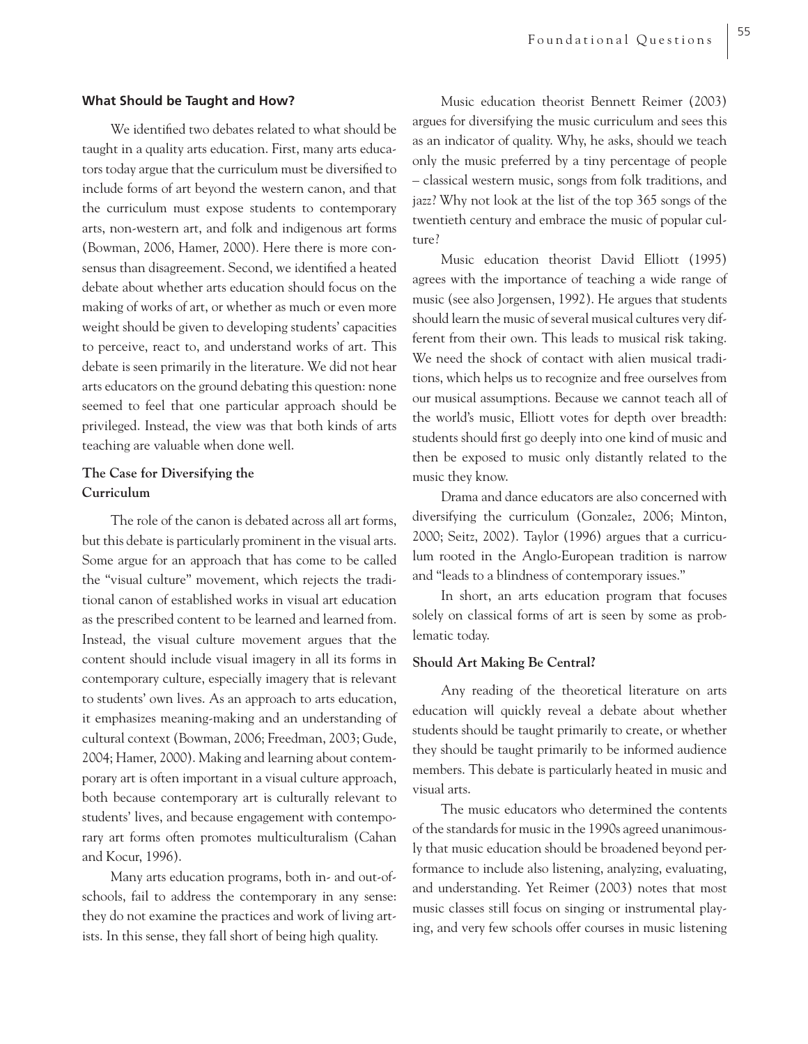## **What Should be Taught and How?**

We identified two debates related to what should be taught in a quality arts education. First, many arts educators today argue that the curriculum must be diversified to include forms of art beyond the western canon, and that the curriculum must expose students to contemporary arts, non-western art, and folk and indigenous art forms (Bowman, 2006, Hamer, 2000). Here there is more consensus than disagreement. Second, we identified a heated debate about whether arts education should focus on the making of works of art, or whether as much or even more weight should be given to developing students' capacities to perceive, react to, and understand works of art. This debate is seen primarily in the literature. We did not hear arts educators on the ground debating this question: none seemed to feel that one particular approach should be privileged. Instead, the view was that both kinds of arts teaching are valuable when done well.

## **The Case for Diversifying the Curriculum**

The role of the canon is debated across all art forms, but this debate is particularly prominent in the visual arts. Some argue for an approach that has come to be called the "visual culture" movement, which rejects the traditional canon of established works in visual art education as the prescribed content to be learned and learned from. Instead, the visual culture movement argues that the content should include visual imagery in all its forms in contemporary culture, especially imagery that is relevant to students' own lives. As an approach to arts education, it emphasizes meaning-making and an understanding of cultural context (Bowman, 2006; Freedman, 2003; Gude, 2004; Hamer, 2000). Making and learning about contemporary art is often important in a visual culture approach, both because contemporary art is culturally relevant to students' lives, and because engagement with contemporary art forms often promotes multiculturalism (Cahan and Kocur, 1996).

Many arts education programs, both in- and out-ofschools, fail to address the contemporary in any sense: they do not examine the practices and work of living artists. In this sense, they fall short of being high quality.

Music education theorist Bennett Reimer (2003) argues for diversifying the music curriculum and sees this as an indicator of quality. Why, he asks, should we teach only the music preferred by a tiny percentage of people – classical western music, songs from folk traditions, and jazz? Why not look at the list of the top 365 songs of the twentieth century and embrace the music of popular culture?

Music education theorist David Elliott (1995) agrees with the importance of teaching a wide range of music (see also Jorgensen, 1992). He argues that students should learn the music of several musical cultures very different from their own. This leads to musical risk taking. We need the shock of contact with alien musical traditions, which helps us to recognize and free ourselves from our musical assumptions. Because we cannot teach all of the world's music, Elliott votes for depth over breadth: students should first go deeply into one kind of music and then be exposed to music only distantly related to the music they know.

Drama and dance educators are also concerned with diversifying the curriculum (Gonzalez, 2006; Minton, 2000; Seitz, 2002). Taylor (1996) argues that a curriculum rooted in the Anglo-European tradition is narrow and "leads to a blindness of contemporary issues."

In short, an arts education program that focuses solely on classical forms of art is seen by some as problematic today.

## **Should Art Making Be Central?**

Any reading of the theoretical literature on arts education will quickly reveal a debate about whether students should be taught primarily to create, or whether they should be taught primarily to be informed audience members. This debate is particularly heated in music and visual arts.

The music educators who determined the contents of the standards for music in the 1990s agreed unanimously that music education should be broadened beyond performance to include also listening, analyzing, evaluating, and understanding. Yet Reimer (2003) notes that most music classes still focus on singing or instrumental playing, and very few schools offer courses in music listening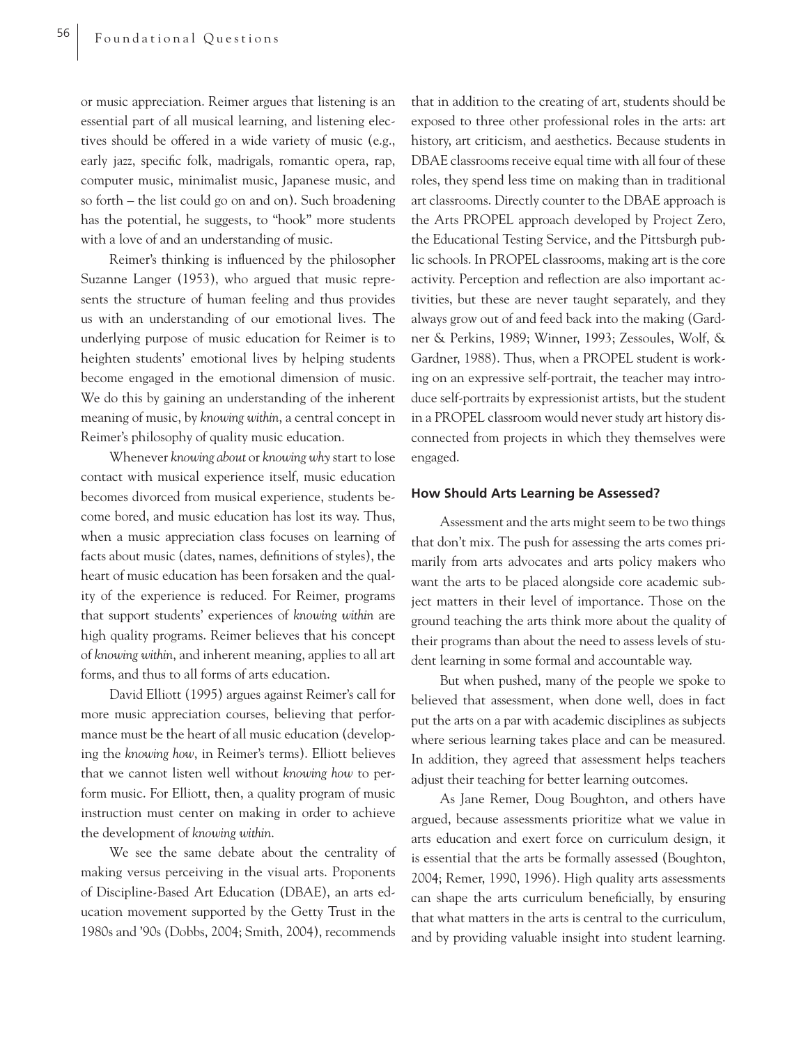or music appreciation. Reimer argues that listening is an essential part of all musical learning, and listening electives should be offered in a wide variety of music (e.g., early jazz, specific folk, madrigals, romantic opera, rap, computer music, minimalist music, Japanese music, and so forth – the list could go on and on). Such broadening has the potential, he suggests, to "hook" more students with a love of and an understanding of music.

Reimer's thinking is influenced by the philosopher Suzanne Langer (1953), who argued that music represents the structure of human feeling and thus provides us with an understanding of our emotional lives. The underlying purpose of music education for Reimer is to heighten students' emotional lives by helping students become engaged in the emotional dimension of music. We do this by gaining an understanding of the inherent meaning of music, by *knowing within*, a central concept in Reimer's philosophy of quality music education.

Whenever *knowing about* or *knowing why* start to lose contact with musical experience itself, music education becomes divorced from musical experience, students become bored, and music education has lost its way. Thus, when a music appreciation class focuses on learning of facts about music (dates, names, definitions of styles), the heart of music education has been forsaken and the quality of the experience is reduced. For Reimer, programs that support students' experiences of *knowing within* are high quality programs. Reimer believes that his concept of *knowing within*, and inherent meaning, applies to all art forms, and thus to all forms of arts education.

David Elliott (1995) argues against Reimer's call for more music appreciation courses, believing that performance must be the heart of all music education (developing the *knowing how*, in Reimer's terms). Elliott believes that we cannot listen well without *knowing how* to perform music. For Elliott, then, a quality program of music instruction must center on making in order to achieve the development of *knowing within*.

We see the same debate about the centrality of making versus perceiving in the visual arts. Proponents of Discipline-Based Art Education (DBAE), an arts education movement supported by the Getty Trust in the 1980s and '90s (Dobbs, 2004; Smith, 2004), recommends

that in addition to the creating of art, students should be exposed to three other professional roles in the arts: art history, art criticism, and aesthetics. Because students in DBAE classrooms receive equal time with all four of these roles, they spend less time on making than in traditional art classrooms. Directly counter to the DBAE approach is the Arts PROPEL approach developed by Project Zero, the Educational Testing Service, and the Pittsburgh public schools. In PROPEL classrooms, making art is the core activity. Perception and reflection are also important activities, but these are never taught separately, and they always grow out of and feed back into the making (Gardner & Perkins, 1989; Winner, 1993; Zessoules, Wolf, & Gardner, 1988). Thus, when a PROPEL student is working on an expressive self-portrait, the teacher may introduce self-portraits by expressionist artists, but the student in a PROPEL classroom would never study art history disconnected from projects in which they themselves were engaged.

## **How Should Arts Learning be Assessed?**

Assessment and the arts might seem to be two things that don't mix. The push for assessing the arts comes primarily from arts advocates and arts policy makers who want the arts to be placed alongside core academic subject matters in their level of importance. Those on the ground teaching the arts think more about the quality of their programs than about the need to assess levels of student learning in some formal and accountable way.

But when pushed, many of the people we spoke to believed that assessment, when done well, does in fact put the arts on a par with academic disciplines as subjects where serious learning takes place and can be measured. In addition, they agreed that assessment helps teachers adjust their teaching for better learning outcomes.

As Jane Remer, Doug Boughton, and others have argued, because assessments prioritize what we value in arts education and exert force on curriculum design, it is essential that the arts be formally assessed (Boughton, 2004; Remer, 1990, 1996). High quality arts assessments can shape the arts curriculum beneficially, by ensuring that what matters in the arts is central to the curriculum, and by providing valuable insight into student learning.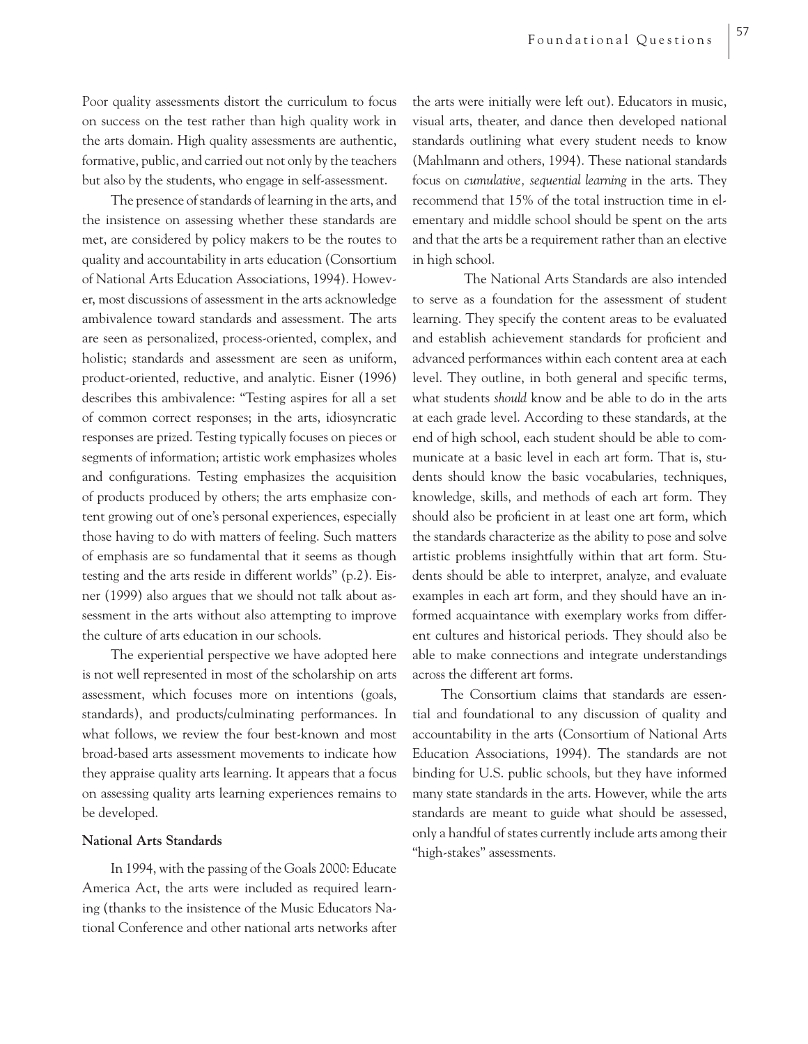Poor quality assessments distort the curriculum to focus on success on the test rather than high quality work in the arts domain. High quality assessments are authentic, formative, public, and carried out not only by the teachers but also by the students, who engage in self-assessment.

The presence of standards of learning in the arts, and the insistence on assessing whether these standards are met, are considered by policy makers to be the routes to quality and accountability in arts education (Consortium of National Arts Education Associations, 1994). However, most discussions of assessment in the arts acknowledge ambivalence toward standards and assessment. The arts are seen as personalized, process-oriented, complex, and holistic; standards and assessment are seen as uniform, product-oriented, reductive, and analytic. Eisner (1996) describes this ambivalence: "Testing aspires for all a set of common correct responses; in the arts, idiosyncratic responses are prized. Testing typically focuses on pieces or segments of information; artistic work emphasizes wholes and configurations. Testing emphasizes the acquisition of products produced by others; the arts emphasize content growing out of one's personal experiences, especially those having to do with matters of feeling. Such matters of emphasis are so fundamental that it seems as though testing and the arts reside in different worlds" (p.2). Eisner (1999) also argues that we should not talk about assessment in the arts without also attempting to improve the culture of arts education in our schools.

The experiential perspective we have adopted here is not well represented in most of the scholarship on arts assessment, which focuses more on intentions (goals, standards), and products/culminating performances. In what follows, we review the four best-known and most broad-based arts assessment movements to indicate how they appraise quality arts learning. It appears that a focus on assessing quality arts learning experiences remains to be developed.

## **National Arts Standards**

In 1994, with the passing of the Goals 2000: Educate America Act, the arts were included as required learning (thanks to the insistence of the Music Educators National Conference and other national arts networks after the arts were initially were left out). Educators in music, visual arts, theater, and dance then developed national standards outlining what every student needs to know (Mahlmann and others, 1994). These national standards focus on *cumulative, sequential learning* in the arts. They recommend that 15% of the total instruction time in elementary and middle school should be spent on the arts and that the arts be a requirement rather than an elective in high school.

 The National Arts Standards are also intended to serve as a foundation for the assessment of student learning. They specify the content areas to be evaluated and establish achievement standards for proficient and advanced performances within each content area at each level. They outline, in both general and specific terms, what students *should* know and be able to do in the arts at each grade level. According to these standards, at the end of high school, each student should be able to communicate at a basic level in each art form. That is, students should know the basic vocabularies, techniques, knowledge, skills, and methods of each art form. They should also be proficient in at least one art form, which the standards characterize as the ability to pose and solve artistic problems insightfully within that art form. Students should be able to interpret, analyze, and evaluate examples in each art form, and they should have an informed acquaintance with exemplary works from different cultures and historical periods. They should also be able to make connections and integrate understandings across the different art forms.

The Consortium claims that standards are essential and foundational to any discussion of quality and accountability in the arts (Consortium of National Arts Education Associations, 1994). The standards are not binding for U.S. public schools, but they have informed many state standards in the arts. However, while the arts standards are meant to guide what should be assessed, only a handful of states currently include arts among their "high-stakes" assessments.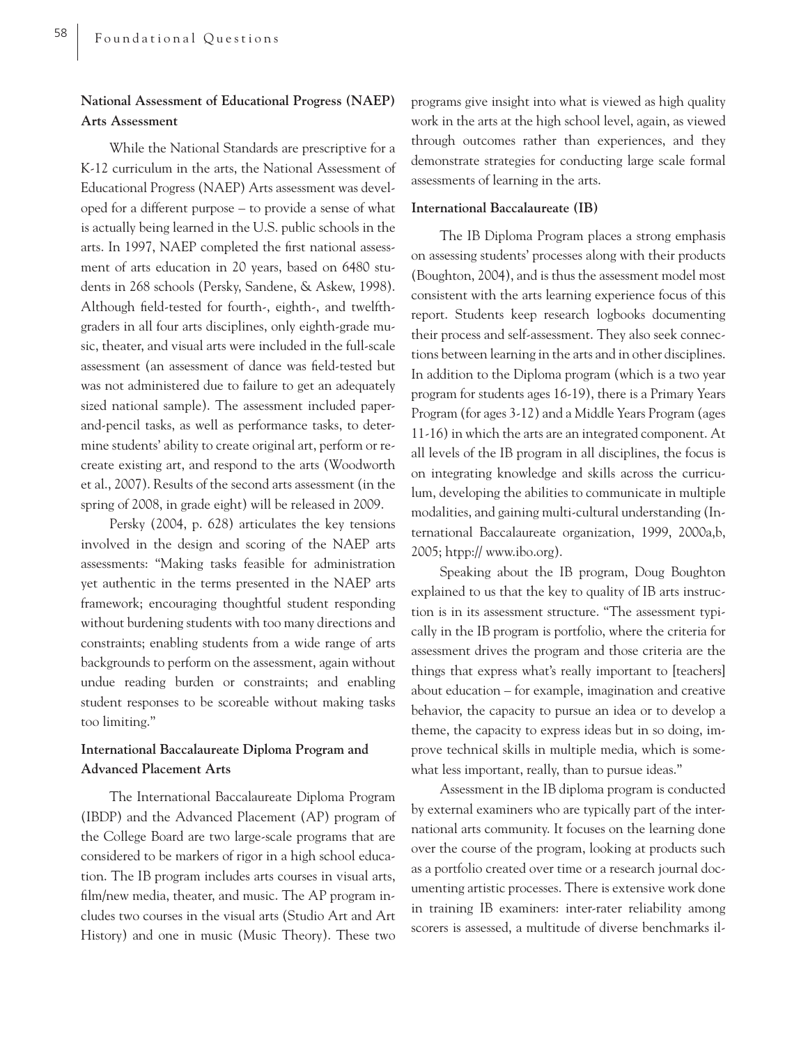## **National Assessment of Educational Progress (NAEP) Arts Assessment**

While the National Standards are prescriptive for a K-12 curriculum in the arts, the National Assessment of Educational Progress (NAEP) Arts assessment was developed for a different purpose – to provide a sense of what is actually being learned in the U.S. public schools in the arts. In 1997, NAEP completed the first national assessment of arts education in 20 years, based on 6480 students in 268 schools (Persky, Sandene, & Askew, 1998). Although field-tested for fourth-, eighth-, and twelfthgraders in all four arts disciplines, only eighth-grade music, theater, and visual arts were included in the full-scale assessment (an assessment of dance was field-tested but was not administered due to failure to get an adequately sized national sample). The assessment included paperand-pencil tasks, as well as performance tasks, to determine students' ability to create original art, perform or recreate existing art, and respond to the arts (Woodworth et al., 2007). Results of the second arts assessment (in the spring of 2008, in grade eight) will be released in 2009.

Persky (2004, p. 628) articulates the key tensions involved in the design and scoring of the NAEP arts assessments: "Making tasks feasible for administration yet authentic in the terms presented in the NAEP arts framework; encouraging thoughtful student responding without burdening students with too many directions and constraints; enabling students from a wide range of arts backgrounds to perform on the assessment, again without undue reading burden or constraints; and enabling student responses to be scoreable without making tasks too limiting."

## **International Baccalaureate Diploma Program and Advanced Placement Arts**

The International Baccalaureate Diploma Program (IBDP) and the Advanced Placement (AP) program of the College Board are two large-scale programs that are considered to be markers of rigor in a high school education. The IB program includes arts courses in visual arts, film/new media, theater, and music. The AP program includes two courses in the visual arts (Studio Art and Art History) and one in music (Music Theory). These two

programs give insight into what is viewed as high quality work in the arts at the high school level, again, as viewed through outcomes rather than experiences, and they demonstrate strategies for conducting large scale formal assessments of learning in the arts.

#### **International Baccalaureate (IB)**

The IB Diploma Program places a strong emphasis on assessing students' processes along with their products (Boughton, 2004), and is thus the assessment model most consistent with the arts learning experience focus of this report. Students keep research logbooks documenting their process and self-assessment. They also seek connections between learning in the arts and in other disciplines. In addition to the Diploma program (which is a two year program for students ages 16-19), there is a Primary Years Program (for ages 3-12) and a Middle Years Program (ages 11-16) in which the arts are an integrated component. At all levels of the IB program in all disciplines, the focus is on integrating knowledge and skills across the curriculum, developing the abilities to communicate in multiple modalities, and gaining multi-cultural understanding (International Baccalaureate organization, 1999, 2000a,b, 2005; htpp:// www.ibo.org).

Speaking about the IB program, Doug Boughton explained to us that the key to quality of IB arts instruction is in its assessment structure. "The assessment typically in the IB program is portfolio, where the criteria for assessment drives the program and those criteria are the things that express what's really important to [teachers] about education – for example, imagination and creative behavior, the capacity to pursue an idea or to develop a theme, the capacity to express ideas but in so doing, improve technical skills in multiple media, which is somewhat less important, really, than to pursue ideas."

Assessment in the IB diploma program is conducted by external examiners who are typically part of the international arts community. It focuses on the learning done over the course of the program, looking at products such as a portfolio created over time or a research journal documenting artistic processes. There is extensive work done in training IB examiners: inter-rater reliability among scorers is assessed, a multitude of diverse benchmarks il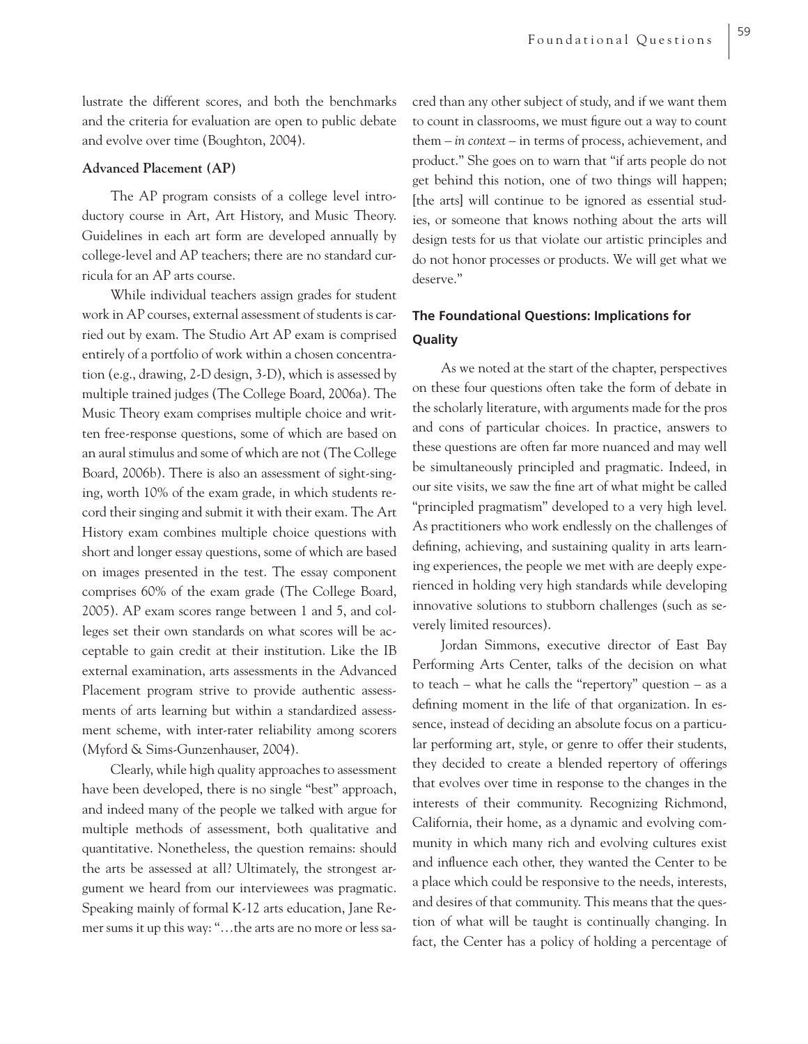lustrate the different scores, and both the benchmarks and the criteria for evaluation are open to public debate and evolve over time (Boughton, 2004).

## **Advanced Placement (AP)**

The AP program consists of a college level introductory course in Art, Art History, and Music Theory. Guidelines in each art form are developed annually by college-level and AP teachers; there are no standard curricula for an AP arts course.

While individual teachers assign grades for student work in AP courses, external assessment of students is carried out by exam. The Studio Art AP exam is comprised entirely of a portfolio of work within a chosen concentration (e.g., drawing, 2-D design, 3-D), which is assessed by multiple trained judges (The College Board, 2006a). The Music Theory exam comprises multiple choice and written free-response questions, some of which are based on an aural stimulus and some of which are not (The College Board, 2006b). There is also an assessment of sight-singing, worth 10% of the exam grade, in which students record their singing and submit it with their exam. The Art History exam combines multiple choice questions with short and longer essay questions, some of which are based on images presented in the test. The essay component comprises 60% of the exam grade (The College Board, 2005). AP exam scores range between 1 and 5, and colleges set their own standards on what scores will be acceptable to gain credit at their institution. Like the IB external examination, arts assessments in the Advanced Placement program strive to provide authentic assessments of arts learning but within a standardized assessment scheme, with inter-rater reliability among scorers (Myford & Sims-Gunzenhauser, 2004).

Clearly, while high quality approaches to assessment have been developed, there is no single "best" approach, and indeed many of the people we talked with argue for multiple methods of assessment, both qualitative and quantitative. Nonetheless, the question remains: should the arts be assessed at all? Ultimately, the strongest argument we heard from our interviewees was pragmatic. Speaking mainly of formal K-12 arts education, Jane Remer sums it up this way: "…the arts are no more or less sacred than any other subject of study, and if we want them to count in classrooms, we must figure out a way to count them – *in context* – in terms of process, achievement, and product." She goes on to warn that "if arts people do not get behind this notion, one of two things will happen; [the arts] will continue to be ignored as essential studies, or someone that knows nothing about the arts will design tests for us that violate our artistic principles and do not honor processes or products. We will get what we deserve."

## **The Foundational Questions: Implications for Quality**

As we noted at the start of the chapter, perspectives on these four questions often take the form of debate in the scholarly literature, with arguments made for the pros and cons of particular choices. In practice, answers to these questions are often far more nuanced and may well be simultaneously principled and pragmatic. Indeed, in our site visits, we saw the fine art of what might be called "principled pragmatism" developed to a very high level. As practitioners who work endlessly on the challenges of defining, achieving, and sustaining quality in arts learning experiences, the people we met with are deeply experienced in holding very high standards while developing innovative solutions to stubborn challenges (such as severely limited resources).

Jordan Simmons, executive director of East Bay Performing Arts Center, talks of the decision on what to teach – what he calls the "repertory" question – as a defining moment in the life of that organization. In essence, instead of deciding an absolute focus on a particular performing art, style, or genre to offer their students, they decided to create a blended repertory of offerings that evolves over time in response to the changes in the interests of their community. Recognizing Richmond, California, their home, as a dynamic and evolving community in which many rich and evolving cultures exist and influence each other, they wanted the Center to be a place which could be responsive to the needs, interests, and desires of that community. This means that the question of what will be taught is continually changing. In fact, the Center has a policy of holding a percentage of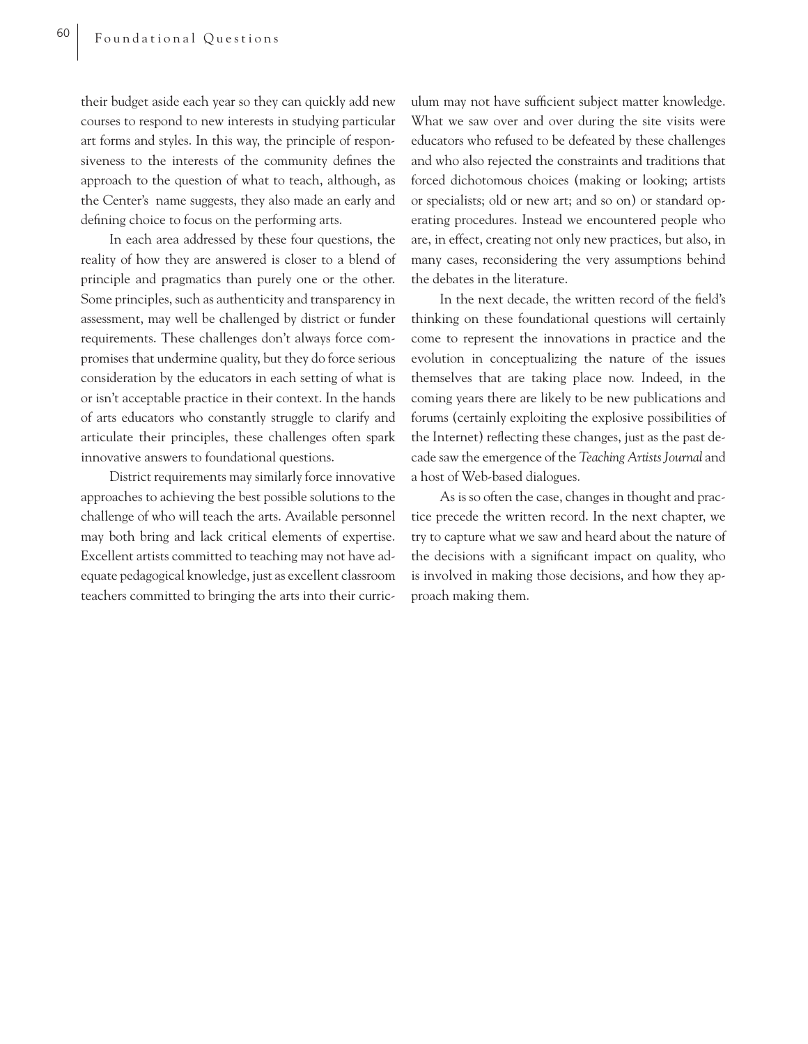their budget aside each year so they can quickly add new courses to respond to new interests in studying particular art forms and styles. In this way, the principle of responsiveness to the interests of the community defines the approach to the question of what to teach, although, as the Center's name suggests, they also made an early and defining choice to focus on the performing arts.

In each area addressed by these four questions, the reality of how they are answered is closer to a blend of principle and pragmatics than purely one or the other. Some principles, such as authenticity and transparency in assessment, may well be challenged by district or funder requirements. These challenges don't always force compromises that undermine quality, but they do force serious consideration by the educators in each setting of what is or isn't acceptable practice in their context. In the hands of arts educators who constantly struggle to clarify and articulate their principles, these challenges often spark innovative answers to foundational questions.

District requirements may similarly force innovative approaches to achieving the best possible solutions to the challenge of who will teach the arts. Available personnel may both bring and lack critical elements of expertise. Excellent artists committed to teaching may not have adequate pedagogical knowledge, just as excellent classroom teachers committed to bringing the arts into their curric-

ulum may not have sufficient subject matter knowledge. What we saw over and over during the site visits were educators who refused to be defeated by these challenges and who also rejected the constraints and traditions that forced dichotomous choices (making or looking; artists or specialists; old or new art; and so on) or standard operating procedures. Instead we encountered people who are, in effect, creating not only new practices, but also, in many cases, reconsidering the very assumptions behind the debates in the literature.

In the next decade, the written record of the field's thinking on these foundational questions will certainly come to represent the innovations in practice and the evolution in conceptualizing the nature of the issues themselves that are taking place now. Indeed, in the coming years there are likely to be new publications and forums (certainly exploiting the explosive possibilities of the Internet) reflecting these changes, just as the past decade saw the emergence of the *Teaching Artists Journal* and a host of Web-based dialogues.

As is so often the case, changes in thought and practice precede the written record. In the next chapter, we try to capture what we saw and heard about the nature of the decisions with a significant impact on quality, who is involved in making those decisions, and how they approach making them.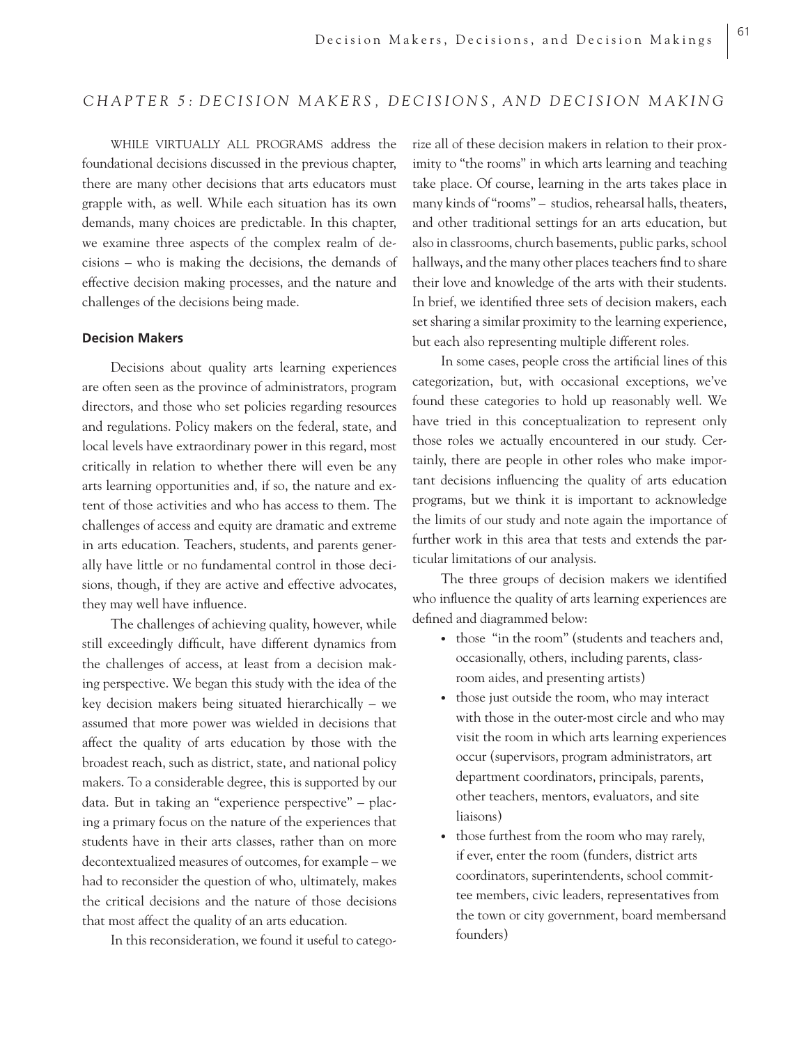# *CHAPTER 5: DECISION MAKERS, DECISIONS, AND DECISION MAKING*

WHILE VIRTUALLY ALL PROGRAMS address the foundational decisions discussed in the previous chapter, there are many other decisions that arts educators must grapple with, as well. While each situation has its own demands, many choices are predictable. In this chapter, we examine three aspects of the complex realm of decisions – who is making the decisions, the demands of effective decision making processes, and the nature and challenges of the decisions being made.

## **Decision Makers**

Decisions about quality arts learning experiences are often seen as the province of administrators, program directors, and those who set policies regarding resources and regulations. Policy makers on the federal, state, and local levels have extraordinary power in this regard, most critically in relation to whether there will even be any arts learning opportunities and, if so, the nature and extent of those activities and who has access to them. The challenges of access and equity are dramatic and extreme in arts education. Teachers, students, and parents generally have little or no fundamental control in those decisions, though, if they are active and effective advocates, they may well have influence.

The challenges of achieving quality, however, while still exceedingly difficult, have different dynamics from the challenges of access, at least from a decision making perspective. We began this study with the idea of the key decision makers being situated hierarchically – we assumed that more power was wielded in decisions that affect the quality of arts education by those with the broadest reach, such as district, state, and national policy makers. To a considerable degree, this is supported by our data. But in taking an "experience perspective" – placing a primary focus on the nature of the experiences that students have in their arts classes, rather than on more decontextualized measures of outcomes, for example – we had to reconsider the question of who, ultimately, makes the critical decisions and the nature of those decisions that most affect the quality of an arts education.

In this reconsideration, we found it useful to catego-

rize all of these decision makers in relation to their proximity to "the rooms" in which arts learning and teaching take place. Of course, learning in the arts takes place in many kinds of "rooms" – studios, rehearsal halls, theaters, and other traditional settings for an arts education, but also in classrooms, church basements, public parks, school hallways, and the many other places teachers find to share their love and knowledge of the arts with their students. In brief, we identified three sets of decision makers, each set sharing a similar proximity to the learning experience, but each also representing multiple different roles.

In some cases, people cross the artificial lines of this categorization, but, with occasional exceptions, we've found these categories to hold up reasonably well. We have tried in this conceptualization to represent only those roles we actually encountered in our study. Certainly, there are people in other roles who make important decisions influencing the quality of arts education programs, but we think it is important to acknowledge the limits of our study and note again the importance of further work in this area that tests and extends the particular limitations of our analysis.

The three groups of decision makers we identified who influence the quality of arts learning experiences are defined and diagrammed below:

- those "in the room" (students and teachers and, occasionally, others, including parents, classroom aides, and presenting artists)
- those just outside the room, who may interact with those in the outer-most circle and who may visit the room in which arts learning experiences occur (supervisors, program administrators, art department coordinators, principals, parents, other teachers, mentors, evaluators, and site liaisons)
- those furthest from the room who may rarely, if ever, enter the room (funders, district arts coordinators, superintendents, school committee members, civic leaders, representatives from the town or city government, board membersand founders)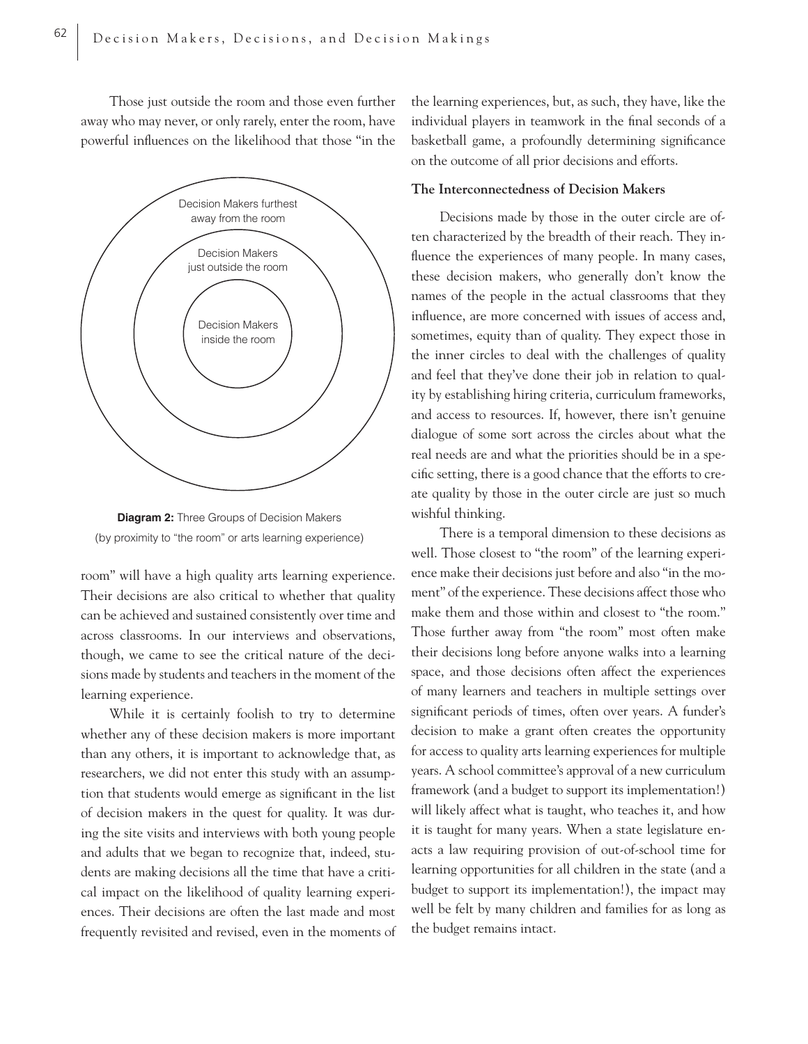Those just outside the room and those even further away who may never, or only rarely, enter the room, have powerful influences on the likelihood that those "in the





room" will have a high quality arts learning experience. Their decisions are also critical to whether that quality can be achieved and sustained consistently over time and across classrooms. In our interviews and observations, though, we came to see the critical nature of the decisions made by students and teachers in the moment of the learning experience.

While it is certainly foolish to try to determine whether any of these decision makers is more important than any others, it is important to acknowledge that, as researchers, we did not enter this study with an assumption that students would emerge as significant in the list of decision makers in the quest for quality. It was during the site visits and interviews with both young people and adults that we began to recognize that, indeed, students are making decisions all the time that have a critical impact on the likelihood of quality learning experiences. Their decisions are often the last made and most frequently revisited and revised, even in the moments of

the learning experiences, but, as such, they have, like the individual players in teamwork in the final seconds of a basketball game, a profoundly determining significance on the outcome of all prior decisions and efforts.

## **The Interconnectedness of Decision Makers**

Decisions made by those in the outer circle are often characterized by the breadth of their reach. They influence the experiences of many people. In many cases, these decision makers, who generally don't know the names of the people in the actual classrooms that they influence, are more concerned with issues of access and, sometimes, equity than of quality. They expect those in the inner circles to deal with the challenges of quality and feel that they've done their job in relation to quality by establishing hiring criteria, curriculum frameworks, and access to resources. If, however, there isn't genuine dialogue of some sort across the circles about what the real needs are and what the priorities should be in a specific setting, there is a good chance that the efforts to create quality by those in the outer circle are just so much wishful thinking.

There is a temporal dimension to these decisions as well. Those closest to "the room" of the learning experience make their decisions just before and also "in the moment" of the experience. These decisions affect those who make them and those within and closest to "the room." Those further away from "the room" most often make their decisions long before anyone walks into a learning space, and those decisions often affect the experiences of many learners and teachers in multiple settings over significant periods of times, often over years. A funder's decision to make a grant often creates the opportunity for access to quality arts learning experiences for multiple years. A school committee's approval of a new curriculum framework (and a budget to support its implementation!) will likely affect what is taught, who teaches it, and how it is taught for many years. When a state legislature enacts a law requiring provision of out-of-school time for learning opportunities for all children in the state (and a budget to support its implementation!), the impact may well be felt by many children and families for as long as the budget remains intact.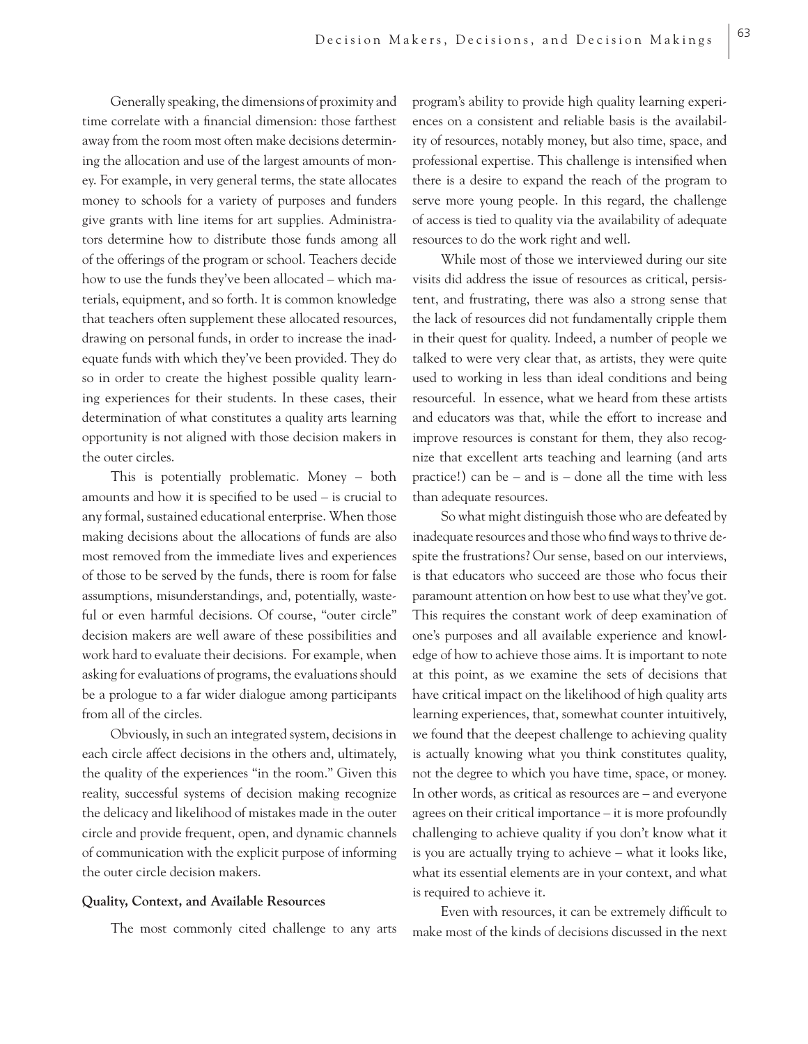Generally speaking, the dimensions of proximity and time correlate with a financial dimension: those farthest away from the room most often make decisions determining the allocation and use of the largest amounts of money. For example, in very general terms, the state allocates money to schools for a variety of purposes and funders give grants with line items for art supplies. Administrators determine how to distribute those funds among all of the offerings of the program or school. Teachers decide how to use the funds they've been allocated – which materials, equipment, and so forth. It is common knowledge that teachers often supplement these allocated resources, drawing on personal funds, in order to increase the inadequate funds with which they've been provided. They do so in order to create the highest possible quality learning experiences for their students. In these cases, their determination of what constitutes a quality arts learning opportunity is not aligned with those decision makers in the outer circles.

This is potentially problematic. Money – both amounts and how it is specified to be used  $-$  is crucial to any formal, sustained educational enterprise. When those making decisions about the allocations of funds are also most removed from the immediate lives and experiences of those to be served by the funds, there is room for false assumptions, misunderstandings, and, potentially, wasteful or even harmful decisions. Of course, "outer circle" decision makers are well aware of these possibilities and work hard to evaluate their decisions. For example, when asking for evaluations of programs, the evaluations should be a prologue to a far wider dialogue among participants from all of the circles.

Obviously, in such an integrated system, decisions in each circle affect decisions in the others and, ultimately, the quality of the experiences "in the room." Given this reality, successful systems of decision making recognize the delicacy and likelihood of mistakes made in the outer circle and provide frequent, open, and dynamic channels of communication with the explicit purpose of informing the outer circle decision makers.

#### **Quality, Context, and Available Resources**

The most commonly cited challenge to any arts

program's ability to provide high quality learning experiences on a consistent and reliable basis is the availability of resources, notably money, but also time, space, and professional expertise. This challenge is intensified when there is a desire to expand the reach of the program to serve more young people. In this regard, the challenge of access is tied to quality via the availability of adequate resources to do the work right and well.

While most of those we interviewed during our site visits did address the issue of resources as critical, persistent, and frustrating, there was also a strong sense that the lack of resources did not fundamentally cripple them in their quest for quality. Indeed, a number of people we talked to were very clear that, as artists, they were quite used to working in less than ideal conditions and being resourceful. In essence, what we heard from these artists and educators was that, while the effort to increase and improve resources is constant for them, they also recognize that excellent arts teaching and learning (and arts practice!) can be – and is – done all the time with less than adequate resources.

So what might distinguish those who are defeated by inadequate resources and those who find ways to thrive despite the frustrations? Our sense, based on our interviews, is that educators who succeed are those who focus their paramount attention on how best to use what they've got. This requires the constant work of deep examination of one's purposes and all available experience and knowledge of how to achieve those aims. It is important to note at this point, as we examine the sets of decisions that have critical impact on the likelihood of high quality arts learning experiences, that, somewhat counter intuitively, we found that the deepest challenge to achieving quality is actually knowing what you think constitutes quality, not the degree to which you have time, space, or money. In other words, as critical as resources are – and everyone agrees on their critical importance – it is more profoundly challenging to achieve quality if you don't know what it is you are actually trying to achieve – what it looks like, what its essential elements are in your context, and what is required to achieve it.

Even with resources, it can be extremely difficult to make most of the kinds of decisions discussed in the next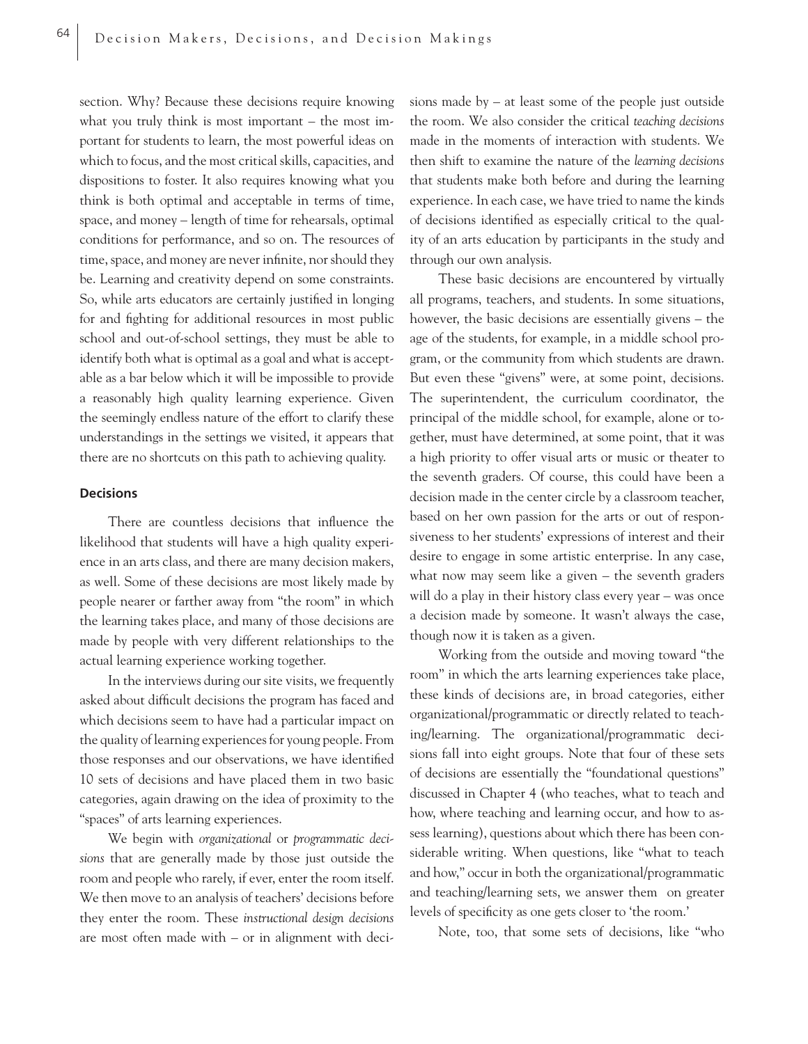section. Why? Because these decisions require knowing what you truly think is most important – the most important for students to learn, the most powerful ideas on which to focus, and the most critical skills, capacities, and dispositions to foster. It also requires knowing what you think is both optimal and acceptable in terms of time, space, and money – length of time for rehearsals, optimal conditions for performance, and so on. The resources of time, space, and money are never infinite, nor should they be. Learning and creativity depend on some constraints. So, while arts educators are certainly justified in longing for and fighting for additional resources in most public school and out-of-school settings, they must be able to identify both what is optimal as a goal and what is acceptable as a bar below which it will be impossible to provide a reasonably high quality learning experience. Given the seemingly endless nature of the effort to clarify these understandings in the settings we visited, it appears that there are no shortcuts on this path to achieving quality.

# **Decisions**

There are countless decisions that influence the likelihood that students will have a high quality experience in an arts class, and there are many decision makers, as well. Some of these decisions are most likely made by people nearer or farther away from "the room" in which the learning takes place, and many of those decisions are made by people with very different relationships to the actual learning experience working together.

In the interviews during our site visits, we frequently asked about difficult decisions the program has faced and which decisions seem to have had a particular impact on the quality of learning experiences for young people. From those responses and our observations, we have identified 10 sets of decisions and have placed them in two basic categories, again drawing on the idea of proximity to the "spaces" of arts learning experiences.

We begin with *organizational* or *programmatic decisions* that are generally made by those just outside the room and people who rarely, if ever, enter the room itself. We then move to an analysis of teachers' decisions before they enter the room. These *instructional design decisions* are most often made with – or in alignment with decisions made by – at least some of the people just outside the room. We also consider the critical *teaching decisions* made in the moments of interaction with students. We then shift to examine the nature of the *learning decisions* that students make both before and during the learning experience. In each case, we have tried to name the kinds of decisions identified as especially critical to the quality of an arts education by participants in the study and through our own analysis.

These basic decisions are encountered by virtually all programs, teachers, and students. In some situations, however, the basic decisions are essentially givens – the age of the students, for example, in a middle school program, or the community from which students are drawn. But even these "givens" were, at some point, decisions. The superintendent, the curriculum coordinator, the principal of the middle school, for example, alone or together, must have determined, at some point, that it was a high priority to offer visual arts or music or theater to the seventh graders. Of course, this could have been a decision made in the center circle by a classroom teacher, based on her own passion for the arts or out of responsiveness to her students' expressions of interest and their desire to engage in some artistic enterprise. In any case, what now may seem like a given – the seventh graders will do a play in their history class every year – was once a decision made by someone. It wasn't always the case, though now it is taken as a given.

Working from the outside and moving toward "the room" in which the arts learning experiences take place, these kinds of decisions are, in broad categories, either organizational/programmatic or directly related to teaching/learning. The organizational/programmatic decisions fall into eight groups. Note that four of these sets of decisions are essentially the "foundational questions" discussed in Chapter 4 (who teaches, what to teach and how, where teaching and learning occur, and how to assess learning), questions about which there has been considerable writing. When questions, like "what to teach and how," occur in both the organizational/programmatic and teaching/learning sets, we answer them on greater levels of specificity as one gets closer to 'the room.'

Note, too, that some sets of decisions, like "who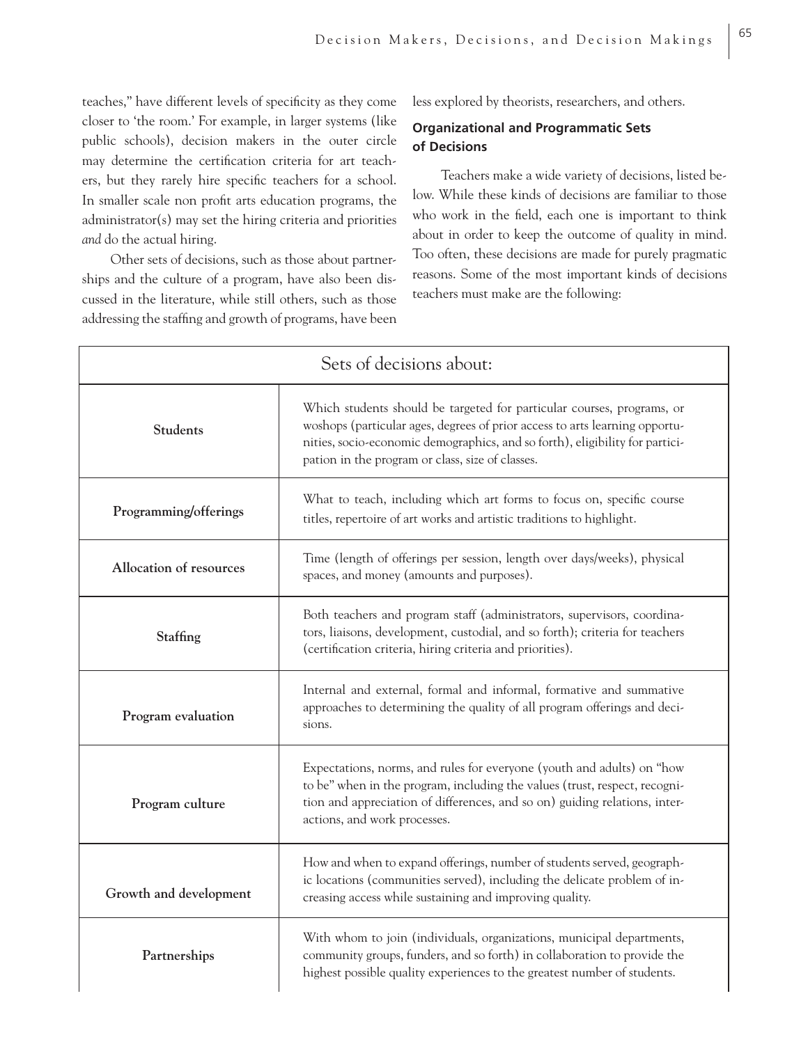teaches," have different levels of specificity as they come closer to 'the room.' For example, in larger systems (like public schools), decision makers in the outer circle may determine the certification criteria for art teachers, but they rarely hire specific teachers for a school. In smaller scale non profit arts education programs, the administrator(s) may set the hiring criteria and priorities *and* do the actual hiring.

Other sets of decisions, such as those about partnerships and the culture of a program, have also been discussed in the literature, while still others, such as those addressing the staffing and growth of programs, have been less explored by theorists, researchers, and others.

65

# **Organizational and Programmatic Sets of Decisions**

Teachers make a wide variety of decisions, listed below. While these kinds of decisions are familiar to those who work in the field, each one is important to think about in order to keep the outcome of quality in mind. Too often, these decisions are made for purely pragmatic reasons. Some of the most important kinds of decisions teachers must make are the following:

| Sets of decisions about: |                                                                                                                                                                                                                                                                                           |  |
|--------------------------|-------------------------------------------------------------------------------------------------------------------------------------------------------------------------------------------------------------------------------------------------------------------------------------------|--|
| <b>Students</b>          | Which students should be targeted for particular courses, programs, or<br>woshops (particular ages, degrees of prior access to arts learning opportu-<br>nities, socio-economic demographics, and so forth), eligibility for partici-<br>pation in the program or class, size of classes. |  |
| Programming/offerings    | What to teach, including which art forms to focus on, specific course<br>titles, repertoire of art works and artistic traditions to highlight.                                                                                                                                            |  |
| Allocation of resources  | Time (length of offerings per session, length over days/weeks), physical<br>spaces, and money (amounts and purposes).                                                                                                                                                                     |  |
| Staffing                 | Both teachers and program staff (administrators, supervisors, coordina-<br>tors, liaisons, development, custodial, and so forth); criteria for teachers<br>(certification criteria, hiring criteria and priorities).                                                                      |  |
| Program evaluation       | Internal and external, formal and informal, formative and summative<br>approaches to determining the quality of all program offerings and deci-<br>sions.                                                                                                                                 |  |
| Program culture          | Expectations, norms, and rules for everyone (youth and adults) on "how<br>to be" when in the program, including the values (trust, respect, recogni-<br>tion and appreciation of differences, and so on) guiding relations, inter-<br>actions, and work processes.                        |  |
| Growth and development   | How and when to expand offerings, number of students served, geograph-<br>ic locations (communities served), including the delicate problem of in-<br>creasing access while sustaining and improving quality.                                                                             |  |
| Partnerships             | With whom to join (individuals, organizations, municipal departments,<br>community groups, funders, and so forth) in collaboration to provide the<br>highest possible quality experiences to the greatest number of students.                                                             |  |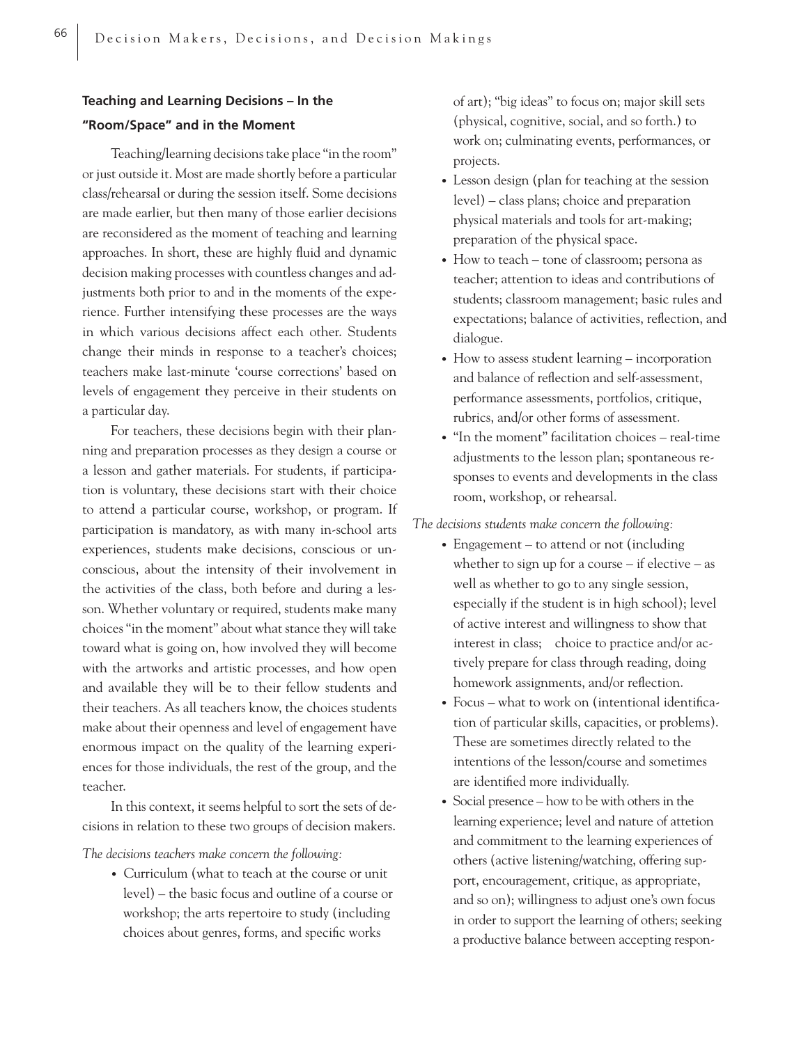# **Teaching and Learning Decisions – In the "Room/Space" and in the Moment**

Teaching/learning decisions take place "in the room" or just outside it. Most are made shortly before a particular class/rehearsal or during the session itself. Some decisions are made earlier, but then many of those earlier decisions are reconsidered as the moment of teaching and learning approaches. In short, these are highly fluid and dynamic decision making processes with countless changes and adjustments both prior to and in the moments of the experience. Further intensifying these processes are the ways in which various decisions affect each other. Students change their minds in response to a teacher's choices; teachers make last-minute 'course corrections' based on levels of engagement they perceive in their students on a particular day.

For teachers, these decisions begin with their planning and preparation processes as they design a course or a lesson and gather materials. For students, if participation is voluntary, these decisions start with their choice to attend a particular course, workshop, or program. If participation is mandatory, as with many in-school arts experiences, students make decisions, conscious or unconscious, about the intensity of their involvement in the activities of the class, both before and during a lesson. Whether voluntary or required, students make many choices "in the moment" about what stance they will take toward what is going on, how involved they will become with the artworks and artistic processes, and how open and available they will be to their fellow students and their teachers. As all teachers know, the choices students make about their openness and level of engagement have enormous impact on the quality of the learning experiences for those individuals, the rest of the group, and the teacher.

In this context, it seems helpful to sort the sets of decisions in relation to these two groups of decision makers.

*The decisions teachers make concern the following:*

• Curriculum (what to teach at the course or unit level) – the basic focus and outline of a course or workshop; the arts repertoire to study (including choices about genres, forms, and specific works

 of art); "big ideas" to focus on; major skill sets (physical, cognitive, social, and so forth.) to work on; culminating events, performances, or projects.

- Lesson design (plan for teaching at the session level) – class plans; choice and preparation physical materials and tools for art-making; preparation of the physical space.
- How to teach tone of classroom; persona as teacher; attention to ideas and contributions of students; classroom management; basic rules and expectations; balance of activities, reflection, and dialogue.
- How to assess student learning incorporation and balance of reflection and self-assessment, performance assessments, portfolios, critique, rubrics, and/or other forms of assessment.
- "In the moment" facilitation choices real-time adjustments to the lesson plan; spontaneous re sponses to events and developments in the class room, workshop, or rehearsal.

*The decisions students make concern the following:*

- Engagement to attend or not (including whether to sign up for a course – if elective – as well as whether to go to any single session, especially if the student is in high school); level of active interest and willingness to show that interest in class; choice to practice and/or ac tively prepare for class through reading, doing homework assignments, and/or reflection.
- Focus what to work on (intentional identifica tion of particular skills, capacities, or problems). These are sometimes directly related to the intentions of the lesson/course and sometimes are identified more individually.
- Social presence how to be with others in the learning experience; level and nature of attetion and commitment to the learning experiences of others (active listening/watching, offering sup port, encouragement, critique, as appropriate, and so on); willingness to adjust one's own focus in order to support the learning of others; seeking a productive balance between accepting respon-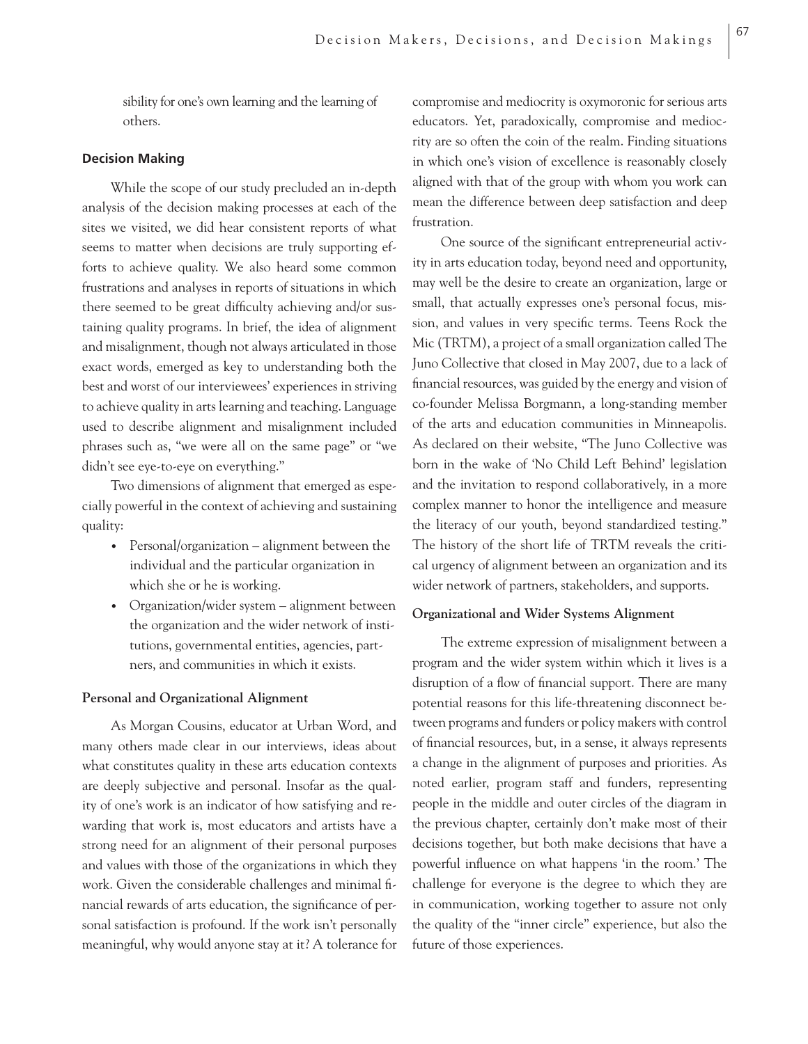sibility for one's own learning and the learning of others.

# **Decision Making**

While the scope of our study precluded an in-depth analysis of the decision making processes at each of the sites we visited, we did hear consistent reports of what seems to matter when decisions are truly supporting efforts to achieve quality. We also heard some common frustrations and analyses in reports of situations in which there seemed to be great difficulty achieving and/or sustaining quality programs. In brief, the idea of alignment and misalignment, though not always articulated in those exact words, emerged as key to understanding both the best and worst of our interviewees' experiences in striving to achieve quality in arts learning and teaching. Language used to describe alignment and misalignment included phrases such as, "we were all on the same page" or "we didn't see eye-to-eye on everything."

Two dimensions of alignment that emerged as especially powerful in the context of achieving and sustaining quality:

- Personal/organization alignment between the individual and the particular organization in which she or he is working.
- Organization/wider system alignment between the organization and the wider network of insti tutions, governmental entities, agencies, part ners, and communities in which it exists.

#### **Personal and Organizational Alignment**

As Morgan Cousins, educator at Urban Word, and many others made clear in our interviews, ideas about what constitutes quality in these arts education contexts are deeply subjective and personal. Insofar as the quality of one's work is an indicator of how satisfying and rewarding that work is, most educators and artists have a strong need for an alignment of their personal purposes and values with those of the organizations in which they work. Given the considerable challenges and minimal financial rewards of arts education, the significance of personal satisfaction is profound. If the work isn't personally meaningful, why would anyone stay at it? A tolerance for

compromise and mediocrity is oxymoronic for serious arts educators. Yet, paradoxically, compromise and mediocrity are so often the coin of the realm. Finding situations in which one's vision of excellence is reasonably closely aligned with that of the group with whom you work can mean the difference between deep satisfaction and deep frustration.

One source of the significant entrepreneurial activity in arts education today, beyond need and opportunity, may well be the desire to create an organization, large or small, that actually expresses one's personal focus, mission, and values in very specific terms. Teens Rock the Mic (TRTM), a project of a small organization called The Juno Collective that closed in May 2007, due to a lack of financial resources, was guided by the energy and vision of co-founder Melissa Borgmann, a long-standing member of the arts and education communities in Minneapolis. As declared on their website, "The Juno Collective was born in the wake of 'No Child Left Behind' legislation and the invitation to respond collaboratively, in a more complex manner to honor the intelligence and measure the literacy of our youth, beyond standardized testing." The history of the short life of TRTM reveals the critical urgency of alignment between an organization and its wider network of partners, stakeholders, and supports.

#### **Organizational and Wider Systems Alignment**

The extreme expression of misalignment between a program and the wider system within which it lives is a disruption of a flow of financial support. There are many potential reasons for this life-threatening disconnect between programs and funders or policy makers with control of financial resources, but, in a sense, it always represents a change in the alignment of purposes and priorities. As noted earlier, program staff and funders, representing people in the middle and outer circles of the diagram in the previous chapter, certainly don't make most of their decisions together, but both make decisions that have a powerful influence on what happens 'in the room.' The challenge for everyone is the degree to which they are in communication, working together to assure not only the quality of the "inner circle" experience, but also the future of those experiences.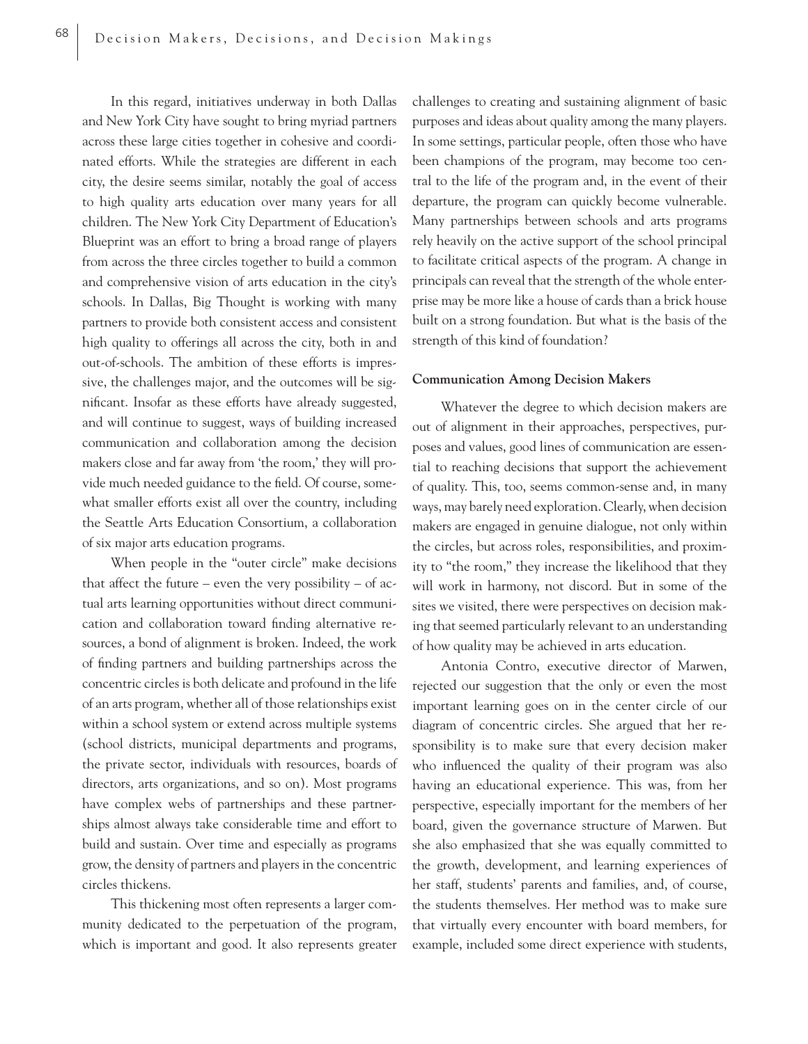In this regard, initiatives underway in both Dallas and New York City have sought to bring myriad partners across these large cities together in cohesive and coordinated efforts. While the strategies are different in each city, the desire seems similar, notably the goal of access to high quality arts education over many years for all children. The New York City Department of Education's Blueprint was an effort to bring a broad range of players from across the three circles together to build a common and comprehensive vision of arts education in the city's schools. In Dallas, Big Thought is working with many partners to provide both consistent access and consistent high quality to offerings all across the city, both in and out-of-schools. The ambition of these efforts is impressive, the challenges major, and the outcomes will be significant. Insofar as these efforts have already suggested, and will continue to suggest, ways of building increased communication and collaboration among the decision makers close and far away from 'the room,' they will provide much needed guidance to the field. Of course, somewhat smaller efforts exist all over the country, including the Seattle Arts Education Consortium, a collaboration of six major arts education programs.

When people in the "outer circle" make decisions that affect the future – even the very possibility – of actual arts learning opportunities without direct communication and collaboration toward finding alternative resources, a bond of alignment is broken. Indeed, the work of finding partners and building partnerships across the concentric circles is both delicate and profound in the life of an arts program, whether all of those relationships exist within a school system or extend across multiple systems (school districts, municipal departments and programs, the private sector, individuals with resources, boards of directors, arts organizations, and so on). Most programs have complex webs of partnerships and these partnerships almost always take considerable time and effort to build and sustain. Over time and especially as programs grow, the density of partners and players in the concentric circles thickens.

This thickening most often represents a larger community dedicated to the perpetuation of the program, which is important and good. It also represents greater challenges to creating and sustaining alignment of basic purposes and ideas about quality among the many players. In some settings, particular people, often those who have been champions of the program, may become too central to the life of the program and, in the event of their departure, the program can quickly become vulnerable. Many partnerships between schools and arts programs rely heavily on the active support of the school principal to facilitate critical aspects of the program. A change in principals can reveal that the strength of the whole enterprise may be more like a house of cards than a brick house built on a strong foundation. But what is the basis of the strength of this kind of foundation?

#### **Communication Among Decision Makers**

Whatever the degree to which decision makers are out of alignment in their approaches, perspectives, purposes and values, good lines of communication are essential to reaching decisions that support the achievement of quality. This, too, seems common-sense and, in many ways, may barely need exploration. Clearly, when decision makers are engaged in genuine dialogue, not only within the circles, but across roles, responsibilities, and proximity to "the room," they increase the likelihood that they will work in harmony, not discord. But in some of the sites we visited, there were perspectives on decision making that seemed particularly relevant to an understanding of how quality may be achieved in arts education.

Antonia Contro, executive director of Marwen, rejected our suggestion that the only or even the most important learning goes on in the center circle of our diagram of concentric circles. She argued that her responsibility is to make sure that every decision maker who influenced the quality of their program was also having an educational experience. This was, from her perspective, especially important for the members of her board, given the governance structure of Marwen. But she also emphasized that she was equally committed to the growth, development, and learning experiences of her staff, students' parents and families, and, of course, the students themselves. Her method was to make sure that virtually every encounter with board members, for example, included some direct experience with students,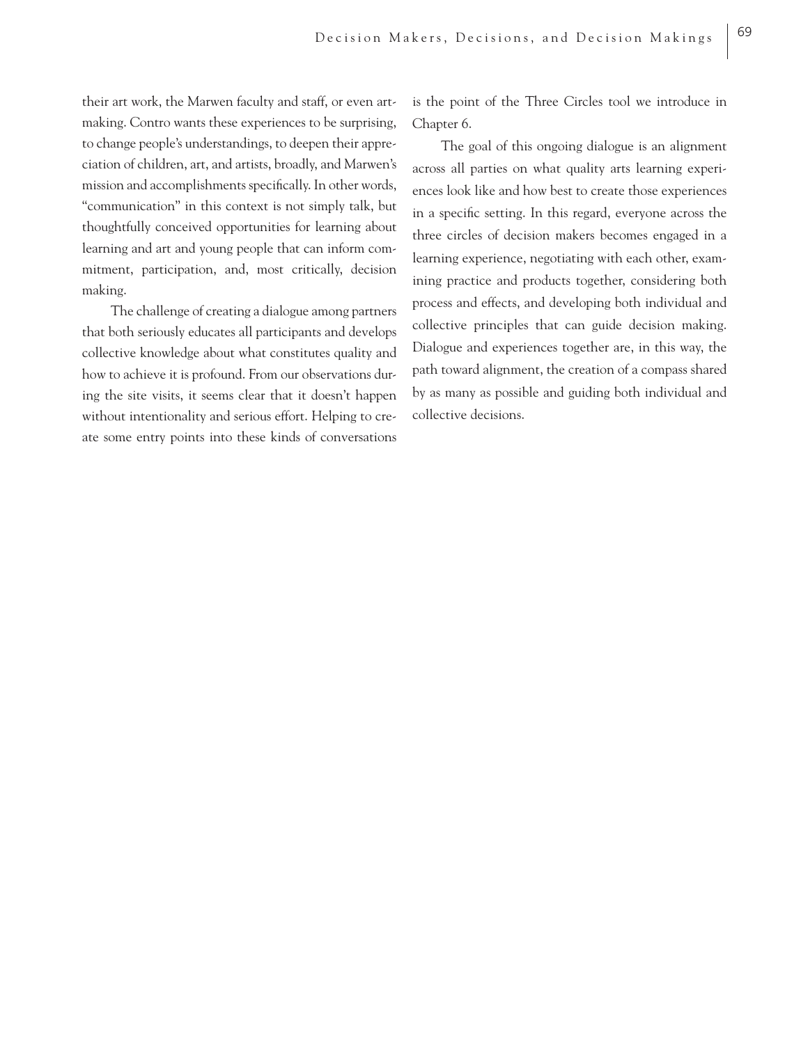their art work, the Marwen faculty and staff, or even artmaking. Contro wants these experiences to be surprising, to change people's understandings, to deepen their appreciation of children, art, and artists, broadly, and Marwen's mission and accomplishments specifically. In other words, "communication" in this context is not simply talk, but thoughtfully conceived opportunities for learning about learning and art and young people that can inform commitment, participation, and, most critically, decision making.

The challenge of creating a dialogue among partners that both seriously educates all participants and develops collective knowledge about what constitutes quality and how to achieve it is profound. From our observations during the site visits, it seems clear that it doesn't happen without intentionality and serious effort. Helping to create some entry points into these kinds of conversations is the point of the Three Circles tool we introduce in Chapter 6.

The goal of this ongoing dialogue is an alignment across all parties on what quality arts learning experiences look like and how best to create those experiences in a specific setting. In this regard, everyone across the three circles of decision makers becomes engaged in a learning experience, negotiating with each other, examining practice and products together, considering both process and effects, and developing both individual and collective principles that can guide decision making. Dialogue and experiences together are, in this way, the path toward alignment, the creation of a compass shared by as many as possible and guiding both individual and collective decisions.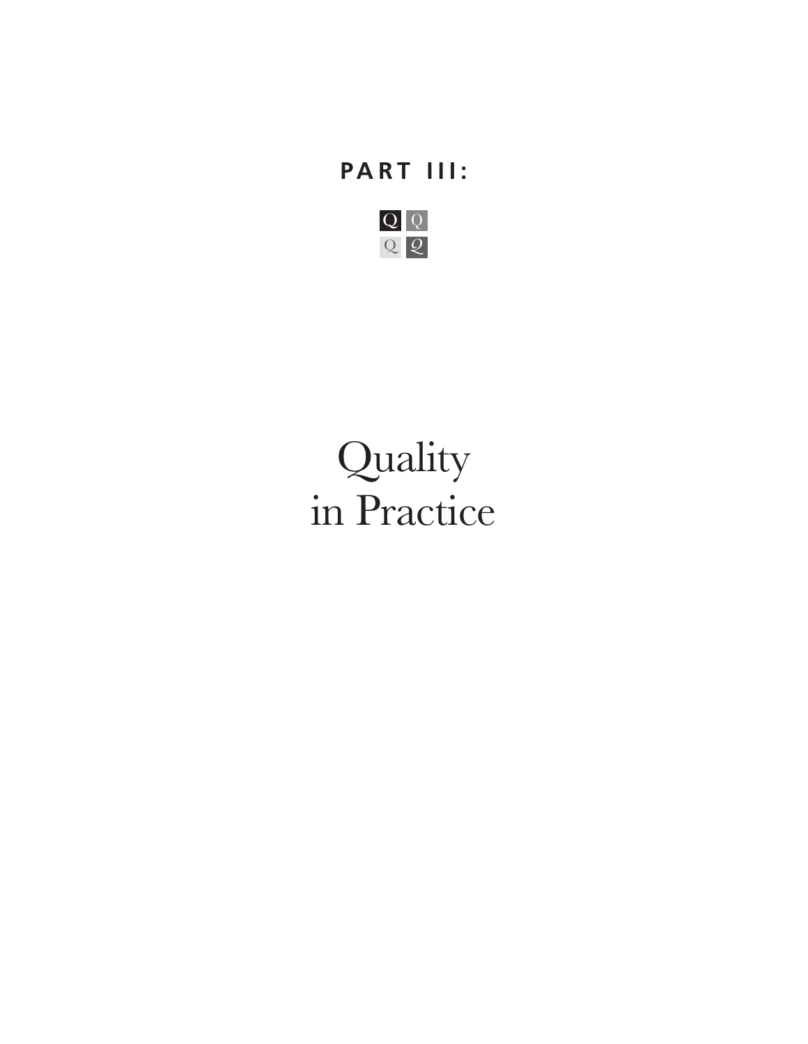# **PART III:**



# Quality in Practice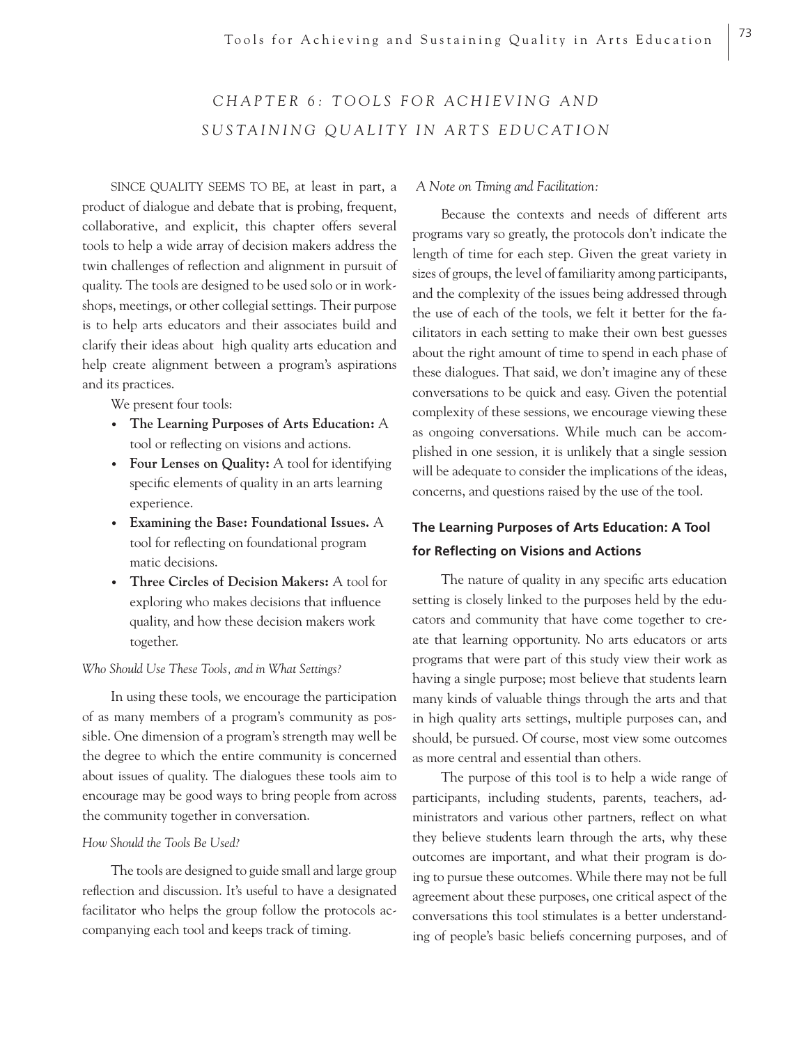# CHAPTER 6: TOOLS FOR ACHIEVING AND *SUSTAINING QUALITY IN ARTS EDUCATION*

SINCE QUALITY SEEMS TO BE, at least in part, a product of dialogue and debate that is probing, frequent, collaborative, and explicit, this chapter offers several tools to help a wide array of decision makers address the twin challenges of reflection and alignment in pursuit of quality. The tools are designed to be used solo or in workshops, meetings, or other collegial settings. Their purpose is to help arts educators and their associates build and clarify their ideas about high quality arts education and help create alignment between a program's aspirations and its practices.

We present four tools:

- **The Learning Purposes of Arts Education:** A tool or reflecting on visions and actions.
- **Four Lenses on Quality:** A tool for identifying specific elements of quality in an arts learning experience.
- **Examining the Base: Foundational Issues.** A tool for reflecting on foundational program matic decisions.
- **Three Circles of Decision Makers:** A tool for exploring who makes decisions that influence quality, and how these decision makers work together.

# *Who Should Use These Tools, and in What Settings?*

In using these tools, we encourage the participation of as many members of a program's community as possible. One dimension of a program's strength may well be the degree to which the entire community is concerned about issues of quality. The dialogues these tools aim to encourage may be good ways to bring people from across the community together in conversation.

# *How Should the Tools Be Used?*

The tools are designed to guide small and large group reflection and discussion. It's useful to have a designated facilitator who helps the group follow the protocols accompanying each tool and keeps track of timing.

 *A Note on Timing and Facilitation:*

Because the contexts and needs of different arts programs vary so greatly, the protocols don't indicate the length of time for each step. Given the great variety in sizes of groups, the level of familiarity among participants, and the complexity of the issues being addressed through the use of each of the tools, we felt it better for the facilitators in each setting to make their own best guesses about the right amount of time to spend in each phase of these dialogues. That said, we don't imagine any of these conversations to be quick and easy. Given the potential complexity of these sessions, we encourage viewing these as ongoing conversations. While much can be accomplished in one session, it is unlikely that a single session will be adequate to consider the implications of the ideas, concerns, and questions raised by the use of the tool.

# **The Learning Purposes of Arts Education: A Tool for Reflecting on Visions and Actions**

The nature of quality in any specific arts education setting is closely linked to the purposes held by the educators and community that have come together to create that learning opportunity. No arts educators or arts programs that were part of this study view their work as having a single purpose; most believe that students learn many kinds of valuable things through the arts and that in high quality arts settings, multiple purposes can, and should, be pursued. Of course, most view some outcomes as more central and essential than others.

The purpose of this tool is to help a wide range of participants, including students, parents, teachers, administrators and various other partners, reflect on what they believe students learn through the arts, why these outcomes are important, and what their program is doing to pursue these outcomes. While there may not be full agreement about these purposes, one critical aspect of the conversations this tool stimulates is a better understanding of people's basic beliefs concerning purposes, and of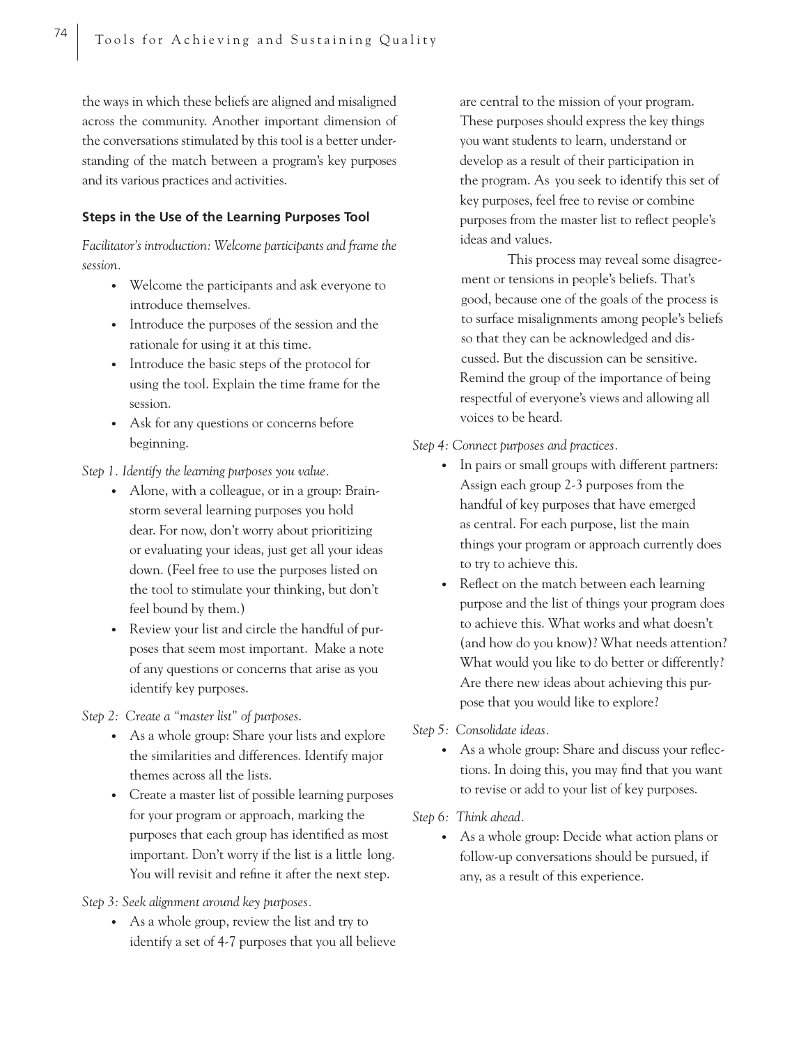the ways in which these beliefs are aligned and misaligned across the community. Another important dimension of the conversations stimulated by this tool is a better understanding of the match between a program's key purposes and its various practices and activities.

# **Steps in the Use of the Learning Purposes Tool**

*Facilitator's introduction: Welcome participants and frame the session.*

- Welcome the participants and ask everyone to introduce themselves.
- Introduce the purposes of the session and the rationale for using it at this time.
- Introduce the basic steps of the protocol for using the tool. Explain the time frame for the session.
- Ask for any questions or concerns before beginning.

*Step 1. Identify the learning purposes you value.*

- Alone, with a colleague, or in a group: Brain storm several learning purposes you hold dear. For now, don't worry about prioritizing or evaluating your ideas, just get all your ideas down. (Feel free to use the purposes listed on the tool to stimulate your thinking, but don't feel bound by them.)
- Review your list and circle the handful of pur poses that seem most important. Make a note of any questions or concerns that arise as you identify key purposes.

*Step 2: Create a "master list" of purposes*.

- As a whole group: Share your lists and explore the similarities and differences. Identify major themes across all the lists.
- Create a master list of possible learning purposes for your program or approach, marking the purposes that each group has identified as most important. Don't worry if the list is a little long. You will revisit and refine it after the next step.

*Step 3: Seek alignment around key purposes.*

• As a whole group, review the list and try to identify a set of 4-7 purposes that you all believe  are central to the mission of your program. These purposes should express the key things you want students to learn, understand or develop as a result of their participation in the program. As you seek to identify this set of key purposes, feel free to revise or combine purposes from the master list to reflect people's ideas and values.

 This process may reveal some disagreement or tensions in people's beliefs. That's good, because one of the goals of the process is to surface misalignments among people's beliefs so that they can be acknowledged and discussed. But the discussion can be sensitive. Remind the group of the importance of being respectful of everyone's views and allowing all voices to be heard.

## *Step 4: Connect purposes and practices.*

- In pairs or small groups with different partners: Assign each group 2-3 purposes from the handful of key purposes that have emerged as central. For each purpose, list the main things your program or approach currently does to try to achieve this.
- Reflect on the match between each learning purpose and the list of things your program does to achieve this. What works and what doesn't (and how do you know)? What needs attention? What would you like to do better or differently? Are there new ideas about achieving this pur pose that you would like to explore?

*Step 5: Consolidate ideas.*

• As a whole group: Share and discuss your reflections. In doing this, you may find that you want to revise or add to your list of key purposes.

*Step 6: Think ahead.* 

• As a whole group: Decide what action plans or follow-up conversations should be pursued, if any, as a result of this experience.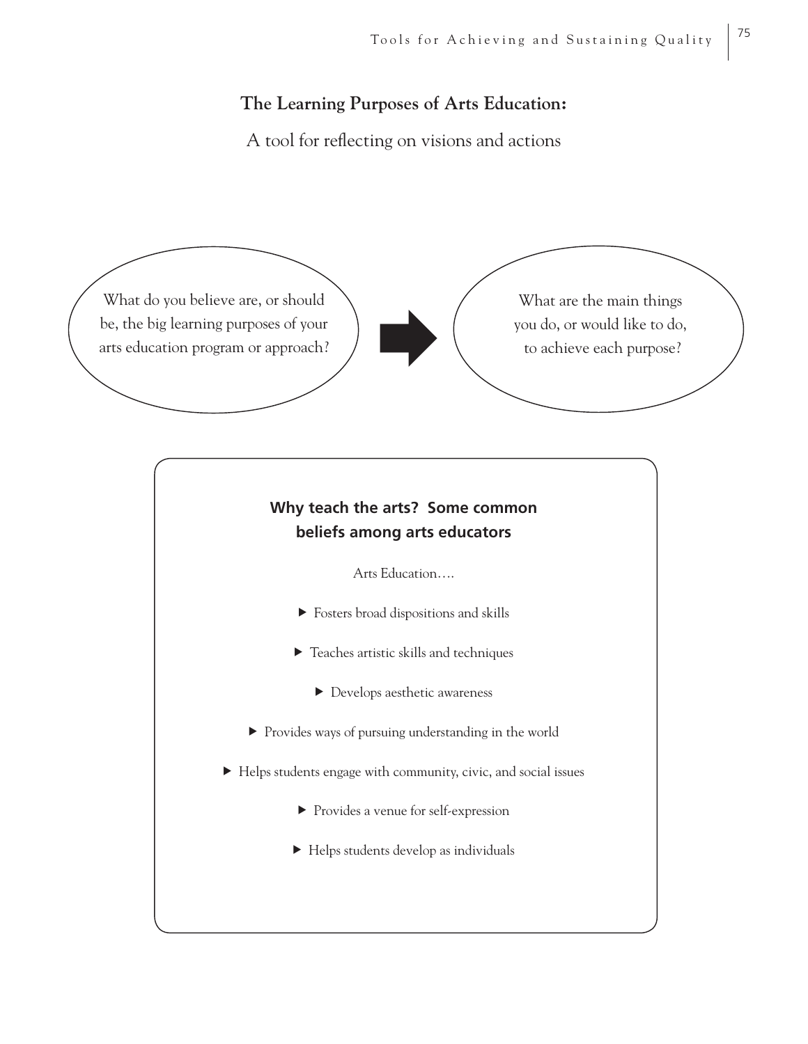# **The Learning Purposes of Arts Education:**

A tool for reflecting on visions and actions

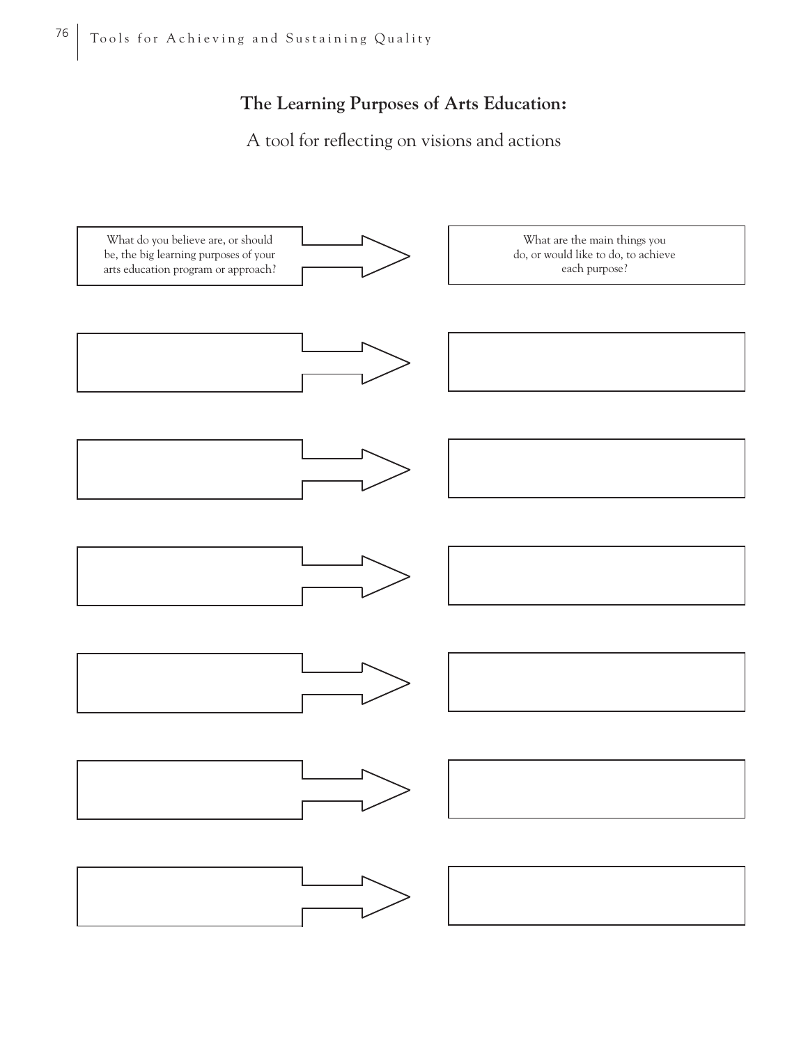# **The Learning Purposes of Arts Education:**

A tool for reflecting on visions and actions

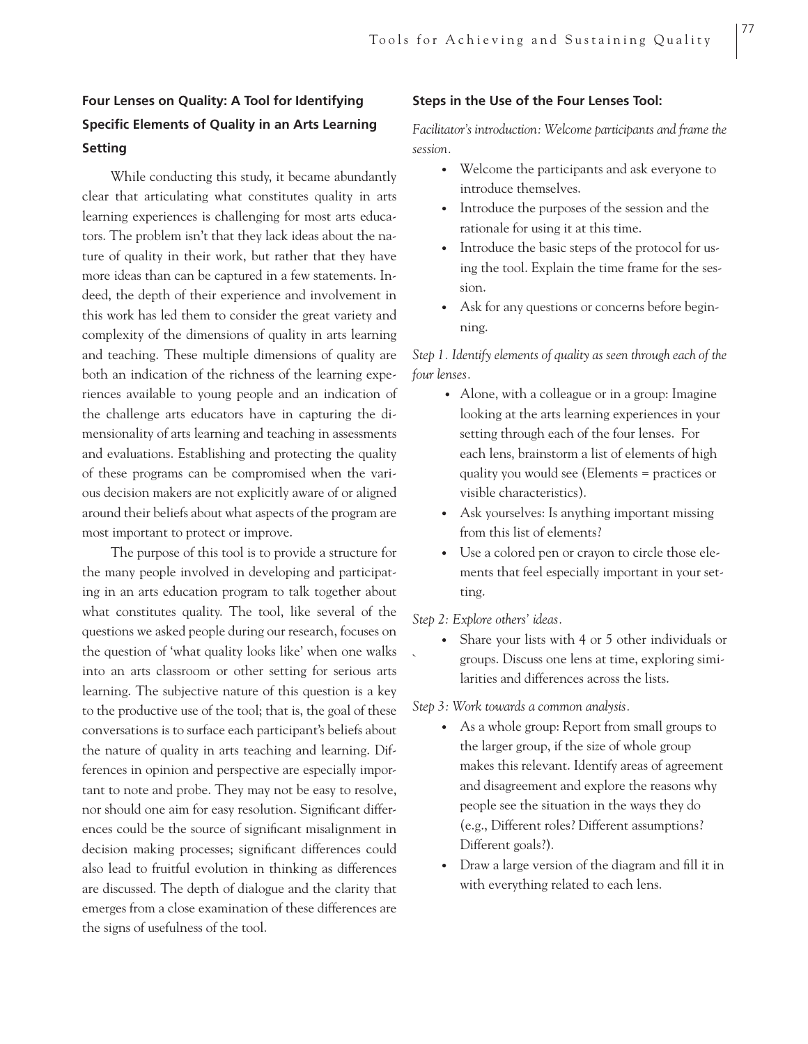# **Four Lenses on Quality: A Tool for Identifying Specific Elements of Quality in an Arts Learning Setting**

While conducting this study, it became abundantly clear that articulating what constitutes quality in arts learning experiences is challenging for most arts educators. The problem isn't that they lack ideas about the nature of quality in their work, but rather that they have more ideas than can be captured in a few statements. Indeed, the depth of their experience and involvement in this work has led them to consider the great variety and complexity of the dimensions of quality in arts learning and teaching. These multiple dimensions of quality are both an indication of the richness of the learning experiences available to young people and an indication of the challenge arts educators have in capturing the dimensionality of arts learning and teaching in assessments and evaluations. Establishing and protecting the quality of these programs can be compromised when the various decision makers are not explicitly aware of or aligned around their beliefs about what aspects of the program are most important to protect or improve.

The purpose of this tool is to provide a structure for the many people involved in developing and participating in an arts education program to talk together about what constitutes quality. The tool, like several of the questions we asked people during our research, focuses on the question of 'what quality looks like' when one walks into an arts classroom or other setting for serious arts learning. The subjective nature of this question is a key to the productive use of the tool; that is, the goal of these conversations is to surface each participant's beliefs about the nature of quality in arts teaching and learning. Differences in opinion and perspective are especially important to note and probe. They may not be easy to resolve, nor should one aim for easy resolution. Significant differences could be the source of significant misalignment in decision making processes; significant differences could also lead to fruitful evolution in thinking as differences are discussed. The depth of dialogue and the clarity that emerges from a close examination of these differences are the signs of usefulness of the tool.

# **Steps in the Use of the Four Lenses Tool:**

*Facilitator's introduction: Welcome participants and frame the session.*

• Welcome the participants and ask everyone to introduce themselves.

77

- Introduce the purposes of the session and the rationale for using it at this time.
- Introduce the basic steps of the protocol for us ing the tool. Explain the time frame for the ses sion.
- Ask for any questions or concerns before beginning.

*Step 1. Identify elements of quality as seen through each of the four lenses.*

- Alone, with a colleague or in a group: Imagine looking at the arts learning experiences in your setting through each of the four lenses. For each lens, brainstorm a list of elements of high quality you would see (Elements = practices or visible characteristics).
- Ask yourselves: Is anything important missing from this list of elements?
- Use a colored pen or crayon to circle those ele ments that feel especially important in your set ting.

#### *Step 2: Explore others' ideas.*

• Share your lists with 4 or 5 other individuals or ` groups. Discuss one lens at time, exploring simi larities and differences across the lists.

## *Step 3: Work towards a common analysis.*

- As a whole group: Report from small groups to the larger group, if the size of whole group makes this relevant. Identify areas of agreement and disagreement and explore the reasons why people see the situation in the ways they do (e.g., Different roles? Different assumptions? Different goals?).
- Draw a large version of the diagram and fill it in with everything related to each lens.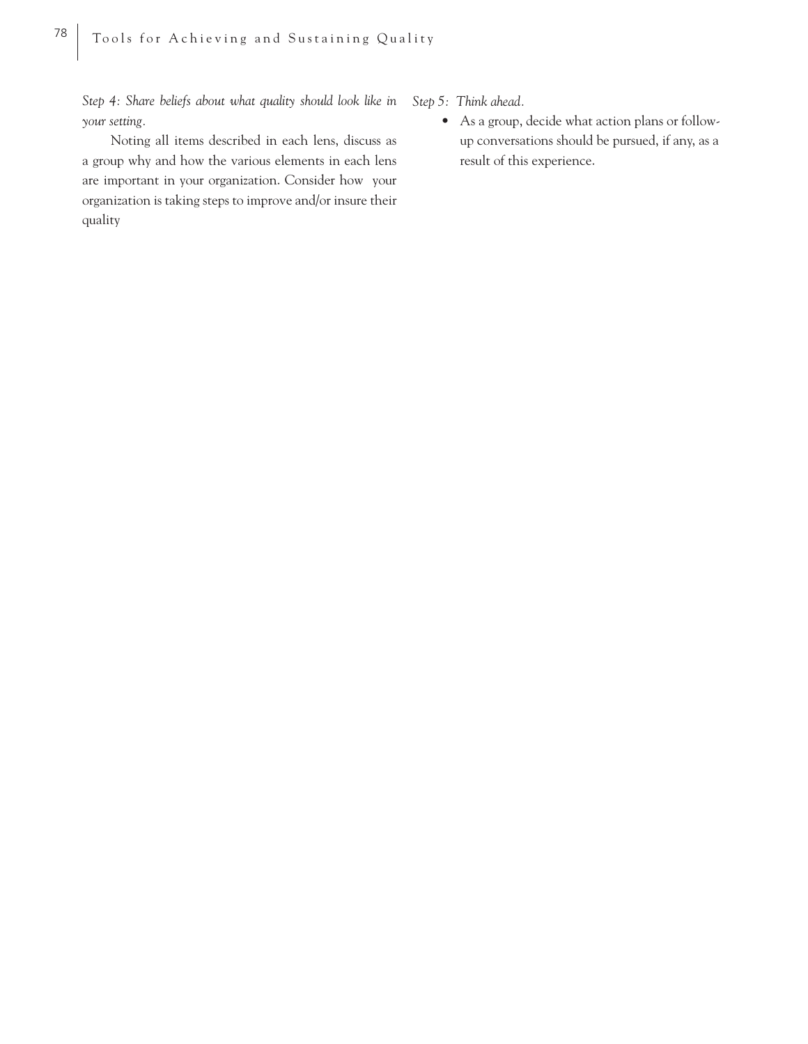*Step 4: Share beliefs about what quality should look like in your setting.*

Noting all items described in each lens, discuss as a group why and how the various elements in each lens are important in your organization. Consider how your organization is taking steps to improve and/or insure their quality

*Step 5: Think ahead.*

• As a group, decide what action plans or follow up conversations should be pursued, if any, as a result of this experience.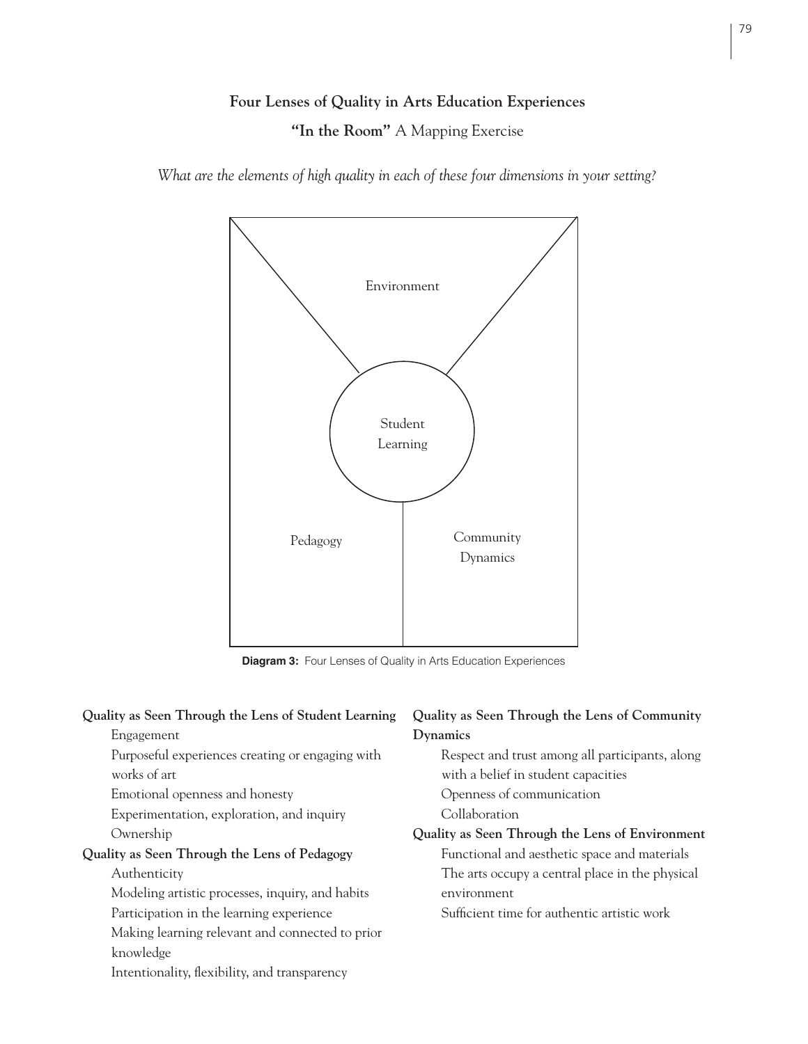# **Four Lenses of Quality in Arts Education Experiences**

**"In the Room"** A Mapping Exercise

*What are the elements of high quality in each of these four dimensions in your setting?*



**Diagram 3:** Four Lenses of Quality in Arts Education Experiences

| Quality as Seen Through the Lens of Student Learning | Quality as Seen Through the Lens of Community   |  |
|------------------------------------------------------|-------------------------------------------------|--|
| Engagement                                           | Dynamics                                        |  |
| Purposeful experiences creating or engaging with     | Respect and trust among all participants, along |  |
| works of art                                         | with a belief in student capacities             |  |
| Emotional openness and honesty                       | Openness of communication                       |  |
| Experimentation, exploration, and inquiry            | Collaboration                                   |  |
| Ownership                                            | Quality as Seen Through the Lens of Environment |  |
| Quality as Seen Through the Lens of Pedagogy         | Functional and aesthetic space and materials    |  |
| Authenticity                                         | The arts occupy a central place in the physical |  |
| Modeling artistic processes, inquiry, and habits     | environment                                     |  |
| Participation in the learning experience             | Sufficient time for authentic artistic work     |  |
| Making learning relevant and connected to prior      |                                                 |  |
| knowledge                                            |                                                 |  |
| Intentionality, flexibility, and transparency        |                                                 |  |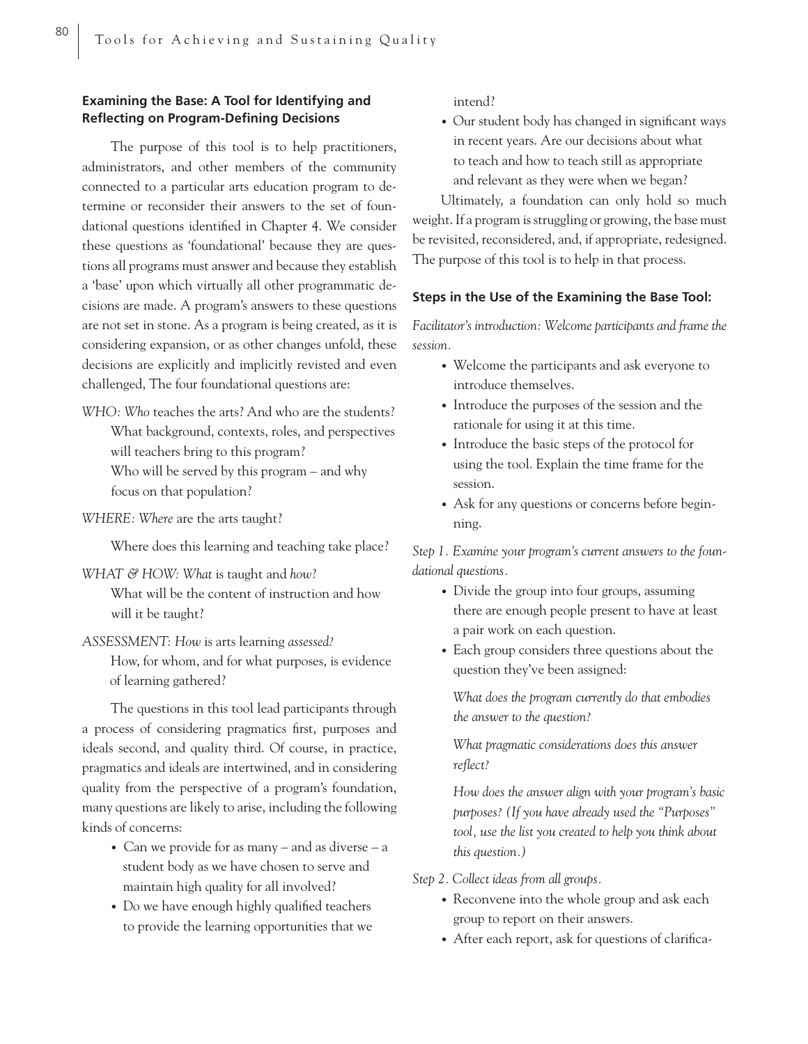# **Examining the Base: A Tool for Identifying and Reflecting on Program-Defining Decisions**

The purpose of this tool is to help practitioners, administrators, and other members of the community connected to a particular arts education program to determine or reconsider their answers to the set of foundational questions identified in Chapter 4. We consider these questions as 'foundational' because they are questions all programs must answer and because they establish a 'base' upon which virtually all other programmatic decisions are made. A program's answers to these questions are not set in stone. As a program is being created, as it is considering expansion, or as other changes unfold, these decisions are explicitly and implicitly revisted and even challenged, The four foundational questions are:

*WHO: Who* teaches the arts? And who are the students? What background, contexts, roles, and perspectives will teachers bring to this program? Who will be served by this program – and why focus on that population?

*WHERE: Where* are the arts taught?

Where does this learning and teaching take place?

*WHAT & HOW: What is taught and how?* 

What will be the content of instruction and how will it be taught?

*ASSESSMENT: How* is arts learning *assessed?* 

How, for whom, and for what purposes, is evidence of learning gathered?

The questions in this tool lead participants through a process of considering pragmatics first, purposes and ideals second, and quality third. Of course, in practice, pragmatics and ideals are intertwined, and in considering quality from the perspective of a program's foundation, many questions are likely to arise, including the following kinds of concerns:

- Can we provide for as many and as diverse a student body as we have chosen to serve and maintain high quality for all involved?
- Do we have enough highly qualified teachers to provide the learning opportunities that we

intend?

• Our student body has changed in significant ways in recent years. Are our decisions about what to teach and how to teach still as appropriate and relevant as they were when we began?

Ultimately, a foundation can only hold so much weight. If a program is struggling or growing, the base must be revisited, reconsidered, and, if appropriate, redesigned. The purpose of this tool is to help in that process.

## **Steps in the Use of the Examining the Base Tool:**

*Facilitator's introduction: Welcome participants and frame the session.*

- Welcome the participants and ask everyone to introduce themselves.
- Introduce the purposes of the session and the rationale for using it at this time.
- Introduce the basic steps of the protocol for using the tool. Explain the time frame for the session.
- Ask for any questions or concerns before begin ning.

*Step 1. Examine your program's current answers to the foundational questions.*

- Divide the group into four groups, assuming there are enough people present to have at least a pair work on each question.
- Each group considers three questions about the question they've been assigned:

*What does the program currently do that embodies the answer to the question?*

*What pragmatic considerations does this answer refl ect?*

*How does the answer align with your program's basic purposes? (If you have already used the "Purposes" tool, use the list you created to help you think about this question.)*

*Step 2. Collect ideas from all groups.*

- Reconvene into the whole group and ask each group to report on their answers.
- After each report, ask for questions of clarifica-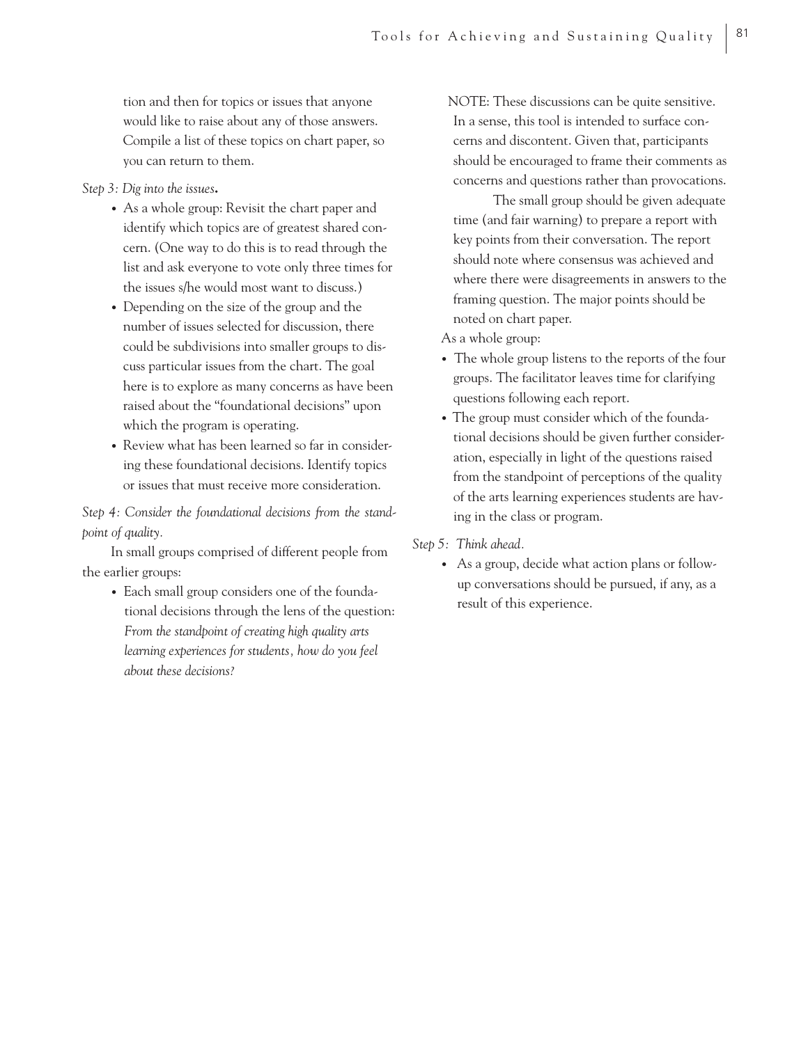tion and then for topics or issues that anyone would like to raise about any of those answers. Compile a list of these topics on chart paper, so you can return to them.

*Step 3: Dig into the issues***.**

- As a whole group: Revisit the chart paper and identify which topics are of greatest shared con cern. (One way to do this is to read through the list and ask everyone to vote only three times for the issues s/he would most want to discuss.)
- Depending on the size of the group and the number of issues selected for discussion, there could be subdivisions into smaller groups to dis cuss particular issues from the chart. The goal here is to explore as many concerns as have been raised about the "foundational decisions" upon which the program is operating.
- Review what has been learned so far in consider ing these foundational decisions. Identify topics or issues that must receive more consideration.

*Step 4: Consider the foundational decisions from the standpoint of quality.*

In small groups comprised of different people from the earlier groups:

• Each small group considers one of the founda tional decisions through the lens of the question: *From the standpoint of creating high quality arts learning experiences for students, how do you feel about these decisions?*

NOTE: These discussions can be quite sensitive. In a sense, this tool is intended to surface concerns and discontent. Given that, participants should be encouraged to frame their comments as concerns and questions rather than provocations.

 The small group should be given adequate time (and fair warning) to prepare a report with key points from their conversation. The report should note where consensus was achieved and where there were disagreements in answers to the framing question. The major points should be noted on chart paper.

As a whole group:

- The whole group listens to the reports of the four groups. The facilitator leaves time for clarifying questions following each report.
- The group must consider which of the founda tional decisions should be given further consider ation, especially in light of the questions raised from the standpoint of perceptions of the quality of the arts learning experiences students are hav ing in the class or program.

*Step 5: Think ahead.*

• As a group, decide what action plans or follow up conversations should be pursued, if any, as a result of this experience.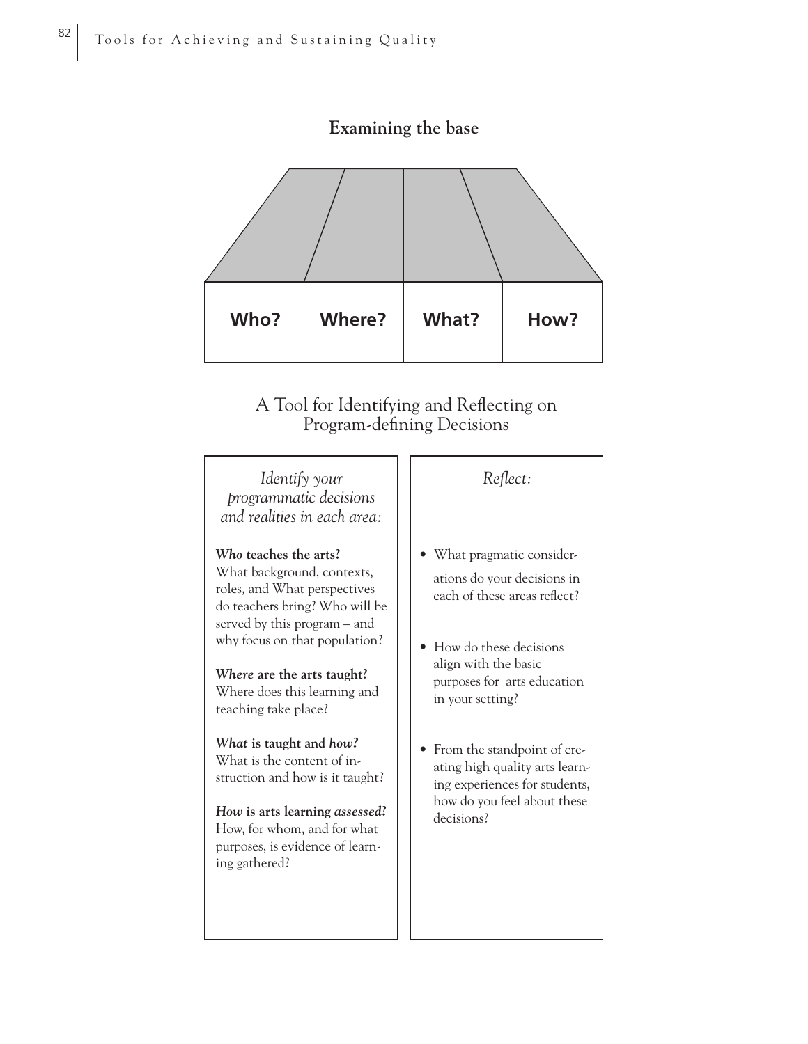

# **Examining the base**

# A Tool for Identifying and Reflecting on Program-defining Decisions

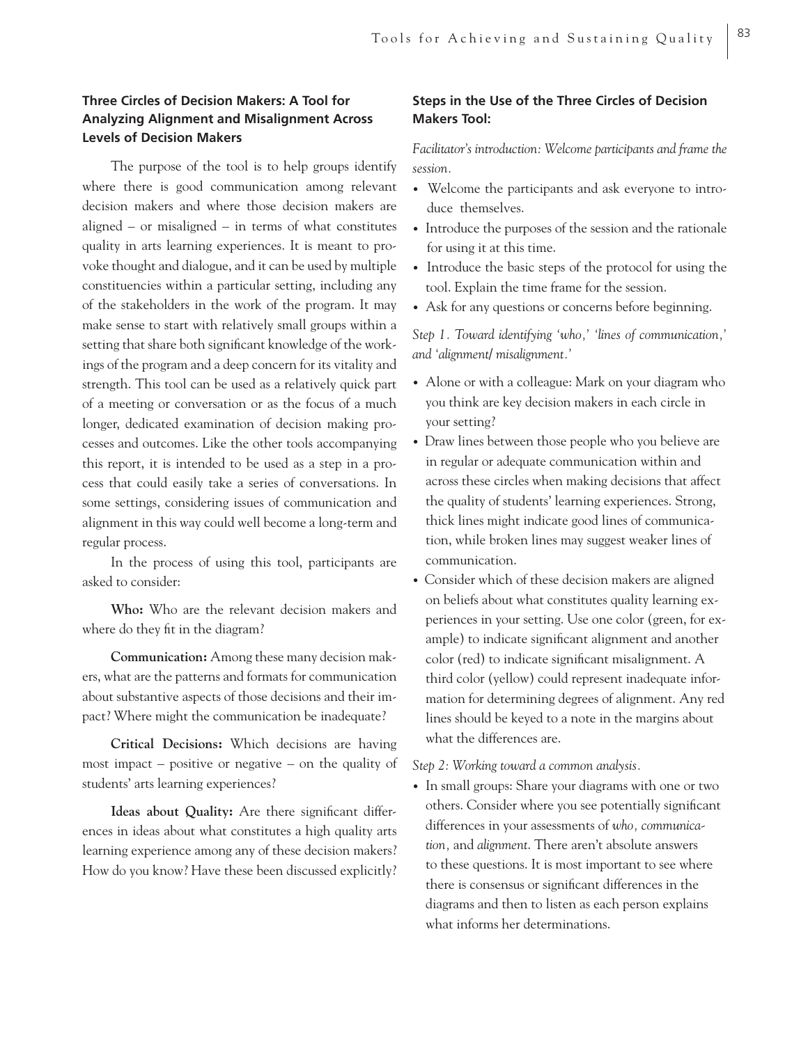# **Three Circles of Decision Makers: A Tool for Analyzing Alignment and Misalignment Across Levels of Decision Makers**

The purpose of the tool is to help groups identify where there is good communication among relevant decision makers and where those decision makers are aligned – or misaligned – in terms of what constitutes quality in arts learning experiences. It is meant to provoke thought and dialogue, and it can be used by multiple constituencies within a particular setting, including any of the stakeholders in the work of the program. It may make sense to start with relatively small groups within a setting that share both significant knowledge of the workings of the program and a deep concern for its vitality and strength. This tool can be used as a relatively quick part of a meeting or conversation or as the focus of a much longer, dedicated examination of decision making processes and outcomes. Like the other tools accompanying this report, it is intended to be used as a step in a process that could easily take a series of conversations. In some settings, considering issues of communication and alignment in this way could well become a long-term and regular process.

In the process of using this tool, participants are asked to consider:

**Who:** Who are the relevant decision makers and where do they fit in the diagram?

**Communication:** Among these many decision makers, what are the patterns and formats for communication about substantive aspects of those decisions and their impact? Where might the communication be inadequate?

**Critical Decisions:** Which decisions are having most impact – positive or negative – on the quality of students' arts learning experiences?

Ideas about Quality: Are there significant differences in ideas about what constitutes a high quality arts learning experience among any of these decision makers? How do you know? Have these been discussed explicitly?

# **Steps in the Use of the Three Circles of Decision Makers Tool:**

*Facilitator's introduction: Welcome participants and frame the session.*

- Welcome the participants and ask everyone to introduce themselves.
- Introduce the purposes of the session and the rationale for using it at this time.
- Introduce the basic steps of the protocol for using the tool. Explain the time frame for the session.
- Ask for any questions or concerns before beginning.

*Step 1. Toward identifying 'who,' 'lines of communication,' and 'alignment/ misalignment.'* 

- Alone or with a colleague: Mark on your diagram who you think are key decision makers in each circle in your setting?
- Draw lines between those people who you believe are in regular or adequate communication within and across these circles when making decisions that affect the quality of students' learning experiences. Strong, thick lines might indicate good lines of communication, while broken lines may suggest weaker lines of communication.
- Consider which of these decision makers are aligned on beliefs about what constitutes quality learning experiences in your setting. Use one color (green, for example) to indicate significant alignment and another color (red) to indicate significant misalignment. A third color (yellow) could represent inadequate information for determining degrees of alignment. Any red lines should be keyed to a note in the margins about what the differences are.

*Step 2: Working toward a common analysis.*

• In small groups: Share your diagrams with one or two others. Consider where you see potentially significant differences in your assessments of *who, communica tion,* and *alignment*. There aren't absolute answers to these questions. It is most important to see where there is consensus or significant differences in the diagrams and then to listen as each person explains what informs her determinations.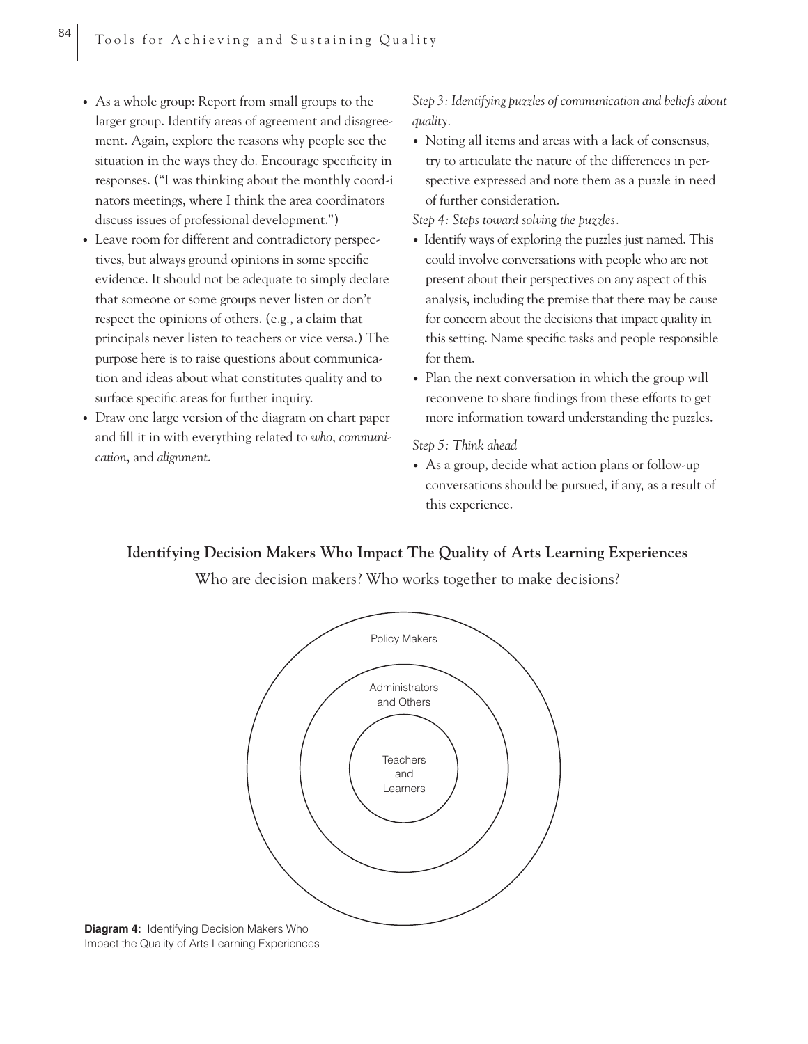- As a whole group: Report from small groups to the larger group. Identify areas of agreement and disagree ment. Again, explore the reasons why people see the situation in the ways they do. Encourage specificity in responses. ("I was thinking about the monthly coord-i nators meetings, where I think the area coordinators discuss issues of professional development.")
- Leave room for different and contradictory perspectives, but always ground opinions in some specific evidence. It should not be adequate to simply declare that someone or some groups never listen or don't respect the opinions of others. (e.g., a claim that principals never listen to teachers or vice versa.) The purpose here is to raise questions about communication and ideas about what constitutes quality and to surface specific areas for further inquiry.
- Draw one large version of the diagram on chart paper and fill it in with everything related to who, *communication*, and *alignment*.

*Step 3: Identifying puzzles of communication and beliefs about quality.*

- Noting all items and areas with a lack of consensus, try to articulate the nature of the differences in perspective expressed and note them as a puzzle in need of further consideration.
- *Step 4: Steps toward solving the puzzles.*
- Identify ways of exploring the puzzles just named. This could involve conversations with people who are not present about their perspectives on any aspect of this analysis, including the premise that there may be cause for concern about the decisions that impact quality in this setting. Name specific tasks and people responsible for them.
- Plan the next conversation in which the group will reconvene to share findings from these efforts to get more information toward understanding the puzzles.

*Step 5: Think ahead*

• As a group, decide what action plans or follow-up conversations should be pursued, if any, as a result of this experience.

# **Identifying Decision Makers Who Impact The Quality of Arts Learning Experiences**

Who are decision makers? Who works together to make decisions?



**Diagram 4:** Identifying Decision Makers Who Impact the Quality of Arts Learning Experiences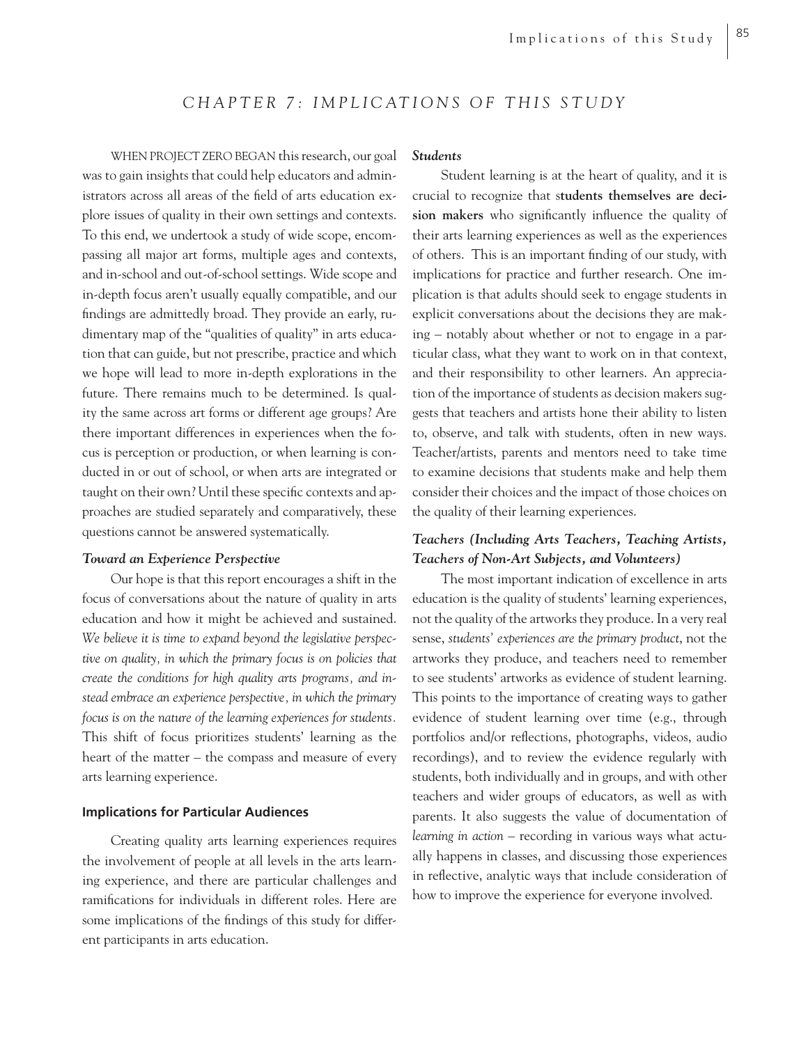# *CHAPTER 7: IMPLICATIONS OF THIS STUDY*

WHEN PROJECT ZERO BEGAN this research, our goal was to gain insights that could help educators and administrators across all areas of the field of arts education explore issues of quality in their own settings and contexts. To this end, we undertook a study of wide scope, encompassing all major art forms, multiple ages and contexts, and in-school and out-of-school settings. Wide scope and in-depth focus aren't usually equally compatible, and our findings are admittedly broad. They provide an early, rudimentary map of the "qualities of quality" in arts education that can guide, but not prescribe, practice and which we hope will lead to more in-depth explorations in the future. There remains much to be determined. Is quality the same across art forms or different age groups? Are there important differences in experiences when the focus is perception or production, or when learning is conducted in or out of school, or when arts are integrated or taught on their own? Until these specific contexts and approaches are studied separately and comparatively, these questions cannot be answered systematically.

# *Toward an Experience Perspective*

Our hope is that this report encourages a shift in the focus of conversations about the nature of quality in arts education and how it might be achieved and sustained. *We believe it is time to expand beyond the legislative perspective on quality, in which the primary focus is on policies that create the conditions for high quality arts programs, and instead embrace an experience perspective, in which the primary focus is on the nature of the learning experiences for students.* This shift of focus prioritizes students' learning as the heart of the matter – the compass and measure of every arts learning experience.

# **Implications for Particular Audiences**

Creating quality arts learning experiences requires the involvement of people at all levels in the arts learning experience, and there are particular challenges and ramifications for individuals in different roles. Here are some implications of the findings of this study for different participants in arts education.

#### *Students*

Student learning is at the heart of quality, and it is crucial to recognize that s**tudents themselves are deci**sion makers who significantly influence the quality of their arts learning experiences as well as the experiences of others. This is an important finding of our study, with implications for practice and further research. One implication is that adults should seek to engage students in explicit conversations about the decisions they are making – notably about whether or not to engage in a particular class, what they want to work on in that context, and their responsibility to other learners. An appreciation of the importance of students as decision makers suggests that teachers and artists hone their ability to listen to, observe, and talk with students, often in new ways. Teacher/artists, parents and mentors need to take time to examine decisions that students make and help them consider their choices and the impact of those choices on the quality of their learning experiences.

# *Teachers (Including Arts Teachers, Teaching Artists, Teachers of Non-Art Subjects, and Volunteers)*

The most important indication of excellence in arts education is the quality of students' learning experiences, not the quality of the artworks they produce. In a very real sense, *students' experiences are the primary product*, not the artworks they produce, and teachers need to remember to see students' artworks as evidence of student learning. This points to the importance of creating ways to gather evidence of student learning over time (e.g., through portfolios and/or reflections, photographs, videos, audio recordings), and to review the evidence regularly with students, both individually and in groups, and with other teachers and wider groups of educators, as well as with parents. It also suggests the value of documentation of *learning in action* – recording in various ways what actually happens in classes, and discussing those experiences in reflective, analytic ways that include consideration of how to improve the experience for everyone involved.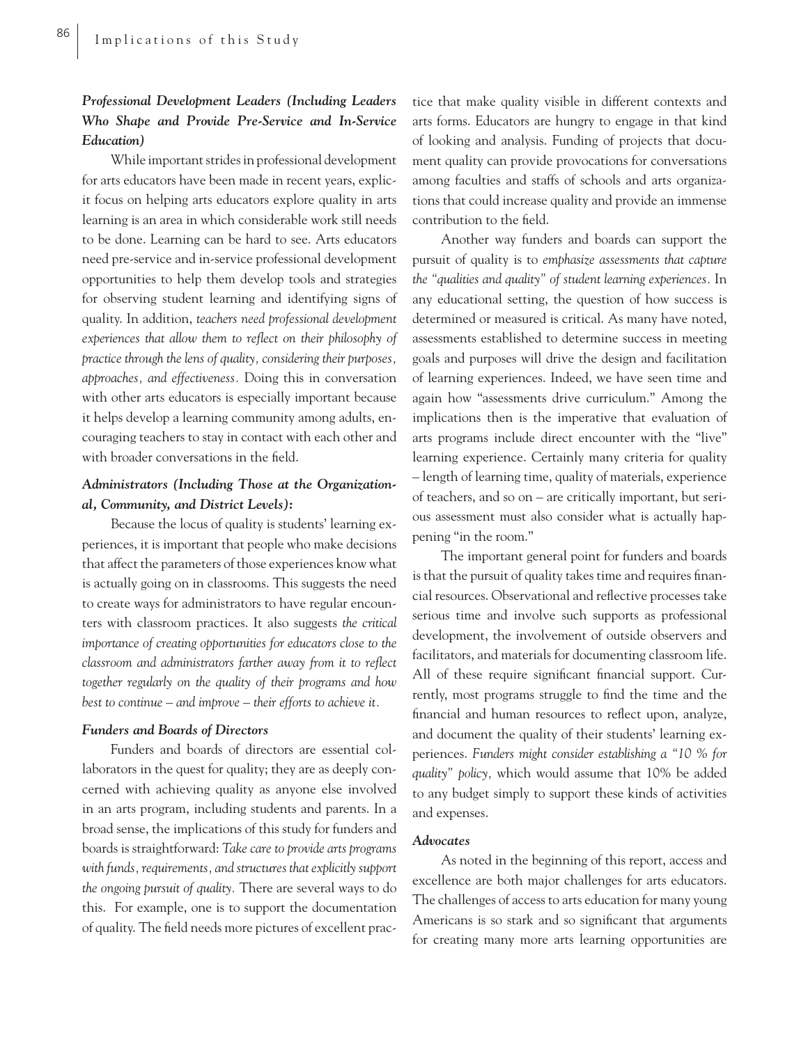# *Professional Development Leaders (Including Leaders Who Shape and Provide Pre-Service and In-Service Education)*

While important strides in professional development for arts educators have been made in recent years, explicit focus on helping arts educators explore quality in arts learning is an area in which considerable work still needs to be done. Learning can be hard to see. Arts educators need pre-service and in-service professional development opportunities to help them develop tools and strategies for observing student learning and identifying signs of quality. In addition, *teachers need professional development experiences that allow them to reflect on their philosophy of practice through the lens of quality, considering their purposes, approaches, and effectiveness.* Doing this in conversation with other arts educators is especially important because it helps develop a learning community among adults, encouraging teachers to stay in contact with each other and with broader conversations in the field.

# *Administrators (Including Those at the Organizational, Community, and District Levels):*

Because the locus of quality is students' learning experiences, it is important that people who make decisions that affect the parameters of those experiences know what is actually going on in classrooms. This suggests the need to create ways for administrators to have regular encounters with classroom practices. It also suggests *the critical importance of creating opportunities for educators close to the classroom and administrators farther away from it to reflect together regularly on the quality of their programs and how best to continue – and improve – their efforts to achieve it.* 

# *Funders and Boards of Directors*

Funders and boards of directors are essential collaborators in the quest for quality; they are as deeply concerned with achieving quality as anyone else involved in an arts program, including students and parents. In a broad sense, the implications of this study for funders and boards is straightforward: *Take care to provide arts programs with funds, requirements, and structures that explicitly support the ongoing pursuit of quality.* There are several ways to do this. For example, one is to support the documentation of quality. The field needs more pictures of excellent practice that make quality visible in different contexts and arts forms. Educators are hungry to engage in that kind of looking and analysis. Funding of projects that document quality can provide provocations for conversations among faculties and staffs of schools and arts organizations that could increase quality and provide an immense contribution to the field.

Another way funders and boards can support the pursuit of quality is to *emphasize assessments that capture the "qualities and quality" of student learning experiences.* In any educational setting, the question of how success is determined or measured is critical. As many have noted, assessments established to determine success in meeting goals and purposes will drive the design and facilitation of learning experiences. Indeed, we have seen time and again how "assessments drive curriculum." Among the implications then is the imperative that evaluation of arts programs include direct encounter with the "live" learning experience. Certainly many criteria for quality *–* length of learning time, quality of materials, experience of teachers, and so on *–* are critically important, but serious assessment must also consider what is actually happening "in the room."

The important general point for funders and boards is that the pursuit of quality takes time and requires financial resources. Observational and reflective processes take serious time and involve such supports as professional development, the involvement of outside observers and facilitators, and materials for documenting classroom life. All of these require significant financial support. Currently, most programs struggle to find the time and the financial and human resources to reflect upon, analyze, and document the quality of their students' learning experiences. *Funders might consider establishing a "10 % for quality" policy,* which would assume that 10% be added to any budget simply to support these kinds of activities and expenses.

# *Advocates*

As noted in the beginning of this report, access and excellence are both major challenges for arts educators. The challenges of access to arts education for many young Americans is so stark and so significant that arguments for creating many more arts learning opportunities are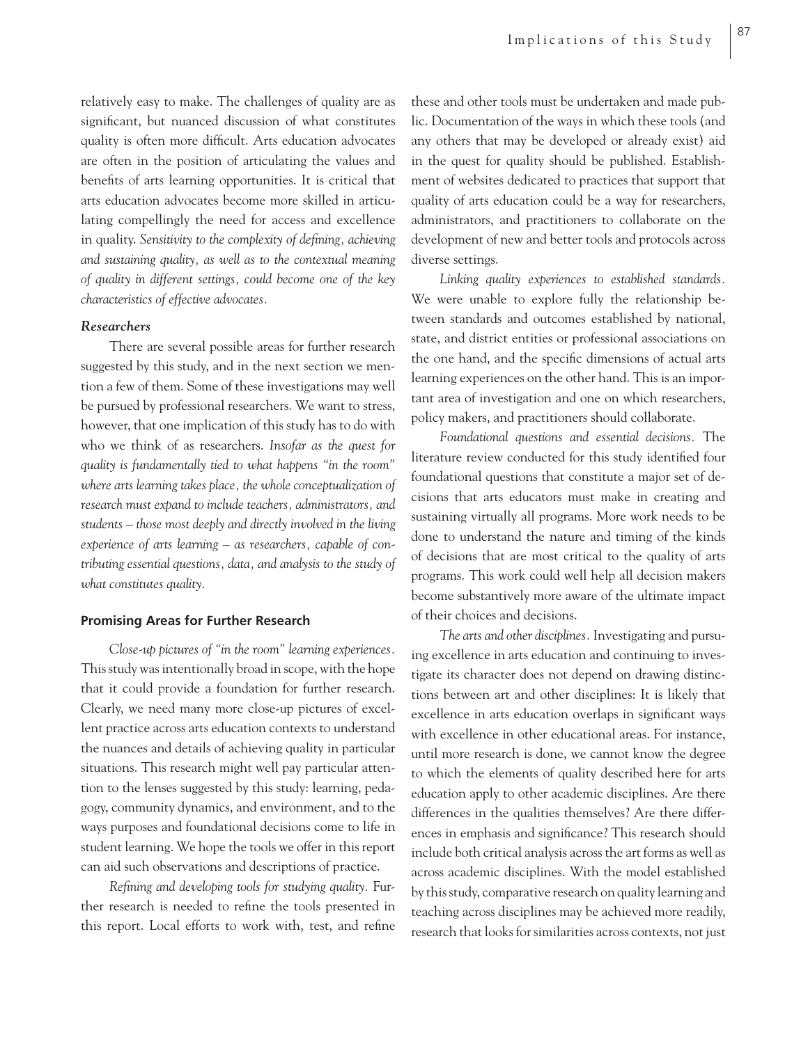relatively easy to make. The challenges of quality are as significant, but nuanced discussion of what constitutes quality is often more difficult. Arts education advocates are often in the position of articulating the values and benefits of arts learning opportunities. It is critical that arts education advocates become more skilled in articulating compellingly the need for access and excellence in quality. Sensitivity to the complexity of defining, achieving *and sustaining quality, as well as to the contextual meaning of quality in different settings, could become one of the key characteristics of effective advocates.*

# *Researchers*

There are several possible areas for further research suggested by this study, and in the next section we mention a few of them. Some of these investigations may well be pursued by professional researchers. We want to stress, however, that one implication of this study has to do with who we think of as researchers. *Insofar as the quest for quality is fundamentally tied to what happens "in the room" where arts learning takes place, the whole conceptualization of research must expand to include teachers, administrators, and students – those most deeply and directly involved in the living experience of arts learning – as researchers, capable of contributing essential questions, data, and analysis to the study of what constitutes quality.* 

# **Promising Areas for Further Research**

*Close-up pictures of "in the room" learning experiences.* This study was intentionally broad in scope, with the hope that it could provide a foundation for further research. Clearly, we need many more close-up pictures of excellent practice across arts education contexts to understand the nuances and details of achieving quality in particular situations. This research might well pay particular attention to the lenses suggested by this study: learning, pedagogy, community dynamics, and environment, and to the ways purposes and foundational decisions come to life in student learning. We hope the tools we offer in this report can aid such observations and descriptions of practice.

*Refi ning and developing tools for studying quality.* Further research is needed to refine the tools presented in this report. Local efforts to work with, test, and refine

these and other tools must be undertaken and made public. Documentation of the ways in which these tools (and any others that may be developed or already exist) aid in the quest for quality should be published. Establishment of websites dedicated to practices that support that quality of arts education could be a way for researchers, administrators, and practitioners to collaborate on the development of new and better tools and protocols across diverse settings.

*Linking quality experiences to established standards.*  We were unable to explore fully the relationship between standards and outcomes established by national, state, and district entities or professional associations on the one hand, and the specific dimensions of actual arts learning experiences on the other hand. This is an important area of investigation and one on which researchers, policy makers, and practitioners should collaborate.

*Foundational questions and essential decisions.* The literature review conducted for this study identified four foundational questions that constitute a major set of decisions that arts educators must make in creating and sustaining virtually all programs. More work needs to be done to understand the nature and timing of the kinds of decisions that are most critical to the quality of arts programs. This work could well help all decision makers become substantively more aware of the ultimate impact of their choices and decisions.

*The arts and other disciplines.* Investigating and pursuing excellence in arts education and continuing to investigate its character does not depend on drawing distinctions between art and other disciplines: It is likely that excellence in arts education overlaps in significant ways with excellence in other educational areas. For instance, until more research is done, we cannot know the degree to which the elements of quality described here for arts education apply to other academic disciplines. Are there differences in the qualities themselves? Are there differences in emphasis and significance? This research should include both critical analysis across the art forms as well as across academic disciplines. With the model established by this study, comparative research on quality learning and teaching across disciplines may be achieved more readily, research that looks for similarities across contexts, not just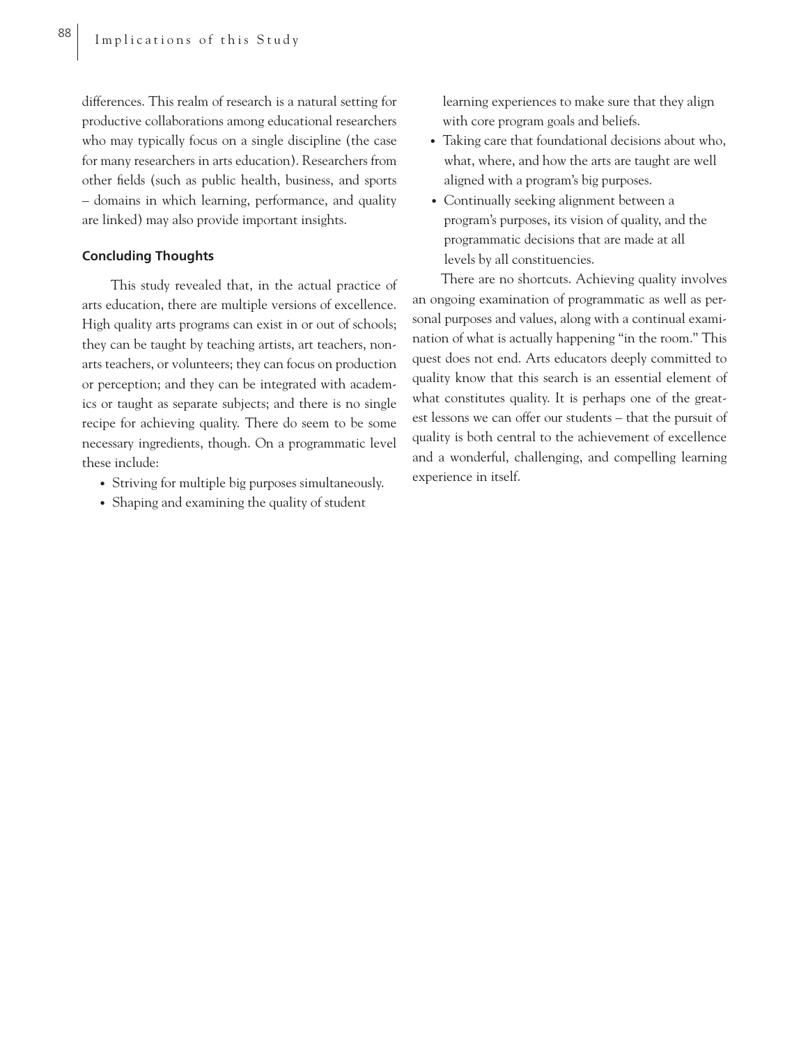differences. This realm of research is a natural setting for productive collaborations among educational researchers who may typically focus on a single discipline (the case for many researchers in arts education). Researchers from other fields (such as public health, business, and sports – domains in which learning, performance, and quality are linked) may also provide important insights.

# **Concluding Thoughts**

This study revealed that, in the actual practice of arts education, there are multiple versions of excellence. High quality arts programs can exist in or out of schools; they can be taught by teaching artists, art teachers, nonarts teachers, or volunteers; they can focus on production or perception; and they can be integrated with academics or taught as separate subjects; and there is no single recipe for achieving quality. There do seem to be some necessary ingredients, though. On a programmatic level these include:

- Striving for multiple big purposes simultaneously.
- Shaping and examining the quality of student

 learning experiences to make sure that they align with core program goals and beliefs.

- Taking care that foundational decisions about who, what, where, and how the arts are taught are well aligned with a program's big purposes.
- Continually seeking alignment between a program's purposes, its vision of quality, and the programmatic decisions that are made at all levels by all constituencies.

There are no shortcuts. Achieving quality involves an ongoing examination of programmatic as well as personal purposes and values, along with a continual examination of what is actually happening "in the room." This quest does not end. Arts educators deeply committed to quality know that this search is an essential element of what constitutes quality. It is perhaps one of the greatest lessons we can offer our students – that the pursuit of quality is both central to the achievement of excellence and a wonderful, challenging, and compelling learning experience in itself.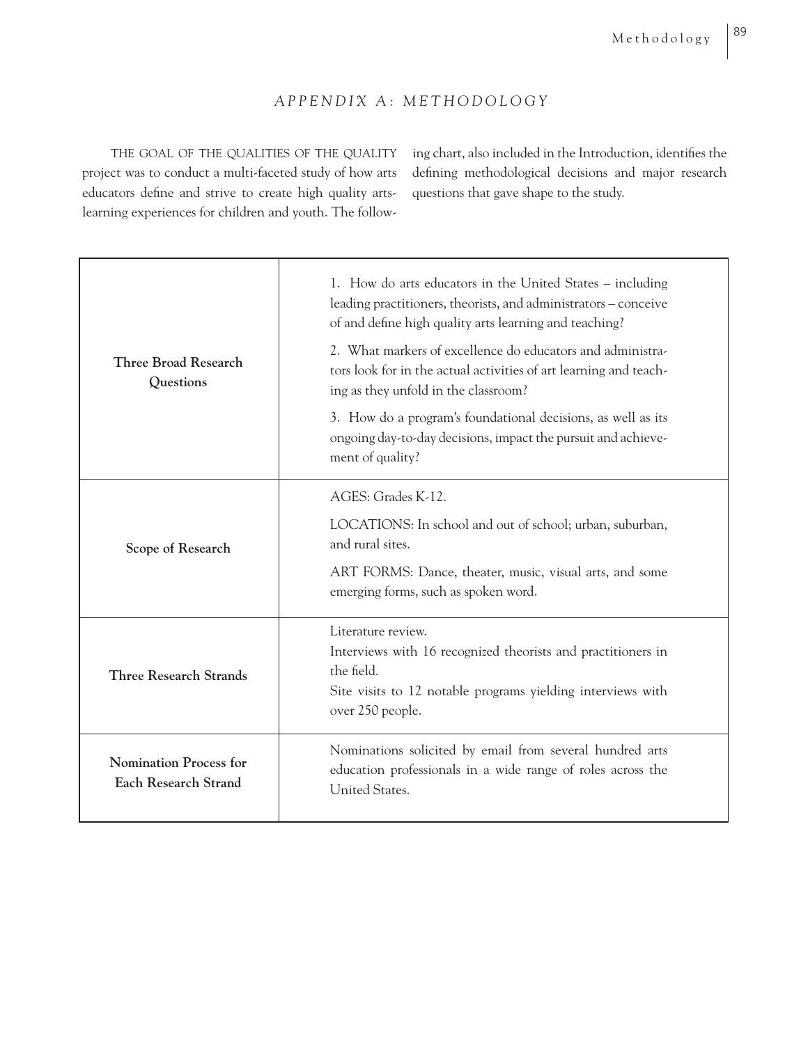# *APPENDIX A: METHODOLOGY*

THE GOAL OF THE QUALITIES OF THE QUALITY project was to conduct a multi-faceted study of how arts educators define and strive to create high quality artslearning experiences for children and youth. The following chart, also included in the Introduction, identifies the defining methodological decisions and major research questions that gave shape to the study.

| <b>Three Broad Research</b><br>Questions                     | 1. How do arts educators in the United States – including<br>leading practitioners, theorists, and administrators - conceive<br>of and define high quality arts learning and teaching?<br>2. What markers of excellence do educators and administra-<br>tors look for in the actual activities of art learning and teach-<br>ing as they unfold in the classroom?<br>3. How do a program's foundational decisions, as well as its<br>ongoing day-to-day decisions, impact the pursuit and achieve-<br>ment of quality? |  |
|--------------------------------------------------------------|------------------------------------------------------------------------------------------------------------------------------------------------------------------------------------------------------------------------------------------------------------------------------------------------------------------------------------------------------------------------------------------------------------------------------------------------------------------------------------------------------------------------|--|
| Scope of Research                                            | AGES: Grades K-12.<br>LOCATIONS: In school and out of school; urban, suburban,<br>and rural sites.<br>ART FORMS: Dance, theater, music, visual arts, and some<br>emerging forms, such as spoken word.                                                                                                                                                                                                                                                                                                                  |  |
| <b>Three Research Strands</b>                                | Literature review.<br>Interviews with 16 recognized theorists and practitioners in<br>the field.<br>Site visits to 12 notable programs yielding interviews with<br>over 250 people.                                                                                                                                                                                                                                                                                                                                    |  |
| <b>Nomination Process for</b><br><b>Each Research Strand</b> | Nominations solicited by email from several hundred arts<br>education professionals in a wide range of roles across the<br>United States.                                                                                                                                                                                                                                                                                                                                                                              |  |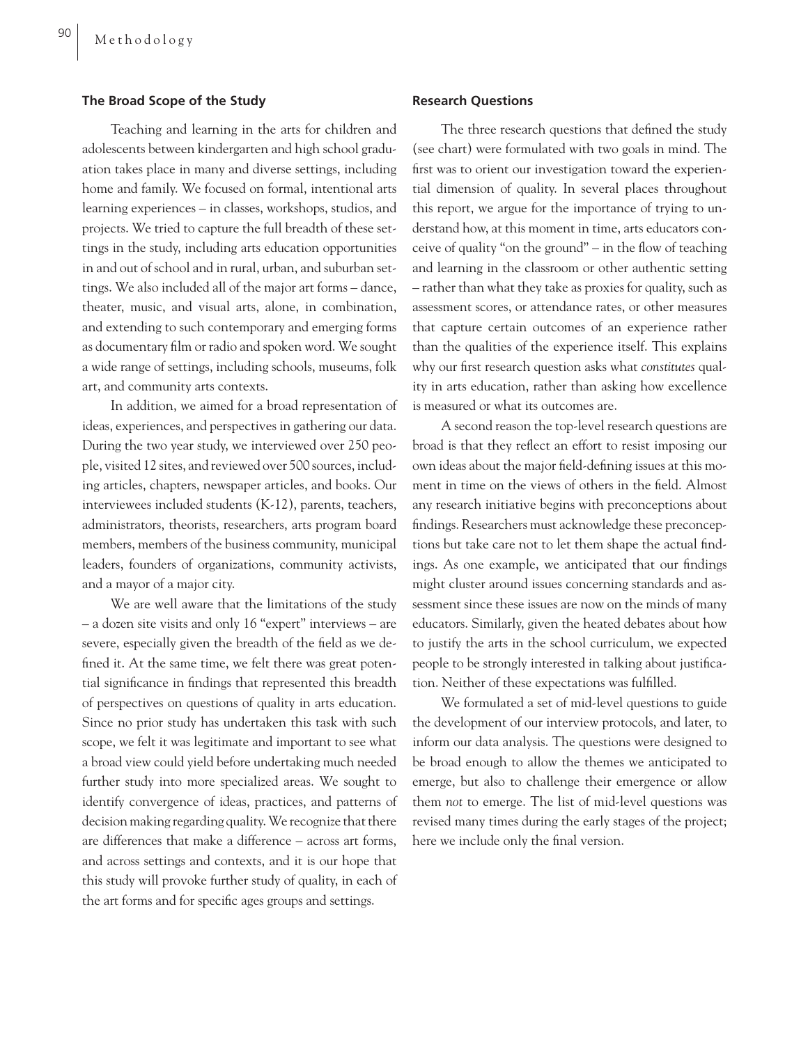## **The Broad Scope of the Study**

Teaching and learning in the arts for children and adolescents between kindergarten and high school graduation takes place in many and diverse settings, including home and family. We focused on formal, intentional arts learning experiences – in classes, workshops, studios, and projects. We tried to capture the full breadth of these settings in the study, including arts education opportunities in and out of school and in rural, urban, and suburban settings. We also included all of the major art forms – dance, theater, music, and visual arts, alone, in combination, and extending to such contemporary and emerging forms as documentary film or radio and spoken word. We sought a wide range of settings, including schools, museums, folk art, and community arts contexts.

In addition, we aimed for a broad representation of ideas, experiences, and perspectives in gathering our data. During the two year study, we interviewed over 250 people, visited 12 sites, and reviewed over 500 sources, including articles, chapters, newspaper articles, and books. Our interviewees included students (K-12), parents, teachers, administrators, theorists, researchers, arts program board members, members of the business community, municipal leaders, founders of organizations, community activists, and a mayor of a major city.

We are well aware that the limitations of the study – a dozen site visits and only 16 "expert" interviews – are severe, especially given the breadth of the field as we defined it. At the same time, we felt there was great potential significance in findings that represented this breadth of perspectives on questions of quality in arts education. Since no prior study has undertaken this task with such scope, we felt it was legitimate and important to see what a broad view could yield before undertaking much needed further study into more specialized areas. We sought to identify convergence of ideas, practices, and patterns of decision making regarding quality. We recognize that there are differences that make a difference – across art forms, and across settings and contexts, and it is our hope that this study will provoke further study of quality, in each of the art forms and for specific ages groups and settings.

#### **Research Questions**

The three research questions that defined the study (see chart) were formulated with two goals in mind. The first was to orient our investigation toward the experiential dimension of quality. In several places throughout this report, we argue for the importance of trying to understand how, at this moment in time, arts educators conceive of quality "on the ground" – in the flow of teaching and learning in the classroom or other authentic setting – rather than what they take as proxies for quality, such as assessment scores, or attendance rates, or other measures that capture certain outcomes of an experience rather than the qualities of the experience itself. This explains why our first research question asks what *constitutes* quality in arts education, rather than asking how excellence is measured or what its outcomes are.

A second reason the top-level research questions are broad is that they reflect an effort to resist imposing our own ideas about the major field-defining issues at this moment in time on the views of others in the field. Almost any research initiative begins with preconceptions about findings. Researchers must acknowledge these preconceptions but take care not to let them shape the actual findings. As one example, we anticipated that our findings might cluster around issues concerning standards and assessment since these issues are now on the minds of many educators. Similarly, given the heated debates about how to justify the arts in the school curriculum, we expected people to be strongly interested in talking about justification. Neither of these expectations was fulfilled.

We formulated a set of mid-level questions to guide the development of our interview protocols, and later, to inform our data analysis. The questions were designed to be broad enough to allow the themes we anticipated to emerge, but also to challenge their emergence or allow them *not* to emerge. The list of mid-level questions was revised many times during the early stages of the project; here we include only the final version.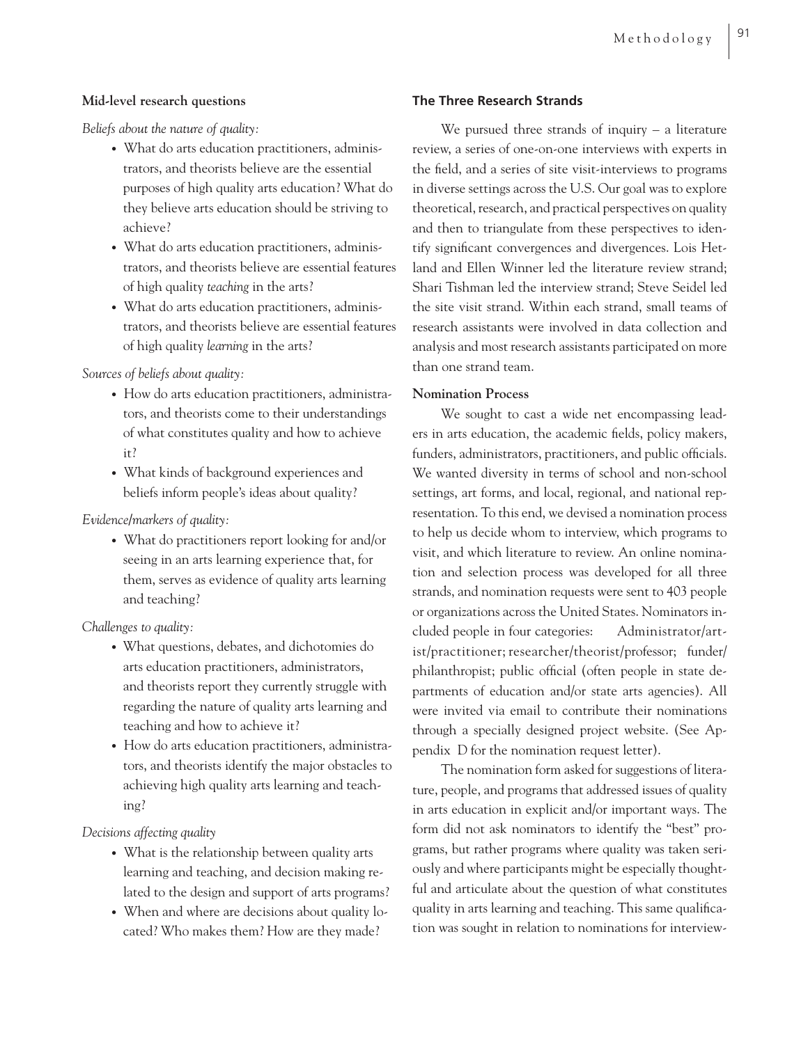# **Mid-level research questions**

*Beliefs about the nature of quality:*

- What do arts education practitioners, adminis trators, and theorists believe are the essential purposes of high quality arts education? What do they believe arts education should be striving to achieve?
- What do arts education practitioners, adminis trators, and theorists believe are essential features of high quality *teaching* in the arts?
- What do arts education practitioners, adminis trators, and theorists believe are essential features of high quality *learning* in the arts?

*Sources of beliefs about quality:*

- How do arts education practitioners, administra tors, and theorists come to their understandings of what constitutes quality and how to achieve it?
- What kinds of background experiences and beliefs inform people's ideas about quality?

# *Evidence/markers of quality:*

• What do practitioners report looking for and/or seeing in an arts learning experience that, for them, serves as evidence of quality arts learning and teaching?

*Challenges to quality:*

- What questions, debates, and dichotomies do arts education practitioners, administrators, and theorists report they currently struggle with regarding the nature of quality arts learning and teaching and how to achieve it?
- How do arts education practitioners, administra tors, and theorists identify the major obstacles to achieving high quality arts learning and teach ing?

*Decisions affecting quality*

- What is the relationship between quality arts learning and teaching, and decision making re lated to the design and support of arts programs?
- When and where are decisions about quality lo cated? Who makes them? How are they made?

# **The Three Research Strands**

We pursued three strands of inquiry  $-$  a literature review, a series of one-on-one interviews with experts in the field, and a series of site visit-interviews to programs in diverse settings across the U.S. Our goal was to explore theoretical, research, and practical perspectives on quality and then to triangulate from these perspectives to identify significant convergences and divergences. Lois Hetland and Ellen Winner led the literature review strand; Shari Tishman led the interview strand; Steve Seidel led the site visit strand. Within each strand, small teams of research assistants were involved in data collection and analysis and most research assistants participated on more than one strand team.

# **Nomination Process**

We sought to cast a wide net encompassing leaders in arts education, the academic fields, policy makers, funders, administrators, practitioners, and public officials. We wanted diversity in terms of school and non-school settings, art forms, and local, regional, and national representation. To this end, we devised a nomination process to help us decide whom to interview, which programs to visit, and which literature to review. An online nomination and selection process was developed for all three strands, and nomination requests were sent to 403 people or organizations across the United States. Nominators included people in four categories: Administrator/artist/practitioner; researcher/theorist/professor; funder/ philanthropist; public official (often people in state departments of education and/or state arts agencies). All were invited via email to contribute their nominations through a specially designed project website. (See Appendix D for the nomination request letter).

The nomination form asked for suggestions of literature, people, and programs that addressed issues of quality in arts education in explicit and/or important ways. The form did not ask nominators to identify the "best" programs, but rather programs where quality was taken seriously and where participants might be especially thoughtful and articulate about the question of what constitutes quality in arts learning and teaching. This same qualification was sought in relation to nominations for interview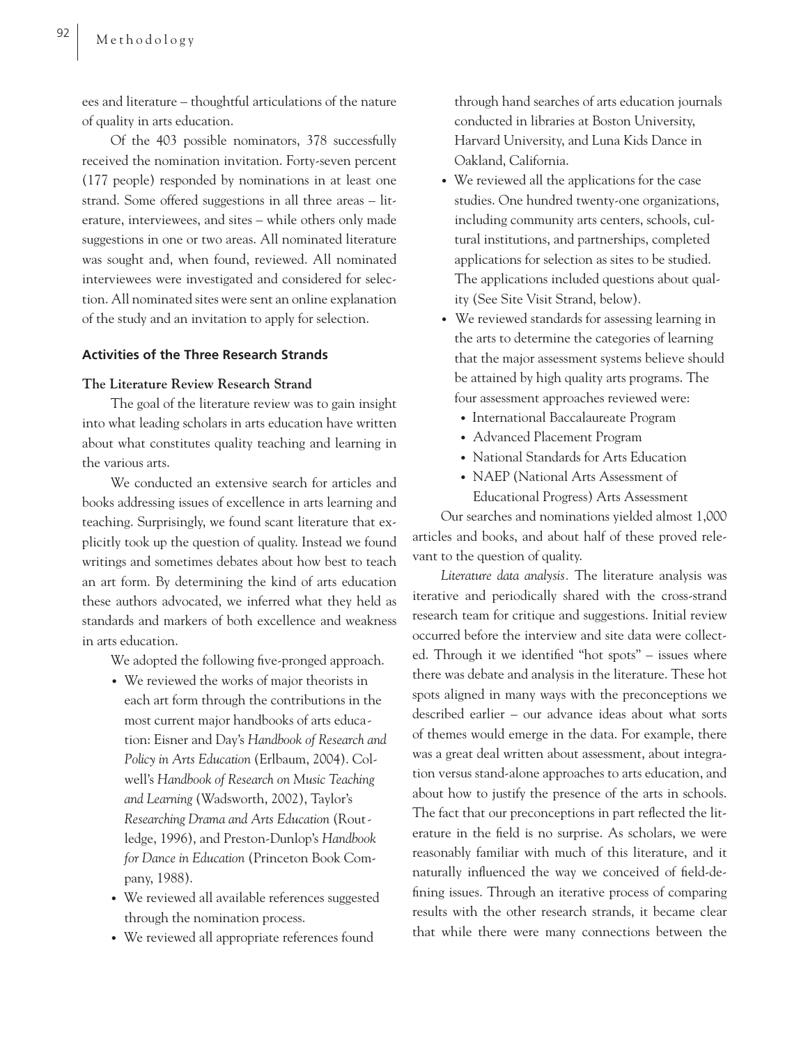ees and literature – thoughtful articulations of the nature of quality in arts education.

Of the 403 possible nominators, 378 successfully received the nomination invitation. Forty-seven percent (177 people) responded by nominations in at least one strand. Some offered suggestions in all three areas – literature, interviewees, and sites – while others only made suggestions in one or two areas. All nominated literature was sought and, when found, reviewed. All nominated interviewees were investigated and considered for selection. All nominated sites were sent an online explanation of the study and an invitation to apply for selection.

# **Activities of the Three Research Strands**

# **The Literature Review Research Strand**

The goal of the literature review was to gain insight into what leading scholars in arts education have written about what constitutes quality teaching and learning in the various arts.

We conducted an extensive search for articles and books addressing issues of excellence in arts learning and teaching. Surprisingly, we found scant literature that explicitly took up the question of quality. Instead we found writings and sometimes debates about how best to teach an art form. By determining the kind of arts education these authors advocated, we inferred what they held as standards and markers of both excellence and weakness in arts education.

We adopted the following five-pronged approach.

- We reviewed the works of major theorists in each art form through the contributions in the most current major handbooks of arts educa tion: Eisner and Day's *Handbook of Research and Policy in Arts Education* (Erlbaum, 2004). Col well's *Handbook of Research on Music Teaching and Learning* (Wadsworth, 2002), Taylor's *Researching Drama and Arts Education* (Rout ledge, 1996), and Preston-Dunlop's *Handbook for Dance in Education* (Princeton Book Com pany, 1988).
- We reviewed all available references suggested through the nomination process.
- We reviewed all appropriate references found

 through hand searches of arts education journals conducted in libraries at Boston University, Harvard University, and Luna Kids Dance in Oakland, California.

- We reviewed all the applications for the case studies. One hundred twenty-one organizations, including community arts centers, schools, cul tural institutions, and partnerships, completed applications for selection as sites to be studied. The applications included questions about qual ity (See Site Visit Strand, below).
- We reviewed standards for assessing learning in the arts to determine the categories of learning that the major assessment systems believe should be attained by high quality arts programs. The four assessment approaches reviewed were:
	- International Baccalaureate Program
	- Advanced Placement Program
	- National Standards for Arts Education
	- NAEP (National Arts Assessment of Educational Progress) Arts Assessment

Our searches and nominations yielded almost 1,000 articles and books, and about half of these proved relevant to the question of quality.

*Literature data analysis.* The literature analysis was iterative and periodically shared with the cross-strand research team for critique and suggestions. Initial review occurred before the interview and site data were collected. Through it we identified "hot spots" – issues where there was debate and analysis in the literature. These hot spots aligned in many ways with the preconceptions we described earlier – our advance ideas about what sorts of themes would emerge in the data. For example, there was a great deal written about assessment, about integration versus stand-alone approaches to arts education, and about how to justify the presence of the arts in schools. The fact that our preconceptions in part reflected the literature in the field is no surprise. As scholars, we were reasonably familiar with much of this literature, and it naturally influenced the way we conceived of field-defining issues. Through an iterative process of comparing results with the other research strands, it became clear that while there were many connections between the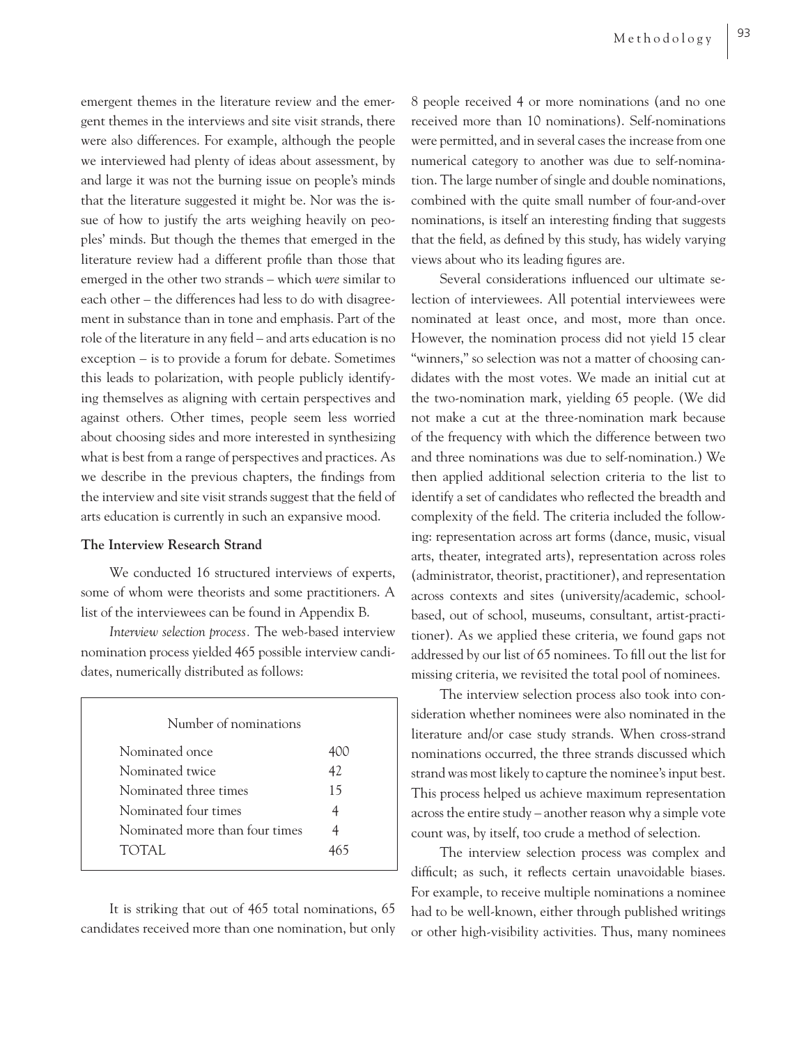emergent themes in the literature review and the emergent themes in the interviews and site visit strands, there were also differences. For example, although the people we interviewed had plenty of ideas about assessment, by and large it was not the burning issue on people's minds that the literature suggested it might be. Nor was the issue of how to justify the arts weighing heavily on peoples' minds. But though the themes that emerged in the literature review had a different profile than those that emerged in the other two strands – which *were* similar to each other – the differences had less to do with disagreement in substance than in tone and emphasis. Part of the role of the literature in any field – and arts education is no exception – is to provide a forum for debate. Sometimes this leads to polarization, with people publicly identifying themselves as aligning with certain perspectives and against others. Other times, people seem less worried about choosing sides and more interested in synthesizing what is best from a range of perspectives and practices. As we describe in the previous chapters, the findings from the interview and site visit strands suggest that the field of arts education is currently in such an expansive mood.

# **The Interview Research Strand**

We conducted 16 structured interviews of experts, some of whom were theorists and some practitioners. A list of the interviewees can be found in Appendix B.

*Interview selection process.* The web-based interview nomination process yielded 465 possible interview candidates, numerically distributed as follows:

| Number of nominations          |    |  |
|--------------------------------|----|--|
| Nominated once                 |    |  |
| Nominated twice                | 42 |  |
| Nominated three times          | 15 |  |
| Nominated four times           |    |  |
| Nominated more than four times |    |  |
| TOTAL.                         |    |  |

It is striking that out of 465 total nominations, 65 candidates received more than one nomination, but only 8 people received 4 or more nominations (and no one received more than 10 nominations). Self-nominations were permitted, and in several cases the increase from one numerical category to another was due to self-nomination. The large number of single and double nominations, combined with the quite small number of four-and-over nominations, is itself an interesting finding that suggests that the field, as defined by this study, has widely varying views about who its leading figures are.

Several considerations influenced our ultimate selection of interviewees. All potential interviewees were nominated at least once, and most, more than once. However, the nomination process did not yield 15 clear "winners," so selection was not a matter of choosing candidates with the most votes. We made an initial cut at the two-nomination mark, yielding 65 people. (We did not make a cut at the three-nomination mark because of the frequency with which the difference between two and three nominations was due to self-nomination.) We then applied additional selection criteria to the list to identify a set of candidates who reflected the breadth and complexity of the field. The criteria included the following: representation across art forms (dance, music, visual arts, theater, integrated arts), representation across roles (administrator, theorist, practitioner), and representation across contexts and sites (university/academic, schoolbased, out of school, museums, consultant, artist-practitioner). As we applied these criteria, we found gaps not addressed by our list of 65 nominees. To fill out the list for missing criteria, we revisited the total pool of nominees.

The interview selection process also took into consideration whether nominees were also nominated in the literature and/or case study strands. When cross-strand nominations occurred, the three strands discussed which strand was most likely to capture the nominee's input best. This process helped us achieve maximum representation across the entire study – another reason why a simple vote count was, by itself, too crude a method of selection.

The interview selection process was complex and difficult; as such, it reflects certain unavoidable biases. For example, to receive multiple nominations a nominee had to be well-known, either through published writings or other high-visibility activities. Thus, many nominees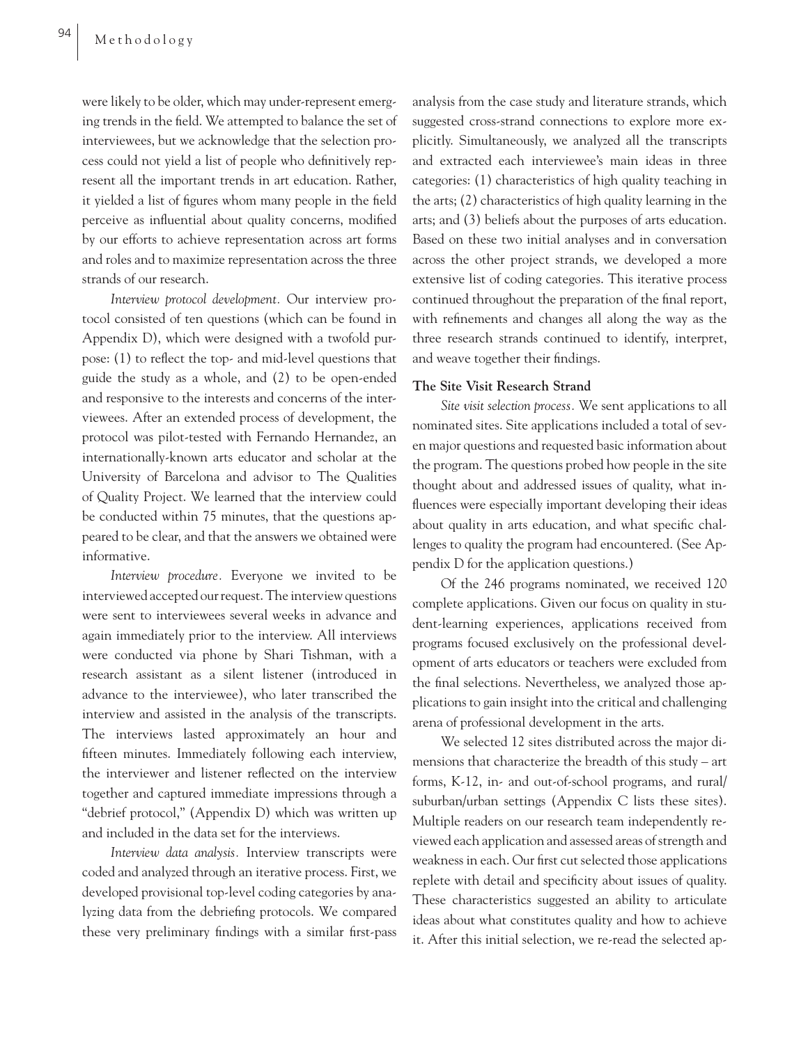were likely to be older, which may under-represent emerging trends in the field. We attempted to balance the set of interviewees, but we acknowledge that the selection process could not yield a list of people who definitively represent all the important trends in art education. Rather, it yielded a list of figures whom many people in the field perceive as influential about quality concerns, modified by our efforts to achieve representation across art forms and roles and to maximize representation across the three strands of our research.

*Interview protocol development.* Our interview protocol consisted of ten questions (which can be found in Appendix D), which were designed with a twofold purpose:  $(1)$  to reflect the top- and mid-level questions that guide the study as a whole, and (2) to be open-ended and responsive to the interests and concerns of the interviewees. After an extended process of development, the protocol was pilot-tested with Fernando Hernandez, an internationally-known arts educator and scholar at the University of Barcelona and advisor to The Qualities of Quality Project. We learned that the interview could be conducted within 75 minutes, that the questions appeared to be clear, and that the answers we obtained were informative.

*Interview procedure.* Everyone we invited to be interviewed accepted our request. The interview questions were sent to interviewees several weeks in advance and again immediately prior to the interview. All interviews were conducted via phone by Shari Tishman, with a research assistant as a silent listener (introduced in advance to the interviewee), who later transcribed the interview and assisted in the analysis of the transcripts. The interviews lasted approximately an hour and fifteen minutes. Immediately following each interview, the interviewer and listener reflected on the interview together and captured immediate impressions through a "debrief protocol," (Appendix D) which was written up and included in the data set for the interviews.

*Interview data analysis.* Interview transcripts were coded and analyzed through an iterative process. First, we developed provisional top-level coding categories by analyzing data from the debriefing protocols. We compared these very preliminary findings with a similar first-pass

analysis from the case study and literature strands, which suggested cross-strand connections to explore more explicitly. Simultaneously, we analyzed all the transcripts and extracted each interviewee's main ideas in three categories: (1) characteristics of high quality teaching in the arts; (2) characteristics of high quality learning in the arts; and (3) beliefs about the purposes of arts education. Based on these two initial analyses and in conversation across the other project strands, we developed a more extensive list of coding categories. This iterative process continued throughout the preparation of the final report, with refinements and changes all along the way as the three research strands continued to identify, interpret, and weave together their findings.

## **The Site Visit Research Strand**

*Site visit selection process.* We sent applications to all nominated sites. Site applications included a total of seven major questions and requested basic information about the program. The questions probed how people in the site thought about and addressed issues of quality, what influences were especially important developing their ideas about quality in arts education, and what specific challenges to quality the program had encountered. (See Appendix D for the application questions.)

Of the 246 programs nominated, we received 120 complete applications. Given our focus on quality in student-learning experiences, applications received from programs focused exclusively on the professional development of arts educators or teachers were excluded from the final selections. Nevertheless, we analyzed those applications to gain insight into the critical and challenging arena of professional development in the arts.

We selected 12 sites distributed across the major dimensions that characterize the breadth of this study – art forms, K-12, in- and out-of-school programs, and rural/ suburban/urban settings (Appendix C lists these sites). Multiple readers on our research team independently reviewed each application and assessed areas of strength and weakness in each. Our first cut selected those applications replete with detail and specificity about issues of quality. These characteristics suggested an ability to articulate ideas about what constitutes quality and how to achieve it. After this initial selection, we re-read the selected ap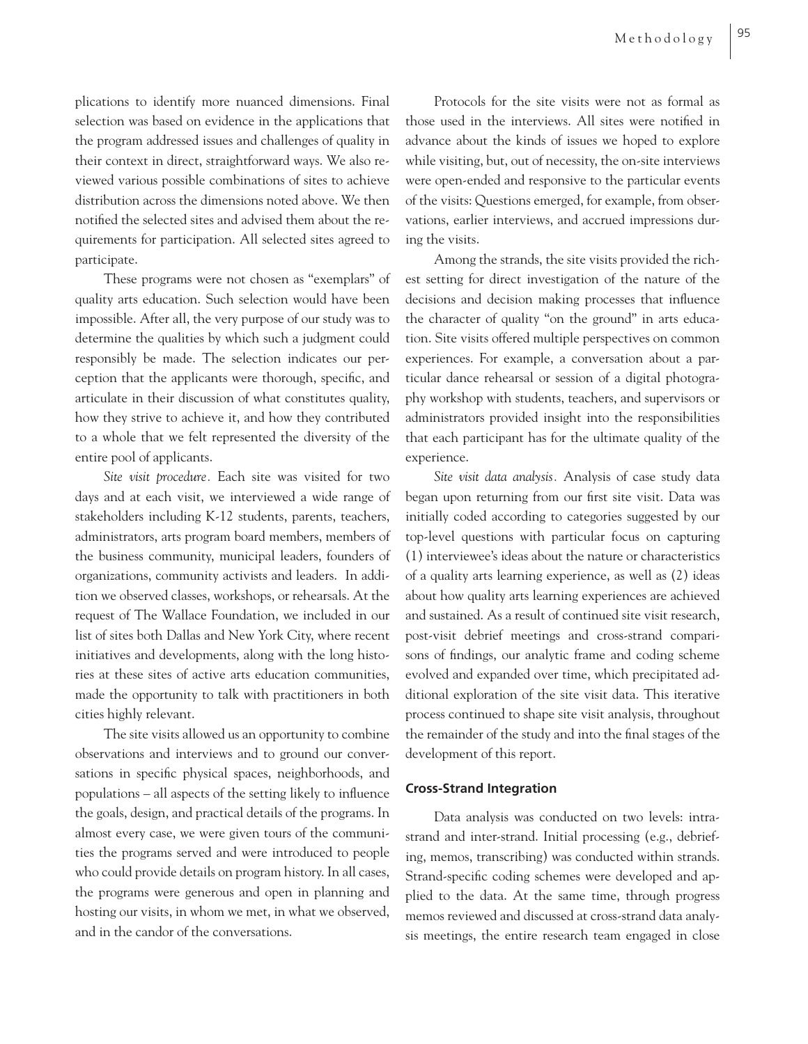plications to identify more nuanced dimensions. Final selection was based on evidence in the applications that the program addressed issues and challenges of quality in their context in direct, straightforward ways. We also reviewed various possible combinations of sites to achieve distribution across the dimensions noted above. We then notified the selected sites and advised them about the requirements for participation. All selected sites agreed to participate.

These programs were not chosen as "exemplars" of quality arts education. Such selection would have been impossible. After all, the very purpose of our study was to determine the qualities by which such a judgment could responsibly be made. The selection indicates our perception that the applicants were thorough, specific, and articulate in their discussion of what constitutes quality, how they strive to achieve it, and how they contributed to a whole that we felt represented the diversity of the entire pool of applicants.

*Site visit procedure.* Each site was visited for two days and at each visit, we interviewed a wide range of stakeholders including K-12 students, parents, teachers, administrators, arts program board members, members of the business community, municipal leaders, founders of organizations, community activists and leaders. In addition we observed classes, workshops, or rehearsals. At the request of The Wallace Foundation, we included in our list of sites both Dallas and New York City, where recent initiatives and developments, along with the long histories at these sites of active arts education communities, made the opportunity to talk with practitioners in both cities highly relevant.

The site visits allowed us an opportunity to combine observations and interviews and to ground our conversations in specific physical spaces, neighborhoods, and populations – all aspects of the setting likely to influence the goals, design, and practical details of the programs. In almost every case, we were given tours of the communities the programs served and were introduced to people who could provide details on program history. In all cases, the programs were generous and open in planning and hosting our visits, in whom we met, in what we observed, and in the candor of the conversations.

Protocols for the site visits were not as formal as those used in the interviews. All sites were notified in advance about the kinds of issues we hoped to explore while visiting, but, out of necessity, the on-site interviews were open-ended and responsive to the particular events of the visits: Questions emerged, for example, from observations, earlier interviews, and accrued impressions during the visits.

Among the strands, the site visits provided the richest setting for direct investigation of the nature of the decisions and decision making processes that influence the character of quality "on the ground" in arts education. Site visits offered multiple perspectives on common experiences. For example, a conversation about a particular dance rehearsal or session of a digital photography workshop with students, teachers, and supervisors or administrators provided insight into the responsibilities that each participant has for the ultimate quality of the experience.

*Site visit data analysis.* Analysis of case study data began upon returning from our first site visit. Data was initially coded according to categories suggested by our top-level questions with particular focus on capturing (1) interviewee's ideas about the nature or characteristics of a quality arts learning experience, as well as (2) ideas about how quality arts learning experiences are achieved and sustained. As a result of continued site visit research, post-visit debrief meetings and cross-strand comparisons of findings, our analytic frame and coding scheme evolved and expanded over time, which precipitated additional exploration of the site visit data. This iterative process continued to shape site visit analysis, throughout the remainder of the study and into the final stages of the development of this report.

#### **Cross-Strand Integration**

Data analysis was conducted on two levels: intrastrand and inter-strand. Initial processing (e.g., debriefing, memos, transcribing) was conducted within strands. Strand-specific coding schemes were developed and applied to the data. At the same time, through progress memos reviewed and discussed at cross-strand data analysis meetings, the entire research team engaged in close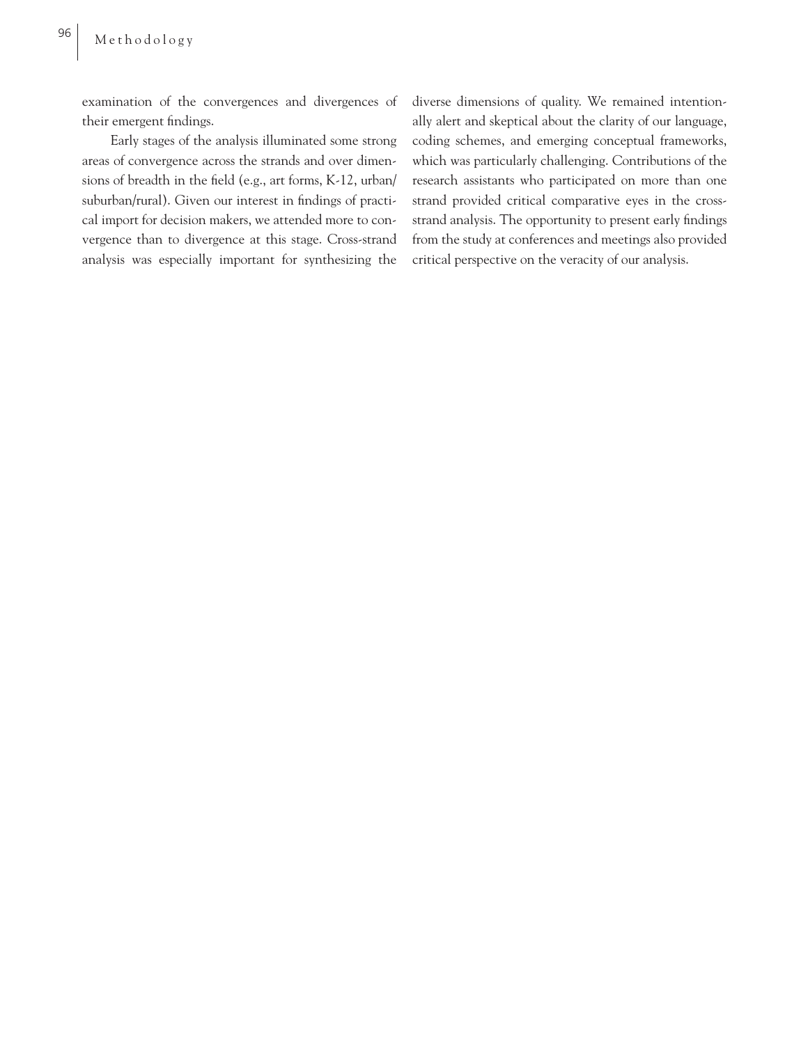examination of the convergences and divergences of their emergent findings.

Early stages of the analysis illuminated some strong areas of convergence across the strands and over dimensions of breadth in the field (e.g., art forms, K-12, urban/ suburban/rural). Given our interest in findings of practical import for decision makers, we attended more to convergence than to divergence at this stage. Cross-strand analysis was especially important for synthesizing the diverse dimensions of quality. We remained intentionally alert and skeptical about the clarity of our language, coding schemes, and emerging conceptual frameworks, which was particularly challenging. Contributions of the research assistants who participated on more than one strand provided critical comparative eyes in the crossstrand analysis. The opportunity to present early findings from the study at conferences and meetings also provided critical perspective on the veracity of our analysis.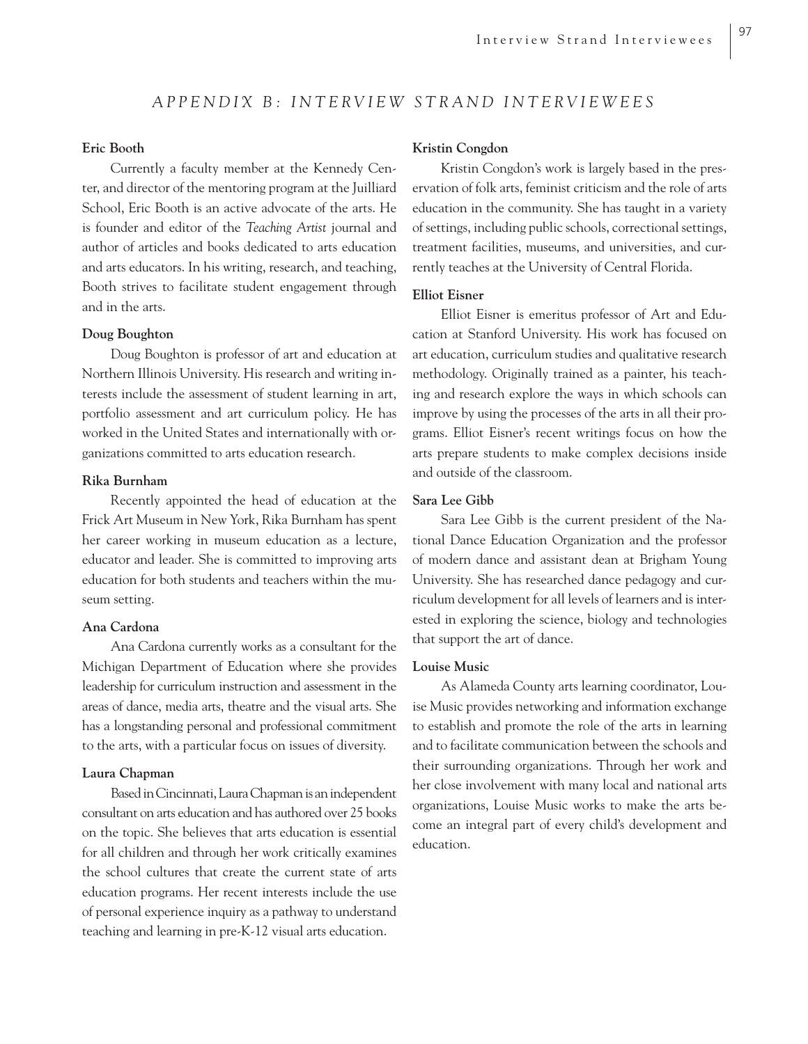## *APPENDIX B: INTERVIEW STRAND INTERVIEWEES*

#### **Eric Booth**

Currently a faculty member at the Kennedy Center, and director of the mentoring program at the Juilliard School, Eric Booth is an active advocate of the arts. He is founder and editor of the *Teaching Artist* journal and author of articles and books dedicated to arts education and arts educators. In his writing, research, and teaching, Booth strives to facilitate student engagement through and in the arts.

#### **Doug Boughton**

Doug Boughton is professor of art and education at Northern Illinois University. His research and writing interests include the assessment of student learning in art, portfolio assessment and art curriculum policy. He has worked in the United States and internationally with organizations committed to arts education research.

#### **Rika Burnham**

Recently appointed the head of education at the Frick Art Museum in New York, Rika Burnham has spent her career working in museum education as a lecture, educator and leader. She is committed to improving arts education for both students and teachers within the museum setting.

#### **Ana Cardona**

Ana Cardona currently works as a consultant for the Michigan Department of Education where she provides leadership for curriculum instruction and assessment in the areas of dance, media arts, theatre and the visual arts. She has a longstanding personal and professional commitment to the arts, with a particular focus on issues of diversity.

#### **Laura Chapman**

Based in Cincinnati, Laura Chapman is an independent consultant on arts education and has authored over 25 books on the topic. She believes that arts education is essential for all children and through her work critically examines the school cultures that create the current state of arts education programs. Her recent interests include the use of personal experience inquiry as a pathway to understand teaching and learning in pre-K-12 visual arts education.

#### **Kristin Congdon**

Kristin Congdon's work is largely based in the preservation of folk arts, feminist criticism and the role of arts education in the community. She has taught in a variety of settings, including public schools, correctional settings, treatment facilities, museums, and universities, and currently teaches at the University of Central Florida.

#### **Elliot Eisner**

Elliot Eisner is emeritus professor of Art and Education at Stanford University. His work has focused on art education, curriculum studies and qualitative research methodology. Originally trained as a painter, his teaching and research explore the ways in which schools can improve by using the processes of the arts in all their programs. Elliot Eisner's recent writings focus on how the arts prepare students to make complex decisions inside and outside of the classroom.

#### **Sara Lee Gibb**

Sara Lee Gibb is the current president of the National Dance Education Organization and the professor of modern dance and assistant dean at Brigham Young University. She has researched dance pedagogy and curriculum development for all levels of learners and is interested in exploring the science, biology and technologies that support the art of dance.

#### **Louise Music**

As Alameda County arts learning coordinator, Louise Music provides networking and information exchange to establish and promote the role of the arts in learning and to facilitate communication between the schools and their surrounding organizations. Through her work and her close involvement with many local and national arts organizations, Louise Music works to make the arts become an integral part of every child's development and education.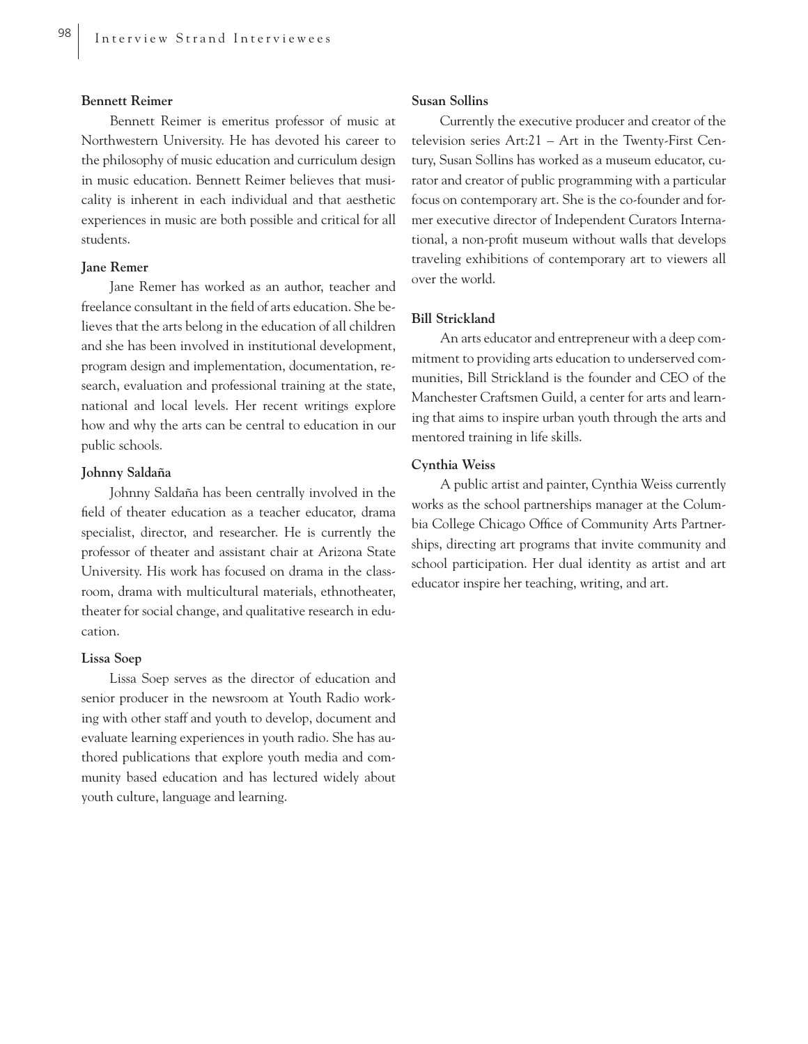#### **Bennett Reimer**

Bennett Reimer is emeritus professor of music at Northwestern University. He has devoted his career to the philosophy of music education and curriculum design in music education. Bennett Reimer believes that musicality is inherent in each individual and that aesthetic experiences in music are both possible and critical for all students.

#### **Jane Remer**

Jane Remer has worked as an author, teacher and freelance consultant in the field of arts education. She believes that the arts belong in the education of all children and she has been involved in institutional development, program design and implementation, documentation, research, evaluation and professional training at the state, national and local levels. Her recent writings explore how and why the arts can be central to education in our public schools.

#### **Johnny Saldaña**

Johnny Saldaña has been centrally involved in the field of theater education as a teacher educator, drama specialist, director, and researcher. He is currently the professor of theater and assistant chair at Arizona State University. His work has focused on drama in the classroom, drama with multicultural materials, ethnotheater, theater for social change, and qualitative research in education.

#### **Lissa Soep**

Lissa Soep serves as the director of education and senior producer in the newsroom at Youth Radio working with other staff and youth to develop, document and evaluate learning experiences in youth radio. She has authored publications that explore youth media and community based education and has lectured widely about youth culture, language and learning.

#### **Susan Sollins**

Currently the executive producer and creator of the television series Art:21 – Art in the Twenty-First Century, Susan Sollins has worked as a museum educator, curator and creator of public programming with a particular focus on contemporary art. She is the co-founder and former executive director of Independent Curators International, a non-profit museum without walls that develops traveling exhibitions of contemporary art to viewers all over the world.

#### **Bill Strickland**

An arts educator and entrepreneur with a deep commitment to providing arts education to underserved communities, Bill Strickland is the founder and CEO of the Manchester Craftsmen Guild, a center for arts and learning that aims to inspire urban youth through the arts and mentored training in life skills.

#### **Cynthia Weiss**

A public artist and painter, Cynthia Weiss currently works as the school partnerships manager at the Columbia College Chicago Office of Community Arts Partnerships, directing art programs that invite community and school participation. Her dual identity as artist and art educator inspire her teaching, writing, and art.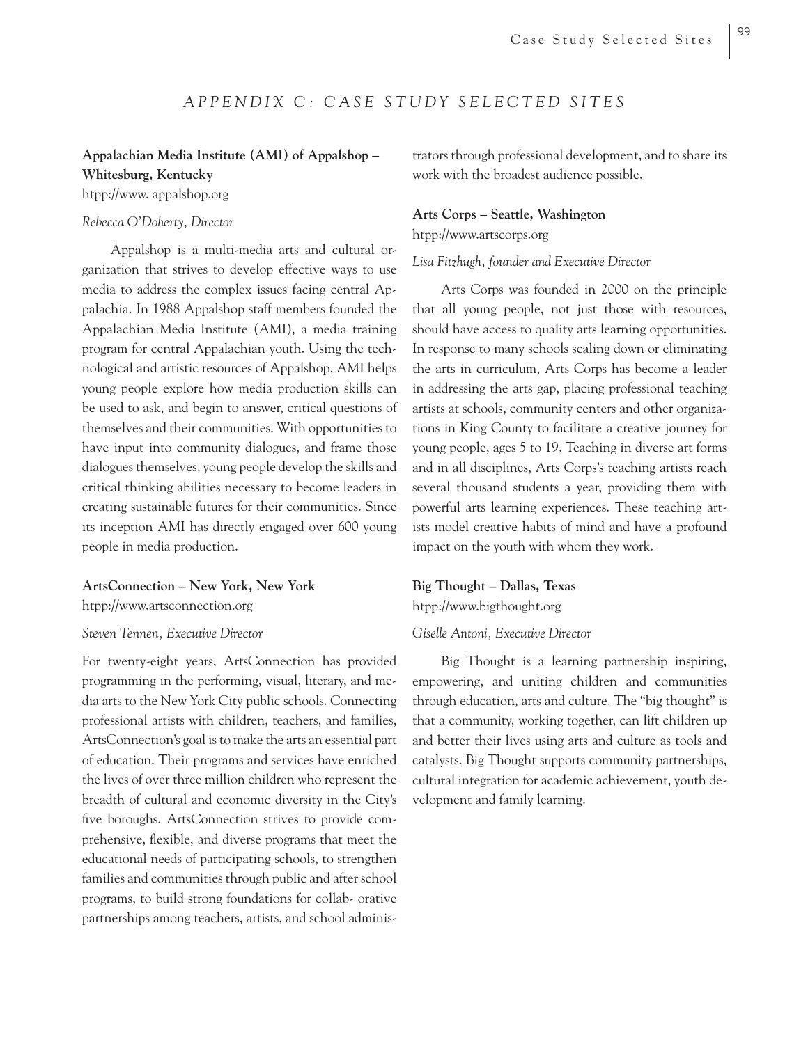## *APPENDIX C: CASE STUDY SELECTED SITES*

### **Appalachian Media Institute (AMI) of Appalshop – Whitesburg, Kentucky**

htpp://www. appalshop.org

#### *Rebecca O'Doherty, Director*

Appalshop is a multi-media arts and cultural organization that strives to develop effective ways to use media to address the complex issues facing central Appalachia. In 1988 Appalshop staff members founded the Appalachian Media Institute (AMI), a media training program for central Appalachian youth. Using the technological and artistic resources of Appalshop, AMI helps young people explore how media production skills can be used to ask, and begin to answer, critical questions of themselves and their communities. With opportunities to have input into community dialogues, and frame those dialogues themselves, young people develop the skills and critical thinking abilities necessary to become leaders in creating sustainable futures for their communities. Since its inception AMI has directly engaged over 600 young people in media production.

#### **ArtsConnection – New York, New York**

htpp://www.artsconnection.org

#### *Steven Tennen, Executive Director*

For twenty-eight years, ArtsConnection has provided programming in the performing, visual, literary, and media arts to the New York City public schools. Connecting professional artists with children, teachers, and families, ArtsConnection's goal is to make the arts an essential part of education. Their programs and services have enriched the lives of over three million children who represent the breadth of cultural and economic diversity in the City's five boroughs. ArtsConnection strives to provide comprehensive, flexible, and diverse programs that meet the educational needs of participating schools, to strengthen families and communities through public and after school programs, to build strong foundations for collab- orative partnerships among teachers, artists, and school administrators through professional development, and to share its work with the broadest audience possible.

#### **Arts Corps – Seattle, Washington**

htpp://www.artscorps.org

#### *Lisa Fitzhugh, founder and Executive Director*

Arts Corps was founded in 2000 on the principle that all young people, not just those with resources, should have access to quality arts learning opportunities. In response to many schools scaling down or eliminating the arts in curriculum, Arts Corps has become a leader in addressing the arts gap, placing professional teaching artists at schools, community centers and other organizations in King County to facilitate a creative journey for young people, ages 5 to 19. Teaching in diverse art forms and in all disciplines, Arts Corps's teaching artists reach several thousand students a year, providing them with powerful arts learning experiences. These teaching artists model creative habits of mind and have a profound impact on the youth with whom they work.

#### **Big Thought – Dallas, Texas**

htpp://www.bigthought.org

#### *Giselle Antoni, Executive Director*

Big Thought is a learning partnership inspiring, empowering, and uniting children and communities through education, arts and culture. The "big thought" is that a community, working together, can lift children up and better their lives using arts and culture as tools and catalysts. Big Thought supports community partnerships, cultural integration for academic achievement, youth development and family learning.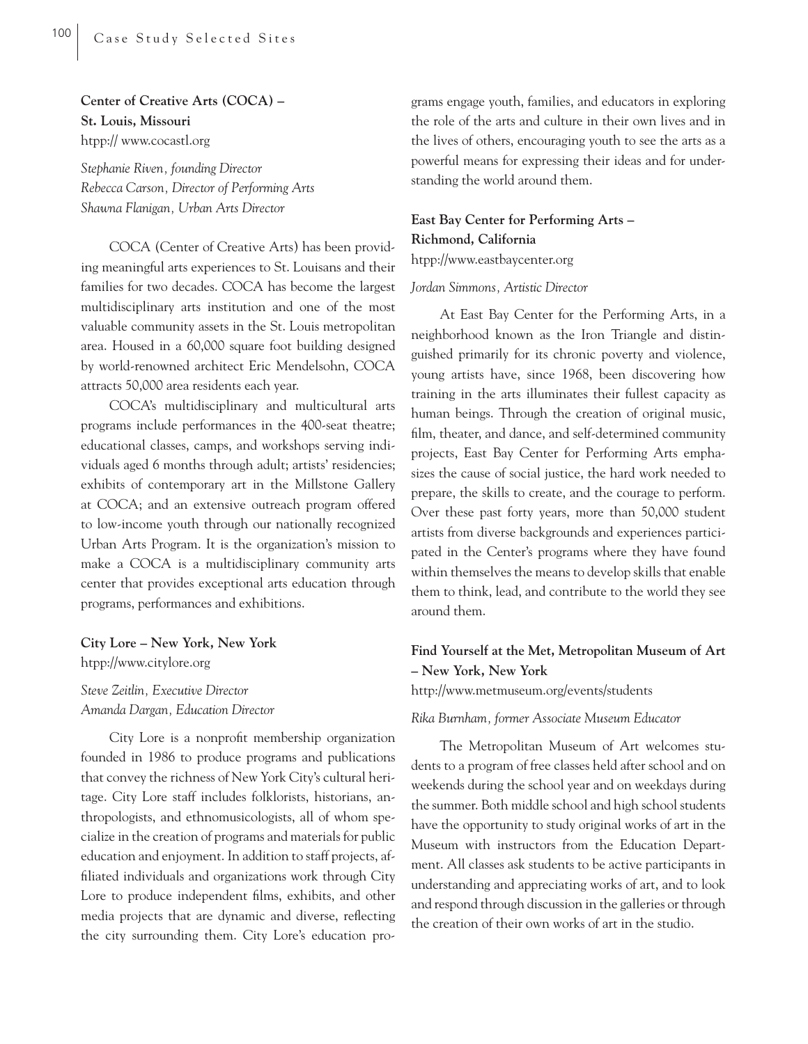## **Center of Creative Arts (COCA) – St. Louis, Missouri** htpp:// www.cocastl.org

*Stephanie Riven, founding Director Rebecca Carson, Director of Performing Arts Shawna Flanigan, Urban Arts Director*

COCA (Center of Creative Arts) has been providing meaningful arts experiences to St. Louisans and their families for two decades. COCA has become the largest multidisciplinary arts institution and one of the most valuable community assets in the St. Louis metropolitan area. Housed in a 60,000 square foot building designed by world-renowned architect Eric Mendelsohn, COCA attracts 50,000 area residents each year.

COCA's multidisciplinary and multicultural arts programs include performances in the 400-seat theatre; educational classes, camps, and workshops serving individuals aged 6 months through adult; artists' residencies; exhibits of contemporary art in the Millstone Gallery at COCA; and an extensive outreach program offered to low-income youth through our nationally recognized Urban Arts Program. It is the organization's mission to make a COCA is a multidisciplinary community arts center that provides exceptional arts education through programs, performances and exhibitions.

**City Lore – New York, New York** htpp://www.citylore.org

*Steve Zeitlin, Executive Director Amanda Dargan, Education Director*

City Lore is a nonprofit membership organization founded in 1986 to produce programs and publications that convey the richness of New York City's cultural heritage. City Lore staff includes folklorists, historians, anthropologists, and ethnomusicologists, all of whom specialize in the creation of programs and materials for public education and enjoyment. In addition to staff projects, affiliated individuals and organizations work through City Lore to produce independent films, exhibits, and other media projects that are dynamic and diverse, reflecting the city surrounding them. City Lore's education pro-

grams engage youth, families, and educators in exploring the role of the arts and culture in their own lives and in the lives of others, encouraging youth to see the arts as a powerful means for expressing their ideas and for understanding the world around them.

**East Bay Center for Performing Arts – Richmond, California** htpp://www.eastbaycenter.org

#### *Jordan Simmons, Artistic Director*

At East Bay Center for the Performing Arts, in a neighborhood known as the Iron Triangle and distinguished primarily for its chronic poverty and violence, young artists have, since 1968, been discovering how training in the arts illuminates their fullest capacity as human beings. Through the creation of original music, film, theater, and dance, and self-determined community projects, East Bay Center for Performing Arts emphasizes the cause of social justice, the hard work needed to prepare, the skills to create, and the courage to perform. Over these past forty years, more than 50,000 student artists from diverse backgrounds and experiences participated in the Center's programs where they have found within themselves the means to develop skills that enable them to think, lead, and contribute to the world they see around them.

## **Find Yourself at the Met, Metropolitan Museum of Art – New York, New York**

http://www.metmuseum.org/events/students

*Rika Burnham, former Associate Museum Educator*

The Metropolitan Museum of Art welcomes students to a program of free classes held after school and on weekends during the school year and on weekdays during the summer. Both middle school and high school students have the opportunity to study original works of art in the Museum with instructors from the Education Department. All classes ask students to be active participants in understanding and appreciating works of art, and to look and respond through discussion in the galleries or through the creation of their own works of art in the studio.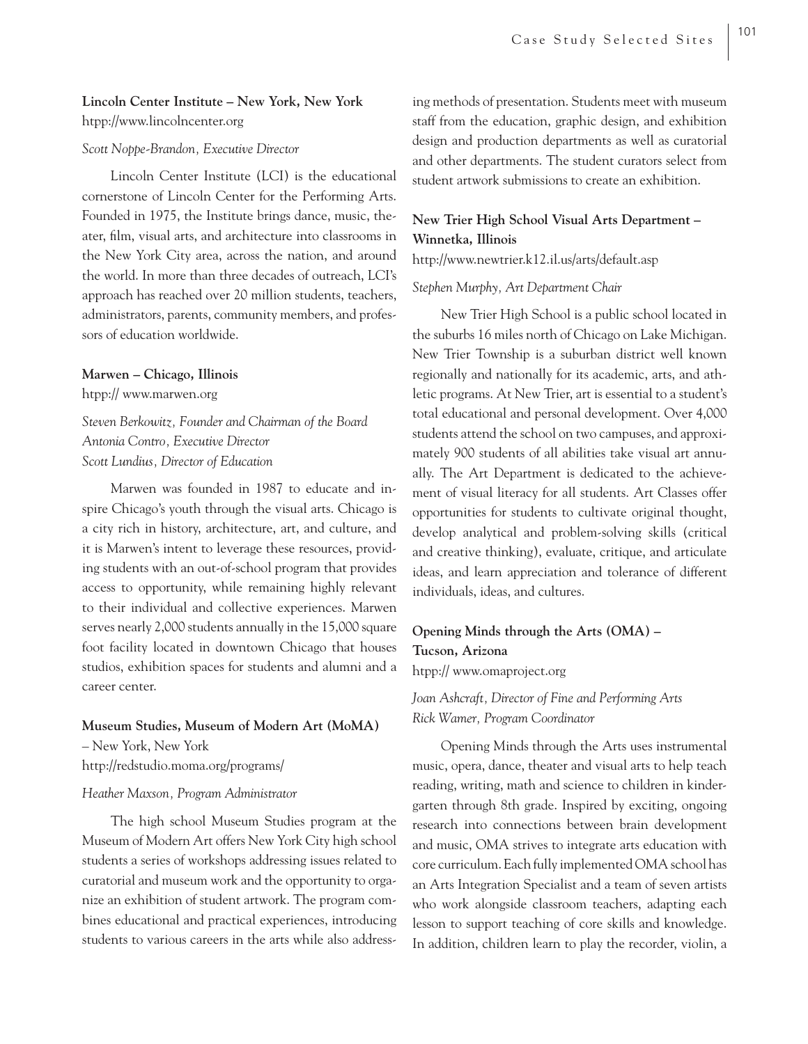## **Lincoln Center Institute – New York, New York** htpp://www.lincolncenter.org

#### *Scott Noppe-Brandon, Executive Director*

Lincoln Center Institute (LCI) is the educational cornerstone of Lincoln Center for the Performing Arts. Founded in 1975, the Institute brings dance, music, theater, film, visual arts, and architecture into classrooms in the New York City area, across the nation, and around the world. In more than three decades of outreach, LCI's approach has reached over 20 million students, teachers, administrators, parents, community members, and professors of education worldwide.

#### **Marwen – Chicago, Illinois**

htpp:// www.marwen.org

*Steven Berkowitz, Founder and Chairman of the Board Antonia Contro, Executive Director Scott Lundius, Director of Education*

Marwen was founded in 1987 to educate and inspire Chicago's youth through the visual arts. Chicago is a city rich in history, architecture, art, and culture, and it is Marwen's intent to leverage these resources, providing students with an out-of-school program that provides access to opportunity, while remaining highly relevant to their individual and collective experiences. Marwen serves nearly 2,000 students annually in the 15,000 square foot facility located in downtown Chicago that houses studios, exhibition spaces for students and alumni and a career center.

#### **Museum Studies, Museum of Modern Art (MoMA)**

– New York, New York http://redstudio.moma.org/programs/

#### *Heather Maxson, Program Administrator*

The high school Museum Studies program at the Museum of Modern Art offers New York City high school students a series of workshops addressing issues related to curatorial and museum work and the opportunity to organize an exhibition of student artwork. The program combines educational and practical experiences, introducing students to various careers in the arts while also addressing methods of presentation. Students meet with museum staff from the education, graphic design, and exhibition design and production departments as well as curatorial and other departments. The student curators select from student artwork submissions to create an exhibition.

## **New Trier High School Visual Arts Department – Winnetka, Illinois**

http://www.newtrier.k12.il.us/arts/default.asp

#### *Stephen Murphy, Art Department Chair*

New Trier High School is a public school located in the suburbs 16 miles north of Chicago on Lake Michigan. New Trier Township is a suburban district well known regionally and nationally for its academic, arts, and athletic programs. At New Trier, art is essential to a student's total educational and personal development. Over 4,000 students attend the school on two campuses, and approximately 900 students of all abilities take visual art annually. The Art Department is dedicated to the achievement of visual literacy for all students. Art Classes offer opportunities for students to cultivate original thought, develop analytical and problem-solving skills (critical and creative thinking), evaluate, critique, and articulate ideas, and learn appreciation and tolerance of different individuals, ideas, and cultures.

### **Opening Minds through the Arts (OMA) – Tucson, Arizona**

htpp:// www.omaproject.org

## *Joan Ashcraft, Director of Fine and Performing Arts Rick Wamer, Program Coordinator*

Opening Minds through the Arts uses instrumental music, opera, dance, theater and visual arts to help teach reading, writing, math and science to children in kindergarten through 8th grade. Inspired by exciting, ongoing research into connections between brain development and music, OMA strives to integrate arts education with core curriculum. Each fully implemented OMA school has an Arts Integration Specialist and a team of seven artists who work alongside classroom teachers, adapting each lesson to support teaching of core skills and knowledge. In addition, children learn to play the recorder, violin, a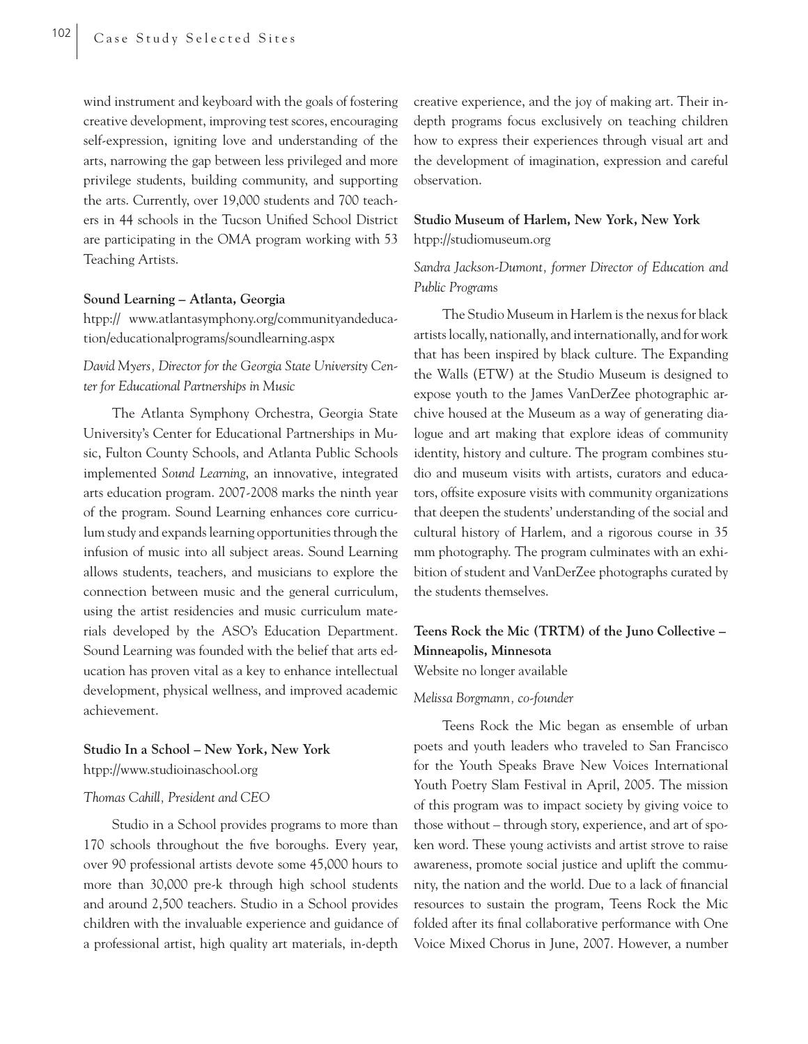wind instrument and keyboard with the goals of fostering creative development, improving test scores, encouraging self-expression, igniting love and understanding of the arts, narrowing the gap between less privileged and more privilege students, building community, and supporting the arts. Currently, over 19,000 students and 700 teachers in 44 schools in the Tucson Unified School District are participating in the OMA program working with 53 Teaching Artists.

#### **Sound Learning – Atlanta, Georgia**

htpp:// www.atlantasymphony.org/communityandeducation/educationalprograms/soundlearning.aspx

## *David Myers, Director for the Georgia State University Center for Educational Partnerships in Music*

The Atlanta Symphony Orchestra, Georgia State University's Center for Educational Partnerships in Music, Fulton County Schools, and Atlanta Public Schools implemented *Sound Learning*, an innovative, integrated arts education program. 2007-2008 marks the ninth year of the program. Sound Learning enhances core curriculum study and expands learning opportunities through the infusion of music into all subject areas. Sound Learning allows students, teachers, and musicians to explore the connection between music and the general curriculum, using the artist residencies and music curriculum materials developed by the ASO's Education Department. Sound Learning was founded with the belief that arts education has proven vital as a key to enhance intellectual development, physical wellness, and improved academic achievement.

## **Studio In a School – New York, New York** htpp://www.studioinaschool.org

#### *Thomas Cahill, President and CEO*

Studio in a School provides programs to more than 170 schools throughout the five boroughs. Every year, over 90 professional artists devote some 45,000 hours to more than 30,000 pre-k through high school students and around 2,500 teachers. Studio in a School provides children with the invaluable experience and guidance of a professional artist, high quality art materials, in-depth creative experience, and the joy of making art. Their indepth programs focus exclusively on teaching children how to express their experiences through visual art and the development of imagination, expression and careful observation.

## **Studio Museum of Harlem, New York, New York** htpp://studiomuseum.org

## *Sandra Jackson-Dumont, former Director of Education and Public Program*s

The Studio Museum in Harlem is the nexus for black artists locally, nationally, and internationally, and for work that has been inspired by black culture. The Expanding the Walls (ETW) at the Studio Museum is designed to expose youth to the James VanDerZee photographic archive housed at the Museum as a way of generating dialogue and art making that explore ideas of community identity, history and culture. The program combines studio and museum visits with artists, curators and educators, offsite exposure visits with community organizations that deepen the students' understanding of the social and cultural history of Harlem, and a rigorous course in 35 mm photography. The program culminates with an exhibition of student and VanDerZee photographs curated by the students themselves.

## **Teens Rock the Mic (TRTM) of the Juno Collective – Minneapolis, Minnesota**

Website no longer available

#### *Melissa Borgmann, co-founder*

Teens Rock the Mic began as ensemble of urban poets and youth leaders who traveled to San Francisco for the Youth Speaks Brave New Voices International Youth Poetry Slam Festival in April, 2005. The mission of this program was to impact society by giving voice to those without – through story, experience, and art of spoken word. These young activists and artist strove to raise awareness, promote social justice and uplift the community, the nation and the world. Due to a lack of financial resources to sustain the program, Teens Rock the Mic folded after its final collaborative performance with One Voice Mixed Chorus in June, 2007. However, a number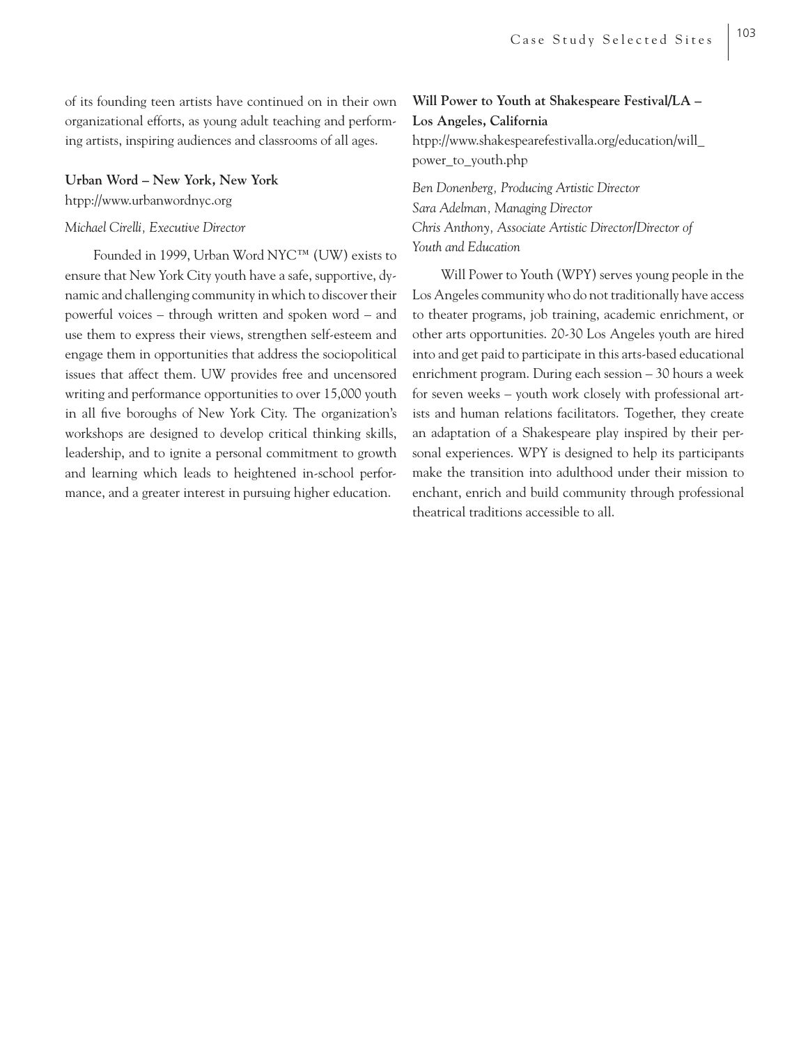of its founding teen artists have continued on in their own organizational efforts, as young adult teaching and performing artists, inspiring audiences and classrooms of all ages.

#### **Urban Word – New York, New York**

htpp://www.urbanwordnyc.org

#### *Michael Cirelli, Executive Director*

Founded in 1999, Urban Word NYC™ (UW) exists to ensure that New York City youth have a safe, supportive, dynamic and challenging community in which to discover their powerful voices – through written and spoken word – and use them to express their views, strengthen self-esteem and engage them in opportunities that address the sociopolitical issues that affect them. UW provides free and uncensored writing and performance opportunities to over 15,000 youth in all five boroughs of New York City. The organization's workshops are designed to develop critical thinking skills, leadership, and to ignite a personal commitment to growth and learning which leads to heightened in-school performance, and a greater interest in pursuing higher education.

## **Will Power to Youth at Shakespeare Festival/LA – Los Angeles, California** htpp://www.shakespearefestivalla.org/education/will\_ power\_to\_youth.php

*Ben Donenberg, Producing Artistic Director Sara Adelman, Managing Director Chris Anthony, Associate Artistic Director/Director of Youth and Education* 

Will Power to Youth (WPY) serves young people in the Los Angeles community who do not traditionally have access to theater programs, job training, academic enrichment, or other arts opportunities. 20-30 Los Angeles youth are hired into and get paid to participate in this arts-based educational enrichment program. During each session – 30 hours a week for seven weeks – youth work closely with professional artists and human relations facilitators. Together, they create an adaptation of a Shakespeare play inspired by their personal experiences. WPY is designed to help its participants make the transition into adulthood under their mission to enchant, enrich and build community through professional theatrical traditions accessible to all.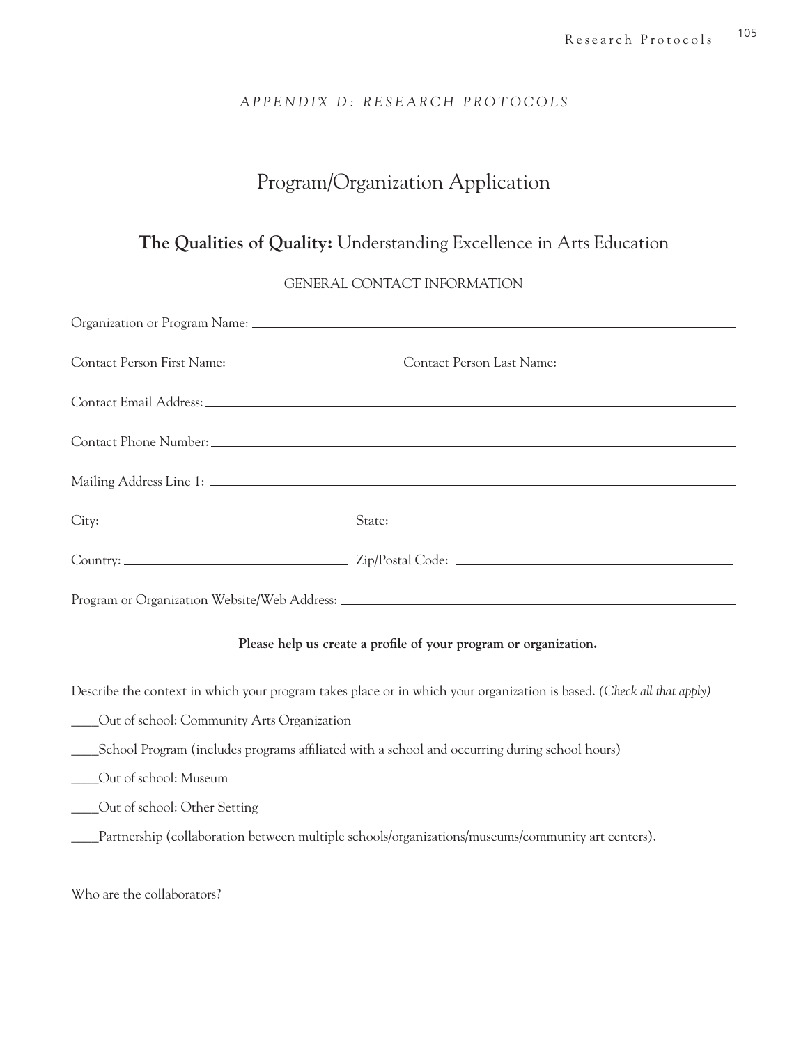## *APPENDIX D: RESEARCH PROTOCOLS*

## Program/Organization Application

## **The Qualities of Quality:** Understanding Excellence in Arts Education

## GENERAL CONTACT INFORMATION

| Contact Person First Name: _______________________________Contact Person Last Name: __________________________ |
|----------------------------------------------------------------------------------------------------------------|
|                                                                                                                |
|                                                                                                                |
|                                                                                                                |
|                                                                                                                |
|                                                                                                                |
|                                                                                                                |

### Please help us create a profile of your program or organization.

Describe the context in which your program takes place or in which your organization is based. *(Check all that apply)*

- \_\_\_\_Out of school: Community Arts Organization
- \_\_\_\_School Program (includes programs affi liated with a school and occurring during school hours)
- \_\_\_\_Out of school: Museum
- \_\_\_\_Out of school: Other Setting
- \_\_\_\_Partnership (collaboration between multiple schools/organizations/museums/community art centers).

Who are the collaborators?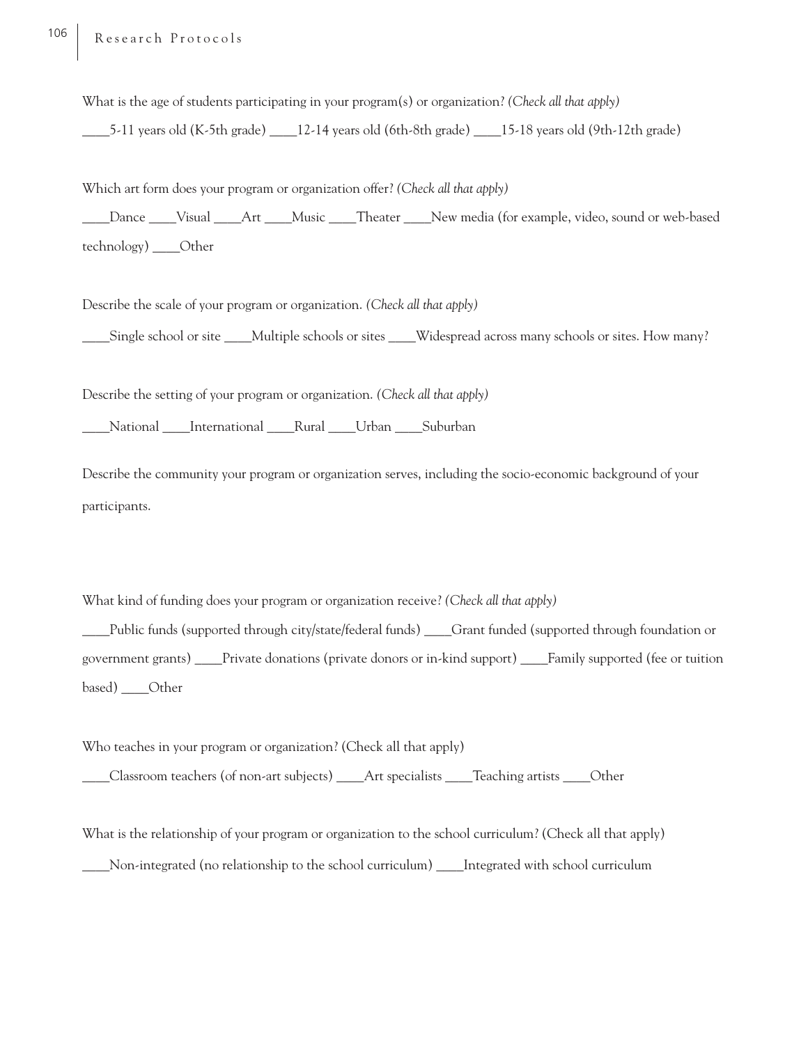What is the age of students participating in your program(s) or organization? *(Check all that apply)*

\_\_\_\_5-11 years old (K-5th grade) \_\_\_\_12-14 years old (6th-8th grade) \_\_\_\_15-18 years old (9th-12th grade)

Which art form does your program or organization offer? *(Check all that apply)* \_\_\_\_Dance \_\_\_\_Visual \_\_\_\_Art \_\_\_\_Music \_\_\_\_Theater \_\_\_\_New media (for example, video, sound or web-based technology) \_\_\_\_Other

Describe the scale of your program or organization. *(Check all that apply)*

\_\_\_\_Single school or site \_\_\_\_Multiple schools or sites \_\_\_\_Widespread across many schools or sites. How many?

Describe the setting of your program or organization. *(Check all that apply)*

\_\_\_\_National \_\_\_\_International \_\_\_\_Rural \_\_\_\_Urban \_\_\_\_Suburban

Describe the community your program or organization serves, including the socio-economic background of your participants.

What kind of funding does your program or organization receive? *(Check all that apply)*

\_\_\_\_Public funds (supported through city/state/federal funds) \_\_\_\_Grant funded (supported through foundation or government grants) \_\_\_\_Private donations (private donors or in-kind support) \_\_\_\_Family supported (fee or tuition based) \_\_\_\_Other

Who teaches in your program or organization? (Check all that apply)

\_\_\_\_Classroom teachers (of non-art subjects) \_\_\_\_Art specialists \_\_\_\_Teaching artists \_\_\_\_Other

What is the relationship of your program or organization to the school curriculum? (Check all that apply)

\_\_\_\_Non-integrated (no relationship to the school curriculum) \_\_\_\_Integrated with school curriculum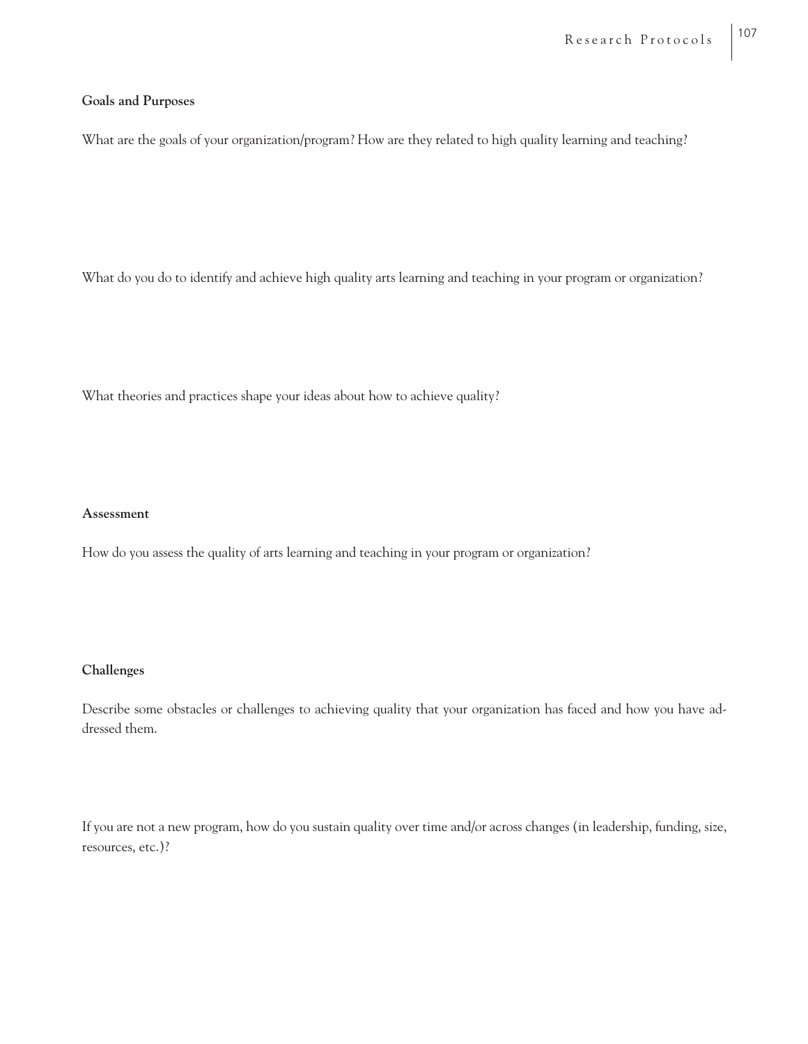#### **Goals and Purposes**

What are the goals of your organization/program? How are they related to high quality learning and teaching?

What do you do to identify and achieve high quality arts learning and teaching in your program or organization?

What theories and practices shape your ideas about how to achieve quality?

#### **Assessment**

How do you assess the quality of arts learning and teaching in your program or organization?

#### **Challenges**

Describe some obstacles or challenges to achieving quality that your organization has faced and how you have addressed them.

If you are not a new program, how do you sustain quality over time and/or across changes (in leadership, funding, size, resources, etc.)?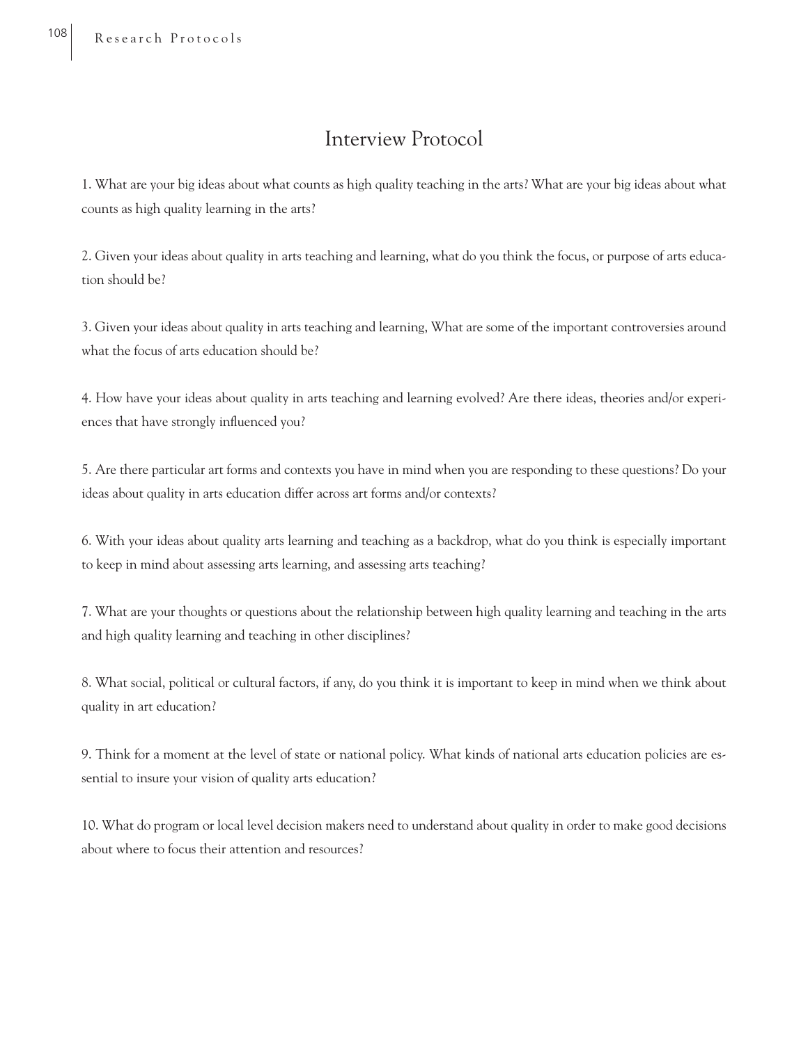## Interview Protocol

1. What are your big ideas about what counts as high quality teaching in the arts? What are your big ideas about what counts as high quality learning in the arts?

2. Given your ideas about quality in arts teaching and learning, what do you think the focus, or purpose of arts education should be?

3. Given your ideas about quality in arts teaching and learning, What are some of the important controversies around what the focus of arts education should be?

4. How have your ideas about quality in arts teaching and learning evolved? Are there ideas, theories and/or experiences that have strongly influenced you?

5. Are there particular art forms and contexts you have in mind when you are responding to these questions? Do your ideas about quality in arts education differ across art forms and/or contexts?

6. With your ideas about quality arts learning and teaching as a backdrop, what do you think is especially important to keep in mind about assessing arts learning, and assessing arts teaching?

7. What are your thoughts or questions about the relationship between high quality learning and teaching in the arts and high quality learning and teaching in other disciplines?

8. What social, political or cultural factors, if any, do you think it is important to keep in mind when we think about quality in art education?

9. Think for a moment at the level of state or national policy. What kinds of national arts education policies are essential to insure your vision of quality arts education?

10. What do program or local level decision makers need to understand about quality in order to make good decisions about where to focus their attention and resources?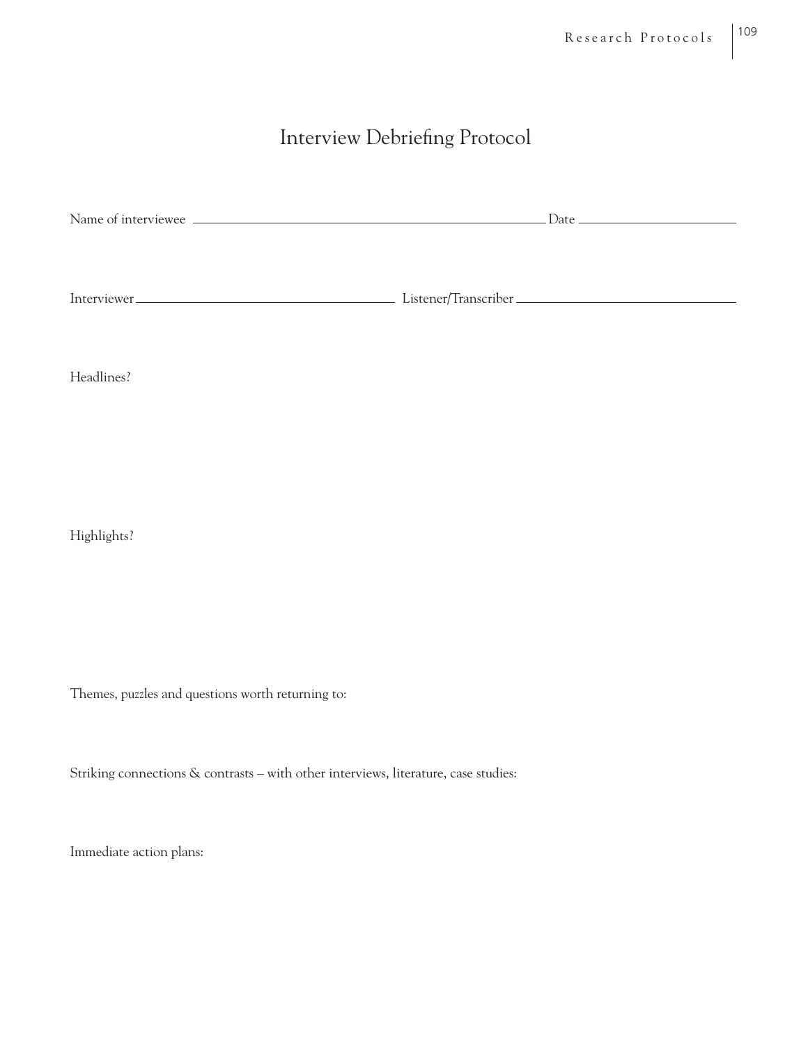# Interview Debriefing Protocol

| Name of interviewee | ` late |
|---------------------|--------|
|                     |        |
|                     |        |
|                     |        |
|                     |        |

| Interviewer. | Listener/Iranscriber |
|--------------|----------------------|
|              |                      |

Headlines?

Highlights?

Themes, puzzles and questions worth returning to:

Striking connections & contrasts – with other interviews, literature, case studies:

Immediate action plans: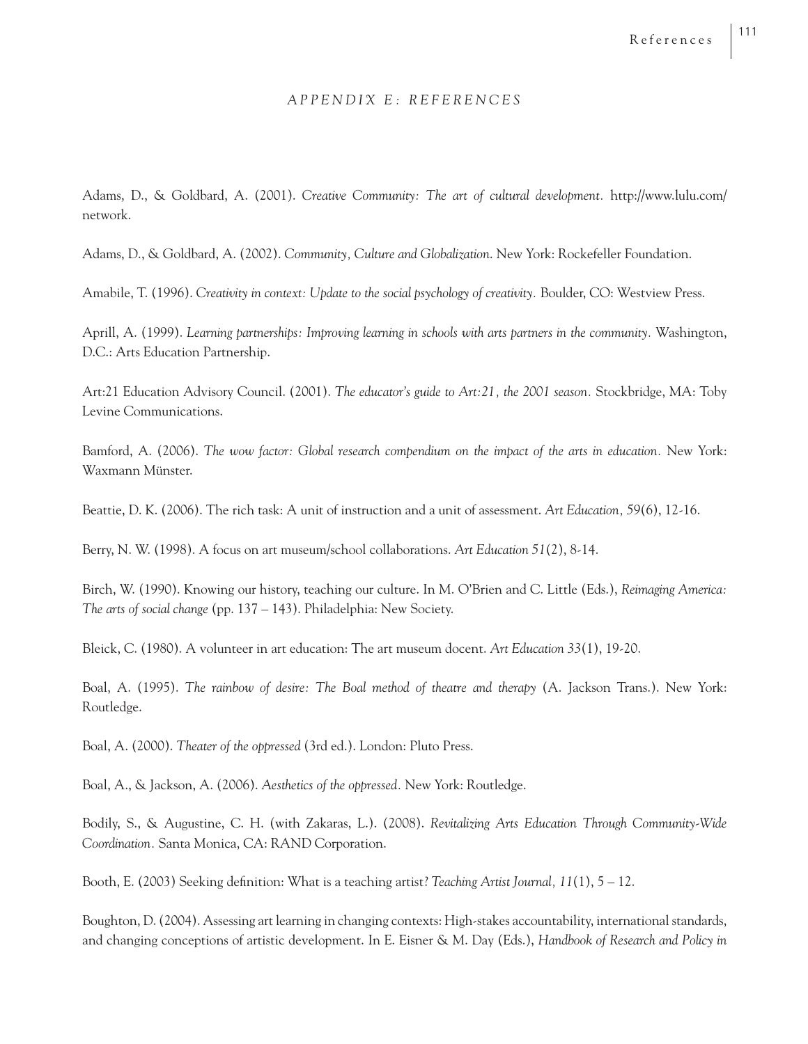#### *APPENDIX E: REFERENCES*

Adams, D., & Goldbard, A. (2001). *Creative Community: The art of cultural development.* http://www.lulu.com/ network.

Adams, D., & Goldbard, A. (2002). *Community, Culture and Globalization*. New York: Rockefeller Foundation.

Amabile, T. (1996). *Creativity in context: Update to the social psychology of creativity.* Boulder, CO: Westview Press.

Aprill, A. (1999). *Learning partnerships: Improving learning in schools with arts partners in the community.* Washington, D.C.: Arts Education Partnership.

Art:21 Education Advisory Council. (2001). *The educator's guide to Art:21, the 2001 season.* Stockbridge, MA: Toby Levine Communications.

Bamford, A. (2006). *The wow factor: Global research compendium on the impact of the arts in education.* New York: Waxmann Münster.

Beattie, D. K. (2006). The rich task: A unit of instruction and a unit of assessment. *Art Education, 59*(6), 12-16.

Berry, N. W. (1998). A focus on art museum/school collaborations. *Art Education 51*(2), 8-14.

Birch, W. (1990). Knowing our history, teaching our culture. In M. O'Brien and C. Little (Eds.), *Reimaging America: The arts of social change* (pp. 137 – 143). Philadelphia: New Society.

Bleick, C. (1980). A volunteer in art education: The art museum docent. *Art Education 33*(1), 19-20.

Boal, A. (1995). *The rainbow of desire: The Boal method of theatre and therapy* (A. Jackson Trans.). New York: Routledge.

Boal, A. (2000). *Theater of the oppressed* (3rd ed.). London: Pluto Press.

Boal, A., & Jackson, A. (2006). *Aesthetics of the oppressed.* New York: Routledge.

Bodily, S., & Augustine, C. H. (with Zakaras, L.). (2008). *Revitalizing Arts Education Through Community-Wide Coordination.* Santa Monica, CA: RAND Corporation.

Booth, E. (2003) Seeking definition: What is a teaching artist? *Teaching Artist Journal*, 11(1), 5 – 12.

Boughton, D. (2004). Assessing art learning in changing contexts: High-stakes accountability, international standards, and changing conceptions of artistic development. In E. Eisner & M. Day (Eds.), *Handbook of Research and Policy in*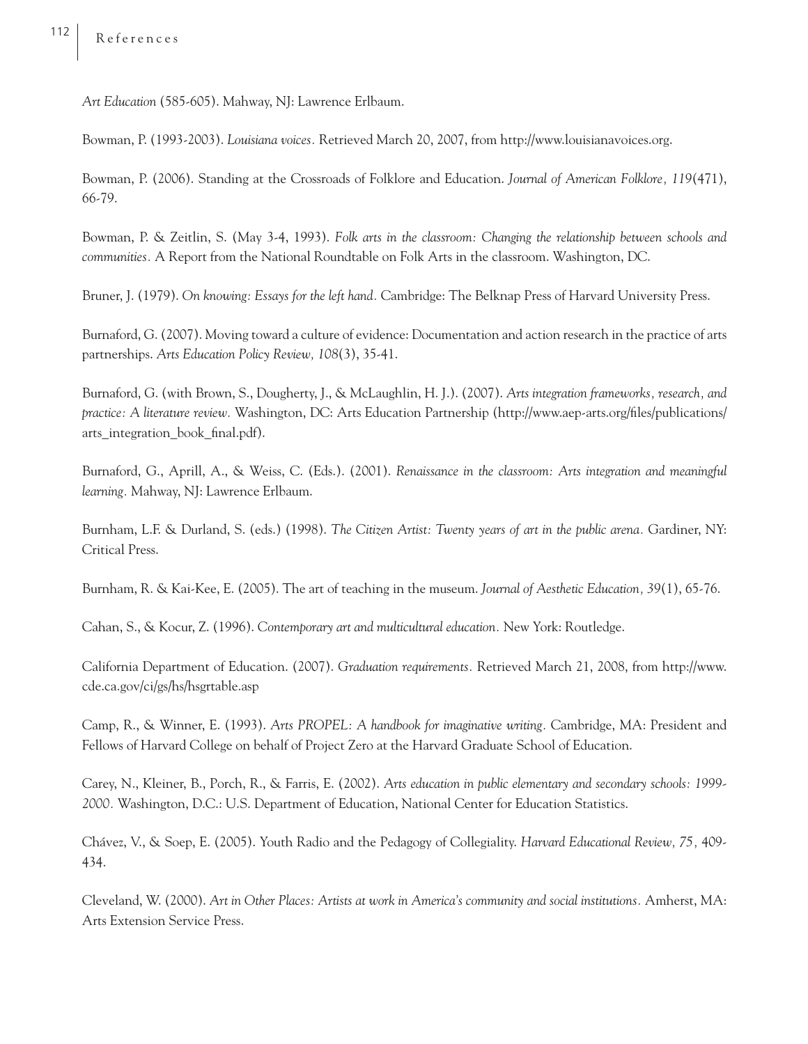*Art Education* (585-605). Mahway, NJ: Lawrence Erlbaum.

Bowman, P. (1993-2003). *Louisiana voices.* Retrieved March 20, 2007, from http://www.louisianavoices.org.

Bowman, P. (2006). Standing at the Crossroads of Folklore and Education. *Journal of American Folklore, 119*(471), 66-79.

Bowman, P. & Zeitlin, S. (May 3-4, 1993). *Folk arts in the classroom: Changing the relationship between schools and communities.* A Report from the National Roundtable on Folk Arts in the classroom. Washington, DC.

Bruner, J. (1979). *On knowing: Essays for the left hand.* Cambridge: The Belknap Press of Harvard University Press.

Burnaford, G. (2007). Moving toward a culture of evidence: Documentation and action research in the practice of arts partnerships. *Arts Education Policy Review, 108*(3), 35-41.

Burnaford, G. (with Brown, S., Dougherty, J., & McLaughlin, H. J.). (2007). *Arts integration frameworks, research, and practice: A literature review.* Washington, DC: Arts Education Partnership (http://www.aep-arts.org/files/publications/ arts\_integration\_book\_final.pdf).

Burnaford, G., Aprill, A., & Weiss, C. (Eds.). (2001). *Renaissance in the classroom: Arts integration and meaningful learning.* Mahway, NJ: Lawrence Erlbaum.

Burnham, L.F. & Durland, S. (eds.) (1998). *The Citizen Artist: Twenty years of art in the public arena.* Gardiner, NY: Critical Press.

Burnham, R. & Kai-Kee, E. (2005). The art of teaching in the museum. *Journal of Aesthetic Education, 39*(1), 65-76.

Cahan, S., & Kocur, Z. (1996). *Contemporary art and multicultural education.* New York: Routledge.

California Department of Education. (2007). *Graduation requirements.* Retrieved March 21, 2008, from http://www. cde.ca.gov/ci/gs/hs/hsgrtable.asp

Camp, R., & Winner, E. (1993). *Arts PROPEL: A handbook for imaginative writing.* Cambridge, MA: President and Fellows of Harvard College on behalf of Project Zero at the Harvard Graduate School of Education.

Carey, N., Kleiner, B., Porch, R., & Farris, E. (2002). *Arts education in public elementary and secondary schools: 1999- 2000.* Washington, D.C.: U.S. Department of Education, National Center for Education Statistics.

Chávez, V., & Soep, E. (2005). Youth Radio and the Pedagogy of Collegiality. *Harvard Educational Review, 75,* 409- 434.

Cleveland, W. (2000). *Art in Other Places: Artists at work in America's community and social institutions.* Amherst, MA: Arts Extension Service Press.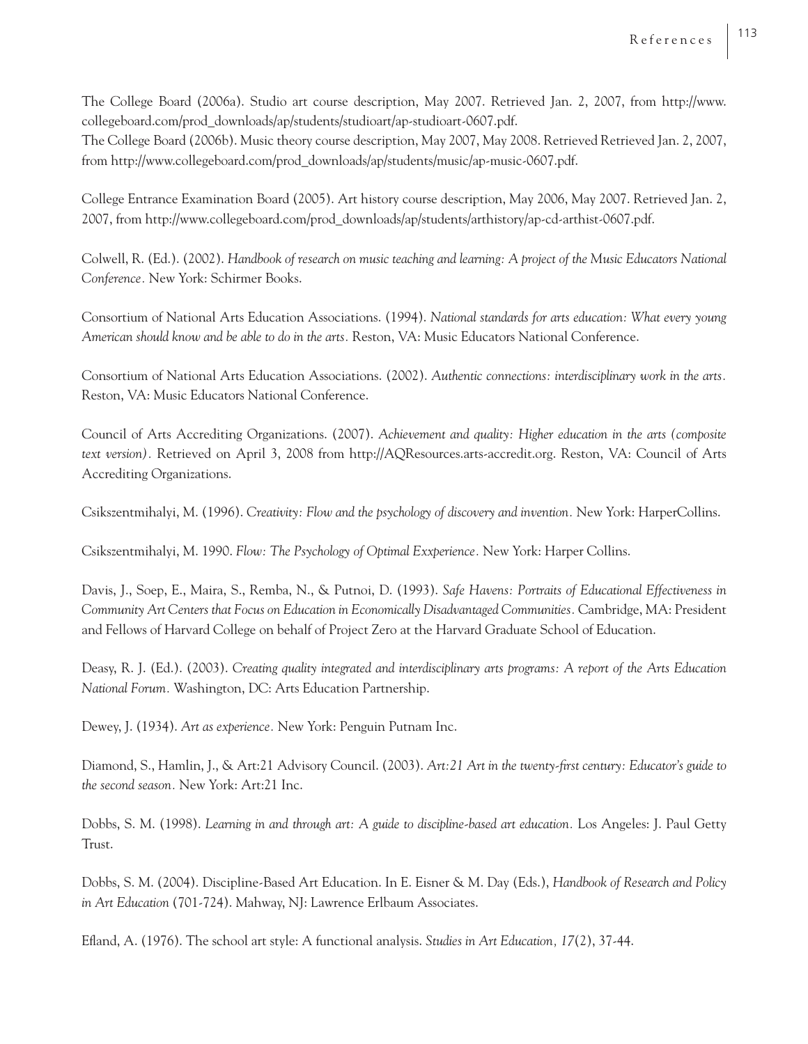The College Board (2006a). Studio art course description, May 2007. Retrieved Jan. 2, 2007, from http://www. collegeboard.com/prod\_downloads/ap/students/studioart/ap-studioart-0607.pdf.

The College Board (2006b). Music theory course description, May 2007, May 2008. Retrieved Retrieved Jan. 2, 2007, from http://www.collegeboard.com/prod\_downloads/ap/students/music/ap-music-0607.pdf.

College Entrance Examination Board (2005). Art history course description, May 2006, May 2007. Retrieved Jan. 2, 2007, from http://www.collegeboard.com/prod\_downloads/ap/students/arthistory/ap-cd-arthist-0607.pdf.

Colwell, R. (Ed.). (2002). *Handbook of research on music teaching and learning: A project of the Music Educators National Conference.* New York: Schirmer Books.

Consortium of National Arts Education Associations. (1994). *National standards for arts education: What every young American should know and be able to do in the arts.* Reston, VA: Music Educators National Conference.

Consortium of National Arts Education Associations. (2002). *Authentic connections: interdisciplinary work in the arts.*  Reston, VA: Music Educators National Conference.

Council of Arts Accrediting Organizations. (2007). *Achievement and quality: Higher education in the arts (composite text version).* Retrieved on April 3, 2008 from http://AQResources.arts-accredit.org. Reston, VA: Council of Arts Accrediting Organizations.

Csikszentmihalyi, M. (1996). *Creativity: Flow and the psychology of discovery and invention.* New York: HarperCollins.

Csikszentmihalyi, M. 1990. *Flow: The Psychology of Optimal Exxperience.* New York: Harper Collins.

Davis, J., Soep, E., Maira, S., Remba, N., & Putnoi, D. (1993). *Safe Havens: Portraits of Educational Effectiveness in Community Art Centers that Focus on Education in Economically Disadvantaged Communities.* Cambridge, MA: President and Fellows of Harvard College on behalf of Project Zero at the Harvard Graduate School of Education.

Deasy, R. J. (Ed.). (2003). *Creating quality integrated and interdisciplinary arts programs: A report of the Arts Education National Forum.* Washington, DC: Arts Education Partnership.

Dewey, J. (1934). *Art as experience.* New York: Penguin Putnam Inc.

Diamond, S., Hamlin, J., & Art:21 Advisory Council. (2003). Art:21 Art in the twenty-first century: Educator's guide to *the second season.* New York: Art:21 Inc.

Dobbs, S. M. (1998). *Learning in and through art: A guide to discipline-based art education.* Los Angeles: J. Paul Getty Trust.

Dobbs, S. M. (2004). Discipline-Based Art Education. In E. Eisner & M. Day (Eds.), *Handbook of Research and Policy in Art Education* (701-724). Mahway, NJ: Lawrence Erlbaum Associates.

Efland, A. (1976). The school art style: A functional analysis. *Studies in Art Education*, 17(2), 37-44.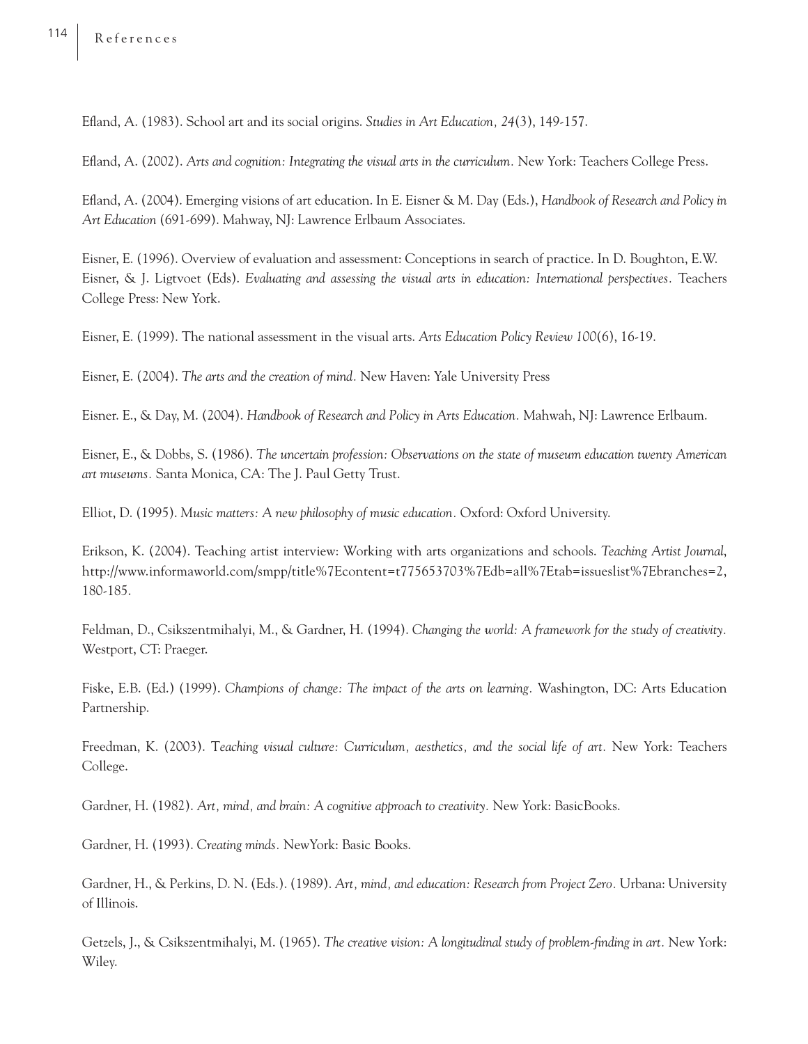Efl and, A. (1983). School art and its social origins. *Studies in Art Education, 24*(3), 149-157.

Efl and, A. (2002). *Arts and cognition: Integrating the visual arts in the curriculum.* New York: Teachers College Press.

Efl and, A. (2004). Emerging visions of art education. In E. Eisner & M. Day (Eds.), *Handbook of Research and Policy in Art Education* (691-699). Mahway, NJ: Lawrence Erlbaum Associates.

Eisner, E. (1996). Overview of evaluation and assessment: Conceptions in search of practice. In D. Boughton, E.W. Eisner, & J. Ligtvoet (Eds). *Evaluating and assessing the visual arts in education: International perspectives.* Teachers College Press: New York.

Eisner, E. (1999). The national assessment in the visual arts. *Arts Education Policy Review 100*(6), 16-19.

Eisner, E. (2004). *The arts and the creation of mind.* New Haven: Yale University Press

Eisner. E., & Day, M. (2004). *Handbook of Research and Policy in Arts Education.* Mahwah, NJ: Lawrence Erlbaum.

Eisner, E., & Dobbs, S. (1986). *The uncertain profession: Observations on the state of museum education twenty American art museums.* Santa Monica, CA: The J. Paul Getty Trust.

Elliot, D. (1995). *Music matters: A new philosophy of music education.* Oxford: Oxford University.

Erikson, K. (2004). Teaching artist interview: Working with arts organizations and schools. *Teaching Artist Journal*, http://www.informaworld.com/smpp/title%7Econtent=t775653703%7Edb=all%7Etab=issueslist%7Ebranches=2, 180-185.

Feldman, D., Csikszentmihalyi, M., & Gardner, H. (1994). *Changing the world: A framework for the study of creativity.*  Westport, CT: Praeger.

Fiske, E.B. (Ed.) (1999). *Champions of change: The impact of the arts on learning.* Washington, DC: Arts Education Partnership.

Freedman, K. (2003). T*eaching visual culture: Curriculum, aesthetics, and the social life of art.* New York: Teachers College.

Gardner, H. (1982). *Art, mind, and brain: A cognitive approach to creativity.* New York: BasicBooks.

Gardner, H. (1993). *Creating minds.* NewYork: Basic Books.

Gardner, H., & Perkins, D. N. (Eds.). (1989). *Art, mind, and education: Research from Project Zero.* Urbana: University of Illinois.

Getzels, J., & Csikszentmihalyi, M. (1965). *The creative vision: A longitudinal study of problem-finding in art.* New York: Wiley.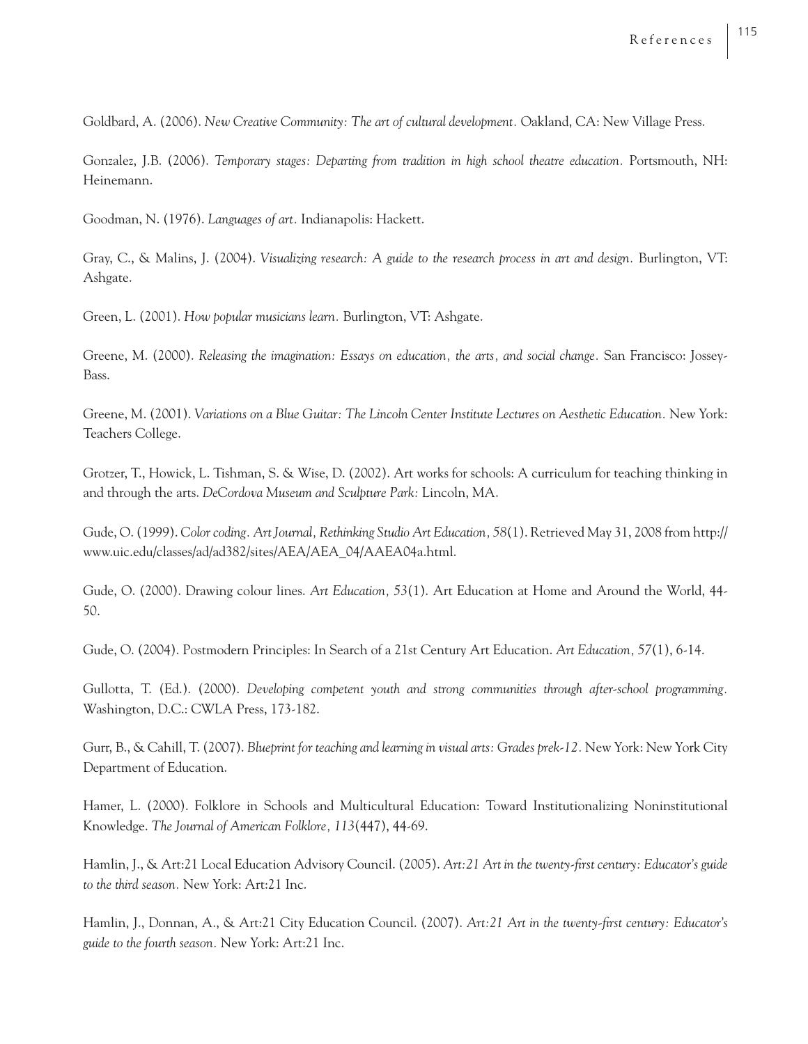Goldbard, A. (2006). *New Creative Community: The art of cultural development.* Oakland, CA: New Village Press.

Gonzalez, J.B. (2006). *Temporary stages: Departing from tradition in high school theatre education.* Portsmouth, NH: Heinemann.

Goodman, N. (1976). *Languages of art.* Indianapolis: Hackett.

Gray, C., & Malins, J. (2004). *Visualizing research: A guide to the research process in art and design.* Burlington, VT: Ashgate.

Green, L. (2001). *How popular musicians learn.* Burlington, VT: Ashgate.

Greene, M. (2000). *Releasing the imagination: Essays on education, the arts, and social change.* San Francisco: Jossey-Bass.

Greene, M. (2001). *Variations on a Blue Guitar: The Lincoln Center Institute Lectures on Aesthetic Education.* New York: Teachers College.

Grotzer, T., Howick, L. Tishman, S. & Wise, D. (2002). Art works for schools: A curriculum for teaching thinking in and through the arts. *DeCordova Museum and Sculpture Park:* Lincoln, MA.

Gude, O. (1999). *Color coding. Art Journal, Rethinking Studio Art Education, 58*(1). Retrieved May 31, 2008 from http:// www.uic.edu/classes/ad/ad382/sites/AEA/AEA\_04/AAEA04a.html.

Gude, O. (2000). Drawing colour lines. *Art Education, 53*(1). Art Education at Home and Around the World, 44- 50.

Gude, O. (2004). Postmodern Principles: In Search of a 21st Century Art Education. *Art Education, 57*(1), 6-14.

Gullotta, T. (Ed.). (2000). *Developing competent youth and strong communities through after-school programming.*  Washington, D.C.: CWLA Press, 173-182.

Gurr, B., & Cahill, T. (2007). *Blueprint for teaching and learning in visual arts: Grades prek-12.* New York: New York City Department of Education.

Hamer, L. (2000). Folklore in Schools and Multicultural Education: Toward Institutionalizing Noninstitutional Knowledge. *The Journal of American Folklore, 113*(447), 44-69.

Hamlin, J., & Art:21 Local Education Advisory Council. (2005). Art:21 Art in the twenty-first century: Educator's guide *to the third season.* New York: Art:21 Inc.

Hamlin, I., Donnan, A., & Art:21 City Education Council. (2007). Art:21 Art in the twenty-first century: Educator's *guide to the fourth season.* New York: Art:21 Inc.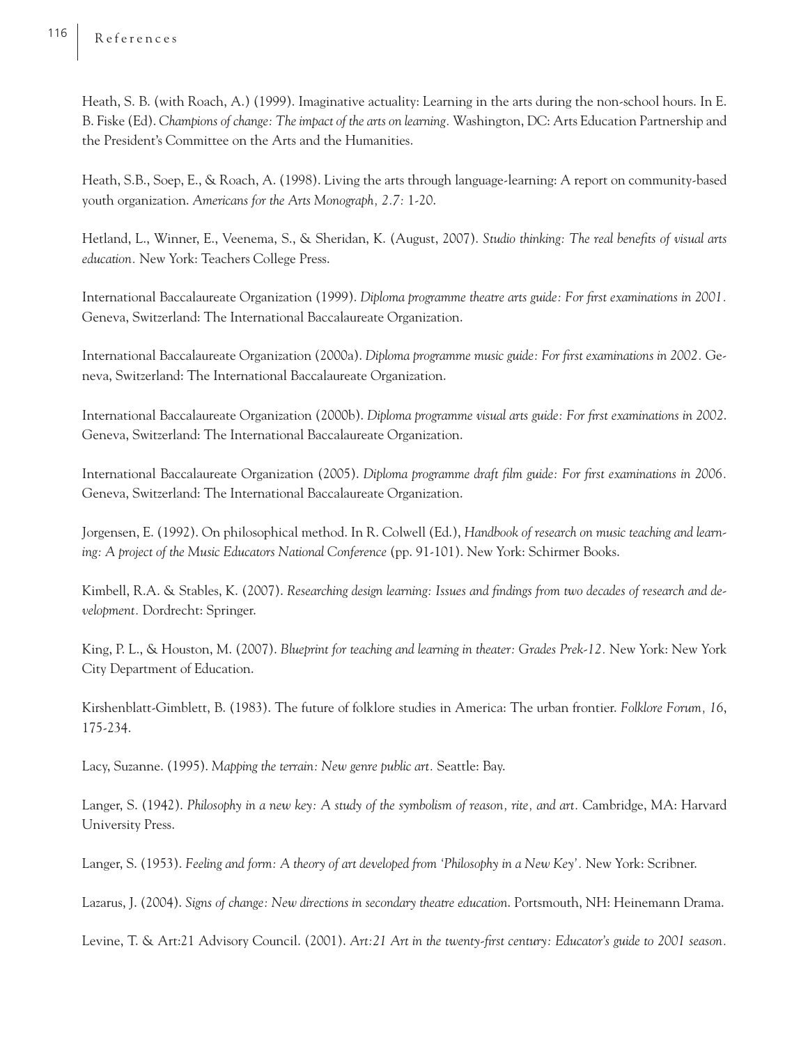Heath, S. B. (with Roach, A.) (1999). Imaginative actuality: Learning in the arts during the non-school hours. In E. B. Fiske (Ed). *Champions of change: The impact of the arts on learning.* Washington, DC: Arts Education Partnership and the President's Committee on the Arts and the Humanities.

Heath, S.B., Soep, E., & Roach, A. (1998). Living the arts through language-learning: A report on community-based youth organization. *Americans for the Arts Monograph, 2.7:* 1-20.

Hetland, L., Winner, E., Veenema, S., & Sheridan, K. (August, 2007). *Studio thinking: The real benefits of visual arts education.* New York: Teachers College Press.

International Baccalaureate Organization (1999). *Diploma programme theatre arts guide: For first examinations in 2001*. Geneva, Switzerland: The International Baccalaureate Organization.

International Baccalaureate Organization (2000a). *Diploma programme music guide: For first examinations in 2002.* Geneva, Switzerland: The International Baccalaureate Organization.

International Baccalaureate Organization (2000b). *Diploma programme visual arts guide: For first examinations in 2002*. Geneva, Switzerland: The International Baccalaureate Organization.

International Baccalaureate Organization (2005). *Diploma programme draft film guide: For first examinations in 2006*. Geneva, Switzerland: The International Baccalaureate Organization.

Jorgensen, E. (1992). On philosophical method. In R. Colwell (Ed.), *Handbook of research on music teaching and learning: A project of the Music Educators National Conference* (pp. 91-101). New York: Schirmer Books.

Kimbell, R.A. & Stables, K. (2007). *Researching design learning: Issues and findings from two decades of research and development.* Dordrecht: Springer.

King, P. L., & Houston, M. (2007). *Blueprint for teaching and learning in theater: Grades Prek-12.* New York: New York City Department of Education.

Kirshenblatt-Gimblett, B. (1983). The future of folklore studies in America: The urban frontier. *Folklore Forum, 16*, 175-234.

Lacy, Suzanne. (1995). *Mapping the terrain: New genre public art.* Seattle: Bay.

Langer, S. (1942). *Philosophy in a new key: A study of the symbolism of reason, rite, and art.* Cambridge, MA: Harvard University Press.

Langer, S. (1953). *Feeling and form: A theory of art developed from 'Philosophy in a New Key'.* New York: Scribner.

Lazarus, J. (2004). *Signs of change: New directions in secondary theatre education*. Portsmouth, NH: Heinemann Drama.

Levine, T. & Art:21 Advisory Council. (2001). Art:21 Art in the twenty-first century: Educator's guide to 2001 season.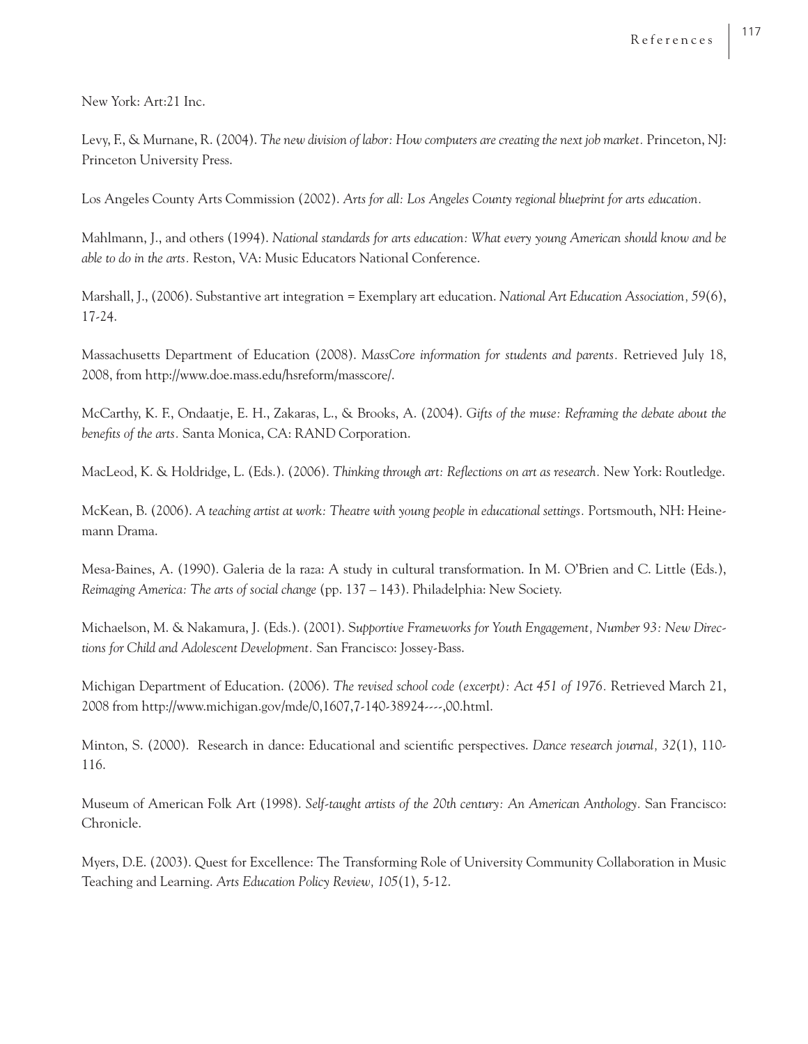New York: Art:21 Inc.

Levy, F., & Murnane, R. (2004). *The new division of labor: How computers are creating the next job market.* Princeton, NJ: Princeton University Press.

Los Angeles County Arts Commission (2002). *Arts for all: Los Angeles County regional blueprint for arts education.*

Mahlmann, J., and others (1994). *National standards for arts education: What every young American should know and be able to do in the arts.* Reston, VA: Music Educators National Conference.

Marshall, J., (2006). Substantive art integration = Exemplary art education. *National Art Education Association, 59*(6), 17-24.

Massachusetts Department of Education (2008). *MassCore information for students and parents.* Retrieved July 18, 2008, from http://www.doe.mass.edu/hsreform/masscore/.

McCarthy, K. F., Ondaatje, E. H., Zakaras, L., & Brooks, A. (2004). *Gifts of the muse: Reframing the debate about the*  benefits of the arts. Santa Monica, CA: RAND Corporation.

MacLeod, K. & Holdridge, L. (Eds.). (2006). *Thinking through art: Reflections on art as research*. New York: Routledge.

McKean, B. (2006). *A teaching artist at work: Theatre with young people in educational settings.* Portsmouth, NH: Heinemann Drama.

Mesa-Baines, A. (1990). Galeria de la raza: A study in cultural transformation. In M. O'Brien and C. Little (Eds.), *Reimaging America: The arts of social change* (pp. 137 – 143). Philadelphia: New Society.

Michaelson, M. & Nakamura, J. (Eds.). (2001). S*upportive Frameworks for Youth Engagement, Number 93: New Directions for Child and Adolescent Development.* San Francisco: Jossey-Bass.

Michigan Department of Education. (2006). *The revised school code (excerpt): Act 451 of 1976.* Retrieved March 21, 2008 from http://www.michigan.gov/mde/0,1607,7-140-38924----,00.html.

Minton, S. (2000). Research in dance: Educational and scientific perspectives. *Dance research journal*, 32(1), 110-116.

Museum of American Folk Art (1998). *Self-taught artists of the 20th century: An American Anthology.* San Francisco: Chronicle.

Myers, D.E. (2003). Quest for Excellence: The Transforming Role of University Community Collaboration in Music Teaching and Learning. *Arts Education Policy Review, 105*(1), 5-12.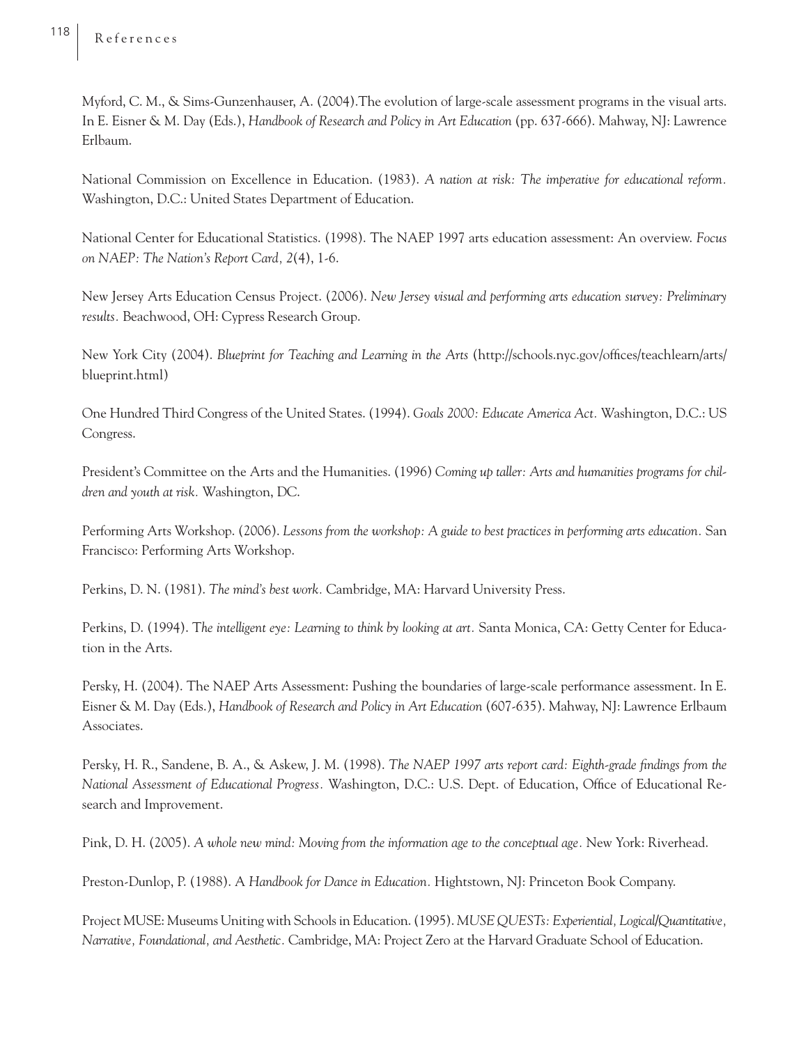Myford, C. M., & Sims-Gunzenhauser, A. (2004).The evolution of large-scale assessment programs in the visual arts. In E. Eisner & M. Day (Eds.), *Handbook of Research and Policy in Art Education* (pp. 637-666). Mahway, NJ: Lawrence Erlbaum.

National Commission on Excellence in Education. (1983). *A nation at risk: The imperative for educational reform.*  Washington, D.C.: United States Department of Education.

National Center for Educational Statistics. (1998). The NAEP 1997 arts education assessment: An overview. *Focus on NAEP: The Nation's Report Card, 2*(4), 1-6.

New Jersey Arts Education Census Project. (2006). *New Jersey visual and performing arts education survey: Preliminary results.* Beachwood, OH: Cypress Research Group.

New York City (2004). *Blueprint for Teaching and Learning in the Arts* (http://schools.nyc.gov/offices/teachlearn/arts/ blueprint.html)

One Hundred Third Congress of the United States. (1994). *Goals 2000: Educate America Act.* Washington, D.C.: US Congress.

President's Committee on the Arts and the Humanities. (1996) *Coming up taller: Arts and humanities programs for children and youth at risk.* Washington, DC.

Performing Arts Workshop. (2006). *Lessons from the workshop: A guide to best practices in performing arts education.* San Francisco: Performing Arts Workshop.

Perkins, D. N. (1981). *The mind's best work.* Cambridge, MA: Harvard University Press.

Perkins, D. (1994). T*he intelligent eye: Learning to think by looking at art.* Santa Monica, CA: Getty Center for Education in the Arts.

Persky, H. (2004). The NAEP Arts Assessment: Pushing the boundaries of large-scale performance assessment. In E. Eisner & M. Day (Eds.), *Handbook of Research and Policy in Art Education* (607-635). Mahway, NJ: Lawrence Erlbaum Associates.

Persky, H. R., Sandene, B. A., & Askew, J. M. (1998). *The NAEP 1997 arts report card: Eighth-grade findings from the National Assessment of Educational Progress.* Washington, D.C.: U.S. Dept. of Education, Office of Educational Research and Improvement.

Pink, D. H. (2005). *A whole new mind: Moving from the information age to the conceptual age.* New York: Riverhead.

Preston-Dunlop, P. (1988). A *Handbook for Dance in Education.* Hightstown, NJ: Princeton Book Company.

 Project MUSE: Museums Uniting with Schools in Education. (1995). *MUSE QUESTs: Experiential, Logical/Quantitative, Narrative, Foundational, and Aesthetic.* Cambridge, MA: Project Zero at the Harvard Graduate School of Education.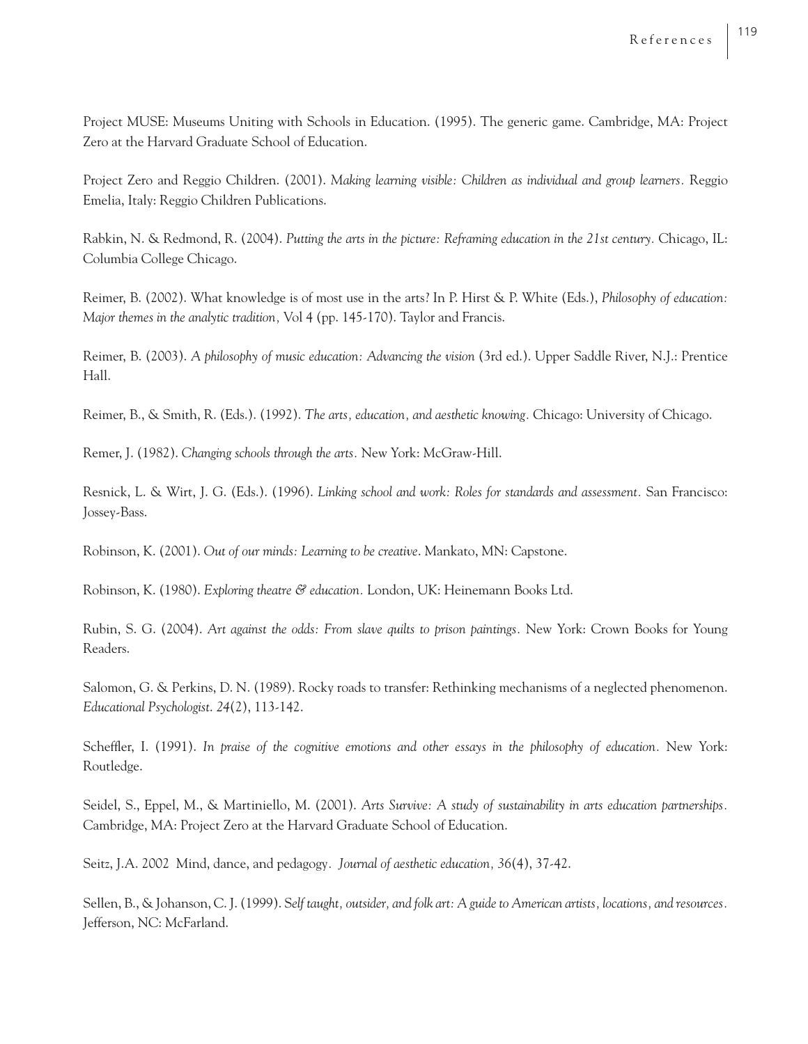Project MUSE: Museums Uniting with Schools in Education. (1995). The generic game. Cambridge, MA: Project Zero at the Harvard Graduate School of Education.

Project Zero and Reggio Children. (2001). *Making learning visible: Children as individual and group learners.* Reggio Emelia, Italy: Reggio Children Publications.

Rabkin, N. & Redmond, R. (2004). *Putting the arts in the picture: Reframing education in the 21st century.* Chicago, IL: Columbia College Chicago.

Reimer, B. (2002). What knowledge is of most use in the arts? In P. Hirst & P. White (Eds.), *Philosophy of education: Major themes in the analytic tradition,* Vol 4 (pp. 145-170). Taylor and Francis.

Reimer, B. (2003). *A philosophy of music education: Advancing the vision* (3rd ed.). Upper Saddle River, N.J.: Prentice Hall.

Reimer, B., & Smith, R. (Eds.). (1992). *The arts, education, and aesthetic knowing.* Chicago: University of Chicago.

Remer, J. (1982). *Changing schools through the arts.* New York: McGraw-Hill.

Resnick, L. & Wirt, J. G. (Eds.). (1996). *Linking school and work: Roles for standards and assessment.* San Francisco: Jossey-Bass.

Robinson, K. (2001). *Out of our minds: Learning to be creative*. Mankato, MN: Capstone.

Robinson, K. (1980). *Exploring theatre & education.* London, UK: Heinemann Books Ltd.

Rubin, S. G. (2004). *Art against the odds: From slave quilts to prison paintings.* New York: Crown Books for Young Readers.

Salomon, G. & Perkins, D. N. (1989). Rocky roads to transfer: Rethinking mechanisms of a neglected phenomenon. *Educational Psychologist*. *24*(2), 113-142.

Scheffler, I. (1991). In praise of the cognitive emotions and other essays in the philosophy of education. New York: Routledge.

Seidel, S., Eppel, M., & Martiniello, M. (2001). *Arts Survive: A study of sustainability in arts education partnerships.*  Cambridge, MA: Project Zero at the Harvard Graduate School of Education.

Seitz, J.A. 2002 Mind, dance, and pedagogy*. Journal of aesthetic education, 36*(4), 37-42.

Sellen, B., & Johanson, C. J. (1999). S*elf taught, outsider, and folk art: A guide to American artists, locations, and resources.*  Jefferson, NC: McFarland.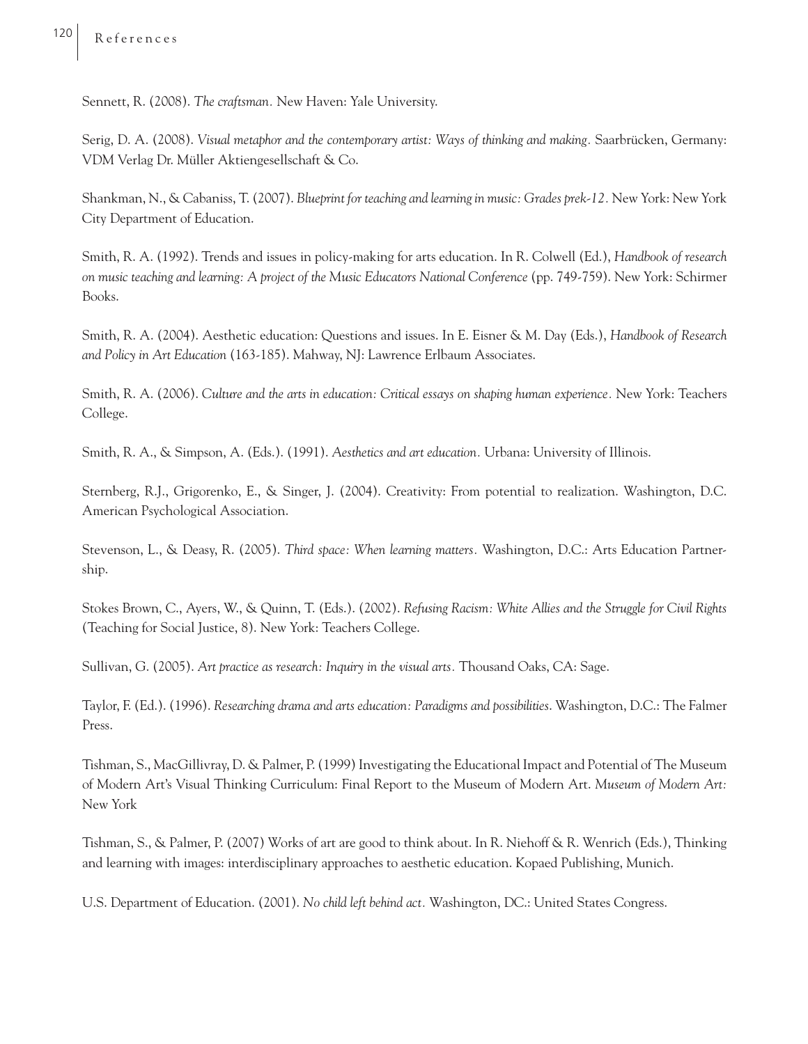Sennett, R. (2008). *The craftsman.* New Haven: Yale University.

Serig, D. A. (2008). *Visual metaphor and the contemporary artist: Ways of thinking and making.* Saarbrücken, Germany: VDM Verlag Dr. Müller Aktiengesellschaft & Co.

Shankman, N., & Cabaniss, T. (2007). *Blueprint for teaching and learning in music: Grades prek-12.* New York: New York City Department of Education.

Smith, R. A. (1992). Trends and issues in policy-making for arts education. In R. Colwell (Ed.), *Handbook of research on music teaching and learning: A project of the Music Educators National Conference (pp. 749-759). New York: Schirmer* Books.

Smith, R. A. (2004). Aesthetic education: Questions and issues. In E. Eisner & M. Day (Eds.), *Handbook of Research and Policy in Art Education* (163-185). Mahway, NJ: Lawrence Erlbaum Associates.

Smith, R. A. (2006). *Culture and the arts in education: Critical essays on shaping human experience.* New York: Teachers College.

Smith, R. A., & Simpson, A. (Eds.). (1991). *Aesthetics and art education.* Urbana: University of Illinois.

Sternberg, R.J., Grigorenko, E., & Singer, J. (2004). Creativity: From potential to realization. Washington, D.C. American Psychological Association.

Stevenson, L., & Deasy, R. (2005). *Third space: When learning matters.* Washington, D.C.: Arts Education Partnership.

Stokes Brown, C., Ayers, W., & Quinn, T. (Eds.). (2002). *Refusing Racism: White Allies and the Struggle for Civil Rights*  (Teaching for Social Justice, 8). New York: Teachers College.

Sullivan, G. (2005). *Art practice as research: Inquiry in the visual arts.* Thousand Oaks, CA: Sage.

Taylor, F. (Ed.). (1996). *Researching drama and arts education: Paradigms and possibilities*. Washington, D.C.: The Falmer Press.

Tishman, S., MacGillivray, D. & Palmer, P. (1999) Investigating the Educational Impact and Potential of The Museum of Modern Art's Visual Thinking Curriculum: Final Report to the Museum of Modern Art. *Museum of Modern Art:*  New York

Tishman, S., & Palmer, P. (2007) Works of art are good to think about. In R. Niehoff & R. Wenrich (Eds.), Thinking and learning with images: interdisciplinary approaches to aesthetic education. Kopaed Publishing, Munich.

U.S. Department of Education. (2001). *No child left behind act.* Washington, DC.: United States Congress.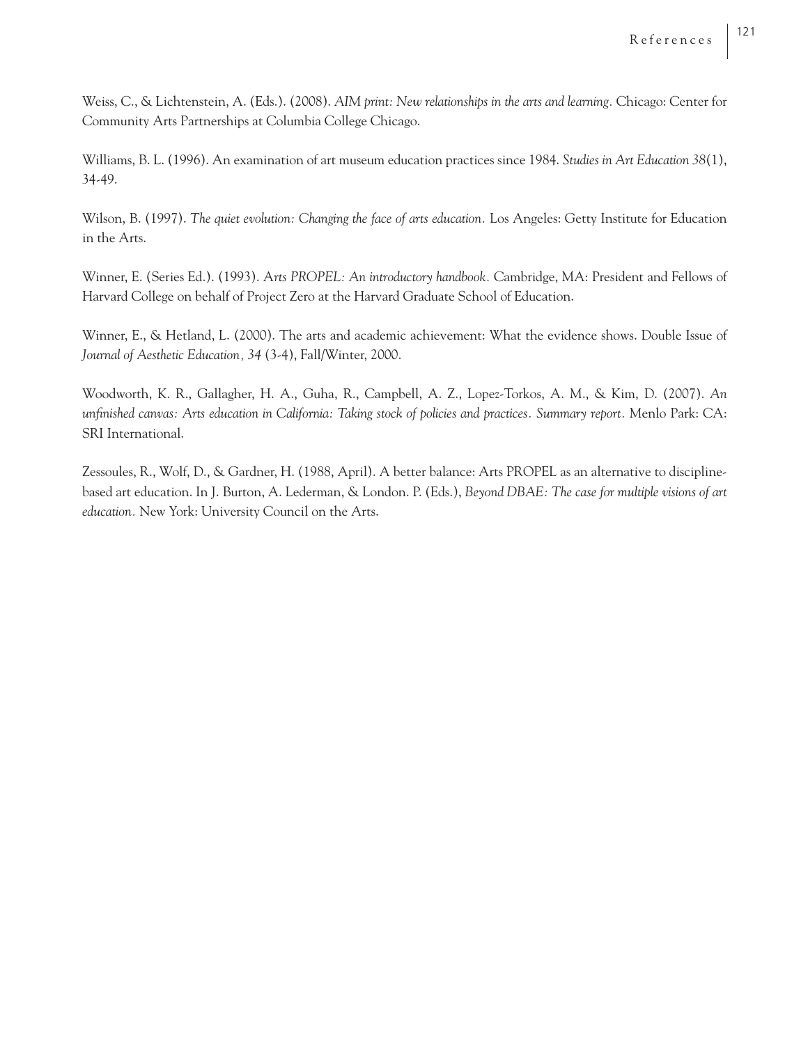Weiss, C., & Lichtenstein, A. (Eds.). (2008). *AIM print: New relationships in the arts and learning.* Chicago: Center for Community Arts Partnerships at Columbia College Chicago.

Williams, B. L. (1996). An examination of art museum education practices since 1984. *Studies in Art Education 38*(1), 34-49.

Wilson, B. (1997). *The quiet evolution: Changing the face of arts education.* Los Angeles: Getty Institute for Education in the Arts.

Winner, E. (Series Ed.). (1993). A*rts PROPEL: An introductory handbook.* Cambridge, MA: President and Fellows of Harvard College on behalf of Project Zero at the Harvard Graduate School of Education.

Winner, E., & Hetland, L. (2000). The arts and academic achievement: What the evidence shows. Double Issue of *Journal of Aesthetic Education, 34* (3-4), Fall/Winter, 2000.

Woodworth, K. R., Gallagher, H. A., Guha, R., Campbell, A. Z., Lopez-Torkos, A. M., & Kim, D. (2007). *An unfi nished canvas: Arts education in California: Taking stock of policies and practices. Summary report.* Menlo Park: CA: SRI International.

Zessoules, R., Wolf, D., & Gardner, H. (1988, April). A better balance: Arts PROPEL as an alternative to disciplinebased art education. In J. Burton, A. Lederman, & London. P. (Eds.), *Beyond DBAE: The case for multiple visions of art education.* New York: University Council on the Arts.